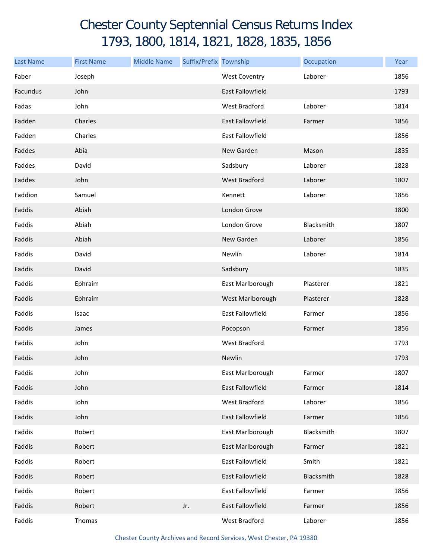## Chester County Septennial Census Returns Index 1793, 1800, 1814, 1821, 1828, 1835, 1856

| <b>Last Name</b> | <b>First Name</b> | <b>Middle Name</b> | Suffix/Prefix Township |                         | Occupation | Year |
|------------------|-------------------|--------------------|------------------------|-------------------------|------------|------|
| Faber            | Joseph            |                    |                        | <b>West Coventry</b>    | Laborer    | 1856 |
| Facundus         | John              |                    |                        | <b>East Fallowfield</b> |            | 1793 |
| Fadas            | John              |                    |                        | West Bradford           | Laborer    | 1814 |
| Fadden           | Charles           |                    |                        | East Fallowfield        | Farmer     | 1856 |
| Fadden           | Charles           |                    |                        | East Fallowfield        |            | 1856 |
| Faddes           | Abia              |                    |                        | New Garden              | Mason      | 1835 |
| Faddes           | David             |                    |                        | Sadsbury                | Laborer    | 1828 |
| Faddes           | John              |                    |                        | <b>West Bradford</b>    | Laborer    | 1807 |
| Faddion          | Samuel            |                    |                        | Kennett                 | Laborer    | 1856 |
| Faddis           | Abiah             |                    |                        | London Grove            |            | 1800 |
| Faddis           | Abiah             |                    |                        | London Grove            | Blacksmith | 1807 |
| Faddis           | Abiah             |                    |                        | New Garden              | Laborer    | 1856 |
| Faddis           | David             |                    |                        | Newlin                  | Laborer    | 1814 |
| Faddis           | David             |                    |                        | Sadsbury                |            | 1835 |
| Faddis           | Ephraim           |                    |                        | East Marlborough        | Plasterer  | 1821 |
| Faddis           | Ephraim           |                    |                        | West Marlborough        | Plasterer  | 1828 |
| Faddis           | Isaac             |                    |                        | East Fallowfield        | Farmer     | 1856 |
| Faddis           | James             |                    |                        | Pocopson                | Farmer     | 1856 |
| Faddis           | John              |                    |                        | West Bradford           |            | 1793 |
| Faddis           | John              |                    |                        | Newlin                  |            | 1793 |
| Faddis           | John              |                    |                        | East Marlborough        | Farmer     | 1807 |
| Faddis           | John              |                    |                        | East Fallowfield        | Farmer     | 1814 |
| Faddis           | John              |                    |                        | West Bradford           | Laborer    | 1856 |
| Faddis           | John              |                    |                        | East Fallowfield        | Farmer     | 1856 |
| Faddis           | Robert            |                    |                        | East Marlborough        | Blacksmith | 1807 |
| Faddis           | Robert            |                    |                        | East Marlborough        | Farmer     | 1821 |
| Faddis           | Robert            |                    |                        | East Fallowfield        | Smith      | 1821 |
| Faddis           | Robert            |                    |                        | East Fallowfield        | Blacksmith | 1828 |
| Faddis           | Robert            |                    |                        | East Fallowfield        | Farmer     | 1856 |
| Faddis           | Robert            |                    | Jr.                    | East Fallowfield        | Farmer     | 1856 |
| Faddis           | Thomas            |                    |                        | West Bradford           | Laborer    | 1856 |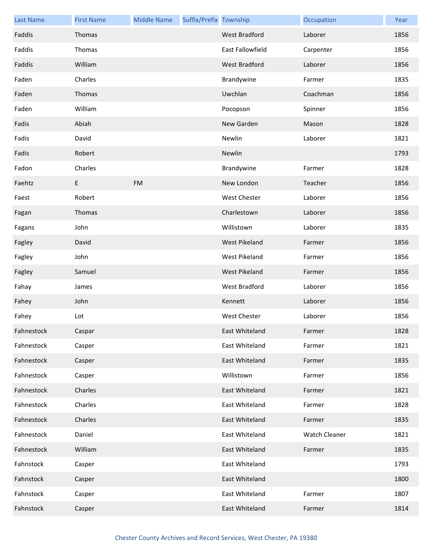| <b>Last Name</b> | <b>First Name</b> | <b>Middle Name</b> | Suffix/Prefix Township |                      | Occupation    | Year |
|------------------|-------------------|--------------------|------------------------|----------------------|---------------|------|
| Faddis           | Thomas            |                    |                        | <b>West Bradford</b> | Laborer       | 1856 |
| Faddis           | Thomas            |                    |                        | East Fallowfield     | Carpenter     | 1856 |
| Faddis           | William           |                    |                        | West Bradford        | Laborer       | 1856 |
| Faden            | Charles           |                    |                        | Brandywine           | Farmer        | 1835 |
| Faden            | Thomas            |                    |                        | Uwchlan              | Coachman      | 1856 |
| Faden            | William           |                    |                        | Pocopson             | Spinner       | 1856 |
| Fadis            | Abiah             |                    |                        | New Garden           | Mason         | 1828 |
| Fadis            | David             |                    |                        | Newlin               | Laborer       | 1821 |
| Fadis            | Robert            |                    |                        | Newlin               |               | 1793 |
| Fadon            | Charles           |                    |                        | Brandywine           | Farmer        | 1828 |
| Faehtz           | E                 | <b>FM</b>          |                        | New London           | Teacher       | 1856 |
| Faest            | Robert            |                    |                        | West Chester         | Laborer       | 1856 |
| Fagan            | Thomas            |                    |                        | Charlestown          | Laborer       | 1856 |
| Fagans           | John              |                    |                        | Willistown           | Laborer       | 1835 |
| Fagley           | David             |                    |                        | <b>West Pikeland</b> | Farmer        | 1856 |
| Fagley           | John              |                    |                        | West Pikeland        | Farmer        | 1856 |
| Fagley           | Samuel            |                    |                        | West Pikeland        | Farmer        | 1856 |
| Fahay            | James             |                    |                        | West Bradford        | Laborer       | 1856 |
| Fahey            | John              |                    |                        | Kennett              | Laborer       | 1856 |
| Fahey            | Lot               |                    |                        | <b>West Chester</b>  | Laborer       | 1856 |
| Fahnestock       | Caspar            |                    |                        | East Whiteland       | Farmer        | 1828 |
| Fahnestock       | Casper            |                    |                        | East Whiteland       | Farmer        | 1821 |
| Fahnestock       | Casper            |                    |                        | East Whiteland       | Farmer        | 1835 |
| Fahnestock       | Casper            |                    |                        | Willistown           | Farmer        | 1856 |
| Fahnestock       | Charles           |                    |                        | East Whiteland       | Farmer        | 1821 |
| Fahnestock       | Charles           |                    |                        | East Whiteland       | Farmer        | 1828 |
| Fahnestock       | Charles           |                    |                        | East Whiteland       | Farmer        | 1835 |
| Fahnestock       | Daniel            |                    |                        | East Whiteland       | Watch Cleaner | 1821 |
| Fahnestock       | William           |                    |                        | East Whiteland       | Farmer        | 1835 |
| Fahnstock        | Casper            |                    |                        | East Whiteland       |               | 1793 |
| Fahnstock        | Casper            |                    |                        | East Whiteland       |               | 1800 |
| Fahnstock        | Casper            |                    |                        | East Whiteland       | Farmer        | 1807 |
| Fahnstock        | Casper            |                    |                        | East Whiteland       | Farmer        | 1814 |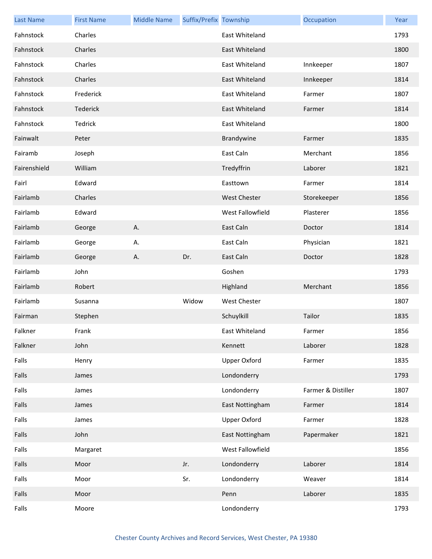| <b>Last Name</b> | <b>First Name</b> | <b>Middle Name</b> | Suffix/Prefix Township |                     | Occupation         | Year |
|------------------|-------------------|--------------------|------------------------|---------------------|--------------------|------|
| Fahnstock        | Charles           |                    |                        | East Whiteland      |                    | 1793 |
| Fahnstock        | Charles           |                    |                        | East Whiteland      |                    | 1800 |
| Fahnstock        | Charles           |                    |                        | East Whiteland      | Innkeeper          | 1807 |
| Fahnstock        | Charles           |                    |                        | East Whiteland      | Innkeeper          | 1814 |
| Fahnstock        | Frederick         |                    |                        | East Whiteland      | Farmer             | 1807 |
| Fahnstock        | Tederick          |                    |                        | East Whiteland      | Farmer             | 1814 |
| Fahnstock        | Tedrick           |                    |                        | East Whiteland      |                    | 1800 |
| Fainwalt         | Peter             |                    |                        | Brandywine          | Farmer             | 1835 |
| Fairamb          | Joseph            |                    |                        | East Caln           | Merchant           | 1856 |
| Fairenshield     | William           |                    |                        | Tredyffrin          | Laborer            | 1821 |
| Fairl            | Edward            |                    |                        | Easttown            | Farmer             | 1814 |
| Fairlamb         | Charles           |                    |                        | <b>West Chester</b> | Storekeeper        | 1856 |
| Fairlamb         | Edward            |                    |                        | West Fallowfield    | Plasterer          | 1856 |
| Fairlamb         | George            | Α.                 |                        | East Caln           | Doctor             | 1814 |
| Fairlamb         | George            | Α.                 |                        | East Caln           | Physician          | 1821 |
| Fairlamb         | George            | Α.                 | Dr.                    | East Caln           | Doctor             | 1828 |
| Fairlamb         | John              |                    |                        | Goshen              |                    | 1793 |
| Fairlamb         | Robert            |                    |                        | Highland            | Merchant           | 1856 |
| Fairlamb         | Susanna           |                    | Widow                  | <b>West Chester</b> |                    | 1807 |
| Fairman          | Stephen           |                    |                        | Schuylkill          | Tailor             | 1835 |
| Falkner          | Frank             |                    |                        | East Whiteland      | Farmer             | 1856 |
| Falkner          | John              |                    |                        | Kennett             | Laborer            | 1828 |
| Falls            | Henry             |                    |                        | Upper Oxford        | Farmer             | 1835 |
| Falls            | James             |                    |                        | Londonderry         |                    | 1793 |
| Falls            | James             |                    |                        | Londonderry         | Farmer & Distiller | 1807 |
| Falls            | James             |                    |                        | East Nottingham     | Farmer             | 1814 |
| Falls            | James             |                    |                        | Upper Oxford        | Farmer             | 1828 |
| Falls            | John              |                    |                        | East Nottingham     | Papermaker         | 1821 |
| Falls            | Margaret          |                    |                        | West Fallowfield    |                    | 1856 |
| Falls            | Moor              |                    | Jr.                    | Londonderry         | Laborer            | 1814 |
| Falls            | Moor              |                    | Sr.                    | Londonderry         | Weaver             | 1814 |
| Falls            | Moor              |                    |                        | Penn                | Laborer            | 1835 |
| Falls            | Moore             |                    |                        | Londonderry         |                    | 1793 |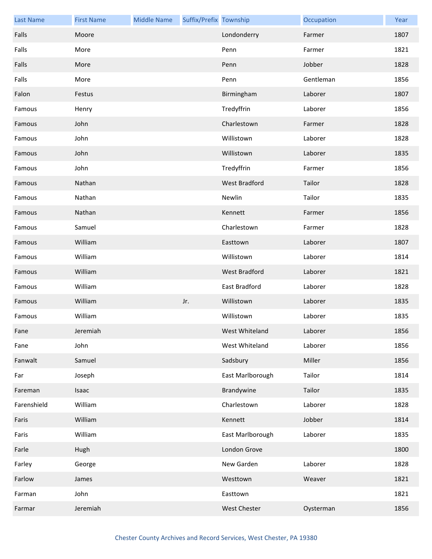| <b>Last Name</b> | <b>First Name</b> | <b>Middle Name</b> | Suffix/Prefix Township |                      | Occupation | Year |
|------------------|-------------------|--------------------|------------------------|----------------------|------------|------|
| Falls            | Moore             |                    |                        | Londonderry          | Farmer     | 1807 |
| Falls            | More              |                    |                        | Penn                 | Farmer     | 1821 |
| Falls            | More              |                    |                        | Penn                 | Jobber     | 1828 |
| Falls            | More              |                    |                        | Penn                 | Gentleman  | 1856 |
| Falon            | Festus            |                    |                        | Birmingham           | Laborer    | 1807 |
| Famous           | Henry             |                    |                        | Tredyffrin           | Laborer    | 1856 |
| Famous           | John              |                    |                        | Charlestown          | Farmer     | 1828 |
| Famous           | John              |                    |                        | Willistown           | Laborer    | 1828 |
| Famous           | John              |                    |                        | Willistown           | Laborer    | 1835 |
| Famous           | John              |                    |                        | Tredyffrin           | Farmer     | 1856 |
| Famous           | Nathan            |                    |                        | <b>West Bradford</b> | Tailor     | 1828 |
| Famous           | Nathan            |                    |                        | Newlin               | Tailor     | 1835 |
| Famous           | Nathan            |                    |                        | Kennett              | Farmer     | 1856 |
| Famous           | Samuel            |                    |                        | Charlestown          | Farmer     | 1828 |
| Famous           | William           |                    |                        | Easttown             | Laborer    | 1807 |
| Famous           | William           |                    |                        | Willistown           | Laborer    | 1814 |
| Famous           | William           |                    |                        | West Bradford        | Laborer    | 1821 |
| Famous           | William           |                    |                        | East Bradford        | Laborer    | 1828 |
| Famous           | William           |                    | Jr.                    | Willistown           | Laborer    | 1835 |
| Famous           | William           |                    |                        | Willistown           | Laborer    | 1835 |
| Fane             | Jeremiah          |                    |                        | West Whiteland       | Laborer    | 1856 |
| Fane             | John              |                    |                        | West Whiteland       | Laborer    | 1856 |
| Fanwalt          | Samuel            |                    |                        | Sadsbury             | Miller     | 1856 |
| Far              | Joseph            |                    |                        | East Marlborough     | Tailor     | 1814 |
| Fareman          | Isaac             |                    |                        | Brandywine           | Tailor     | 1835 |
| Farenshield      | William           |                    |                        | Charlestown          | Laborer    | 1828 |
| Faris            | William           |                    |                        | Kennett              | Jobber     | 1814 |
| Faris            | William           |                    |                        | East Marlborough     | Laborer    | 1835 |
| Farle            | Hugh              |                    |                        | London Grove         |            | 1800 |
| Farley           | George            |                    |                        | New Garden           | Laborer    | 1828 |
| Farlow           | James             |                    |                        | Westtown             | Weaver     | 1821 |
| Farman           | John              |                    |                        | Easttown             |            | 1821 |
| Farmar           | Jeremiah          |                    |                        | West Chester         | Oysterman  | 1856 |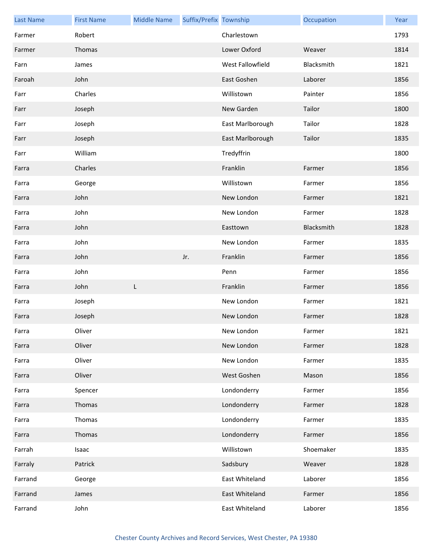| <b>Last Name</b> | <b>First Name</b> | <b>Middle Name</b> | Suffix/Prefix Township |                  | Occupation | Year |
|------------------|-------------------|--------------------|------------------------|------------------|------------|------|
| Farmer           | Robert            |                    |                        | Charlestown      |            | 1793 |
| Farmer           | Thomas            |                    |                        | Lower Oxford     | Weaver     | 1814 |
| Farn             | James             |                    |                        | West Fallowfield | Blacksmith | 1821 |
| Faroah           | John              |                    |                        | East Goshen      | Laborer    | 1856 |
| Farr             | Charles           |                    |                        | Willistown       | Painter    | 1856 |
| Farr             | Joseph            |                    |                        | New Garden       | Tailor     | 1800 |
| Farr             | Joseph            |                    |                        | East Marlborough | Tailor     | 1828 |
| Farr             | Joseph            |                    |                        | East Marlborough | Tailor     | 1835 |
| Farr             | William           |                    |                        | Tredyffrin       |            | 1800 |
| Farra            | Charles           |                    |                        | Franklin         | Farmer     | 1856 |
| Farra            | George            |                    |                        | Willistown       | Farmer     | 1856 |
| Farra            | John              |                    |                        | New London       | Farmer     | 1821 |
| Farra            | John              |                    |                        | New London       | Farmer     | 1828 |
| Farra            | John              |                    |                        | Easttown         | Blacksmith | 1828 |
| Farra            | John              |                    |                        | New London       | Farmer     | 1835 |
| Farra            | John              |                    | Jr.                    | Franklin         | Farmer     | 1856 |
| Farra            | John              |                    |                        | Penn             | Farmer     | 1856 |
| Farra            | John              | L                  |                        | Franklin         | Farmer     | 1856 |
| Farra            | Joseph            |                    |                        | New London       | Farmer     | 1821 |
| Farra            | Joseph            |                    |                        | New London       | Farmer     | 1828 |
| Farra            | Oliver            |                    |                        | New London       | Farmer     | 1821 |
| Farra            | Oliver            |                    |                        | New London       | Farmer     | 1828 |
| Farra            | Oliver            |                    |                        | New London       | Farmer     | 1835 |
| Farra            | Oliver            |                    |                        | West Goshen      | Mason      | 1856 |
| Farra            | Spencer           |                    |                        | Londonderry      | Farmer     | 1856 |
| Farra            | Thomas            |                    |                        | Londonderry      | Farmer     | 1828 |
| Farra            | Thomas            |                    |                        | Londonderry      | Farmer     | 1835 |
| Farra            | Thomas            |                    |                        | Londonderry      | Farmer     | 1856 |
| Farrah           | Isaac             |                    |                        | Willistown       | Shoemaker  | 1835 |
| Farraly          | Patrick           |                    |                        | Sadsbury         | Weaver     | 1828 |
| Farrand          | George            |                    |                        | East Whiteland   | Laborer    | 1856 |
| Farrand          | James             |                    |                        | East Whiteland   | Farmer     | 1856 |
| Farrand          | John              |                    |                        | East Whiteland   | Laborer    | 1856 |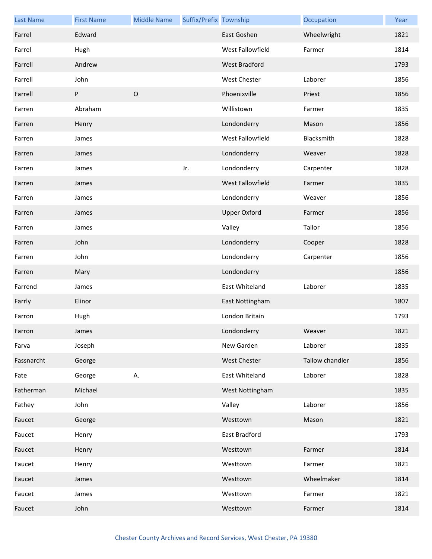| <b>Last Name</b> | <b>First Name</b> | <b>Middle Name</b> | Suffix/Prefix Township |                     | Occupation      | Year |
|------------------|-------------------|--------------------|------------------------|---------------------|-----------------|------|
| Farrel           | Edward            |                    |                        | East Goshen         | Wheelwright     | 1821 |
| Farrel           | Hugh              |                    |                        | West Fallowfield    | Farmer          | 1814 |
| Farrell          | Andrew            |                    |                        | West Bradford       |                 | 1793 |
| Farrell          | John              |                    |                        | West Chester        | Laborer         | 1856 |
| Farrell          | P                 | $\mathsf O$        |                        | Phoenixville        | Priest          | 1856 |
| Farren           | Abraham           |                    |                        | Willistown          | Farmer          | 1835 |
| Farren           | Henry             |                    |                        | Londonderry         | Mason           | 1856 |
| Farren           | James             |                    |                        | West Fallowfield    | Blacksmith      | 1828 |
| Farren           | James             |                    |                        | Londonderry         | Weaver          | 1828 |
| Farren           | James             |                    | Jr.                    | Londonderry         | Carpenter       | 1828 |
| Farren           | James             |                    |                        | West Fallowfield    | Farmer          | 1835 |
| Farren           | James             |                    |                        | Londonderry         | Weaver          | 1856 |
| Farren           | James             |                    |                        | <b>Upper Oxford</b> | Farmer          | 1856 |
| Farren           | James             |                    |                        | Valley              | Tailor          | 1856 |
| Farren           | John              |                    |                        | Londonderry         | Cooper          | 1828 |
| Farren           | John              |                    |                        | Londonderry         | Carpenter       | 1856 |
| Farren           | Mary              |                    |                        | Londonderry         |                 | 1856 |
| Farrend          | James             |                    |                        | East Whiteland      | Laborer         | 1835 |
| Farrly           | Elinor            |                    |                        | East Nottingham     |                 | 1807 |
| Farron           | Hugh              |                    |                        | London Britain      |                 | 1793 |
| Farron           | James             |                    |                        | Londonderry         | Weaver          | 1821 |
| Farva            | Joseph            |                    |                        | New Garden          | Laborer         | 1835 |
| Fassnarcht       | George            |                    |                        | <b>West Chester</b> | Tallow chandler | 1856 |
| Fate             | George            | А.                 |                        | East Whiteland      | Laborer         | 1828 |
| Fatherman        | Michael           |                    |                        | West Nottingham     |                 | 1835 |
| Fathey           | John              |                    |                        | Valley              | Laborer         | 1856 |
| Faucet           | George            |                    |                        | Westtown            | Mason           | 1821 |
| Faucet           | Henry             |                    |                        | East Bradford       |                 | 1793 |
| Faucet           | Henry             |                    |                        | Westtown            | Farmer          | 1814 |
| Faucet           | Henry             |                    |                        | Westtown            | Farmer          | 1821 |
| Faucet           | James             |                    |                        | Westtown            | Wheelmaker      | 1814 |
| Faucet           | James             |                    |                        | Westtown            | Farmer          | 1821 |
| Faucet           | John              |                    |                        | Westtown            | Farmer          | 1814 |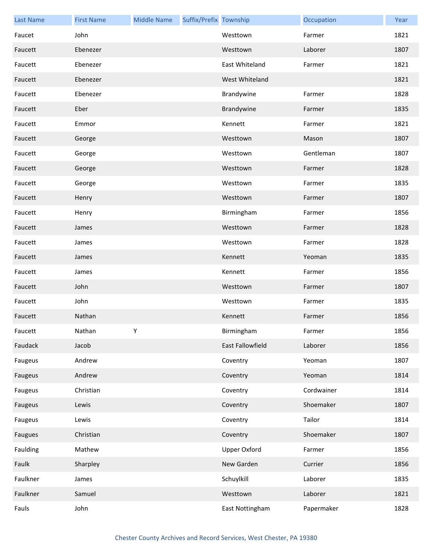| <b>Last Name</b> | <b>First Name</b> | <b>Middle Name</b> | Suffix/Prefix Township |                         | Occupation | Year |
|------------------|-------------------|--------------------|------------------------|-------------------------|------------|------|
| Faucet           | John              |                    |                        | Westtown                | Farmer     | 1821 |
| Faucett          | Ebenezer          |                    |                        | Westtown                | Laborer    | 1807 |
| Faucett          | Ebenezer          |                    |                        | East Whiteland          | Farmer     | 1821 |
| Faucett          | Ebenezer          |                    |                        | West Whiteland          |            | 1821 |
| Faucett          | Ebenezer          |                    |                        | Brandywine              | Farmer     | 1828 |
| Faucett          | Eber              |                    |                        | Brandywine              | Farmer     | 1835 |
| Faucett          | Emmor             |                    |                        | Kennett                 | Farmer     | 1821 |
| Faucett          | George            |                    |                        | Westtown                | Mason      | 1807 |
| Faucett          | George            |                    |                        | Westtown                | Gentleman  | 1807 |
| Faucett          | George            |                    |                        | Westtown                | Farmer     | 1828 |
| Faucett          | George            |                    |                        | Westtown                | Farmer     | 1835 |
| Faucett          | Henry             |                    |                        | Westtown                | Farmer     | 1807 |
| Faucett          | Henry             |                    |                        | Birmingham              | Farmer     | 1856 |
| Faucett          | James             |                    |                        | Westtown                | Farmer     | 1828 |
| Faucett          | James             |                    |                        | Westtown                | Farmer     | 1828 |
| Faucett          | James             |                    |                        | Kennett                 | Yeoman     | 1835 |
| Faucett          | James             |                    |                        | Kennett                 | Farmer     | 1856 |
| Faucett          | John              |                    |                        | Westtown                | Farmer     | 1807 |
| Faucett          | John              |                    |                        | Westtown                | Farmer     | 1835 |
| Faucett          | Nathan            |                    |                        | Kennett                 | Farmer     | 1856 |
| Faucett          | Nathan            | Y                  |                        | Birmingham              | Farmer     | 1856 |
| Faudack          | Jacob             |                    |                        | <b>East Fallowfield</b> | Laborer    | 1856 |
| Faugeus          | Andrew            |                    |                        | Coventry                | Yeoman     | 1807 |
| Faugeus          | Andrew            |                    |                        | Coventry                | Yeoman     | 1814 |
| Faugeus          | Christian         |                    |                        | Coventry                | Cordwainer | 1814 |
| Faugeus          | Lewis             |                    |                        | Coventry                | Shoemaker  | 1807 |
| Faugeus          | Lewis             |                    |                        | Coventry                | Tailor     | 1814 |
| Faugues          | Christian         |                    |                        | Coventry                | Shoemaker  | 1807 |
| Faulding         | Mathew            |                    |                        | Upper Oxford            | Farmer     | 1856 |
| Faulk            | Sharpley          |                    |                        | New Garden              | Currier    | 1856 |
| Faulkner         | James             |                    |                        | Schuylkill              | Laborer    | 1835 |
| Faulkner         | Samuel            |                    |                        | Westtown                | Laborer    | 1821 |
| Fauls            | John              |                    |                        | East Nottingham         | Papermaker | 1828 |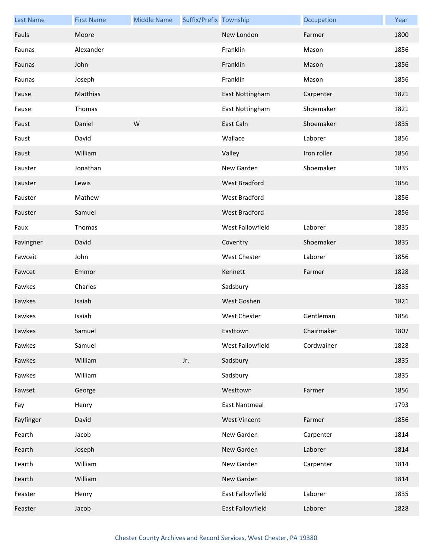| <b>Last Name</b> | <b>First Name</b> | <b>Middle Name</b> | Suffix/Prefix Township |                      | Occupation  | Year |
|------------------|-------------------|--------------------|------------------------|----------------------|-------------|------|
| Fauls            | Moore             |                    |                        | New London           | Farmer      | 1800 |
| Faunas           | Alexander         |                    |                        | Franklin             | Mason       | 1856 |
| Faunas           | John              |                    |                        | Franklin             | Mason       | 1856 |
| Faunas           | Joseph            |                    |                        | Franklin             | Mason       | 1856 |
| Fause            | Matthias          |                    |                        | East Nottingham      | Carpenter   | 1821 |
| Fause            | Thomas            |                    |                        | East Nottingham      | Shoemaker   | 1821 |
| Faust            | Daniel            | W                  |                        | East Caln            | Shoemaker   | 1835 |
| Faust            | David             |                    |                        | Wallace              | Laborer     | 1856 |
| Faust            | William           |                    |                        | Valley               | Iron roller | 1856 |
| Fauster          | Jonathan          |                    |                        | New Garden           | Shoemaker   | 1835 |
| Fauster          | Lewis             |                    |                        | <b>West Bradford</b> |             | 1856 |
| Fauster          | Mathew            |                    |                        | West Bradford        |             | 1856 |
| Fauster          | Samuel            |                    |                        | West Bradford        |             | 1856 |
| Faux             | Thomas            |                    |                        | West Fallowfield     | Laborer     | 1835 |
| Favingner        | David             |                    |                        | Coventry             | Shoemaker   | 1835 |
| Fawceit          | John              |                    |                        | <b>West Chester</b>  | Laborer     | 1856 |
| Fawcet           | Emmor             |                    |                        | Kennett              | Farmer      | 1828 |
| Fawkes           | Charles           |                    |                        | Sadsbury             |             | 1835 |
| Fawkes           | Isaiah            |                    |                        | West Goshen          |             | 1821 |
| Fawkes           | Isaiah            |                    |                        | <b>West Chester</b>  | Gentleman   | 1856 |
| Fawkes           | Samuel            |                    |                        | Easttown             | Chairmaker  | 1807 |
| Fawkes           | Samuel            |                    |                        | West Fallowfield     | Cordwainer  | 1828 |
| Fawkes           | William           |                    | Jr.                    | Sadsbury             |             | 1835 |
| Fawkes           | William           |                    |                        | Sadsbury             |             | 1835 |
| Fawset           | George            |                    |                        | Westtown             | Farmer      | 1856 |
| Fay              | Henry             |                    |                        | <b>East Nantmeal</b> |             | 1793 |
| Fayfinger        | David             |                    |                        | <b>West Vincent</b>  | Farmer      | 1856 |
| Fearth           | Jacob             |                    |                        | New Garden           | Carpenter   | 1814 |
| Fearth           | Joseph            |                    |                        | New Garden           | Laborer     | 1814 |
| Fearth           | William           |                    |                        | New Garden           | Carpenter   | 1814 |
| Fearth           | William           |                    |                        | New Garden           |             | 1814 |
| Feaster          | Henry             |                    |                        | East Fallowfield     | Laborer     | 1835 |
| Feaster          | Jacob             |                    |                        | East Fallowfield     | Laborer     | 1828 |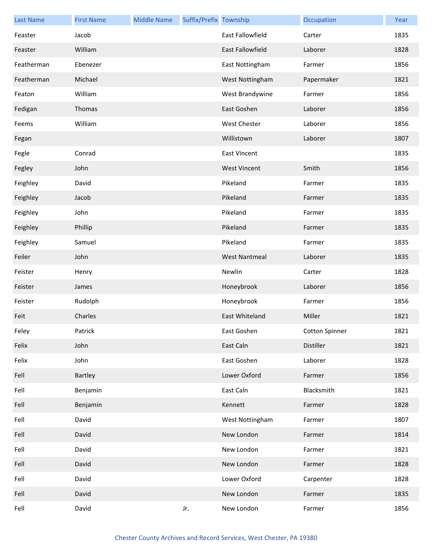| <b>Last Name</b> | <b>First Name</b> | <b>Middle Name</b> | Suffix/Prefix Township |                         | Occupation     | Year |
|------------------|-------------------|--------------------|------------------------|-------------------------|----------------|------|
| Feaster          | Jacob             |                    |                        | <b>East Fallowfield</b> | Carter         | 1835 |
| Feaster          | William           |                    |                        | <b>East Fallowfield</b> | Laborer        | 1828 |
| Featherman       | Ebenezer          |                    |                        | East Nottingham         | Farmer         | 1856 |
| Featherman       | Michael           |                    |                        | West Nottingham         | Papermaker     | 1821 |
| Featon           | William           |                    |                        | West Brandywine         | Farmer         | 1856 |
| Fedigan          | Thomas            |                    |                        | East Goshen             | Laborer        | 1856 |
| Feems            | William           |                    |                        | <b>West Chester</b>     | Laborer        | 1856 |
| Fegan            |                   |                    |                        | Willistown              | Laborer        | 1807 |
| Fegle            | Conrad            |                    |                        | <b>East Vincent</b>     |                | 1835 |
| Fegley           | John              |                    |                        | <b>West Vincent</b>     | Smith          | 1856 |
| Feighley         | David             |                    |                        | Pikeland                | Farmer         | 1835 |
| Feighley         | Jacob             |                    |                        | Pikeland                | Farmer         | 1835 |
| Feighley         | John              |                    |                        | Pikeland                | Farmer         | 1835 |
| Feighley         | Phillip           |                    |                        | Pikeland                | Farmer         | 1835 |
| Feighley         | Samuel            |                    |                        | Pikeland                | Farmer         | 1835 |
| Feiler           | John              |                    |                        | <b>West Nantmeal</b>    | Laborer        | 1835 |
| Feister          | Henry             |                    |                        | Newlin                  | Carter         | 1828 |
| Feister          | James             |                    |                        | Honeybrook              | Laborer        | 1856 |
| Feister          | Rudolph           |                    |                        | Honeybrook              | Farmer         | 1856 |
| Feit             | Charles           |                    |                        | East Whiteland          | Miller         | 1821 |
| Feley            | Patrick           |                    |                        | East Goshen             | Cotton Spinner | 1821 |
| Felix            | John              |                    |                        | East Caln               | Distiller      | 1821 |
| Felix            | John              |                    |                        | East Goshen             | Laborer        | 1828 |
| Fell             | Bartley           |                    |                        | Lower Oxford            | Farmer         | 1856 |
| Fell             | Benjamin          |                    |                        | East Caln               | Blacksmith     | 1821 |
| Fell             | Benjamin          |                    |                        | Kennett                 | Farmer         | 1828 |
| Fell             | David             |                    |                        | West Nottingham         | Farmer         | 1807 |
| Fell             | David             |                    |                        | New London              | Farmer         | 1814 |
| Fell             | David             |                    |                        | New London              | Farmer         | 1821 |
| Fell             | David             |                    |                        | New London              | Farmer         | 1828 |
| Fell             | David             |                    |                        | Lower Oxford            | Carpenter      | 1828 |
| Fell             | David             |                    |                        | New London              | Farmer         | 1835 |
| Fell             | David             |                    | Jr.                    | New London              | Farmer         | 1856 |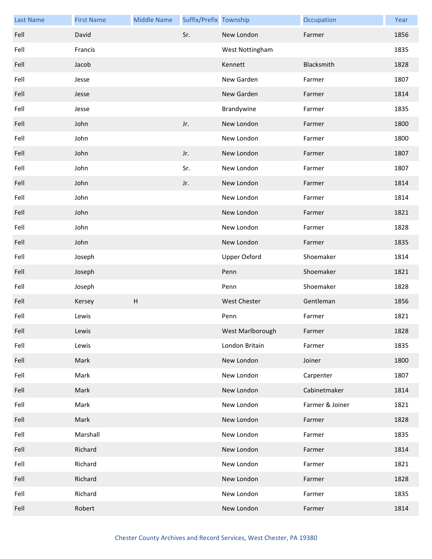| <b>Last Name</b> | <b>First Name</b> | <b>Middle Name</b> | Suffix/Prefix Township |                     | Occupation      | Year |
|------------------|-------------------|--------------------|------------------------|---------------------|-----------------|------|
| Fell             | David             |                    | Sr.                    | New London          | Farmer          | 1856 |
| Fell             | Francis           |                    |                        | West Nottingham     |                 | 1835 |
| Fell             | Jacob             |                    |                        | Kennett             | Blacksmith      | 1828 |
| Fell             | Jesse             |                    |                        | New Garden          | Farmer          | 1807 |
| Fell             | Jesse             |                    |                        | New Garden          | Farmer          | 1814 |
| Fell             | Jesse             |                    |                        | Brandywine          | Farmer          | 1835 |
| Fell             | John              |                    | Jr.                    | New London          | Farmer          | 1800 |
| Fell             | John              |                    |                        | New London          | Farmer          | 1800 |
| Fell             | John              |                    | Jr.                    | New London          | Farmer          | 1807 |
| Fell             | John              |                    | Sr.                    | New London          | Farmer          | 1807 |
| Fell             | John              |                    | Jr.                    | New London          | Farmer          | 1814 |
| Fell             | John              |                    |                        | New London          | Farmer          | 1814 |
| Fell             | John              |                    |                        | New London          | Farmer          | 1821 |
| Fell             | John              |                    |                        | New London          | Farmer          | 1828 |
| Fell             | John              |                    |                        | New London          | Farmer          | 1835 |
| Fell             | Joseph            |                    |                        | <b>Upper Oxford</b> | Shoemaker       | 1814 |
| Fell             | Joseph            |                    |                        | Penn                | Shoemaker       | 1821 |
| Fell             | Joseph            |                    |                        | Penn                | Shoemaker       | 1828 |
| Fell             | Kersey            | H                  |                        | West Chester        | Gentleman       | 1856 |
| Fell             | Lewis             |                    |                        | Penn                | Farmer          | 1821 |
| Fell             | Lewis             |                    |                        | West Marlborough    | Farmer          | 1828 |
| Fell             | Lewis             |                    |                        | London Britain      | Farmer          | 1835 |
| Fell             | Mark              |                    |                        | New London          | Joiner          | 1800 |
| Fell             | Mark              |                    |                        | New London          | Carpenter       | 1807 |
| Fell             | Mark              |                    |                        | New London          | Cabinetmaker    | 1814 |
| Fell             | Mark              |                    |                        | New London          | Farmer & Joiner | 1821 |
| Fell             | Mark              |                    |                        | New London          | Farmer          | 1828 |
| Fell             | Marshall          |                    |                        | New London          | Farmer          | 1835 |
| Fell             | Richard           |                    |                        | New London          | Farmer          | 1814 |
| Fell             | Richard           |                    |                        | New London          | Farmer          | 1821 |
| Fell             | Richard           |                    |                        | New London          | Farmer          | 1828 |
| Fell             | Richard           |                    |                        | New London          | Farmer          | 1835 |
| Fell             | Robert            |                    |                        | New London          | Farmer          | 1814 |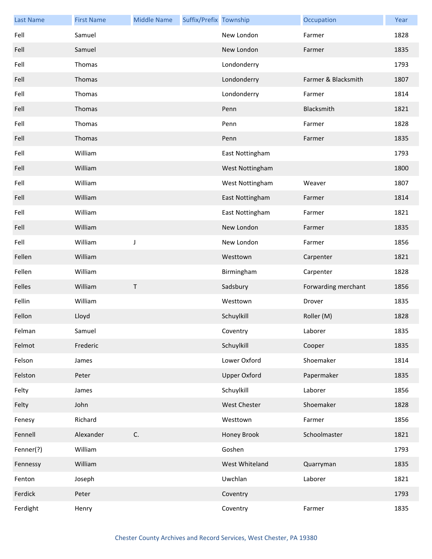| <b>Last Name</b> | <b>First Name</b> | <b>Middle Name</b> | Suffix/Prefix Township |                     | Occupation          | Year |
|------------------|-------------------|--------------------|------------------------|---------------------|---------------------|------|
| Fell             | Samuel            |                    |                        | New London          | Farmer              | 1828 |
| Fell             | Samuel            |                    |                        | New London          | Farmer              | 1835 |
| Fell             | Thomas            |                    |                        | Londonderry         |                     | 1793 |
| Fell             | Thomas            |                    |                        | Londonderry         | Farmer & Blacksmith | 1807 |
| Fell             | Thomas            |                    |                        | Londonderry         | Farmer              | 1814 |
| Fell             | Thomas            |                    |                        | Penn                | Blacksmith          | 1821 |
| Fell             | Thomas            |                    |                        | Penn                | Farmer              | 1828 |
| Fell             | Thomas            |                    |                        | Penn                | Farmer              | 1835 |
| Fell             | William           |                    |                        | East Nottingham     |                     | 1793 |
| Fell             | William           |                    |                        | West Nottingham     |                     | 1800 |
| Fell             | William           |                    |                        | West Nottingham     | Weaver              | 1807 |
| Fell             | William           |                    |                        | East Nottingham     | Farmer              | 1814 |
| Fell             | William           |                    |                        | East Nottingham     | Farmer              | 1821 |
| Fell             | William           |                    |                        | New London          | Farmer              | 1835 |
| Fell             | William           | J                  |                        | New London          | Farmer              | 1856 |
| Fellen           | William           |                    |                        | Westtown            | Carpenter           | 1821 |
| Fellen           | William           |                    |                        | Birmingham          | Carpenter           | 1828 |
| Felles           | William           | $\sf T$            |                        | Sadsbury            | Forwarding merchant | 1856 |
| Fellin           | William           |                    |                        | Westtown            | Drover              | 1835 |
| Fellon           | Lloyd             |                    |                        | Schuylkill          | Roller (M)          | 1828 |
| Felman           | Samuel            |                    |                        | Coventry            | Laborer             | 1835 |
| Felmot           | Frederic          |                    |                        | Schuylkill          | Cooper              | 1835 |
| Felson           | James             |                    |                        | Lower Oxford        | Shoemaker           | 1814 |
| Felston          | Peter             |                    |                        | <b>Upper Oxford</b> | Papermaker          | 1835 |
| Felty            | James             |                    |                        | Schuylkill          | Laborer             | 1856 |
| Felty            | John              |                    |                        | West Chester        | Shoemaker           | 1828 |
| Fenesy           | Richard           |                    |                        | Westtown            | Farmer              | 1856 |
| Fennell          | Alexander         | C.                 |                        | Honey Brook         | Schoolmaster        | 1821 |
| Fenner(?)        | William           |                    |                        | Goshen              |                     | 1793 |
| Fennessy         | William           |                    |                        | West Whiteland      | Quarryman           | 1835 |
| Fenton           | Joseph            |                    |                        | Uwchlan             | Laborer             | 1821 |
| Ferdick          | Peter             |                    |                        | Coventry            |                     | 1793 |
| Ferdight         | Henry             |                    |                        | Coventry            | Farmer              | 1835 |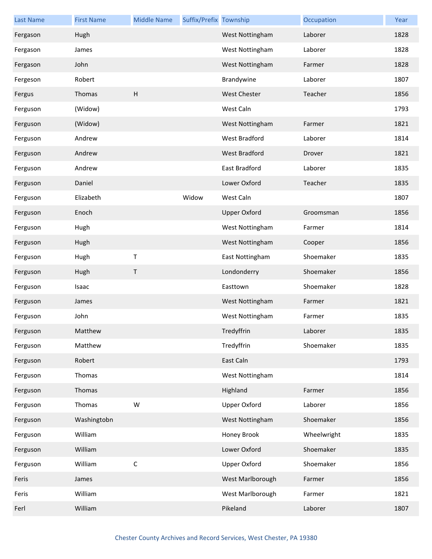| <b>Last Name</b> | <b>First Name</b> | <b>Middle Name</b>        | Suffix/Prefix Township |                     | Occupation  | Year |
|------------------|-------------------|---------------------------|------------------------|---------------------|-------------|------|
| Fergason         | Hugh              |                           |                        | West Nottingham     | Laborer     | 1828 |
| Fergason         | James             |                           |                        | West Nottingham     | Laborer     | 1828 |
| Fergason         | John              |                           |                        | West Nottingham     | Farmer      | 1828 |
| Fergeson         | Robert            |                           |                        | Brandywine          | Laborer     | 1807 |
| Fergus           | Thomas            | $\boldsymbol{\mathsf{H}}$ |                        | <b>West Chester</b> | Teacher     | 1856 |
| Ferguson         | (Widow)           |                           |                        | West Caln           |             | 1793 |
| Ferguson         | (Widow)           |                           |                        | West Nottingham     | Farmer      | 1821 |
| Ferguson         | Andrew            |                           |                        | West Bradford       | Laborer     | 1814 |
| Ferguson         | Andrew            |                           |                        | West Bradford       | Drover      | 1821 |
| Ferguson         | Andrew            |                           |                        | East Bradford       | Laborer     | 1835 |
| Ferguson         | Daniel            |                           |                        | Lower Oxford        | Teacher     | 1835 |
| Ferguson         | Elizabeth         |                           | Widow                  | West Caln           |             | 1807 |
| Ferguson         | Enoch             |                           |                        | <b>Upper Oxford</b> | Groomsman   | 1856 |
| Ferguson         | Hugh              |                           |                        | West Nottingham     | Farmer      | 1814 |
| Ferguson         | Hugh              |                           |                        | West Nottingham     | Cooper      | 1856 |
| Ferguson         | Hugh              | $\sf T$                   |                        | East Nottingham     | Shoemaker   | 1835 |
| Ferguson         | Hugh              | $\sf T$                   |                        | Londonderry         | Shoemaker   | 1856 |
| Ferguson         | Isaac             |                           |                        | Easttown            | Shoemaker   | 1828 |
| Ferguson         | James             |                           |                        | West Nottingham     | Farmer      | 1821 |
| Ferguson         | John              |                           |                        | West Nottingham     | Farmer      | 1835 |
| Ferguson         | Matthew           |                           |                        | Tredyffrin          | Laborer     | 1835 |
| Ferguson         | Matthew           |                           |                        | Tredyffrin          | Shoemaker   | 1835 |
| Ferguson         | Robert            |                           |                        | East Caln           |             | 1793 |
| Ferguson         | Thomas            |                           |                        | West Nottingham     |             | 1814 |
| Ferguson         | Thomas            |                           |                        | Highland            | Farmer      | 1856 |
| Ferguson         | Thomas            | W                         |                        | <b>Upper Oxford</b> | Laborer     | 1856 |
| Ferguson         | Washingtobn       |                           |                        | West Nottingham     | Shoemaker   | 1856 |
| Ferguson         | William           |                           |                        | Honey Brook         | Wheelwright | 1835 |
| Ferguson         | William           |                           |                        | Lower Oxford        | Shoemaker   | 1835 |
| Ferguson         | William           | $\mathsf C$               |                        | <b>Upper Oxford</b> | Shoemaker   | 1856 |
| Feris            | James             |                           |                        | West Marlborough    | Farmer      | 1856 |
| Feris            | William           |                           |                        | West Marlborough    | Farmer      | 1821 |
| Ferl             | William           |                           |                        | Pikeland            | Laborer     | 1807 |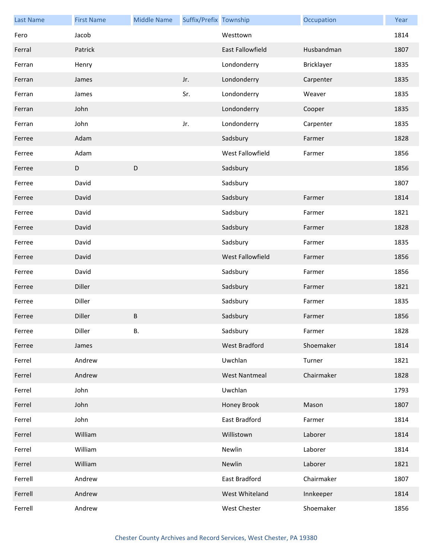| <b>Last Name</b> | <b>First Name</b> | <b>Middle Name</b> | Suffix/Prefix Township |                         | Occupation | Year |
|------------------|-------------------|--------------------|------------------------|-------------------------|------------|------|
| Fero             | Jacob             |                    |                        | Westtown                |            | 1814 |
| Ferral           | Patrick           |                    |                        | <b>East Fallowfield</b> | Husbandman | 1807 |
| Ferran           | Henry             |                    |                        | Londonderry             | Bricklayer | 1835 |
| Ferran           | James             |                    | Jr.                    | Londonderry             | Carpenter  | 1835 |
| Ferran           | James             |                    | Sr.                    | Londonderry             | Weaver     | 1835 |
| Ferran           | John              |                    |                        | Londonderry             | Cooper     | 1835 |
| Ferran           | John              |                    | Jr.                    | Londonderry             | Carpenter  | 1835 |
| Ferree           | Adam              |                    |                        | Sadsbury                | Farmer     | 1828 |
| Ferree           | Adam              |                    |                        | West Fallowfield        | Farmer     | 1856 |
| Ferree           | D                 | $\mathsf D$        |                        | Sadsbury                |            | 1856 |
| Ferree           | David             |                    |                        | Sadsbury                |            | 1807 |
| Ferree           | David             |                    |                        | Sadsbury                | Farmer     | 1814 |
| Ferree           | David             |                    |                        | Sadsbury                | Farmer     | 1821 |
| Ferree           | David             |                    |                        | Sadsbury                | Farmer     | 1828 |
| Ferree           | David             |                    |                        | Sadsbury                | Farmer     | 1835 |
| Ferree           | David             |                    |                        | West Fallowfield        | Farmer     | 1856 |
| Ferree           | David             |                    |                        | Sadsbury                | Farmer     | 1856 |
| Ferree           | Diller            |                    |                        | Sadsbury                | Farmer     | 1821 |
| Ferree           | Diller            |                    |                        | Sadsbury                | Farmer     | 1835 |
| Ferree           | Diller            | $\sf B$            |                        | Sadsbury                | Farmer     | 1856 |
| Ferree           | Diller            | В.                 |                        | Sadsbury                | Farmer     | 1828 |
| Ferree           | James             |                    |                        | West Bradford           | Shoemaker  | 1814 |
| Ferrel           | Andrew            |                    |                        | Uwchlan                 | Turner     | 1821 |
| Ferrel           | Andrew            |                    |                        | <b>West Nantmeal</b>    | Chairmaker | 1828 |
| Ferrel           | John              |                    |                        | Uwchlan                 |            | 1793 |
| Ferrel           | John              |                    |                        | Honey Brook             | Mason      | 1807 |
| Ferrel           | John              |                    |                        | East Bradford           | Farmer     | 1814 |
| Ferrel           | William           |                    |                        | Willistown              | Laborer    | 1814 |
| Ferrel           | William           |                    |                        | Newlin                  | Laborer    | 1814 |
| Ferrel           | William           |                    |                        | Newlin                  | Laborer    | 1821 |
| Ferrell          | Andrew            |                    |                        | East Bradford           | Chairmaker | 1807 |
| Ferrell          | Andrew            |                    |                        | West Whiteland          | Innkeeper  | 1814 |
| Ferrell          | Andrew            |                    |                        | West Chester            | Shoemaker  | 1856 |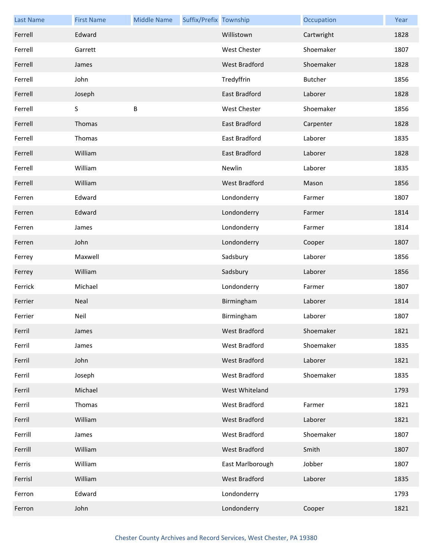| <b>Last Name</b> | <b>First Name</b> | <b>Middle Name</b> | Suffix/Prefix Township |                      | Occupation | Year |
|------------------|-------------------|--------------------|------------------------|----------------------|------------|------|
| Ferrell          | Edward            |                    |                        | Willistown           | Cartwright | 1828 |
| Ferrell          | Garrett           |                    |                        | <b>West Chester</b>  | Shoemaker  | 1807 |
| Ferrell          | James             |                    |                        | <b>West Bradford</b> | Shoemaker  | 1828 |
| Ferrell          | John              |                    |                        | Tredyffrin           | Butcher    | 1856 |
| Ferrell          | Joseph            |                    |                        | East Bradford        | Laborer    | 1828 |
| Ferrell          | S                 | B                  |                        | <b>West Chester</b>  | Shoemaker  | 1856 |
| Ferrell          | Thomas            |                    |                        | East Bradford        | Carpenter  | 1828 |
| Ferrell          | Thomas            |                    |                        | East Bradford        | Laborer    | 1835 |
| Ferrell          | William           |                    |                        | <b>East Bradford</b> | Laborer    | 1828 |
| Ferrell          | William           |                    |                        | Newlin               | Laborer    | 1835 |
| Ferrell          | William           |                    |                        | <b>West Bradford</b> | Mason      | 1856 |
| Ferren           | Edward            |                    |                        | Londonderry          | Farmer     | 1807 |
| Ferren           | Edward            |                    |                        | Londonderry          | Farmer     | 1814 |
| Ferren           | James             |                    |                        | Londonderry          | Farmer     | 1814 |
| Ferren           | John              |                    |                        | Londonderry          | Cooper     | 1807 |
| Ferrey           | Maxwell           |                    |                        | Sadsbury             | Laborer    | 1856 |
| Ferrey           | William           |                    |                        | Sadsbury             | Laborer    | 1856 |
| Ferrick          | Michael           |                    |                        | Londonderry          | Farmer     | 1807 |
| Ferrier          | Neal              |                    |                        | Birmingham           | Laborer    | 1814 |
| Ferrier          | Neil              |                    |                        | Birmingham           | Laborer    | 1807 |
| Ferril           | James             |                    |                        | West Bradford        | Shoemaker  | 1821 |
| Ferril           | James             |                    |                        | <b>West Bradford</b> | Shoemaker  | 1835 |
| Ferril           | John              |                    |                        | West Bradford        | Laborer    | 1821 |
| Ferril           | Joseph            |                    |                        | West Bradford        | Shoemaker  | 1835 |
| Ferril           | Michael           |                    |                        | West Whiteland       |            | 1793 |
| Ferril           | Thomas            |                    |                        | West Bradford        | Farmer     | 1821 |
| Ferril           | William           |                    |                        | West Bradford        | Laborer    | 1821 |
| Ferrill          | James             |                    |                        | West Bradford        | Shoemaker  | 1807 |
| Ferrill          | William           |                    |                        | West Bradford        | Smith      | 1807 |
| Ferris           | William           |                    |                        | East Marlborough     | Jobber     | 1807 |
| Ferrisl          | William           |                    |                        | West Bradford        | Laborer    | 1835 |
| Ferron           | Edward            |                    |                        | Londonderry          |            | 1793 |
| Ferron           | John              |                    |                        | Londonderry          | Cooper     | 1821 |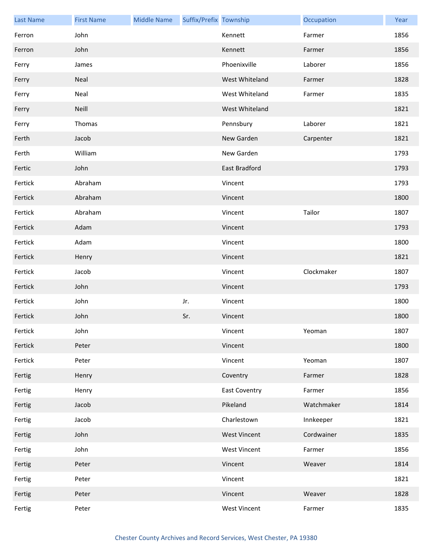| <b>Last Name</b> | <b>First Name</b> | <b>Middle Name</b> | Suffix/Prefix Township |                      | Occupation | Year |
|------------------|-------------------|--------------------|------------------------|----------------------|------------|------|
| Ferron           | John              |                    |                        | Kennett              | Farmer     | 1856 |
| Ferron           | John              |                    |                        | Kennett              | Farmer     | 1856 |
| Ferry            | James             |                    |                        | Phoenixville         | Laborer    | 1856 |
| Ferry            | Neal              |                    |                        | West Whiteland       | Farmer     | 1828 |
| Ferry            | Neal              |                    |                        | West Whiteland       | Farmer     | 1835 |
| Ferry            | Neill             |                    |                        | West Whiteland       |            | 1821 |
| Ferry            | Thomas            |                    |                        | Pennsbury            | Laborer    | 1821 |
| Ferth            | Jacob             |                    |                        | New Garden           | Carpenter  | 1821 |
| Ferth            | William           |                    |                        | New Garden           |            | 1793 |
| Fertic           | John              |                    |                        | East Bradford        |            | 1793 |
| Fertick          | Abraham           |                    |                        | Vincent              |            | 1793 |
| Fertick          | Abraham           |                    |                        | Vincent              |            | 1800 |
| Fertick          | Abraham           |                    |                        | Vincent              | Tailor     | 1807 |
| Fertick          | Adam              |                    |                        | Vincent              |            | 1793 |
| Fertick          | Adam              |                    |                        | Vincent              |            | 1800 |
| Fertick          | Henry             |                    |                        | Vincent              |            | 1821 |
| Fertick          | Jacob             |                    |                        | Vincent              | Clockmaker | 1807 |
| Fertick          | John              |                    |                        | Vincent              |            | 1793 |
| Fertick          | John              |                    | Jr.                    | Vincent              |            | 1800 |
| Fertick          | John              |                    | Sr.                    | Vincent              |            | 1800 |
| Fertick          | John              |                    |                        | Vincent              | Yeoman     | 1807 |
| Fertick          | Peter             |                    |                        | Vincent              |            | 1800 |
| Fertick          | Peter             |                    |                        | Vincent              | Yeoman     | 1807 |
| Fertig           | Henry             |                    |                        | Coventry             | Farmer     | 1828 |
| Fertig           | Henry             |                    |                        | <b>East Coventry</b> | Farmer     | 1856 |
| Fertig           | Jacob             |                    |                        | Pikeland             | Watchmaker | 1814 |
| Fertig           | Jacob             |                    |                        | Charlestown          | Innkeeper  | 1821 |
| Fertig           | John              |                    |                        | <b>West Vincent</b>  | Cordwainer | 1835 |
| Fertig           | John              |                    |                        | <b>West Vincent</b>  | Farmer     | 1856 |
| Fertig           | Peter             |                    |                        | Vincent              | Weaver     | 1814 |
| Fertig           | Peter             |                    |                        | Vincent              |            | 1821 |
| Fertig           | Peter             |                    |                        | Vincent              | Weaver     | 1828 |
| Fertig           | Peter             |                    |                        | West Vincent         | Farmer     | 1835 |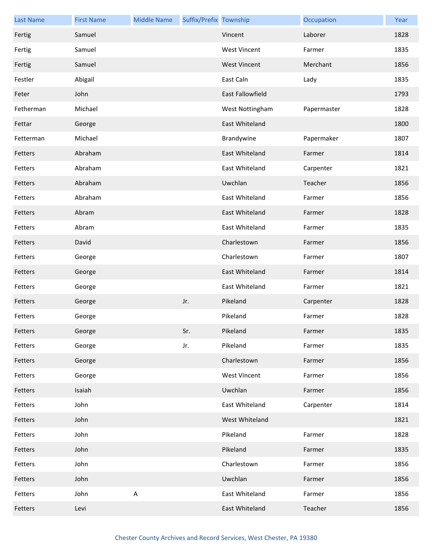| <b>Last Name</b> | <b>First Name</b> | <b>Middle Name</b> | Suffix/Prefix Township |                         | Occupation  | Year |
|------------------|-------------------|--------------------|------------------------|-------------------------|-------------|------|
| Fertig           | Samuel            |                    |                        | Vincent                 | Laborer     | 1828 |
| Fertig           | Samuel            |                    |                        | <b>West Vincent</b>     | Farmer      | 1835 |
| Fertig           | Samuel            |                    |                        | <b>West Vincent</b>     | Merchant    | 1856 |
| Festler          | Abigail           |                    |                        | East Caln               | Lady        | 1835 |
| Feter            | John              |                    |                        | <b>East Fallowfield</b> |             | 1793 |
| Fetherman        | Michael           |                    |                        | West Nottingham         | Papermaster | 1828 |
| Fettar           | George            |                    |                        | East Whiteland          |             | 1800 |
| Fetterman        | Michael           |                    |                        | Brandywine              | Papermaker  | 1807 |
| Fetters          | Abraham           |                    |                        | East Whiteland          | Farmer      | 1814 |
| Fetters          | Abraham           |                    |                        | East Whiteland          | Carpenter   | 1821 |
| Fetters          | Abraham           |                    |                        | Uwchlan                 | Teacher     | 1856 |
| Fetters          | Abraham           |                    |                        | East Whiteland          | Farmer      | 1856 |
| Fetters          | Abram             |                    |                        | East Whiteland          | Farmer      | 1828 |
| Fetters          | Abram             |                    |                        | East Whiteland          | Farmer      | 1835 |
| Fetters          | David             |                    |                        | Charlestown             | Farmer      | 1856 |
| Fetters          | George            |                    |                        | Charlestown             | Farmer      | 1807 |
| Fetters          | George            |                    |                        | East Whiteland          | Farmer      | 1814 |
| Fetters          | George            |                    |                        | East Whiteland          | Farmer      | 1821 |
| Fetters          | George            |                    | Jr.                    | Pikeland                | Carpenter   | 1828 |
| Fetters          | George            |                    |                        | Pikeland                | Farmer      | 1828 |
| Fetters          | George            |                    | Sr.                    | Pikeland                | Farmer      | 1835 |
| Fetters          | George            |                    | Jr.                    | Pikeland                | Farmer      | 1835 |
| Fetters          | George            |                    |                        | Charlestown             | Farmer      | 1856 |
| Fetters          | George            |                    |                        | <b>West Vincent</b>     | Farmer      | 1856 |
| Fetters          | Isaiah            |                    |                        | Uwchlan                 | Farmer      | 1856 |
| Fetters          | John              |                    |                        | East Whiteland          | Carpenter   | 1814 |
| Fetters          | John              |                    |                        | West Whiteland          |             | 1821 |
| Fetters          | John              |                    |                        | Pikeland                | Farmer      | 1828 |
| Fetters          | John              |                    |                        | Pikeland                | Farmer      | 1835 |
| Fetters          | John              |                    |                        | Charlestown             | Farmer      | 1856 |
| Fetters          | John              |                    |                        | Uwchlan                 | Farmer      | 1856 |
| Fetters          | John              | $\mathsf A$        |                        | East Whiteland          | Farmer      | 1856 |
| Fetters          | Levi              |                    |                        | East Whiteland          | Teacher     | 1856 |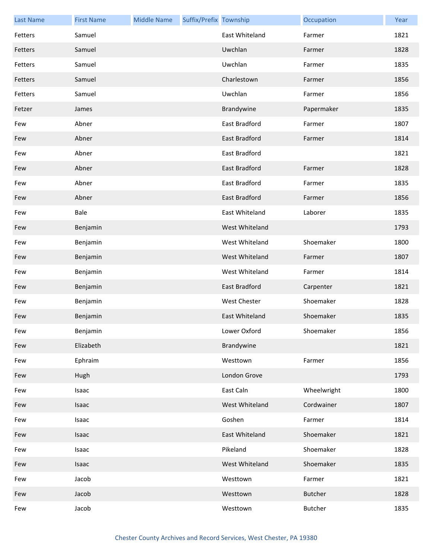| <b>Last Name</b> | <b>First Name</b> | <b>Middle Name</b> | Suffix/Prefix Township |                       | Occupation     | Year |
|------------------|-------------------|--------------------|------------------------|-----------------------|----------------|------|
| Fetters          | Samuel            |                    |                        | <b>East Whiteland</b> | Farmer         | 1821 |
| Fetters          | Samuel            |                    |                        | Uwchlan               | Farmer         | 1828 |
| Fetters          | Samuel            |                    |                        | Uwchlan               | Farmer         | 1835 |
| Fetters          | Samuel            |                    |                        | Charlestown           | Farmer         | 1856 |
| Fetters          | Samuel            |                    |                        | Uwchlan               | Farmer         | 1856 |
| Fetzer           | James             |                    |                        | Brandywine            | Papermaker     | 1835 |
| Few              | Abner             |                    |                        | East Bradford         | Farmer         | 1807 |
| Few              | Abner             |                    |                        | <b>East Bradford</b>  | Farmer         | 1814 |
| Few              | Abner             |                    |                        | East Bradford         |                | 1821 |
| Few              | Abner             |                    |                        | <b>East Bradford</b>  | Farmer         | 1828 |
| Few              | Abner             |                    |                        | East Bradford         | Farmer         | 1835 |
| Few              | Abner             |                    |                        | East Bradford         | Farmer         | 1856 |
| Few              | Bale              |                    |                        | East Whiteland        | Laborer        | 1835 |
| Few              | Benjamin          |                    |                        | West Whiteland        |                | 1793 |
| Few              | Benjamin          |                    |                        | West Whiteland        | Shoemaker      | 1800 |
| Few              | Benjamin          |                    |                        | West Whiteland        | Farmer         | 1807 |
| Few              | Benjamin          |                    |                        | West Whiteland        | Farmer         | 1814 |
| Few              | Benjamin          |                    |                        | East Bradford         | Carpenter      | 1821 |
| Few              | Benjamin          |                    |                        | West Chester          | Shoemaker      | 1828 |
| Few              | Benjamin          |                    |                        | East Whiteland        | Shoemaker      | 1835 |
| Few              | Benjamin          |                    |                        | Lower Oxford          | Shoemaker      | 1856 |
| Few              | Elizabeth         |                    |                        | Brandywine            |                | 1821 |
| Few              | Ephraim           |                    |                        | Westtown              | Farmer         | 1856 |
| Few              | Hugh              |                    |                        | London Grove          |                | 1793 |
| Few              | Isaac             |                    |                        | East Caln             | Wheelwright    | 1800 |
| Few              | Isaac             |                    |                        | West Whiteland        | Cordwainer     | 1807 |
| Few              | Isaac             |                    |                        | Goshen                | Farmer         | 1814 |
| Few              | Isaac             |                    |                        | East Whiteland        | Shoemaker      | 1821 |
| Few              | Isaac             |                    |                        | Pikeland              | Shoemaker      | 1828 |
| Few              | Isaac             |                    |                        | West Whiteland        | Shoemaker      | 1835 |
| Few              | Jacob             |                    |                        | Westtown              | Farmer         | 1821 |
| Few              | Jacob             |                    |                        | Westtown              | <b>Butcher</b> | 1828 |
| Few              | Jacob             |                    |                        | Westtown              | Butcher        | 1835 |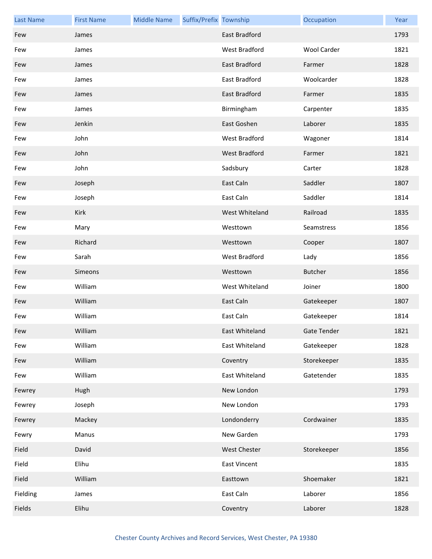| <b>Last Name</b> | <b>First Name</b> | <b>Middle Name</b> | Suffix/Prefix Township |                     | Occupation         | Year |
|------------------|-------------------|--------------------|------------------------|---------------------|--------------------|------|
| Few              | James             |                    |                        | East Bradford       |                    | 1793 |
| Few              | James             |                    |                        | West Bradford       | <b>Wool Carder</b> | 1821 |
| Few              | James             |                    |                        | East Bradford       | Farmer             | 1828 |
| Few              | James             |                    |                        | East Bradford       | Woolcarder         | 1828 |
| Few              | James             |                    |                        | East Bradford       | Farmer             | 1835 |
| Few              | James             |                    |                        | Birmingham          | Carpenter          | 1835 |
| Few              | Jenkin            |                    |                        | East Goshen         | Laborer            | 1835 |
| Few              | John              |                    |                        | West Bradford       | Wagoner            | 1814 |
| Few              | John              |                    |                        | West Bradford       | Farmer             | 1821 |
| Few              | John              |                    |                        | Sadsbury            | Carter             | 1828 |
| Few              | Joseph            |                    |                        | East Caln           | Saddler            | 1807 |
| Few              | Joseph            |                    |                        | East Caln           | Saddler            | 1814 |
| Few              | Kirk              |                    |                        | West Whiteland      | Railroad           | 1835 |
| Few              | Mary              |                    |                        | Westtown            | Seamstress         | 1856 |
| Few              | Richard           |                    |                        | Westtown            | Cooper             | 1807 |
| Few              | Sarah             |                    |                        | West Bradford       | Lady               | 1856 |
| Few              | Simeons           |                    |                        | Westtown            | <b>Butcher</b>     | 1856 |
| Few              | William           |                    |                        | West Whiteland      | Joiner             | 1800 |
| Few              | William           |                    |                        | East Caln           | Gatekeeper         | 1807 |
| Few              | William           |                    |                        | East Caln           | Gatekeeper         | 1814 |
| Few              | William           |                    |                        | East Whiteland      | Gate Tender        | 1821 |
| Few              | William           |                    |                        | East Whiteland      | Gatekeeper         | 1828 |
| Few              | William           |                    |                        | Coventry            | Storekeeper        | 1835 |
| Few              | William           |                    |                        | East Whiteland      | Gatetender         | 1835 |
| Fewrey           | Hugh              |                    |                        | New London          |                    | 1793 |
| Fewrey           | Joseph            |                    |                        | New London          |                    | 1793 |
| Fewrey           | Mackey            |                    |                        | Londonderry         | Cordwainer         | 1835 |
| Fewry            | Manus             |                    |                        | New Garden          |                    | 1793 |
| Field            | David             |                    |                        | <b>West Chester</b> | Storekeeper        | 1856 |
| Field            | Elihu             |                    |                        | <b>East Vincent</b> |                    | 1835 |
| Field            | William           |                    |                        | Easttown            | Shoemaker          | 1821 |
| Fielding         | James             |                    |                        | East Caln           | Laborer            | 1856 |
| Fields           | Elihu             |                    |                        | Coventry            | Laborer            | 1828 |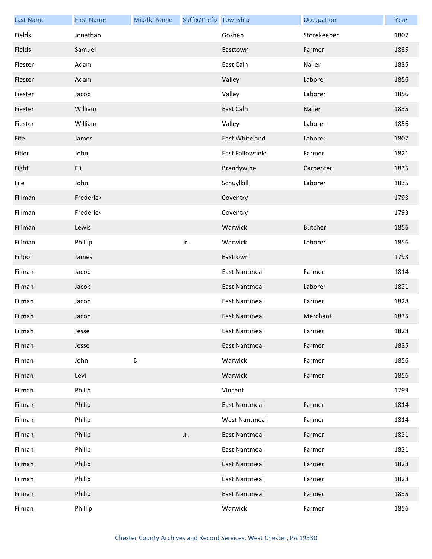| <b>Last Name</b> | <b>First Name</b> | <b>Middle Name</b> | Suffix/Prefix Township |                      | Occupation     | Year |
|------------------|-------------------|--------------------|------------------------|----------------------|----------------|------|
| Fields           | Jonathan          |                    |                        | Goshen               | Storekeeper    | 1807 |
| Fields           | Samuel            |                    |                        | Easttown             | Farmer         | 1835 |
| Fiester          | Adam              |                    |                        | East Caln            | Nailer         | 1835 |
| Fiester          | Adam              |                    |                        | Valley               | Laborer        | 1856 |
| Fiester          | Jacob             |                    |                        | Valley               | Laborer        | 1856 |
| Fiester          | William           |                    |                        | East Caln            | Nailer         | 1835 |
| Fiester          | William           |                    |                        | Valley               | Laborer        | 1856 |
| Fife             | James             |                    |                        | East Whiteland       | Laborer        | 1807 |
| Fifler           | John              |                    |                        | East Fallowfield     | Farmer         | 1821 |
| Fight            | Eli               |                    |                        | Brandywine           | Carpenter      | 1835 |
| File             | John              |                    |                        | Schuylkill           | Laborer        | 1835 |
| Fillman          | Frederick         |                    |                        | Coventry             |                | 1793 |
| Fillman          | Frederick         |                    |                        | Coventry             |                | 1793 |
| Fillman          | Lewis             |                    |                        | Warwick              | <b>Butcher</b> | 1856 |
| Fillman          | Phillip           |                    | Jr.                    | Warwick              | Laborer        | 1856 |
| Fillpot          | James             |                    |                        | Easttown             |                | 1793 |
| Filman           | Jacob             |                    |                        | <b>East Nantmeal</b> | Farmer         | 1814 |
| Filman           | Jacob             |                    |                        | <b>East Nantmeal</b> | Laborer        | 1821 |
| Filman           | Jacob             |                    |                        | <b>East Nantmeal</b> | Farmer         | 1828 |
| Filman           | Jacob             |                    |                        | <b>East Nantmeal</b> | Merchant       | 1835 |
| Filman           | Jesse             |                    |                        | East Nantmeal        | Farmer         | 1828 |
| Filman           | Jesse             |                    |                        | <b>East Nantmeal</b> | Farmer         | 1835 |
| Filman           | John              | D                  |                        | Warwick              | Farmer         | 1856 |
| Filman           | Levi              |                    |                        | Warwick              | Farmer         | 1856 |
| Filman           | Philip            |                    |                        | Vincent              |                | 1793 |
| Filman           | Philip            |                    |                        | <b>East Nantmeal</b> | Farmer         | 1814 |
| Filman           | Philip            |                    |                        | <b>West Nantmeal</b> | Farmer         | 1814 |
| Filman           | Philip            |                    | Jr.                    | <b>East Nantmeal</b> | Farmer         | 1821 |
| Filman           | Philip            |                    |                        | <b>East Nantmeal</b> | Farmer         | 1821 |
| Filman           | Philip            |                    |                        | East Nantmeal        | Farmer         | 1828 |
| Filman           | Philip            |                    |                        | <b>East Nantmeal</b> | Farmer         | 1828 |
| Filman           | Philip            |                    |                        | East Nantmeal        | Farmer         | 1835 |
| Filman           | Phillip           |                    |                        | Warwick              | Farmer         | 1856 |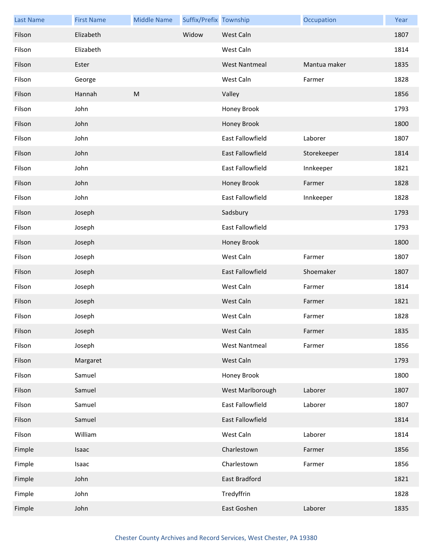| <b>Last Name</b> | <b>First Name</b> | <b>Middle Name</b> | Suffix/Prefix Township |                         | Occupation   | Year |
|------------------|-------------------|--------------------|------------------------|-------------------------|--------------|------|
| Filson           | Elizabeth         |                    | Widow                  | West Caln               |              | 1807 |
| Filson           | Elizabeth         |                    |                        | West Caln               |              | 1814 |
| Filson           | Ester             |                    |                        | <b>West Nantmeal</b>    | Mantua maker | 1835 |
| Filson           | George            |                    |                        | West Caln               | Farmer       | 1828 |
| Filson           | Hannah            | M                  |                        | Valley                  |              | 1856 |
| Filson           | John              |                    |                        | Honey Brook             |              | 1793 |
| Filson           | John              |                    |                        | Honey Brook             |              | 1800 |
| Filson           | John              |                    |                        | East Fallowfield        | Laborer      | 1807 |
| Filson           | John              |                    |                        | East Fallowfield        | Storekeeper  | 1814 |
| Filson           | John              |                    |                        | <b>East Fallowfield</b> | Innkeeper    | 1821 |
| Filson           | John              |                    |                        | Honey Brook             | Farmer       | 1828 |
| Filson           | John              |                    |                        | East Fallowfield        | Innkeeper    | 1828 |
| Filson           | Joseph            |                    |                        | Sadsbury                |              | 1793 |
| Filson           | Joseph            |                    |                        | <b>East Fallowfield</b> |              | 1793 |
| Filson           | Joseph            |                    |                        | Honey Brook             |              | 1800 |
| Filson           | Joseph            |                    |                        | West Caln               | Farmer       | 1807 |
| Filson           | Joseph            |                    |                        | East Fallowfield        | Shoemaker    | 1807 |
| Filson           | Joseph            |                    |                        | West Caln               | Farmer       | 1814 |
| Filson           | Joseph            |                    |                        | West Caln               | Farmer       | 1821 |
| Filson           | Joseph            |                    |                        | West Caln               | Farmer       | 1828 |
| Filson           | Joseph            |                    |                        | West Caln               | Farmer       | 1835 |
| Filson           | Joseph            |                    |                        | <b>West Nantmeal</b>    | Farmer       | 1856 |
| Filson           | Margaret          |                    |                        | West Caln               |              | 1793 |
| Filson           | Samuel            |                    |                        | Honey Brook             |              | 1800 |
| Filson           | Samuel            |                    |                        | West Marlborough        | Laborer      | 1807 |
| Filson           | Samuel            |                    |                        | East Fallowfield        | Laborer      | 1807 |
| Filson           | Samuel            |                    |                        | East Fallowfield        |              | 1814 |
| Filson           | William           |                    |                        | West Caln               | Laborer      | 1814 |
| Fimple           | Isaac             |                    |                        | Charlestown             | Farmer       | 1856 |
| Fimple           | Isaac             |                    |                        | Charlestown             | Farmer       | 1856 |
| Fimple           | John              |                    |                        | East Bradford           |              | 1821 |
| Fimple           | John              |                    |                        | Tredyffrin              |              | 1828 |
| Fimple           | John              |                    |                        | East Goshen             | Laborer      | 1835 |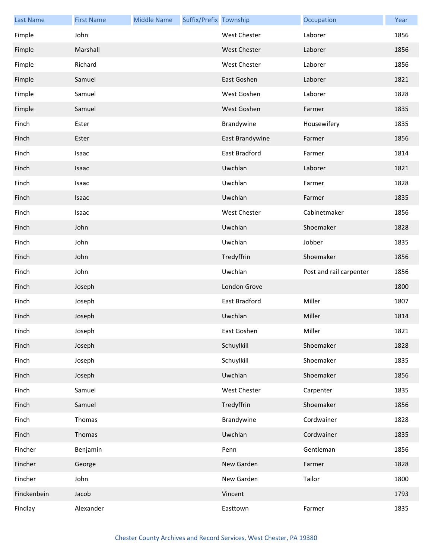| <b>Last Name</b> | <b>First Name</b> | <b>Middle Name</b> | Suffix/Prefix Township |                     | Occupation              | Year |
|------------------|-------------------|--------------------|------------------------|---------------------|-------------------------|------|
| Fimple           | John              |                    |                        | <b>West Chester</b> | Laborer                 | 1856 |
| Fimple           | Marshall          |                    |                        | <b>West Chester</b> | Laborer                 | 1856 |
| Fimple           | Richard           |                    |                        | <b>West Chester</b> | Laborer                 | 1856 |
| Fimple           | Samuel            |                    |                        | East Goshen         | Laborer                 | 1821 |
| Fimple           | Samuel            |                    |                        | West Goshen         | Laborer                 | 1828 |
| Fimple           | Samuel            |                    |                        | West Goshen         | Farmer                  | 1835 |
| Finch            | Ester             |                    |                        | Brandywine          | Housewifery             | 1835 |
| Finch            | Ester             |                    |                        | East Brandywine     | Farmer                  | 1856 |
| Finch            | Isaac             |                    |                        | East Bradford       | Farmer                  | 1814 |
| Finch            | Isaac             |                    |                        | Uwchlan             | Laborer                 | 1821 |
| Finch            | Isaac             |                    |                        | Uwchlan             | Farmer                  | 1828 |
| Finch            | Isaac             |                    |                        | Uwchlan             | Farmer                  | 1835 |
| Finch            | Isaac             |                    |                        | West Chester        | Cabinetmaker            | 1856 |
| Finch            | John              |                    |                        | Uwchlan             | Shoemaker               | 1828 |
| Finch            | John              |                    |                        | Uwchlan             | Jobber                  | 1835 |
| Finch            | John              |                    |                        | Tredyffrin          | Shoemaker               | 1856 |
| Finch            | John              |                    |                        | Uwchlan             | Post and rail carpenter | 1856 |
| Finch            | Joseph            |                    |                        | London Grove        |                         | 1800 |
| Finch            | Joseph            |                    |                        | East Bradford       | Miller                  | 1807 |
| Finch            | Joseph            |                    |                        | Uwchlan             | Miller                  | 1814 |
| Finch            | Joseph            |                    |                        | East Goshen         | Miller                  | 1821 |
| Finch            | Joseph            |                    |                        | Schuylkill          | Shoemaker               | 1828 |
| Finch            | Joseph            |                    |                        | Schuylkill          | Shoemaker               | 1835 |
| Finch            | Joseph            |                    |                        | Uwchlan             | Shoemaker               | 1856 |
| Finch            | Samuel            |                    |                        | West Chester        | Carpenter               | 1835 |
| Finch            | Samuel            |                    |                        | Tredyffrin          | Shoemaker               | 1856 |
| Finch            | Thomas            |                    |                        | Brandywine          | Cordwainer              | 1828 |
| Finch            | Thomas            |                    |                        | Uwchlan             | Cordwainer              | 1835 |
| Fincher          | Benjamin          |                    |                        | Penn                | Gentleman               | 1856 |
| Fincher          | George            |                    |                        | New Garden          | Farmer                  | 1828 |
| Fincher          | John              |                    |                        | New Garden          | Tailor                  | 1800 |
| Finckenbein      | Jacob             |                    |                        | Vincent             |                         | 1793 |
| Findlay          | Alexander         |                    |                        | Easttown            | Farmer                  | 1835 |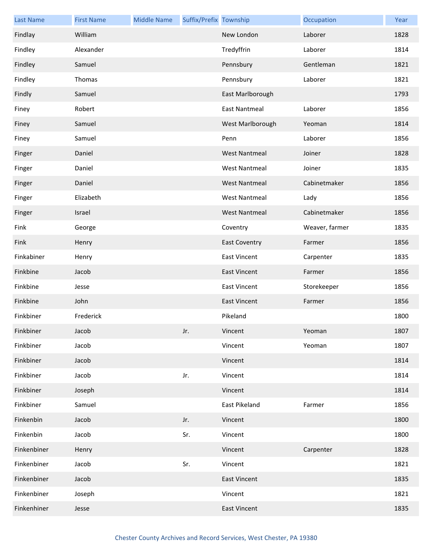| <b>Last Name</b> | <b>First Name</b> | <b>Middle Name</b> | Suffix/Prefix Township |                      | Occupation     | Year |
|------------------|-------------------|--------------------|------------------------|----------------------|----------------|------|
| Findlay          | William           |                    |                        | New London           | Laborer        | 1828 |
| Findley          | Alexander         |                    |                        | Tredyffrin           | Laborer        | 1814 |
| Findley          | Samuel            |                    |                        | Pennsbury            | Gentleman      | 1821 |
| Findley          | Thomas            |                    |                        | Pennsbury            | Laborer        | 1821 |
| Findly           | Samuel            |                    |                        | East Marlborough     |                | 1793 |
| Finey            | Robert            |                    |                        | <b>East Nantmeal</b> | Laborer        | 1856 |
| Finey            | Samuel            |                    |                        | West Marlborough     | Yeoman         | 1814 |
| Finey            | Samuel            |                    |                        | Penn                 | Laborer        | 1856 |
| Finger           | Daniel            |                    |                        | <b>West Nantmeal</b> | Joiner         | 1828 |
| Finger           | Daniel            |                    |                        | <b>West Nantmeal</b> | Joiner         | 1835 |
| Finger           | Daniel            |                    |                        | <b>West Nantmeal</b> | Cabinetmaker   | 1856 |
| Finger           | Elizabeth         |                    |                        | <b>West Nantmeal</b> | Lady           | 1856 |
| Finger           | Israel            |                    |                        | <b>West Nantmeal</b> | Cabinetmaker   | 1856 |
| Fink             | George            |                    |                        | Coventry             | Weaver, farmer | 1835 |
| Fink             | Henry             |                    |                        | <b>East Coventry</b> | Farmer         | 1856 |
| Finkabiner       | Henry             |                    |                        | <b>East Vincent</b>  | Carpenter      | 1835 |
| Finkbine         | Jacob             |                    |                        | <b>East Vincent</b>  | Farmer         | 1856 |
| Finkbine         | Jesse             |                    |                        | <b>East Vincent</b>  | Storekeeper    | 1856 |
| Finkbine         | John              |                    |                        | <b>East Vincent</b>  | Farmer         | 1856 |
| Finkbiner        | Frederick         |                    |                        | Pikeland             |                | 1800 |
| Finkbiner        | Jacob             |                    | Jr.                    | Vincent              | Yeoman         | 1807 |
| Finkbiner        | Jacob             |                    |                        | Vincent              | Yeoman         | 1807 |
| Finkbiner        | Jacob             |                    |                        | Vincent              |                | 1814 |
| Finkbiner        | Jacob             |                    | Jr.                    | Vincent              |                | 1814 |
| Finkbiner        | Joseph            |                    |                        | Vincent              |                | 1814 |
| Finkbiner        | Samuel            |                    |                        | <b>East Pikeland</b> | Farmer         | 1856 |
| Finkenbin        | Jacob             |                    | Jr.                    | Vincent              |                | 1800 |
| Finkenbin        | Jacob             |                    | Sr.                    | Vincent              |                | 1800 |
| Finkenbiner      | Henry             |                    |                        | Vincent              | Carpenter      | 1828 |
| Finkenbiner      | Jacob             |                    | Sr.                    | Vincent              |                | 1821 |
| Finkenbiner      | Jacob             |                    |                        | <b>East Vincent</b>  |                | 1835 |
| Finkenbiner      | Joseph            |                    |                        | Vincent              |                | 1821 |
| Finkenhiner      | Jesse             |                    |                        | <b>East Vincent</b>  |                | 1835 |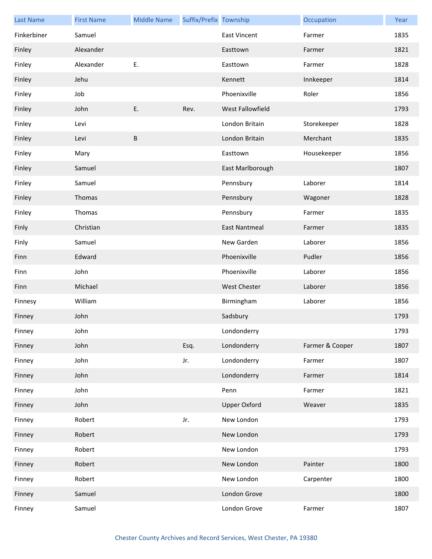| <b>Last Name</b> | <b>First Name</b> | <b>Middle Name</b> | Suffix/Prefix Township |                      | Occupation      | Year |
|------------------|-------------------|--------------------|------------------------|----------------------|-----------------|------|
| Finkerbiner      | Samuel            |                    |                        | <b>East Vincent</b>  | Farmer          | 1835 |
| Finley           | Alexander         |                    |                        | Easttown             | Farmer          | 1821 |
| Finley           | Alexander         | E.                 |                        | Easttown             | Farmer          | 1828 |
| Finley           | Jehu              |                    |                        | Kennett              | Innkeeper       | 1814 |
| Finley           | Job               |                    |                        | Phoenixville         | Roler           | 1856 |
| Finley           | John              | E.                 | Rev.                   | West Fallowfield     |                 | 1793 |
| Finley           | Levi              |                    |                        | London Britain       | Storekeeper     | 1828 |
| Finley           | Levi              | $\sf B$            |                        | London Britain       | Merchant        | 1835 |
| Finley           | Mary              |                    |                        | Easttown             | Housekeeper     | 1856 |
| Finley           | Samuel            |                    |                        | East Marlborough     |                 | 1807 |
| Finley           | Samuel            |                    |                        | Pennsbury            | Laborer         | 1814 |
| Finley           | Thomas            |                    |                        | Pennsbury            | Wagoner         | 1828 |
| Finley           | Thomas            |                    |                        | Pennsbury            | Farmer          | 1835 |
| Finly            | Christian         |                    |                        | <b>East Nantmeal</b> | Farmer          | 1835 |
| Finly            | Samuel            |                    |                        | New Garden           | Laborer         | 1856 |
| Finn             | Edward            |                    |                        | Phoenixville         | Pudler          | 1856 |
| Finn             | John              |                    |                        | Phoenixville         | Laborer         | 1856 |
| Finn             | Michael           |                    |                        | <b>West Chester</b>  | Laborer         | 1856 |
| Finnesy          | William           |                    |                        | Birmingham           | Laborer         | 1856 |
| Finney           | John              |                    |                        | Sadsbury             |                 | 1793 |
| Finney           | John              |                    |                        | Londonderry          |                 | 1793 |
| Finney           | John              |                    | Esq.                   | Londonderry          | Farmer & Cooper | 1807 |
| Finney           | John              |                    | Jr.                    | Londonderry          | Farmer          | 1807 |
| Finney           | John              |                    |                        | Londonderry          | Farmer          | 1814 |
| Finney           | John              |                    |                        | Penn                 | Farmer          | 1821 |
| Finney           | John              |                    |                        | <b>Upper Oxford</b>  | Weaver          | 1835 |
| Finney           | Robert            |                    | Jr.                    | New London           |                 | 1793 |
| Finney           | Robert            |                    |                        | New London           |                 | 1793 |
| Finney           | Robert            |                    |                        | New London           |                 | 1793 |
| Finney           | Robert            |                    |                        | New London           | Painter         | 1800 |
| Finney           | Robert            |                    |                        | New London           | Carpenter       | 1800 |
| Finney           | Samuel            |                    |                        | London Grove         |                 | 1800 |
| Finney           | Samuel            |                    |                        | London Grove         | Farmer          | 1807 |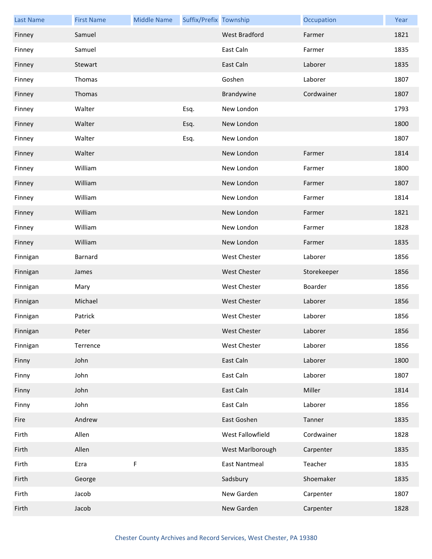| <b>Last Name</b> | <b>First Name</b> | <b>Middle Name</b> | Suffix/Prefix Township |                      | Occupation  | Year |
|------------------|-------------------|--------------------|------------------------|----------------------|-------------|------|
| Finney           | Samuel            |                    |                        | <b>West Bradford</b> | Farmer      | 1821 |
| Finney           | Samuel            |                    |                        | East Caln            | Farmer      | 1835 |
| Finney           | Stewart           |                    |                        | East Caln            | Laborer     | 1835 |
| Finney           | Thomas            |                    |                        | Goshen               | Laborer     | 1807 |
| Finney           | Thomas            |                    |                        | Brandywine           | Cordwainer  | 1807 |
| Finney           | Walter            |                    | Esq.                   | New London           |             | 1793 |
| Finney           | Walter            |                    | Esq.                   | New London           |             | 1800 |
| Finney           | Walter            |                    | Esq.                   | New London           |             | 1807 |
| Finney           | Walter            |                    |                        | New London           | Farmer      | 1814 |
| Finney           | William           |                    |                        | New London           | Farmer      | 1800 |
| Finney           | William           |                    |                        | New London           | Farmer      | 1807 |
| Finney           | William           |                    |                        | New London           | Farmer      | 1814 |
| Finney           | William           |                    |                        | New London           | Farmer      | 1821 |
| Finney           | William           |                    |                        | New London           | Farmer      | 1828 |
| Finney           | William           |                    |                        | New London           | Farmer      | 1835 |
| Finnigan         | Barnard           |                    |                        | <b>West Chester</b>  | Laborer     | 1856 |
| Finnigan         | James             |                    |                        | <b>West Chester</b>  | Storekeeper | 1856 |
| Finnigan         | Mary              |                    |                        | <b>West Chester</b>  | Boarder     | 1856 |
| Finnigan         | Michael           |                    |                        | <b>West Chester</b>  | Laborer     | 1856 |
| Finnigan         | Patrick           |                    |                        | <b>West Chester</b>  | Laborer     | 1856 |
| Finnigan         | Peter             |                    |                        | West Chester         | Laborer     | 1856 |
| Finnigan         | Terrence          |                    |                        | <b>West Chester</b>  | Laborer     | 1856 |
| Finny            | John              |                    |                        | East Caln            | Laborer     | 1800 |
| Finny            | John              |                    |                        | East Caln            | Laborer     | 1807 |
| Finny            | John              |                    |                        | East Caln            | Miller      | 1814 |
| Finny            | John              |                    |                        | East Caln            | Laborer     | 1856 |
| Fire             | Andrew            |                    |                        | East Goshen          | Tanner      | 1835 |
| Firth            | Allen             |                    |                        | West Fallowfield     | Cordwainer  | 1828 |
| Firth            | Allen             |                    |                        | West Marlborough     | Carpenter   | 1835 |
| Firth            | Ezra              | $\sf F$            |                        | <b>East Nantmeal</b> | Teacher     | 1835 |
| Firth            | George            |                    |                        | Sadsbury             | Shoemaker   | 1835 |
| Firth            | Jacob             |                    |                        | New Garden           | Carpenter   | 1807 |
| Firth            | Jacob             |                    |                        | New Garden           | Carpenter   | 1828 |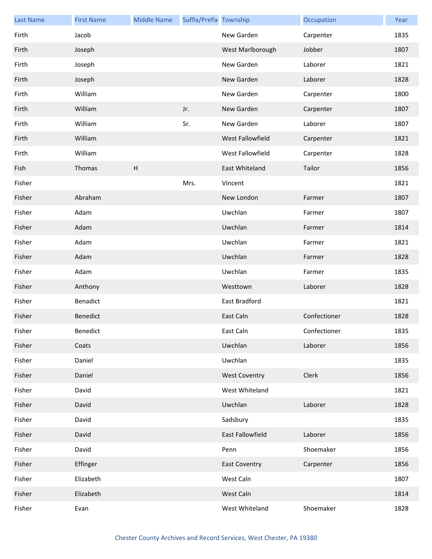| <b>Last Name</b> | <b>First Name</b> | <b>Middle Name</b> | Suffix/Prefix Township |                         | Occupation   | Year |
|------------------|-------------------|--------------------|------------------------|-------------------------|--------------|------|
| Firth            | Jacob             |                    |                        | New Garden              | Carpenter    | 1835 |
| Firth            | Joseph            |                    |                        | West Marlborough        | Jobber       | 1807 |
| Firth            | Joseph            |                    |                        | New Garden              | Laborer      | 1821 |
| Firth            | Joseph            |                    |                        | New Garden              | Laborer      | 1828 |
| Firth            | William           |                    |                        | New Garden              | Carpenter    | 1800 |
| Firth            | William           |                    | Jr.                    | New Garden              | Carpenter    | 1807 |
| Firth            | William           |                    | Sr.                    | New Garden              | Laborer      | 1807 |
| Firth            | William           |                    |                        | West Fallowfield        | Carpenter    | 1821 |
| Firth            | William           |                    |                        | West Fallowfield        | Carpenter    | 1828 |
| Fish             | Thomas            | H                  |                        | East Whiteland          | Tailor       | 1856 |
| Fisher           |                   |                    | Mrs.                   | Vincent                 |              | 1821 |
| Fisher           | Abraham           |                    |                        | New London              | Farmer       | 1807 |
| Fisher           | Adam              |                    |                        | Uwchlan                 | Farmer       | 1807 |
| Fisher           | Adam              |                    |                        | Uwchlan                 | Farmer       | 1814 |
| Fisher           | Adam              |                    |                        | Uwchlan                 | Farmer       | 1821 |
| Fisher           | Adam              |                    |                        | Uwchlan                 | Farmer       | 1828 |
| Fisher           | Adam              |                    |                        | Uwchlan                 | Farmer       | 1835 |
| Fisher           | Anthony           |                    |                        | Westtown                | Laborer      | 1828 |
| Fisher           | Benadict          |                    |                        | East Bradford           |              | 1821 |
| Fisher           | <b>Benedict</b>   |                    |                        | East Caln               | Confectioner | 1828 |
| Fisher           | Benedict          |                    |                        | East Caln               | Confectioner | 1835 |
| Fisher           | Coats             |                    |                        | Uwchlan                 | Laborer      | 1856 |
| Fisher           | Daniel            |                    |                        | Uwchlan                 |              | 1835 |
| Fisher           | Daniel            |                    |                        | <b>West Coventry</b>    | Clerk        | 1856 |
| Fisher           | David             |                    |                        | West Whiteland          |              | 1821 |
| Fisher           | David             |                    |                        | Uwchlan                 | Laborer      | 1828 |
| Fisher           | David             |                    |                        | Sadsbury                |              | 1835 |
| Fisher           | David             |                    |                        | <b>East Fallowfield</b> | Laborer      | 1856 |
| Fisher           | David             |                    |                        | Penn                    | Shoemaker    | 1856 |
| Fisher           | Effinger          |                    |                        | <b>East Coventry</b>    | Carpenter    | 1856 |
| Fisher           | Elizabeth         |                    |                        | West Caln               |              | 1807 |
| Fisher           | Elizabeth         |                    |                        | West Caln               |              | 1814 |
| Fisher           | Evan              |                    |                        | West Whiteland          | Shoemaker    | 1828 |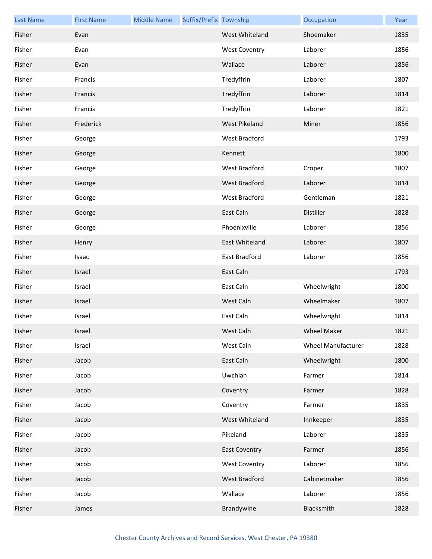| <b>Last Name</b> | <b>First Name</b> | <b>Middle Name</b> | Suffix/Prefix Township |                      | Occupation                | Year |
|------------------|-------------------|--------------------|------------------------|----------------------|---------------------------|------|
| Fisher           | Evan              |                    |                        | West Whiteland       | Shoemaker                 | 1835 |
| Fisher           | Evan              |                    |                        | <b>West Coventry</b> | Laborer                   | 1856 |
| Fisher           | Evan              |                    |                        | Wallace              | Laborer                   | 1856 |
| Fisher           | Francis           |                    |                        | Tredyffrin           | Laborer                   | 1807 |
| Fisher           | Francis           |                    |                        | Tredyffrin           | Laborer                   | 1814 |
| Fisher           | Francis           |                    |                        | Tredyffrin           | Laborer                   | 1821 |
| Fisher           | Frederick         |                    |                        | West Pikeland        | Miner                     | 1856 |
| Fisher           | George            |                    |                        | West Bradford        |                           | 1793 |
| Fisher           | George            |                    |                        | Kennett              |                           | 1800 |
| Fisher           | George            |                    |                        | West Bradford        | Croper                    | 1807 |
| Fisher           | George            |                    |                        | <b>West Bradford</b> | Laborer                   | 1814 |
| Fisher           | George            |                    |                        | West Bradford        | Gentleman                 | 1821 |
| Fisher           | George            |                    |                        | East Caln            | Distiller                 | 1828 |
| Fisher           | George            |                    |                        | Phoenixville         | Laborer                   | 1856 |
| Fisher           | Henry             |                    |                        | East Whiteland       | Laborer                   | 1807 |
| Fisher           | Isaac             |                    |                        | East Bradford        | Laborer                   | 1856 |
| Fisher           | Israel            |                    |                        | East Caln            |                           | 1793 |
| Fisher           | Israel            |                    |                        | East Caln            | Wheelwright               | 1800 |
| Fisher           | Israel            |                    |                        | West Caln            | Wheelmaker                | 1807 |
| Fisher           | Israel            |                    |                        | East Caln            | Wheelwright               | 1814 |
| Fisher           | Israel            |                    |                        | West Caln            | Wheel Maker               | 1821 |
| Fisher           | Israel            |                    |                        | West Caln            | <b>Wheel Manufacturer</b> | 1828 |
| Fisher           | Jacob             |                    |                        | East Caln            | Wheelwright               | 1800 |
| Fisher           | Jacob             |                    |                        | Uwchlan              | Farmer                    | 1814 |
| Fisher           | Jacob             |                    |                        | Coventry             | Farmer                    | 1828 |
| Fisher           | Jacob             |                    |                        | Coventry             | Farmer                    | 1835 |
| Fisher           | Jacob             |                    |                        | West Whiteland       | Innkeeper                 | 1835 |
| Fisher           | Jacob             |                    |                        | Pikeland             | Laborer                   | 1835 |
| Fisher           | Jacob             |                    |                        | <b>East Coventry</b> | Farmer                    | 1856 |
| Fisher           | Jacob             |                    |                        | <b>West Coventry</b> | Laborer                   | 1856 |
| Fisher           | Jacob             |                    |                        | West Bradford        | Cabinetmaker              | 1856 |
| Fisher           | Jacob             |                    |                        | Wallace              | Laborer                   | 1856 |
| Fisher           | James             |                    |                        | Brandywine           | Blacksmith                | 1828 |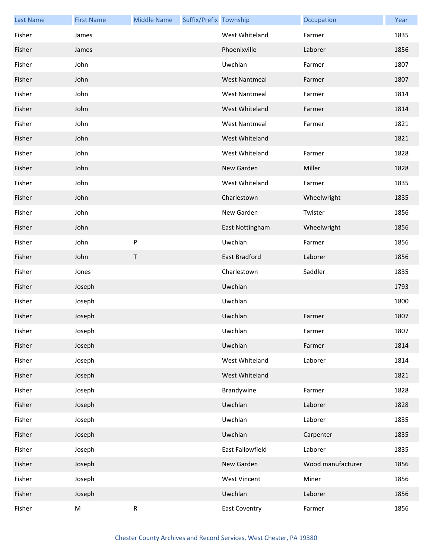| <b>Last Name</b> | <b>First Name</b> | <b>Middle Name</b> | Suffix/Prefix Township |                      | Occupation        | Year |
|------------------|-------------------|--------------------|------------------------|----------------------|-------------------|------|
| Fisher           | James             |                    |                        | West Whiteland       | Farmer            | 1835 |
| Fisher           | James             |                    |                        | Phoenixville         | Laborer           | 1856 |
| Fisher           | John              |                    |                        | Uwchlan              | Farmer            | 1807 |
| Fisher           | John              |                    |                        | <b>West Nantmeal</b> | Farmer            | 1807 |
| Fisher           | John              |                    |                        | <b>West Nantmeal</b> | Farmer            | 1814 |
| Fisher           | John              |                    |                        | West Whiteland       | Farmer            | 1814 |
| Fisher           | John              |                    |                        | <b>West Nantmeal</b> | Farmer            | 1821 |
| Fisher           | John              |                    |                        | West Whiteland       |                   | 1821 |
| Fisher           | John              |                    |                        | West Whiteland       | Farmer            | 1828 |
| Fisher           | John              |                    |                        | New Garden           | Miller            | 1828 |
| Fisher           | John              |                    |                        | West Whiteland       | Farmer            | 1835 |
| Fisher           | John              |                    |                        | Charlestown          | Wheelwright       | 1835 |
| Fisher           | John              |                    |                        | New Garden           | Twister           | 1856 |
| Fisher           | John              |                    |                        | East Nottingham      | Wheelwright       | 1856 |
| Fisher           | John              | P                  |                        | Uwchlan              | Farmer            | 1856 |
| Fisher           | John              | $\sf T$            |                        | East Bradford        | Laborer           | 1856 |
| Fisher           | Jones             |                    |                        | Charlestown          | Saddler           | 1835 |
| Fisher           | Joseph            |                    |                        | Uwchlan              |                   | 1793 |
| Fisher           | Joseph            |                    |                        | Uwchlan              |                   | 1800 |
| Fisher           | Joseph            |                    |                        | Uwchlan              | Farmer            | 1807 |
| Fisher           | Joseph            |                    |                        | Uwchlan              | Farmer            | 1807 |
| Fisher           | Joseph            |                    |                        | Uwchlan              | Farmer            | 1814 |
| Fisher           | Joseph            |                    |                        | West Whiteland       | Laborer           | 1814 |
| Fisher           | Joseph            |                    |                        | West Whiteland       |                   | 1821 |
| Fisher           | Joseph            |                    |                        | Brandywine           | Farmer            | 1828 |
| Fisher           | Joseph            |                    |                        | Uwchlan              | Laborer           | 1828 |
| Fisher           | Joseph            |                    |                        | Uwchlan              | Laborer           | 1835 |
| Fisher           | Joseph            |                    |                        | Uwchlan              | Carpenter         | 1835 |
| Fisher           | Joseph            |                    |                        | East Fallowfield     | Laborer           | 1835 |
| Fisher           | Joseph            |                    |                        | New Garden           | Wood manufacturer | 1856 |
| Fisher           | Joseph            |                    |                        | <b>West Vincent</b>  | Miner             | 1856 |
| Fisher           | Joseph            |                    |                        | Uwchlan              | Laborer           | 1856 |
| Fisher           | M                 | ${\sf R}$          |                        | <b>East Coventry</b> | Farmer            | 1856 |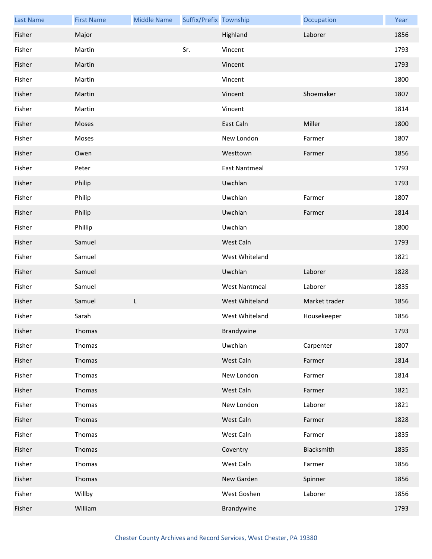| <b>Last Name</b> | <b>First Name</b> | <b>Middle Name</b> | Suffix/Prefix Township |                      | Occupation    | Year |
|------------------|-------------------|--------------------|------------------------|----------------------|---------------|------|
| Fisher           | Major             |                    |                        | Highland             | Laborer       | 1856 |
| Fisher           | Martin            |                    | Sr.                    | Vincent              |               | 1793 |
| Fisher           | Martin            |                    |                        | Vincent              |               | 1793 |
| Fisher           | Martin            |                    |                        | Vincent              |               | 1800 |
| Fisher           | Martin            |                    |                        | Vincent              | Shoemaker     | 1807 |
| Fisher           | Martin            |                    |                        | Vincent              |               | 1814 |
| Fisher           | Moses             |                    |                        | East Caln            | Miller        | 1800 |
| Fisher           | Moses             |                    |                        | New London           | Farmer        | 1807 |
| Fisher           | Owen              |                    |                        | Westtown             | Farmer        | 1856 |
| Fisher           | Peter             |                    |                        | <b>East Nantmeal</b> |               | 1793 |
| Fisher           | Philip            |                    |                        | Uwchlan              |               | 1793 |
| Fisher           | Philip            |                    |                        | Uwchlan              | Farmer        | 1807 |
| Fisher           | Philip            |                    |                        | Uwchlan              | Farmer        | 1814 |
| Fisher           | Phillip           |                    |                        | Uwchlan              |               | 1800 |
| Fisher           | Samuel            |                    |                        | West Caln            |               | 1793 |
| Fisher           | Samuel            |                    |                        | West Whiteland       |               | 1821 |
| Fisher           | Samuel            |                    |                        | Uwchlan              | Laborer       | 1828 |
| Fisher           | Samuel            |                    |                        | <b>West Nantmeal</b> | Laborer       | 1835 |
| Fisher           | Samuel            | L                  |                        | West Whiteland       | Market trader | 1856 |
| Fisher           | Sarah             |                    |                        | West Whiteland       | Housekeeper   | 1856 |
| Fisher           | Thomas            |                    |                        | Brandywine           |               | 1793 |
| Fisher           | Thomas            |                    |                        | Uwchlan              | Carpenter     | 1807 |
| Fisher           | Thomas            |                    |                        | West Caln            | Farmer        | 1814 |
| Fisher           | Thomas            |                    |                        | New London           | Farmer        | 1814 |
| Fisher           | Thomas            |                    |                        | West Caln            | Farmer        | 1821 |
| Fisher           | Thomas            |                    |                        | New London           | Laborer       | 1821 |
| Fisher           | Thomas            |                    |                        | West Caln            | Farmer        | 1828 |
| Fisher           | Thomas            |                    |                        | West Caln            | Farmer        | 1835 |
| Fisher           | Thomas            |                    |                        | Coventry             | Blacksmith    | 1835 |
| Fisher           | Thomas            |                    |                        | West Caln            | Farmer        | 1856 |
| Fisher           | Thomas            |                    |                        | New Garden           | Spinner       | 1856 |
| Fisher           | Willby            |                    |                        | West Goshen          | Laborer       | 1856 |
| Fisher           | William           |                    |                        | Brandywine           |               | 1793 |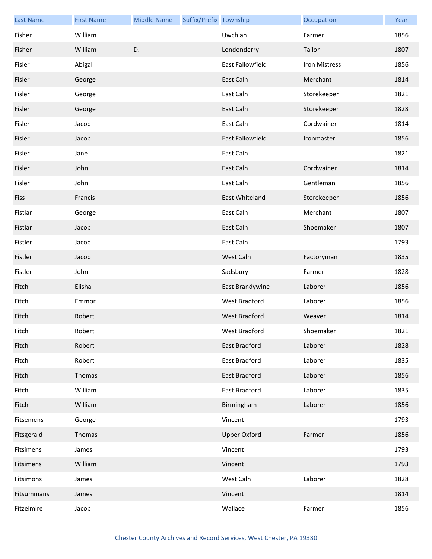| <b>Last Name</b> | <b>First Name</b> | <b>Middle Name</b> | Suffix/Prefix Township |                      | Occupation    | Year |
|------------------|-------------------|--------------------|------------------------|----------------------|---------------|------|
| Fisher           | William           |                    |                        | Uwchlan              | Farmer        | 1856 |
| Fisher           | William           | D.                 |                        | Londonderry          | Tailor        | 1807 |
| Fisler           | Abigal            |                    |                        | East Fallowfield     | Iron Mistress | 1856 |
| Fisler           | George            |                    |                        | East Caln            | Merchant      | 1814 |
| Fisler           | George            |                    |                        | East Caln            | Storekeeper   | 1821 |
| Fisler           | George            |                    |                        | East Caln            | Storekeeper   | 1828 |
| Fisler           | Jacob             |                    |                        | East Caln            | Cordwainer    | 1814 |
| Fisler           | Jacob             |                    |                        | East Fallowfield     | Ironmaster    | 1856 |
| Fisler           | Jane              |                    |                        | East Caln            |               | 1821 |
| Fisler           | John              |                    |                        | East Caln            | Cordwainer    | 1814 |
| Fisler           | John              |                    |                        | East Caln            | Gentleman     | 1856 |
| Fiss             | Francis           |                    |                        | East Whiteland       | Storekeeper   | 1856 |
| Fistlar          | George            |                    |                        | East Caln            | Merchant      | 1807 |
| Fistlar          | Jacob             |                    |                        | East Caln            | Shoemaker     | 1807 |
| Fistler          | Jacob             |                    |                        | East Caln            |               | 1793 |
| Fistler          | Jacob             |                    |                        | West Caln            | Factoryman    | 1835 |
| Fistler          | John              |                    |                        | Sadsbury             | Farmer        | 1828 |
| Fitch            | Elisha            |                    |                        | East Brandywine      | Laborer       | 1856 |
| Fitch            | Emmor             |                    |                        | West Bradford        | Laborer       | 1856 |
| Fitch            | Robert            |                    |                        | <b>West Bradford</b> | Weaver        | 1814 |
| Fitch            | Robert            |                    |                        | West Bradford        | Shoemaker     | 1821 |
| Fitch            | Robert            |                    |                        | East Bradford        | Laborer       | 1828 |
| Fitch            | Robert            |                    |                        | East Bradford        | Laborer       | 1835 |
| Fitch            | Thomas            |                    |                        | East Bradford        | Laborer       | 1856 |
| Fitch            | William           |                    |                        | East Bradford        | Laborer       | 1835 |
| Fitch            | William           |                    |                        | Birmingham           | Laborer       | 1856 |
| Fitsemens        | George            |                    |                        | Vincent              |               | 1793 |
| Fitsgerald       | Thomas            |                    |                        | <b>Upper Oxford</b>  | Farmer        | 1856 |
| Fitsimens        | James             |                    |                        | Vincent              |               | 1793 |
| Fitsimens        | William           |                    |                        | Vincent              |               | 1793 |
| Fitsimons        | James             |                    |                        | West Caln            | Laborer       | 1828 |
| Fitsummans       | James             |                    |                        | Vincent              |               | 1814 |
| Fitzelmire       | Jacob             |                    |                        | Wallace              | Farmer        | 1856 |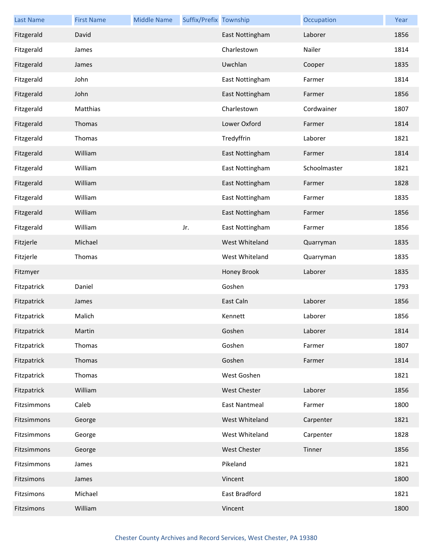| <b>Last Name</b> | <b>First Name</b> | <b>Middle Name</b> | Suffix/Prefix Township |                      | Occupation   | Year |
|------------------|-------------------|--------------------|------------------------|----------------------|--------------|------|
| Fitzgerald       | David             |                    |                        | East Nottingham      | Laborer      | 1856 |
| Fitzgerald       | James             |                    |                        | Charlestown          | Nailer       | 1814 |
| Fitzgerald       | James             |                    |                        | Uwchlan              | Cooper       | 1835 |
| Fitzgerald       | John              |                    |                        | East Nottingham      | Farmer       | 1814 |
| Fitzgerald       | John              |                    |                        | East Nottingham      | Farmer       | 1856 |
| Fitzgerald       | Matthias          |                    |                        | Charlestown          | Cordwainer   | 1807 |
| Fitzgerald       | Thomas            |                    |                        | Lower Oxford         | Farmer       | 1814 |
| Fitzgerald       | Thomas            |                    |                        | Tredyffrin           | Laborer      | 1821 |
| Fitzgerald       | William           |                    |                        | East Nottingham      | Farmer       | 1814 |
| Fitzgerald       | William           |                    |                        | East Nottingham      | Schoolmaster | 1821 |
| Fitzgerald       | William           |                    |                        | East Nottingham      | Farmer       | 1828 |
| Fitzgerald       | William           |                    |                        | East Nottingham      | Farmer       | 1835 |
| Fitzgerald       | William           |                    |                        | East Nottingham      | Farmer       | 1856 |
| Fitzgerald       | William           |                    | Jr.                    | East Nottingham      | Farmer       | 1856 |
| Fitzjerle        | Michael           |                    |                        | West Whiteland       | Quarryman    | 1835 |
| Fitzjerle        | Thomas            |                    |                        | West Whiteland       | Quarryman    | 1835 |
| Fitzmyer         |                   |                    |                        | Honey Brook          | Laborer      | 1835 |
| Fitzpatrick      | Daniel            |                    |                        | Goshen               |              | 1793 |
| Fitzpatrick      | James             |                    |                        | East Caln            | Laborer      | 1856 |
| Fitzpatrick      | Malich            |                    |                        | Kennett              | Laborer      | 1856 |
| Fitzpatrick      | Martin            |                    |                        | Goshen               | Laborer      | 1814 |
| Fitzpatrick      | Thomas            |                    |                        | Goshen               | Farmer       | 1807 |
| Fitzpatrick      | Thomas            |                    |                        | Goshen               | Farmer       | 1814 |
| Fitzpatrick      | Thomas            |                    |                        | West Goshen          |              | 1821 |
| Fitzpatrick      | William           |                    |                        | <b>West Chester</b>  | Laborer      | 1856 |
| Fitzsimmons      | Caleb             |                    |                        | <b>East Nantmeal</b> | Farmer       | 1800 |
| Fitzsimmons      | George            |                    |                        | West Whiteland       | Carpenter    | 1821 |
| Fitzsimmons      | George            |                    |                        | West Whiteland       | Carpenter    | 1828 |
| Fitzsimmons      | George            |                    |                        | West Chester         | Tinner       | 1856 |
| Fitzsimmons      | James             |                    |                        | Pikeland             |              | 1821 |
| Fitzsimons       | James             |                    |                        | Vincent              |              | 1800 |
| Fitzsimons       | Michael           |                    |                        | East Bradford        |              | 1821 |
| Fitzsimons       | William           |                    |                        | Vincent              |              | 1800 |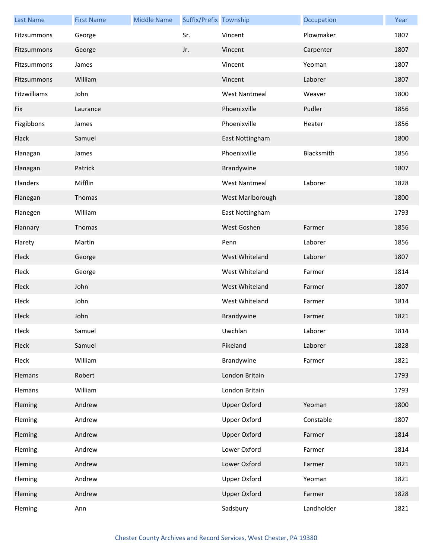| <b>Last Name</b> | <b>First Name</b> | <b>Middle Name</b> | Suffix/Prefix Township |                      | Occupation | Year |
|------------------|-------------------|--------------------|------------------------|----------------------|------------|------|
| Fitzsummons      | George            |                    | Sr.                    | Vincent              | Plowmaker  | 1807 |
| Fitzsummons      | George            |                    | Jr.                    | Vincent              | Carpenter  | 1807 |
| Fitzsummons      | James             |                    |                        | Vincent              | Yeoman     | 1807 |
| Fitzsummons      | William           |                    |                        | Vincent              | Laborer    | 1807 |
| Fitzwilliams     | John              |                    |                        | <b>West Nantmeal</b> | Weaver     | 1800 |
| Fix              | Laurance          |                    |                        | Phoenixville         | Pudler     | 1856 |
| Fizgibbons       | James             |                    |                        | Phoenixville         | Heater     | 1856 |
| Flack            | Samuel            |                    |                        | East Nottingham      |            | 1800 |
| Flanagan         | James             |                    |                        | Phoenixville         | Blacksmith | 1856 |
| Flanagan         | Patrick           |                    |                        | Brandywine           |            | 1807 |
| Flanders         | Mifflin           |                    |                        | <b>West Nantmeal</b> | Laborer    | 1828 |
| Flanegan         | Thomas            |                    |                        | West Marlborough     |            | 1800 |
| Flanegen         | William           |                    |                        | East Nottingham      |            | 1793 |
| Flannary         | Thomas            |                    |                        | West Goshen          | Farmer     | 1856 |
| Flarety          | Martin            |                    |                        | Penn                 | Laborer    | 1856 |
| Fleck            | George            |                    |                        | West Whiteland       | Laborer    | 1807 |
| Fleck            | George            |                    |                        | West Whiteland       | Farmer     | 1814 |
| Fleck            | John              |                    |                        | West Whiteland       | Farmer     | 1807 |
| Fleck            | John              |                    |                        | West Whiteland       | Farmer     | 1814 |
| Fleck            | John              |                    |                        | Brandywine           | Farmer     | 1821 |
| Fleck            | Samuel            |                    |                        | Uwchlan              | Laborer    | 1814 |
| Fleck            | Samuel            |                    |                        | Pikeland             | Laborer    | 1828 |
| Fleck            | William           |                    |                        | Brandywine           | Farmer     | 1821 |
| Flemans          | Robert            |                    |                        | London Britain       |            | 1793 |
| Flemans          | William           |                    |                        | London Britain       |            | 1793 |
| Fleming          | Andrew            |                    |                        | <b>Upper Oxford</b>  | Yeoman     | 1800 |
| Fleming          | Andrew            |                    |                        | <b>Upper Oxford</b>  | Constable  | 1807 |
| Fleming          | Andrew            |                    |                        | <b>Upper Oxford</b>  | Farmer     | 1814 |
| Fleming          | Andrew            |                    |                        | Lower Oxford         | Farmer     | 1814 |
| Fleming          | Andrew            |                    |                        | Lower Oxford         | Farmer     | 1821 |
| Fleming          | Andrew            |                    |                        | <b>Upper Oxford</b>  | Yeoman     | 1821 |
| Fleming          | Andrew            |                    |                        | <b>Upper Oxford</b>  | Farmer     | 1828 |
| Fleming          | Ann               |                    |                        | Sadsbury             | Landholder | 1821 |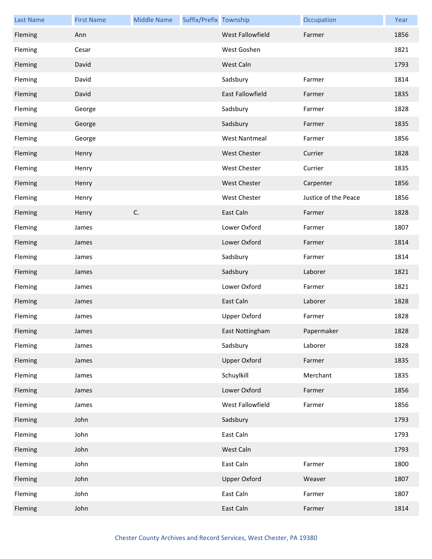| <b>Last Name</b> | <b>First Name</b> | <b>Middle Name</b> | Suffix/Prefix Township |                      | Occupation           | Year |
|------------------|-------------------|--------------------|------------------------|----------------------|----------------------|------|
| Fleming          | Ann               |                    |                        | West Fallowfield     | Farmer               | 1856 |
| Fleming          | Cesar             |                    |                        | West Goshen          |                      | 1821 |
| Fleming          | David             |                    |                        | West Caln            |                      | 1793 |
| Fleming          | David             |                    |                        | Sadsbury             | Farmer               | 1814 |
| Fleming          | David             |                    |                        | East Fallowfield     | Farmer               | 1835 |
| Fleming          | George            |                    |                        | Sadsbury             | Farmer               | 1828 |
| Fleming          | George            |                    |                        | Sadsbury             | Farmer               | 1835 |
| Fleming          | George            |                    |                        | <b>West Nantmeal</b> | Farmer               | 1856 |
| Fleming          | Henry             |                    |                        | <b>West Chester</b>  | Currier              | 1828 |
| Fleming          | Henry             |                    |                        | <b>West Chester</b>  | Currier              | 1835 |
| Fleming          | Henry             |                    |                        | <b>West Chester</b>  | Carpenter            | 1856 |
| Fleming          | Henry             |                    |                        | <b>West Chester</b>  | Justice of the Peace | 1856 |
| Fleming          | Henry             | C.                 |                        | East Caln            | Farmer               | 1828 |
| Fleming          | James             |                    |                        | Lower Oxford         | Farmer               | 1807 |
| Fleming          | James             |                    |                        | Lower Oxford         | Farmer               | 1814 |
| Fleming          | James             |                    |                        | Sadsbury             | Farmer               | 1814 |
| Fleming          | James             |                    |                        | Sadsbury             | Laborer              | 1821 |
| Fleming          | James             |                    |                        | Lower Oxford         | Farmer               | 1821 |
| Fleming          | James             |                    |                        | East Caln            | Laborer              | 1828 |
| Fleming          | James             |                    |                        | <b>Upper Oxford</b>  | Farmer               | 1828 |
| Fleming          | James             |                    |                        | East Nottingham      | Papermaker           | 1828 |
| Fleming          | James             |                    |                        | Sadsbury             | Laborer              | 1828 |
| Fleming          | James             |                    |                        | <b>Upper Oxford</b>  | Farmer               | 1835 |
| Fleming          | James             |                    |                        | Schuylkill           | Merchant             | 1835 |
| Fleming          | James             |                    |                        | Lower Oxford         | Farmer               | 1856 |
| Fleming          | James             |                    |                        | West Fallowfield     | Farmer               | 1856 |
| Fleming          | John              |                    |                        | Sadsbury             |                      | 1793 |
| Fleming          | John              |                    |                        | East Caln            |                      | 1793 |
| Fleming          | John              |                    |                        | West Caln            |                      | 1793 |
| Fleming          | John              |                    |                        | East Caln            | Farmer               | 1800 |
| Fleming          | John              |                    |                        | <b>Upper Oxford</b>  | Weaver               | 1807 |
| Fleming          | John              |                    |                        | East Caln            | Farmer               | 1807 |
| Fleming          | John              |                    |                        | East Caln            | Farmer               | 1814 |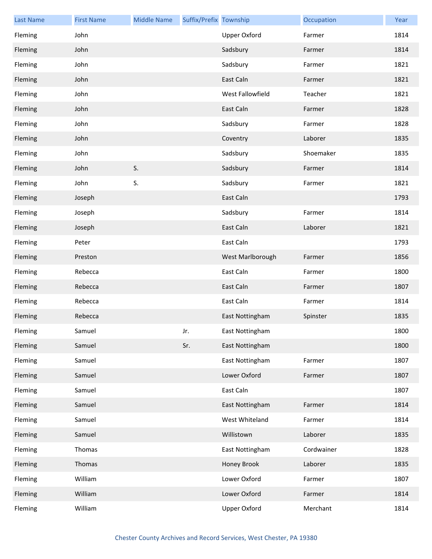| <b>Last Name</b> | <b>First Name</b> | <b>Middle Name</b> | Suffix/Prefix Township |                     | Occupation | Year |
|------------------|-------------------|--------------------|------------------------|---------------------|------------|------|
| Fleming          | John              |                    |                        | <b>Upper Oxford</b> | Farmer     | 1814 |
| Fleming          | John              |                    |                        | Sadsbury            | Farmer     | 1814 |
| Fleming          | John              |                    |                        | Sadsbury            | Farmer     | 1821 |
| Fleming          | John              |                    |                        | East Caln           | Farmer     | 1821 |
| Fleming          | John              |                    |                        | West Fallowfield    | Teacher    | 1821 |
| Fleming          | John              |                    |                        | East Caln           | Farmer     | 1828 |
| Fleming          | John              |                    |                        | Sadsbury            | Farmer     | 1828 |
| Fleming          | John              |                    |                        | Coventry            | Laborer    | 1835 |
| Fleming          | John              |                    |                        | Sadsbury            | Shoemaker  | 1835 |
| Fleming          | John              | S.                 |                        | Sadsbury            | Farmer     | 1814 |
| Fleming          | John              | S.                 |                        | Sadsbury            | Farmer     | 1821 |
| Fleming          | Joseph            |                    |                        | East Caln           |            | 1793 |
| Fleming          | Joseph            |                    |                        | Sadsbury            | Farmer     | 1814 |
| Fleming          | Joseph            |                    |                        | East Caln           | Laborer    | 1821 |
| Fleming          | Peter             |                    |                        | East Caln           |            | 1793 |
| Fleming          | Preston           |                    |                        | West Marlborough    | Farmer     | 1856 |
| Fleming          | Rebecca           |                    |                        | East Caln           | Farmer     | 1800 |
| Fleming          | Rebecca           |                    |                        | East Caln           | Farmer     | 1807 |
| Fleming          | Rebecca           |                    |                        | East Caln           | Farmer     | 1814 |
| Fleming          | Rebecca           |                    |                        | East Nottingham     | Spinster   | 1835 |
| Fleming          | Samuel            |                    | Jr.                    | East Nottingham     |            | 1800 |
| Fleming          | Samuel            |                    | Sr.                    | East Nottingham     |            | 1800 |
| Fleming          | Samuel            |                    |                        | East Nottingham     | Farmer     | 1807 |
| Fleming          | Samuel            |                    |                        | Lower Oxford        | Farmer     | 1807 |
| Fleming          | Samuel            |                    |                        | East Caln           |            | 1807 |
| Fleming          | Samuel            |                    |                        | East Nottingham     | Farmer     | 1814 |
| Fleming          | Samuel            |                    |                        | West Whiteland      | Farmer     | 1814 |
| Fleming          | Samuel            |                    |                        | Willistown          | Laborer    | 1835 |
| Fleming          | Thomas            |                    |                        | East Nottingham     | Cordwainer | 1828 |
| Fleming          | Thomas            |                    |                        | Honey Brook         | Laborer    | 1835 |
| Fleming          | William           |                    |                        | Lower Oxford        | Farmer     | 1807 |
| Fleming          | William           |                    |                        | Lower Oxford        | Farmer     | 1814 |
| Fleming          | William           |                    |                        | Upper Oxford        | Merchant   | 1814 |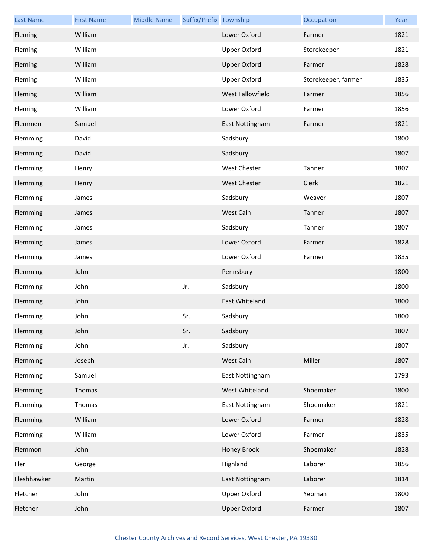| <b>Last Name</b> | <b>First Name</b> | <b>Middle Name</b> | Suffix/Prefix Township |                     | Occupation          | Year |
|------------------|-------------------|--------------------|------------------------|---------------------|---------------------|------|
| Fleming          | William           |                    |                        | Lower Oxford        | Farmer              | 1821 |
| Fleming          | William           |                    |                        | Upper Oxford        | Storekeeper         | 1821 |
| Fleming          | William           |                    |                        | <b>Upper Oxford</b> | Farmer              | 1828 |
| Fleming          | William           |                    |                        | Upper Oxford        | Storekeeper, farmer | 1835 |
| Fleming          | William           |                    |                        | West Fallowfield    | Farmer              | 1856 |
| Fleming          | William           |                    |                        | Lower Oxford        | Farmer              | 1856 |
| Flemmen          | Samuel            |                    |                        | East Nottingham     | Farmer              | 1821 |
| Flemming         | David             |                    |                        | Sadsbury            |                     | 1800 |
| Flemming         | David             |                    |                        | Sadsbury            |                     | 1807 |
| Flemming         | Henry             |                    |                        | <b>West Chester</b> | Tanner              | 1807 |
| Flemming         | Henry             |                    |                        | <b>West Chester</b> | Clerk               | 1821 |
| Flemming         | James             |                    |                        | Sadsbury            | Weaver              | 1807 |
| Flemming         | James             |                    |                        | West Caln           | Tanner              | 1807 |
| Flemming         | James             |                    |                        | Sadsbury            | Tanner              | 1807 |
| Flemming         | James             |                    |                        | Lower Oxford        | Farmer              | 1828 |
| Flemming         | James             |                    |                        | Lower Oxford        | Farmer              | 1835 |
| Flemming         | John              |                    |                        | Pennsbury           |                     | 1800 |
| Flemming         | John              |                    | Jr.                    | Sadsbury            |                     | 1800 |
| Flemming         | John              |                    |                        | East Whiteland      |                     | 1800 |
| Flemming         | John              |                    | Sr.                    | Sadsbury            |                     | 1800 |
| Flemming         | John              |                    | Sr.                    | Sadsbury            |                     | 1807 |
| Flemming         | John              |                    | Jr.                    | Sadsbury            |                     | 1807 |
| Flemming         | Joseph            |                    |                        | West Caln           | Miller              | 1807 |
| Flemming         | Samuel            |                    |                        | East Nottingham     |                     | 1793 |
| Flemming         | Thomas            |                    |                        | West Whiteland      | Shoemaker           | 1800 |
| Flemming         | Thomas            |                    |                        | East Nottingham     | Shoemaker           | 1821 |
| Flemming         | William           |                    |                        | Lower Oxford        | Farmer              | 1828 |
| Flemming         | William           |                    |                        | Lower Oxford        | Farmer              | 1835 |
| Flemmon          | John              |                    |                        | Honey Brook         | Shoemaker           | 1828 |
| Fler             | George            |                    |                        | Highland            | Laborer             | 1856 |
| Fleshhawker      | Martin            |                    |                        | East Nottingham     | Laborer             | 1814 |
| Fletcher         | John              |                    |                        | Upper Oxford        | Yeoman              | 1800 |
| Fletcher         | John              |                    |                        | <b>Upper Oxford</b> | Farmer              | 1807 |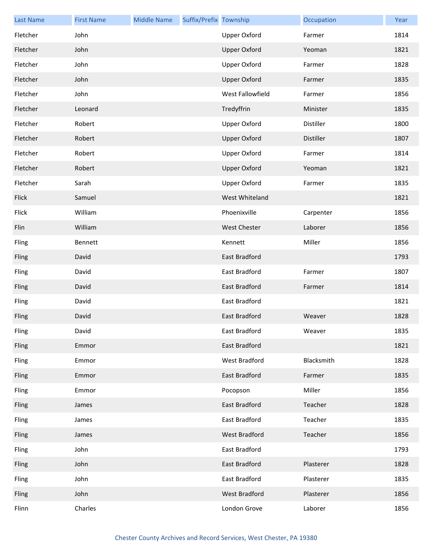| <b>Last Name</b> | <b>First Name</b> | <b>Middle Name</b> | Suffix/Prefix Township |                      | Occupation | Year |
|------------------|-------------------|--------------------|------------------------|----------------------|------------|------|
| Fletcher         | John              |                    |                        | Upper Oxford         | Farmer     | 1814 |
| Fletcher         | John              |                    |                        | <b>Upper Oxford</b>  | Yeoman     | 1821 |
| Fletcher         | John              |                    |                        | <b>Upper Oxford</b>  | Farmer     | 1828 |
| Fletcher         | John              |                    |                        | <b>Upper Oxford</b>  | Farmer     | 1835 |
| Fletcher         | John              |                    |                        | West Fallowfield     | Farmer     | 1856 |
| Fletcher         | Leonard           |                    |                        | Tredyffrin           | Minister   | 1835 |
| Fletcher         | Robert            |                    |                        | <b>Upper Oxford</b>  | Distiller  | 1800 |
| Fletcher         | Robert            |                    |                        | <b>Upper Oxford</b>  | Distiller  | 1807 |
| Fletcher         | Robert            |                    |                        | <b>Upper Oxford</b>  | Farmer     | 1814 |
| Fletcher         | Robert            |                    |                        | <b>Upper Oxford</b>  | Yeoman     | 1821 |
| Fletcher         | Sarah             |                    |                        | <b>Upper Oxford</b>  | Farmer     | 1835 |
| Flick            | Samuel            |                    |                        | West Whiteland       |            | 1821 |
| Flick            | William           |                    |                        | Phoenixville         | Carpenter  | 1856 |
| Flin             | William           |                    |                        | <b>West Chester</b>  | Laborer    | 1856 |
| Fling            | Bennett           |                    |                        | Kennett              | Miller     | 1856 |
| Fling            | David             |                    |                        | East Bradford        |            | 1793 |
| Fling            | David             |                    |                        | East Bradford        | Farmer     | 1807 |
| Fling            | David             |                    |                        | East Bradford        | Farmer     | 1814 |
| Fling            | David             |                    |                        | East Bradford        |            | 1821 |
| Fling            | David             |                    |                        | <b>East Bradford</b> | Weaver     | 1828 |
| Fling            | David             |                    |                        | East Bradford        | Weaver     | 1835 |
| Fling            | Emmor             |                    |                        | East Bradford        |            | 1821 |
| Fling            | Emmor             |                    |                        | West Bradford        | Blacksmith | 1828 |
| Fling            | Emmor             |                    |                        | East Bradford        | Farmer     | 1835 |
| Fling            | Emmor             |                    |                        | Pocopson             | Miller     | 1856 |
| Fling            | James             |                    |                        | East Bradford        | Teacher    | 1828 |
| Fling            | James             |                    |                        | East Bradford        | Teacher    | 1835 |
| Fling            | James             |                    |                        | West Bradford        | Teacher    | 1856 |
| Fling            | John              |                    |                        | East Bradford        |            | 1793 |
| Fling            | John              |                    |                        | East Bradford        | Plasterer  | 1828 |
| Fling            | John              |                    |                        | East Bradford        | Plasterer  | 1835 |
| Fling            | John              |                    |                        | West Bradford        | Plasterer  | 1856 |
| Flinn            | Charles           |                    |                        | London Grove         | Laborer    | 1856 |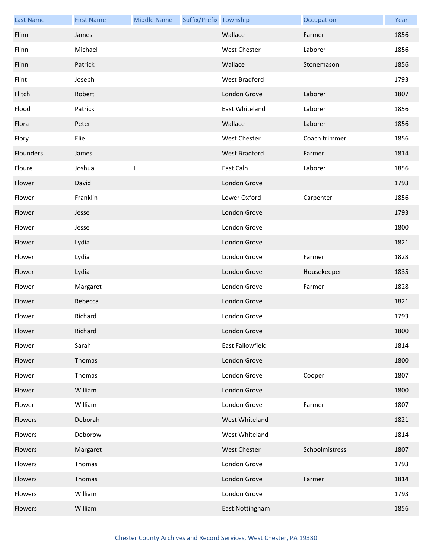| <b>Last Name</b> | <b>First Name</b> | <b>Middle Name</b>        | Suffix/Prefix Township |                     | Occupation     | Year |
|------------------|-------------------|---------------------------|------------------------|---------------------|----------------|------|
| Flinn            | James             |                           |                        | Wallace             | Farmer         | 1856 |
| Flinn            | Michael           |                           |                        | West Chester        | Laborer        | 1856 |
| Flinn            | Patrick           |                           |                        | Wallace             | Stonemason     | 1856 |
| Flint            | Joseph            |                           |                        | West Bradford       |                | 1793 |
| Flitch           | Robert            |                           |                        | London Grove        | Laborer        | 1807 |
| Flood            | Patrick           |                           |                        | East Whiteland      | Laborer        | 1856 |
| Flora            | Peter             |                           |                        | Wallace             | Laborer        | 1856 |
| Flory            | Elie              |                           |                        | <b>West Chester</b> | Coach trimmer  | 1856 |
| Flounders        | James             |                           |                        | West Bradford       | Farmer         | 1814 |
| Floure           | Joshua            | $\boldsymbol{\mathsf{H}}$ |                        | East Caln           | Laborer        | 1856 |
| Flower           | David             |                           |                        | London Grove        |                | 1793 |
| Flower           | Franklin          |                           |                        | Lower Oxford        | Carpenter      | 1856 |
| Flower           | Jesse             |                           |                        | London Grove        |                | 1793 |
| Flower           | Jesse             |                           |                        | London Grove        |                | 1800 |
| Flower           | Lydia             |                           |                        | London Grove        |                | 1821 |
| Flower           | Lydia             |                           |                        | London Grove        | Farmer         | 1828 |
| Flower           | Lydia             |                           |                        | London Grove        | Housekeeper    | 1835 |
| Flower           | Margaret          |                           |                        | London Grove        | Farmer         | 1828 |
| Flower           | Rebecca           |                           |                        | London Grove        |                | 1821 |
| Flower           | Richard           |                           |                        | London Grove        |                | 1793 |
| Flower           | Richard           |                           |                        | London Grove        |                | 1800 |
| Flower           | Sarah             |                           |                        | East Fallowfield    |                | 1814 |
| Flower           | Thomas            |                           |                        | London Grove        |                | 1800 |
| Flower           | Thomas            |                           |                        | London Grove        | Cooper         | 1807 |
| Flower           | William           |                           |                        | London Grove        |                | 1800 |
| Flower           | William           |                           |                        | London Grove        | Farmer         | 1807 |
| Flowers          | Deborah           |                           |                        | West Whiteland      |                | 1821 |
| Flowers          | Deborow           |                           |                        | West Whiteland      |                | 1814 |
| Flowers          | Margaret          |                           |                        | <b>West Chester</b> | Schoolmistress | 1807 |
| Flowers          | Thomas            |                           |                        | London Grove        |                | 1793 |
| Flowers          | Thomas            |                           |                        | London Grove        | Farmer         | 1814 |
| Flowers          | William           |                           |                        | London Grove        |                | 1793 |
| Flowers          | William           |                           |                        | East Nottingham     |                | 1856 |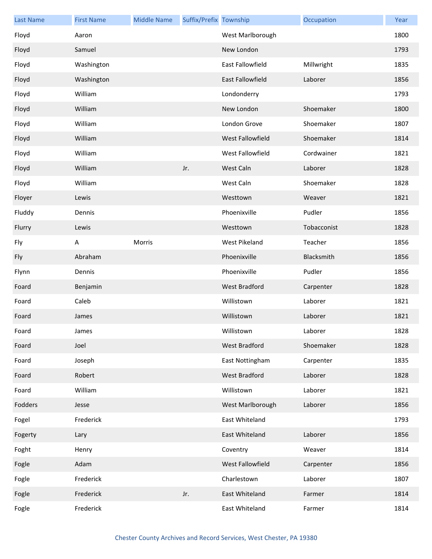| <b>Last Name</b> | <b>First Name</b> | <b>Middle Name</b> | Suffix/Prefix Township |                  | Occupation  | Year |
|------------------|-------------------|--------------------|------------------------|------------------|-------------|------|
| Floyd            | Aaron             |                    |                        | West Marlborough |             | 1800 |
| Floyd            | Samuel            |                    |                        | New London       |             | 1793 |
| Floyd            | Washington        |                    |                        | East Fallowfield | Millwright  | 1835 |
| Floyd            | Washington        |                    |                        | East Fallowfield | Laborer     | 1856 |
| Floyd            | William           |                    |                        | Londonderry      |             | 1793 |
| Floyd            | William           |                    |                        | New London       | Shoemaker   | 1800 |
| Floyd            | William           |                    |                        | London Grove     | Shoemaker   | 1807 |
| Floyd            | William           |                    |                        | West Fallowfield | Shoemaker   | 1814 |
| Floyd            | William           |                    |                        | West Fallowfield | Cordwainer  | 1821 |
| Floyd            | William           |                    | Jr.                    | West Caln        | Laborer     | 1828 |
| Floyd            | William           |                    |                        | West Caln        | Shoemaker   | 1828 |
| Floyer           | Lewis             |                    |                        | Westtown         | Weaver      | 1821 |
| Fluddy           | Dennis            |                    |                        | Phoenixville     | Pudler      | 1856 |
| Flurry           | Lewis             |                    |                        | Westtown         | Tobacconist | 1828 |
| Fly              | A                 | Morris             |                        | West Pikeland    | Teacher     | 1856 |
| Fly              | Abraham           |                    |                        | Phoenixville     | Blacksmith  | 1856 |
| Flynn            | Dennis            |                    |                        | Phoenixville     | Pudler      | 1856 |
| Foard            | Benjamin          |                    |                        | West Bradford    | Carpenter   | 1828 |
| Foard            | Caleb             |                    |                        | Willistown       | Laborer     | 1821 |
| Foard            | James             |                    |                        | Willistown       | Laborer     | 1821 |
| Foard            | James             |                    |                        | Willistown       | Laborer     | 1828 |
| Foard            | Joel              |                    |                        | West Bradford    | Shoemaker   | 1828 |
| Foard            | Joseph            |                    |                        | East Nottingham  | Carpenter   | 1835 |
| Foard            | Robert            |                    |                        | West Bradford    | Laborer     | 1828 |
| Foard            | William           |                    |                        | Willistown       | Laborer     | 1821 |
| Fodders          | Jesse             |                    |                        | West Marlborough | Laborer     | 1856 |
| Fogel            | Frederick         |                    |                        | East Whiteland   |             | 1793 |
| Fogerty          | Lary              |                    |                        | East Whiteland   | Laborer     | 1856 |
| Foght            | Henry             |                    |                        | Coventry         | Weaver      | 1814 |
| Fogle            | Adam              |                    |                        | West Fallowfield | Carpenter   | 1856 |
| Fogle            | Frederick         |                    |                        | Charlestown      | Laborer     | 1807 |
| Fogle            | Frederick         |                    | Jr.                    | East Whiteland   | Farmer      | 1814 |
| Fogle            | Frederick         |                    |                        | East Whiteland   | Farmer      | 1814 |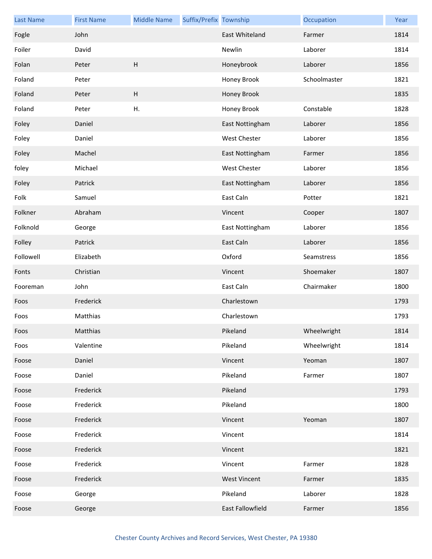| <b>Last Name</b> | <b>First Name</b> | <b>Middle Name</b>        | Suffix/Prefix Township |                     | Occupation   | Year |
|------------------|-------------------|---------------------------|------------------------|---------------------|--------------|------|
| Fogle            | John              |                           |                        | East Whiteland      | Farmer       | 1814 |
| Foiler           | David             |                           |                        | Newlin              | Laborer      | 1814 |
| Folan            | Peter             | $\boldsymbol{\mathsf{H}}$ |                        | Honeybrook          | Laborer      | 1856 |
| Foland           | Peter             |                           |                        | Honey Brook         | Schoolmaster | 1821 |
| Foland           | Peter             | $\boldsymbol{\mathsf{H}}$ |                        | Honey Brook         |              | 1835 |
| Foland           | Peter             | Η.                        |                        | Honey Brook         | Constable    | 1828 |
| Foley            | Daniel            |                           |                        | East Nottingham     | Laborer      | 1856 |
| Foley            | Daniel            |                           |                        | West Chester        | Laborer      | 1856 |
| Foley            | Machel            |                           |                        | East Nottingham     | Farmer       | 1856 |
| foley            | Michael           |                           |                        | <b>West Chester</b> | Laborer      | 1856 |
| Foley            | Patrick           |                           |                        | East Nottingham     | Laborer      | 1856 |
| Folk             | Samuel            |                           |                        | East Caln           | Potter       | 1821 |
| Folkner          | Abraham           |                           |                        | Vincent             | Cooper       | 1807 |
| Folknold         | George            |                           |                        | East Nottingham     | Laborer      | 1856 |
| Folley           | Patrick           |                           |                        | East Caln           | Laborer      | 1856 |
| Followell        | Elizabeth         |                           |                        | Oxford              | Seamstress   | 1856 |
| Fonts            | Christian         |                           |                        | Vincent             | Shoemaker    | 1807 |
| Fooreman         | John              |                           |                        | East Caln           | Chairmaker   | 1800 |
| Foos             | Frederick         |                           |                        | Charlestown         |              | 1793 |
| Foos             | Matthias          |                           |                        | Charlestown         |              | 1793 |
| Foos             | Matthias          |                           |                        | Pikeland            | Wheelwright  | 1814 |
| Foos             | Valentine         |                           |                        | Pikeland            | Wheelwright  | 1814 |
| Foose            | Daniel            |                           |                        | Vincent             | Yeoman       | 1807 |
| Foose            | Daniel            |                           |                        | Pikeland            | Farmer       | 1807 |
| Foose            | Frederick         |                           |                        | Pikeland            |              | 1793 |
| Foose            | Frederick         |                           |                        | Pikeland            |              | 1800 |
| Foose            | Frederick         |                           |                        | Vincent             | Yeoman       | 1807 |
| Foose            | Frederick         |                           |                        | Vincent             |              | 1814 |
| Foose            | Frederick         |                           |                        | Vincent             |              | 1821 |
| Foose            | Frederick         |                           |                        | Vincent             | Farmer       | 1828 |
| Foose            | Frederick         |                           |                        | <b>West Vincent</b> | Farmer       | 1835 |
| Foose            | George            |                           |                        | Pikeland            | Laborer      | 1828 |
| Foose            | George            |                           |                        | East Fallowfield    | Farmer       | 1856 |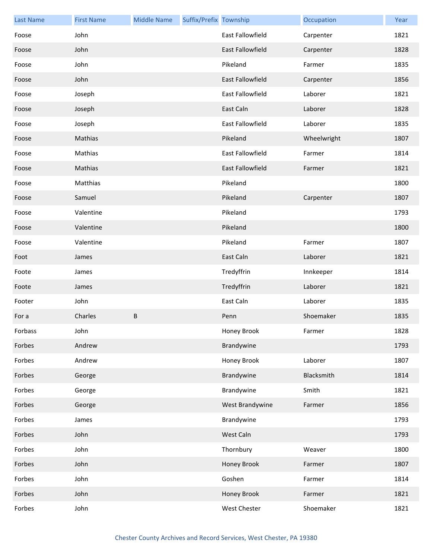| <b>Last Name</b> | <b>First Name</b> | <b>Middle Name</b> | Suffix/Prefix Township |                         | Occupation  | Year |
|------------------|-------------------|--------------------|------------------------|-------------------------|-------------|------|
| Foose            | John              |                    |                        | <b>East Fallowfield</b> | Carpenter   | 1821 |
| Foose            | John              |                    |                        | <b>East Fallowfield</b> | Carpenter   | 1828 |
| Foose            | John              |                    |                        | Pikeland                | Farmer      | 1835 |
| Foose            | John              |                    |                        | East Fallowfield        | Carpenter   | 1856 |
| Foose            | Joseph            |                    |                        | East Fallowfield        | Laborer     | 1821 |
| Foose            | Joseph            |                    |                        | East Caln               | Laborer     | 1828 |
| Foose            | Joseph            |                    |                        | East Fallowfield        | Laborer     | 1835 |
| Foose            | Mathias           |                    |                        | Pikeland                | Wheelwright | 1807 |
| Foose            | Mathias           |                    |                        | East Fallowfield        | Farmer      | 1814 |
| Foose            | Mathias           |                    |                        | East Fallowfield        | Farmer      | 1821 |
| Foose            | Matthias          |                    |                        | Pikeland                |             | 1800 |
| Foose            | Samuel            |                    |                        | Pikeland                | Carpenter   | 1807 |
| Foose            | Valentine         |                    |                        | Pikeland                |             | 1793 |
| Foose            | Valentine         |                    |                        | Pikeland                |             | 1800 |
| Foose            | Valentine         |                    |                        | Pikeland                | Farmer      | 1807 |
| Foot             | James             |                    |                        | East Caln               | Laborer     | 1821 |
| Foote            | James             |                    |                        | Tredyffrin              | Innkeeper   | 1814 |
| Foote            | James             |                    |                        | Tredyffrin              | Laborer     | 1821 |
| Footer           | John              |                    |                        | East Caln               | Laborer     | 1835 |
| For a            | Charles           | $\sf B$            |                        | Penn                    | Shoemaker   | 1835 |
| Forbass          | John              |                    |                        | Honey Brook             | Farmer      | 1828 |
| Forbes           | Andrew            |                    |                        | Brandywine              |             | 1793 |
| Forbes           | Andrew            |                    |                        | Honey Brook             | Laborer     | 1807 |
| Forbes           | George            |                    |                        | Brandywine              | Blacksmith  | 1814 |
| Forbes           | George            |                    |                        | Brandywine              | Smith       | 1821 |
| Forbes           | George            |                    |                        | West Brandywine         | Farmer      | 1856 |
| Forbes           | James             |                    |                        | Brandywine              |             | 1793 |
| Forbes           | John              |                    |                        | West Caln               |             | 1793 |
| Forbes           | John              |                    |                        | Thornbury               | Weaver      | 1800 |
| Forbes           | John              |                    |                        | Honey Brook             | Farmer      | 1807 |
| Forbes           | John              |                    |                        | Goshen                  | Farmer      | 1814 |
| Forbes           | John              |                    |                        | Honey Brook             | Farmer      | 1821 |
| Forbes           | John              |                    |                        | West Chester            | Shoemaker   | 1821 |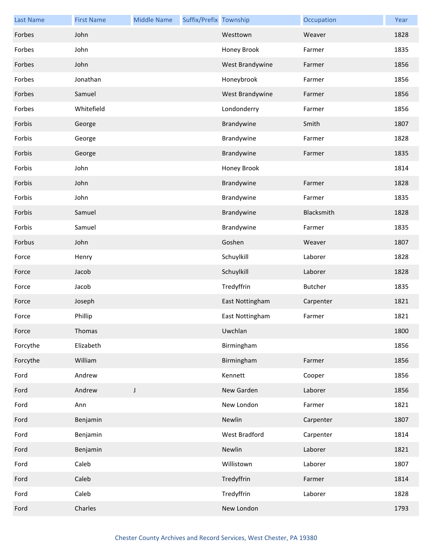| <b>Last Name</b> | <b>First Name</b> | <b>Middle Name</b> | Suffix/Prefix Township |                 | Occupation | Year |
|------------------|-------------------|--------------------|------------------------|-----------------|------------|------|
| Forbes           | John              |                    |                        | Westtown        | Weaver     | 1828 |
| Forbes           | John              |                    |                        | Honey Brook     | Farmer     | 1835 |
| Forbes           | John              |                    |                        | West Brandywine | Farmer     | 1856 |
| Forbes           | Jonathan          |                    |                        | Honeybrook      | Farmer     | 1856 |
| Forbes           | Samuel            |                    |                        | West Brandywine | Farmer     | 1856 |
| Forbes           | Whitefield        |                    |                        | Londonderry     | Farmer     | 1856 |
| Forbis           | George            |                    |                        | Brandywine      | Smith      | 1807 |
| Forbis           | George            |                    |                        | Brandywine      | Farmer     | 1828 |
| Forbis           | George            |                    |                        | Brandywine      | Farmer     | 1835 |
| Forbis           | John              |                    |                        | Honey Brook     |            | 1814 |
| Forbis           | John              |                    |                        | Brandywine      | Farmer     | 1828 |
| Forbis           | John              |                    |                        | Brandywine      | Farmer     | 1835 |
| Forbis           | Samuel            |                    |                        | Brandywine      | Blacksmith | 1828 |
| Forbis           | Samuel            |                    |                        | Brandywine      | Farmer     | 1835 |
| Forbus           | John              |                    |                        | Goshen          | Weaver     | 1807 |
| Force            | Henry             |                    |                        | Schuylkill      | Laborer    | 1828 |
| Force            | Jacob             |                    |                        | Schuylkill      | Laborer    | 1828 |
| Force            | Jacob             |                    |                        | Tredyffrin      | Butcher    | 1835 |
| Force            | Joseph            |                    |                        | East Nottingham | Carpenter  | 1821 |
| Force            | Phillip           |                    |                        | East Nottingham | Farmer     | 1821 |
| Force            | Thomas            |                    |                        | Uwchlan         |            | 1800 |
| Forcythe         | Elizabeth         |                    |                        | Birmingham      |            | 1856 |
| Forcythe         | William           |                    |                        | Birmingham      | Farmer     | 1856 |
| Ford             | Andrew            |                    |                        | Kennett         | Cooper     | 1856 |
| Ford             | Andrew            | $\mathsf J$        |                        | New Garden      | Laborer    | 1856 |
| Ford             | Ann               |                    |                        | New London      | Farmer     | 1821 |
| Ford             | Benjamin          |                    |                        | Newlin          | Carpenter  | 1807 |
| Ford             | Benjamin          |                    |                        | West Bradford   | Carpenter  | 1814 |
| Ford             | Benjamin          |                    |                        | Newlin          | Laborer    | 1821 |
| Ford             | Caleb             |                    |                        | Willistown      | Laborer    | 1807 |
| Ford             | Caleb             |                    |                        | Tredyffrin      | Farmer     | 1814 |
| Ford             | Caleb             |                    |                        | Tredyffrin      | Laborer    | 1828 |
| Ford             | Charles           |                    |                        | New London      |            | 1793 |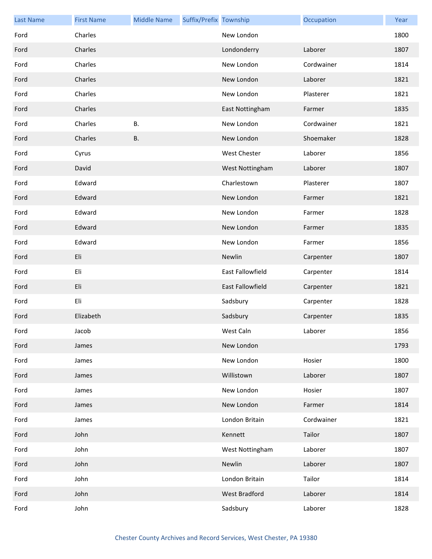| <b>Last Name</b> | <b>First Name</b> | <b>Middle Name</b> | Suffix/Prefix Township |                     | Occupation | Year |
|------------------|-------------------|--------------------|------------------------|---------------------|------------|------|
| Ford             | Charles           |                    |                        | New London          |            | 1800 |
| Ford             | Charles           |                    |                        | Londonderry         | Laborer    | 1807 |
| Ford             | Charles           |                    |                        | New London          | Cordwainer | 1814 |
| Ford             | Charles           |                    |                        | New London          | Laborer    | 1821 |
| Ford             | Charles           |                    |                        | New London          | Plasterer  | 1821 |
| Ford             | Charles           |                    |                        | East Nottingham     | Farmer     | 1835 |
| Ford             | Charles           | <b>B.</b>          |                        | New London          | Cordwainer | 1821 |
| Ford             | Charles           | <b>B.</b>          |                        | New London          | Shoemaker  | 1828 |
| Ford             | Cyrus             |                    |                        | <b>West Chester</b> | Laborer    | 1856 |
| Ford             | David             |                    |                        | West Nottingham     | Laborer    | 1807 |
| Ford             | Edward            |                    |                        | Charlestown         | Plasterer  | 1807 |
| Ford             | Edward            |                    |                        | New London          | Farmer     | 1821 |
| Ford             | Edward            |                    |                        | New London          | Farmer     | 1828 |
| Ford             | Edward            |                    |                        | New London          | Farmer     | 1835 |
| Ford             | Edward            |                    |                        | New London          | Farmer     | 1856 |
| Ford             | Eli               |                    |                        | Newlin              | Carpenter  | 1807 |
| Ford             | Eli               |                    |                        | East Fallowfield    | Carpenter  | 1814 |
| Ford             | Eli               |                    |                        | East Fallowfield    | Carpenter  | 1821 |
| Ford             | Eli               |                    |                        | Sadsbury            | Carpenter  | 1828 |
| Ford             | Elizabeth         |                    |                        | Sadsbury            | Carpenter  | 1835 |
| Ford             | Jacob             |                    |                        | West Caln           | Laborer    | 1856 |
| Ford             | James             |                    |                        | New London          |            | 1793 |
| Ford             | James             |                    |                        | New London          | Hosier     | 1800 |
| Ford             | James             |                    |                        | Willistown          | Laborer    | 1807 |
| Ford             | James             |                    |                        | New London          | Hosier     | 1807 |
| Ford             | James             |                    |                        | New London          | Farmer     | 1814 |
| Ford             | James             |                    |                        | London Britain      | Cordwainer | 1821 |
| Ford             | John              |                    |                        | Kennett             | Tailor     | 1807 |
| Ford             | John              |                    |                        | West Nottingham     | Laborer    | 1807 |
| Ford             | John              |                    |                        | Newlin              | Laborer    | 1807 |
| Ford             | John              |                    |                        | London Britain      | Tailor     | 1814 |
| Ford             | John              |                    |                        | West Bradford       | Laborer    | 1814 |
| Ford             | John              |                    |                        | Sadsbury            | Laborer    | 1828 |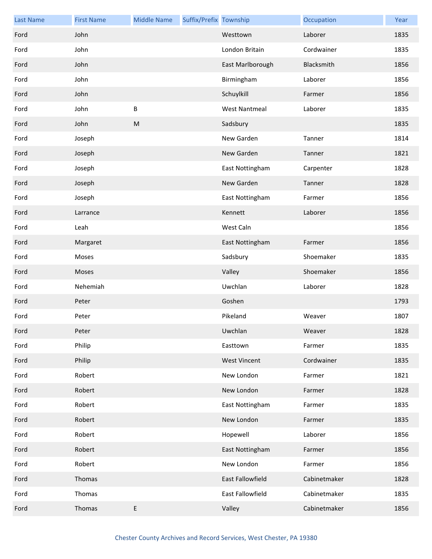| <b>Last Name</b> | <b>First Name</b> | <b>Middle Name</b> | Suffix/Prefix Township |                      | Occupation   | Year |
|------------------|-------------------|--------------------|------------------------|----------------------|--------------|------|
| Ford             | John              |                    |                        | Westtown             | Laborer      | 1835 |
| Ford             | John              |                    |                        | London Britain       | Cordwainer   | 1835 |
| Ford             | John              |                    |                        | East Marlborough     | Blacksmith   | 1856 |
| Ford             | John              |                    |                        | Birmingham           | Laborer      | 1856 |
| Ford             | John              |                    |                        | Schuylkill           | Farmer       | 1856 |
| Ford             | John              | B                  |                        | <b>West Nantmeal</b> | Laborer      | 1835 |
| Ford             | John              | ${\sf M}$          |                        | Sadsbury             |              | 1835 |
| Ford             | Joseph            |                    |                        | New Garden           | Tanner       | 1814 |
| Ford             | Joseph            |                    |                        | New Garden           | Tanner       | 1821 |
| Ford             | Joseph            |                    |                        | East Nottingham      | Carpenter    | 1828 |
| Ford             | Joseph            |                    |                        | New Garden           | Tanner       | 1828 |
| Ford             | Joseph            |                    |                        | East Nottingham      | Farmer       | 1856 |
| Ford             | Larrance          |                    |                        | Kennett              | Laborer      | 1856 |
| Ford             | Leah              |                    |                        | West Caln            |              | 1856 |
| Ford             | Margaret          |                    |                        | East Nottingham      | Farmer       | 1856 |
| Ford             | Moses             |                    |                        | Sadsbury             | Shoemaker    | 1835 |
| Ford             | Moses             |                    |                        | Valley               | Shoemaker    | 1856 |
| Ford             | Nehemiah          |                    |                        | Uwchlan              | Laborer      | 1828 |
| Ford             | Peter             |                    |                        | Goshen               |              | 1793 |
| Ford             | Peter             |                    |                        | Pikeland             | Weaver       | 1807 |
| Ford             | Peter             |                    |                        | Uwchlan              | Weaver       | 1828 |
| Ford             | Philip            |                    |                        | Easttown             | Farmer       | 1835 |
| Ford             | Philip            |                    |                        | <b>West Vincent</b>  | Cordwainer   | 1835 |
| Ford             | Robert            |                    |                        | New London           | Farmer       | 1821 |
| Ford             | Robert            |                    |                        | New London           | Farmer       | 1828 |
| Ford             | Robert            |                    |                        | East Nottingham      | Farmer       | 1835 |
| Ford             | Robert            |                    |                        | New London           | Farmer       | 1835 |
| Ford             | Robert            |                    |                        | Hopewell             | Laborer      | 1856 |
| Ford             | Robert            |                    |                        | East Nottingham      | Farmer       | 1856 |
| Ford             | Robert            |                    |                        | New London           | Farmer       | 1856 |
| Ford             | Thomas            |                    |                        | East Fallowfield     | Cabinetmaker | 1828 |
| Ford             | Thomas            |                    |                        | East Fallowfield     | Cabinetmaker | 1835 |
| Ford             | Thomas            | E                  |                        | Valley               | Cabinetmaker | 1856 |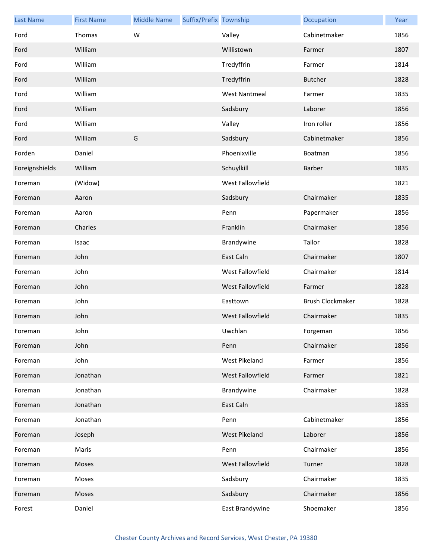| <b>Last Name</b> | <b>First Name</b> | <b>Middle Name</b> | Suffix/Prefix Township |                         | Occupation              | Year |
|------------------|-------------------|--------------------|------------------------|-------------------------|-------------------------|------|
| Ford             | Thomas            | W                  |                        | Valley                  | Cabinetmaker            | 1856 |
| Ford             | William           |                    |                        | Willistown              | Farmer                  | 1807 |
| Ford             | William           |                    |                        | Tredyffrin              | Farmer                  | 1814 |
| Ford             | William           |                    |                        | Tredyffrin              | <b>Butcher</b>          | 1828 |
| Ford             | William           |                    |                        | <b>West Nantmeal</b>    | Farmer                  | 1835 |
| Ford             | William           |                    |                        | Sadsbury                | Laborer                 | 1856 |
| Ford             | William           |                    |                        | Valley                  | Iron roller             | 1856 |
| Ford             | William           | G                  |                        | Sadsbury                | Cabinetmaker            | 1856 |
| Forden           | Daniel            |                    |                        | Phoenixville            | Boatman                 | 1856 |
| Foreignshields   | William           |                    |                        | Schuylkill              | Barber                  | 1835 |
| Foreman          | (Widow)           |                    |                        | West Fallowfield        |                         | 1821 |
| Foreman          | Aaron             |                    |                        | Sadsbury                | Chairmaker              | 1835 |
| Foreman          | Aaron             |                    |                        | Penn                    | Papermaker              | 1856 |
| Foreman          | Charles           |                    |                        | Franklin                | Chairmaker              | 1856 |
| Foreman          | Isaac             |                    |                        | Brandywine              | Tailor                  | 1828 |
| Foreman          | John              |                    |                        | East Caln               | Chairmaker              | 1807 |
| Foreman          | John              |                    |                        | West Fallowfield        | Chairmaker              | 1814 |
| Foreman          | John              |                    |                        | West Fallowfield        | Farmer                  | 1828 |
| Foreman          | John              |                    |                        | Easttown                | <b>Brush Clockmaker</b> | 1828 |
| Foreman          | John              |                    |                        | <b>West Fallowfield</b> | Chairmaker              | 1835 |
| Foreman          | John              |                    |                        | Uwchlan                 | Forgeman                | 1856 |
| Foreman          | John              |                    |                        | Penn                    | Chairmaker              | 1856 |
| Foreman          | John              |                    |                        | <b>West Pikeland</b>    | Farmer                  | 1856 |
| Foreman          | Jonathan          |                    |                        | West Fallowfield        | Farmer                  | 1821 |
| Foreman          | Jonathan          |                    |                        | Brandywine              | Chairmaker              | 1828 |
| Foreman          | Jonathan          |                    |                        | East Caln               |                         | 1835 |
| Foreman          | Jonathan          |                    |                        | Penn                    | Cabinetmaker            | 1856 |
| Foreman          | Joseph            |                    |                        | West Pikeland           | Laborer                 | 1856 |
| Foreman          | Maris             |                    |                        | Penn                    | Chairmaker              | 1856 |
| Foreman          | Moses             |                    |                        | West Fallowfield        | Turner                  | 1828 |
| Foreman          | Moses             |                    |                        | Sadsbury                | Chairmaker              | 1835 |
| Foreman          | Moses             |                    |                        | Sadsbury                | Chairmaker              | 1856 |
| Forest           | Daniel            |                    |                        | East Brandywine         | Shoemaker               | 1856 |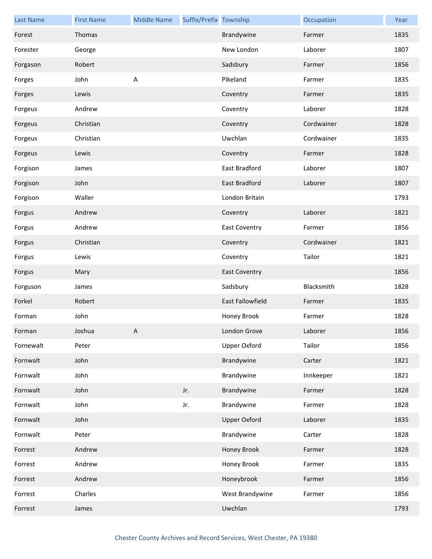| <b>Last Name</b> | <b>First Name</b> | <b>Middle Name</b>      | Suffix/Prefix Township |                         | Occupation | Year |
|------------------|-------------------|-------------------------|------------------------|-------------------------|------------|------|
| Forest           | Thomas            |                         |                        | Brandywine              | Farmer     | 1835 |
| Forester         | George            |                         |                        | New London              | Laborer    | 1807 |
| Forgason         | Robert            |                         |                        | Sadsbury                | Farmer     | 1856 |
| Forges           | John              | $\overline{\mathsf{A}}$ |                        | Pikeland                | Farmer     | 1835 |
| Forges           | Lewis             |                         |                        | Coventry                | Farmer     | 1835 |
| Forgeus          | Andrew            |                         |                        | Coventry                | Laborer    | 1828 |
| Forgeus          | Christian         |                         |                        | Coventry                | Cordwainer | 1828 |
| Forgeus          | Christian         |                         |                        | Uwchlan                 | Cordwainer | 1835 |
| Forgeus          | Lewis             |                         |                        | Coventry                | Farmer     | 1828 |
| Forgison         | James             |                         |                        | East Bradford           | Laborer    | 1807 |
| Forgison         | John              |                         |                        | East Bradford           | Laborer    | 1807 |
| Forgison         | Waller            |                         |                        | London Britain          |            | 1793 |
| Forgus           | Andrew            |                         |                        | Coventry                | Laborer    | 1821 |
| Forgus           | Andrew            |                         |                        | <b>East Coventry</b>    | Farmer     | 1856 |
| Forgus           | Christian         |                         |                        | Coventry                | Cordwainer | 1821 |
| Forgus           | Lewis             |                         |                        | Coventry                | Tailor     | 1821 |
| Forgus           | Mary              |                         |                        | <b>East Coventry</b>    |            | 1856 |
| Forguson         | James             |                         |                        | Sadsbury                | Blacksmith | 1828 |
| Forkel           | Robert            |                         |                        | <b>East Fallowfield</b> | Farmer     | 1835 |
| Forman           | John              |                         |                        | Honey Brook             | Farmer     | 1828 |
| Forman           | Joshua            | A                       |                        | London Grove            | Laborer    | 1856 |
| Fornewalt        | Peter             |                         |                        | Upper Oxford            | Tailor     | 1856 |
| Fornwalt         | John              |                         |                        | Brandywine              | Carter     | 1821 |
| Fornwalt         | John              |                         |                        | Brandywine              | Innkeeper  | 1821 |
| Fornwalt         | John              |                         | Jr.                    | Brandywine              | Farmer     | 1828 |
| Fornwalt         | John              |                         | Jr.                    | Brandywine              | Farmer     | 1828 |
| Fornwalt         | John              |                         |                        | <b>Upper Oxford</b>     | Laborer    | 1835 |
| Fornwalt         | Peter             |                         |                        | Brandywine              | Carter     | 1828 |
| Forrest          | Andrew            |                         |                        | Honey Brook             | Farmer     | 1828 |
| Forrest          | Andrew            |                         |                        | Honey Brook             | Farmer     | 1835 |
| Forrest          | Andrew            |                         |                        | Honeybrook              | Farmer     | 1856 |
| Forrest          | Charles           |                         |                        | West Brandywine         | Farmer     | 1856 |
| Forrest          | James             |                         |                        | Uwchlan                 |            | 1793 |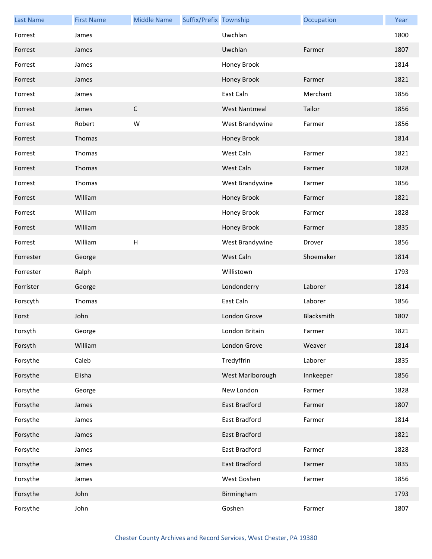| <b>Last Name</b> | <b>First Name</b> | <b>Middle Name</b>        | Suffix/Prefix Township |                      | Occupation | Year |
|------------------|-------------------|---------------------------|------------------------|----------------------|------------|------|
| Forrest          | James             |                           |                        | Uwchlan              |            | 1800 |
| Forrest          | James             |                           |                        | Uwchlan              | Farmer     | 1807 |
| Forrest          | James             |                           |                        | Honey Brook          |            | 1814 |
| Forrest          | James             |                           |                        | Honey Brook          | Farmer     | 1821 |
| Forrest          | James             |                           |                        | East Caln            | Merchant   | 1856 |
| Forrest          | James             | $\mathsf C$               |                        | <b>West Nantmeal</b> | Tailor     | 1856 |
| Forrest          | Robert            | W                         |                        | West Brandywine      | Farmer     | 1856 |
| Forrest          | Thomas            |                           |                        | Honey Brook          |            | 1814 |
| Forrest          | Thomas            |                           |                        | West Caln            | Farmer     | 1821 |
| Forrest          | Thomas            |                           |                        | West Caln            | Farmer     | 1828 |
| Forrest          | Thomas            |                           |                        | West Brandywine      | Farmer     | 1856 |
| Forrest          | William           |                           |                        | Honey Brook          | Farmer     | 1821 |
| Forrest          | William           |                           |                        | Honey Brook          | Farmer     | 1828 |
| Forrest          | William           |                           |                        | Honey Brook          | Farmer     | 1835 |
| Forrest          | William           | $\boldsymbol{\mathsf{H}}$ |                        | West Brandywine      | Drover     | 1856 |
| Forrester        | George            |                           |                        | West Caln            | Shoemaker  | 1814 |
| Forrester        | Ralph             |                           |                        | Willistown           |            | 1793 |
| Forrister        | George            |                           |                        | Londonderry          | Laborer    | 1814 |
| Forscyth         | Thomas            |                           |                        | East Caln            | Laborer    | 1856 |
| Forst            | John              |                           |                        | London Grove         | Blacksmith | 1807 |
| Forsyth          | George            |                           |                        | London Britain       | Farmer     | 1821 |
| Forsyth          | William           |                           |                        | London Grove         | Weaver     | 1814 |
| Forsythe         | Caleb             |                           |                        | Tredyffrin           | Laborer    | 1835 |
| Forsythe         | Elisha            |                           |                        | West Marlborough     | Innkeeper  | 1856 |
| Forsythe         | George            |                           |                        | New London           | Farmer     | 1828 |
| Forsythe         | James             |                           |                        | East Bradford        | Farmer     | 1807 |
| Forsythe         | James             |                           |                        | East Bradford        | Farmer     | 1814 |
| Forsythe         | James             |                           |                        | East Bradford        |            | 1821 |
| Forsythe         | James             |                           |                        | East Bradford        | Farmer     | 1828 |
| Forsythe         | James             |                           |                        | East Bradford        | Farmer     | 1835 |
| Forsythe         | James             |                           |                        | West Goshen          | Farmer     | 1856 |
| Forsythe         | John              |                           |                        | Birmingham           |            | 1793 |
| Forsythe         | John              |                           |                        | Goshen               | Farmer     | 1807 |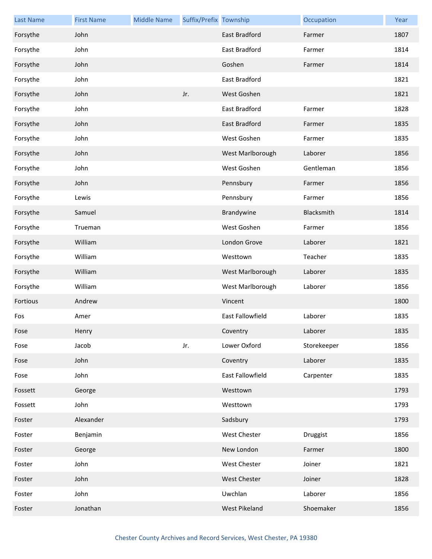| <b>Last Name</b> | <b>First Name</b> | <b>Middle Name</b> | Suffix/Prefix Township |                     | Occupation  | Year |
|------------------|-------------------|--------------------|------------------------|---------------------|-------------|------|
| Forsythe         | John              |                    |                        | East Bradford       | Farmer      | 1807 |
| Forsythe         | John              |                    |                        | East Bradford       | Farmer      | 1814 |
| Forsythe         | John              |                    |                        | Goshen              | Farmer      | 1814 |
| Forsythe         | John              |                    |                        | East Bradford       |             | 1821 |
| Forsythe         | John              |                    | Jr.                    | West Goshen         |             | 1821 |
| Forsythe         | John              |                    |                        | East Bradford       | Farmer      | 1828 |
| Forsythe         | John              |                    |                        | East Bradford       | Farmer      | 1835 |
| Forsythe         | John              |                    |                        | West Goshen         | Farmer      | 1835 |
| Forsythe         | John              |                    |                        | West Marlborough    | Laborer     | 1856 |
| Forsythe         | John              |                    |                        | West Goshen         | Gentleman   | 1856 |
| Forsythe         | John              |                    |                        | Pennsbury           | Farmer      | 1856 |
| Forsythe         | Lewis             |                    |                        | Pennsbury           | Farmer      | 1856 |
| Forsythe         | Samuel            |                    |                        | Brandywine          | Blacksmith  | 1814 |
| Forsythe         | Trueman           |                    |                        | West Goshen         | Farmer      | 1856 |
| Forsythe         | William           |                    |                        | London Grove        | Laborer     | 1821 |
| Forsythe         | William           |                    |                        | Westtown            | Teacher     | 1835 |
| Forsythe         | William           |                    |                        | West Marlborough    | Laborer     | 1835 |
| Forsythe         | William           |                    |                        | West Marlborough    | Laborer     | 1856 |
| Fortious         | Andrew            |                    |                        | Vincent             |             | 1800 |
| Fos              | Amer              |                    |                        | East Fallowfield    | Laborer     | 1835 |
| Fose             | Henry             |                    |                        | Coventry            | Laborer     | 1835 |
| Fose             | Jacob             |                    | Jr.                    | Lower Oxford        | Storekeeper | 1856 |
| Fose             | John              |                    |                        | Coventry            | Laborer     | 1835 |
| Fose             | John              |                    |                        | East Fallowfield    | Carpenter   | 1835 |
| Fossett          | George            |                    |                        | Westtown            |             | 1793 |
| Fossett          | John              |                    |                        | Westtown            |             | 1793 |
| Foster           | Alexander         |                    |                        | Sadsbury            |             | 1793 |
| Foster           | Benjamin          |                    |                        | West Chester        | Druggist    | 1856 |
| Foster           | George            |                    |                        | New London          | Farmer      | 1800 |
| Foster           | John              |                    |                        | West Chester        | Joiner      | 1821 |
| Foster           | John              |                    |                        | <b>West Chester</b> | Joiner      | 1828 |
| Foster           | John              |                    |                        | Uwchlan             | Laborer     | 1856 |
| Foster           | Jonathan          |                    |                        | West Pikeland       | Shoemaker   | 1856 |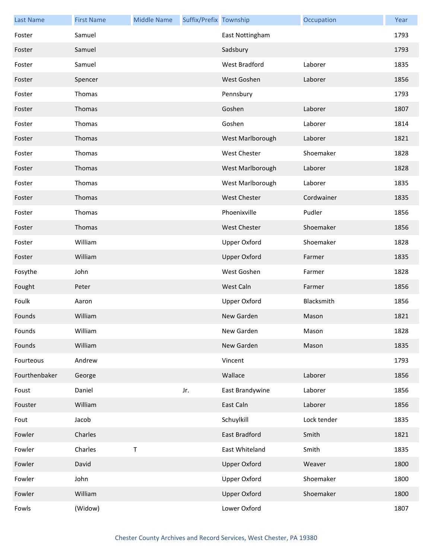| <b>Last Name</b> | <b>First Name</b> | <b>Middle Name</b> | Suffix/Prefix Township |                      | Occupation  | Year |
|------------------|-------------------|--------------------|------------------------|----------------------|-------------|------|
| Foster           | Samuel            |                    |                        | East Nottingham      |             | 1793 |
| Foster           | Samuel            |                    |                        | Sadsbury             |             | 1793 |
| Foster           | Samuel            |                    |                        | <b>West Bradford</b> | Laborer     | 1835 |
| Foster           | Spencer           |                    |                        | West Goshen          | Laborer     | 1856 |
| Foster           | Thomas            |                    |                        | Pennsbury            |             | 1793 |
| Foster           | Thomas            |                    |                        | Goshen               | Laborer     | 1807 |
| Foster           | Thomas            |                    |                        | Goshen               | Laborer     | 1814 |
| Foster           | Thomas            |                    |                        | West Marlborough     | Laborer     | 1821 |
| Foster           | Thomas            |                    |                        | West Chester         | Shoemaker   | 1828 |
| Foster           | Thomas            |                    |                        | West Marlborough     | Laborer     | 1828 |
| Foster           | Thomas            |                    |                        | West Marlborough     | Laborer     | 1835 |
| Foster           | Thomas            |                    |                        | <b>West Chester</b>  | Cordwainer  | 1835 |
| Foster           | Thomas            |                    |                        | Phoenixville         | Pudler      | 1856 |
| Foster           | Thomas            |                    |                        | West Chester         | Shoemaker   | 1856 |
| Foster           | William           |                    |                        | Upper Oxford         | Shoemaker   | 1828 |
| Foster           | William           |                    |                        | <b>Upper Oxford</b>  | Farmer      | 1835 |
| Fosythe          | John              |                    |                        | West Goshen          | Farmer      | 1828 |
| Fought           | Peter             |                    |                        | West Caln            | Farmer      | 1856 |
| Foulk            | Aaron             |                    |                        | Upper Oxford         | Blacksmith  | 1856 |
| Founds           | William           |                    |                        | New Garden           | Mason       | 1821 |
| Founds           | William           |                    |                        | New Garden           | Mason       | 1828 |
| Founds           | William           |                    |                        | New Garden           | Mason       | 1835 |
| Fourteous        | Andrew            |                    |                        | Vincent              |             | 1793 |
| Fourthenbaker    | George            |                    |                        | Wallace              | Laborer     | 1856 |
| Foust            | Daniel            |                    | Jr.                    | East Brandywine      | Laborer     | 1856 |
| Fouster          | William           |                    |                        | East Caln            | Laborer     | 1856 |
| Fout             | Jacob             |                    |                        | Schuylkill           | Lock tender | 1835 |
| Fowler           | Charles           |                    |                        | East Bradford        | Smith       | 1821 |
| Fowler           | Charles           | $\sf T$            |                        | East Whiteland       | Smith       | 1835 |
| Fowler           | David             |                    |                        | <b>Upper Oxford</b>  | Weaver      | 1800 |
| Fowler           | John              |                    |                        | <b>Upper Oxford</b>  | Shoemaker   | 1800 |
| Fowler           | William           |                    |                        | <b>Upper Oxford</b>  | Shoemaker   | 1800 |
| Fowls            | (Widow)           |                    |                        | Lower Oxford         |             | 1807 |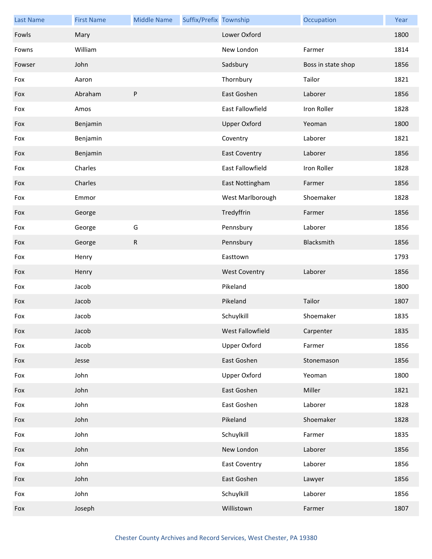| <b>Last Name</b> | <b>First Name</b> | <b>Middle Name</b> | Suffix/Prefix Township |                         | Occupation         | Year |
|------------------|-------------------|--------------------|------------------------|-------------------------|--------------------|------|
| Fowls            | Mary              |                    |                        | Lower Oxford            |                    | 1800 |
| Fowns            | William           |                    |                        | New London              | Farmer             | 1814 |
| Fowser           | John              |                    |                        | Sadsbury                | Boss in state shop | 1856 |
| Fox              | Aaron             |                    |                        | Thornbury               | Tailor             | 1821 |
| Fox              | Abraham           | ${\sf P}$          |                        | East Goshen             | Laborer            | 1856 |
| Fox              | Amos              |                    |                        | East Fallowfield        | Iron Roller        | 1828 |
| Fox              | Benjamin          |                    |                        | <b>Upper Oxford</b>     | Yeoman             | 1800 |
| Fox              | Benjamin          |                    |                        | Coventry                | Laborer            | 1821 |
| Fox              | Benjamin          |                    |                        | <b>East Coventry</b>    | Laborer            | 1856 |
| Fox              | Charles           |                    |                        | <b>East Fallowfield</b> | Iron Roller        | 1828 |
| Fox              | Charles           |                    |                        | East Nottingham         | Farmer             | 1856 |
| Fox              | Emmor             |                    |                        | West Marlborough        | Shoemaker          | 1828 |
| Fox              | George            |                    |                        | Tredyffrin              | Farmer             | 1856 |
| Fox              | George            | G                  |                        | Pennsbury               | Laborer            | 1856 |
| Fox              | George            | ${\sf R}$          |                        | Pennsbury               | Blacksmith         | 1856 |
| Fox              | Henry             |                    |                        | Easttown                |                    | 1793 |
| Fox              | Henry             |                    |                        | <b>West Coventry</b>    | Laborer            | 1856 |
| Fox              | Jacob             |                    |                        | Pikeland                |                    | 1800 |
| Fox              | Jacob             |                    |                        | Pikeland                | Tailor             | 1807 |
| Fox              | Jacob             |                    |                        | Schuylkill              | Shoemaker          | 1835 |
| Fox              | Jacob             |                    |                        | West Fallowfield        | Carpenter          | 1835 |
| Fox              | Jacob             |                    |                        | <b>Upper Oxford</b>     | Farmer             | 1856 |
| Fox              | Jesse             |                    |                        | East Goshen             | Stonemason         | 1856 |
| Fox              | John              |                    |                        | <b>Upper Oxford</b>     | Yeoman             | 1800 |
| Fox              | John              |                    |                        | East Goshen             | Miller             | 1821 |
| Fox              | John              |                    |                        | East Goshen             | Laborer            | 1828 |
| Fox              | John              |                    |                        | Pikeland                | Shoemaker          | 1828 |
| Fox              | John              |                    |                        | Schuylkill              | Farmer             | 1835 |
| Fox              | John              |                    |                        | New London              | Laborer            | 1856 |
| Fox              | John              |                    |                        | <b>East Coventry</b>    | Laborer            | 1856 |
| Fox              | John              |                    |                        | East Goshen             | Lawyer             | 1856 |
| Fox              | John              |                    |                        | Schuylkill              | Laborer            | 1856 |
| Fox              | Joseph            |                    |                        | Willistown              | Farmer             | 1807 |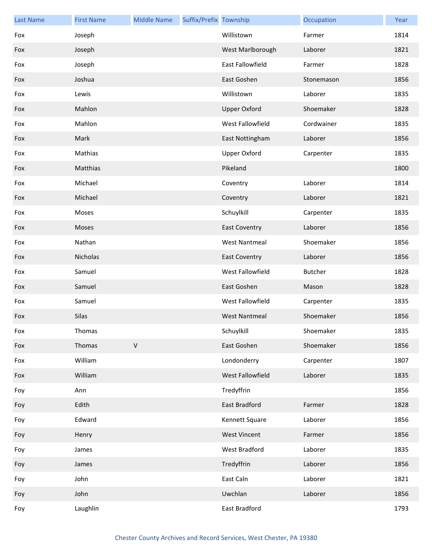| <b>Last Name</b> | <b>First Name</b> | <b>Middle Name</b> | Suffix/Prefix Township |                      | Occupation     | Year |
|------------------|-------------------|--------------------|------------------------|----------------------|----------------|------|
| Fox              | Joseph            |                    |                        | Willistown           | Farmer         | 1814 |
| Fox              | Joseph            |                    |                        | West Marlborough     | Laborer        | 1821 |
| Fox              | Joseph            |                    |                        | East Fallowfield     | Farmer         | 1828 |
| Fox              | Joshua            |                    |                        | East Goshen          | Stonemason     | 1856 |
| Fox              | Lewis             |                    |                        | Willistown           | Laborer        | 1835 |
| Fox              | Mahlon            |                    |                        | <b>Upper Oxford</b>  | Shoemaker      | 1828 |
| Fox              | Mahlon            |                    |                        | West Fallowfield     | Cordwainer     | 1835 |
| Fox              | Mark              |                    |                        | East Nottingham      | Laborer        | 1856 |
| Fox              | Mathias           |                    |                        | <b>Upper Oxford</b>  | Carpenter      | 1835 |
| Fox              | Matthias          |                    |                        | Pikeland             |                | 1800 |
| Fox              | Michael           |                    |                        | Coventry             | Laborer        | 1814 |
| Fox              | Michael           |                    |                        | Coventry             | Laborer        | 1821 |
| Fox              | Moses             |                    |                        | Schuylkill           | Carpenter      | 1835 |
| Fox              | Moses             |                    |                        | <b>East Coventry</b> | Laborer        | 1856 |
| Fox              | Nathan            |                    |                        | <b>West Nantmeal</b> | Shoemaker      | 1856 |
| Fox              | Nicholas          |                    |                        | <b>East Coventry</b> | Laborer        | 1856 |
| Fox              | Samuel            |                    |                        | West Fallowfield     | <b>Butcher</b> | 1828 |
| Fox              | Samuel            |                    |                        | East Goshen          | Mason          | 1828 |
| Fox              | Samuel            |                    |                        | West Fallowfield     | Carpenter      | 1835 |
| Fox              | Silas             |                    |                        | <b>West Nantmeal</b> | Shoemaker      | 1856 |
| Fox              | Thomas            |                    |                        | Schuylkill           | Shoemaker      | 1835 |
| Fox              | Thomas            | $\mathsf V$        |                        | East Goshen          | Shoemaker      | 1856 |
| Fox              | William           |                    |                        | Londonderry          | Carpenter      | 1807 |
| Fox              | William           |                    |                        | West Fallowfield     | Laborer        | 1835 |
| Foy              | Ann               |                    |                        | Tredyffrin           |                | 1856 |
| Foy              | Edith             |                    |                        | East Bradford        | Farmer         | 1828 |
| Foy              | Edward            |                    |                        | Kennett Square       | Laborer        | 1856 |
| Foy              | Henry             |                    |                        | <b>West Vincent</b>  | Farmer         | 1856 |
| Foy              | James             |                    |                        | West Bradford        | Laborer        | 1835 |
| Foy              | James             |                    |                        | Tredyffrin           | Laborer        | 1856 |
| Foy              | John              |                    |                        | East Caln            | Laborer        | 1821 |
| Foy              | John              |                    |                        | Uwchlan              | Laborer        | 1856 |
| Foy              | Laughlin          |                    |                        | East Bradford        |                | 1793 |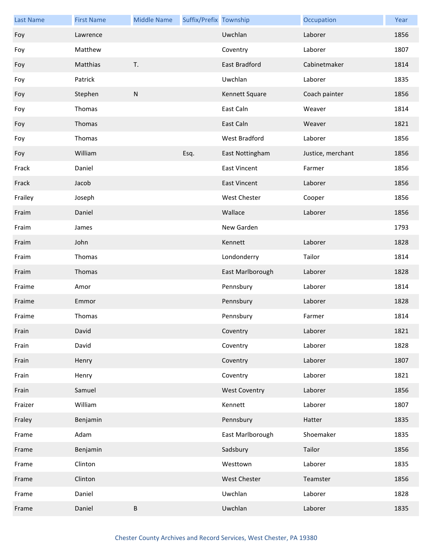| <b>Last Name</b> | <b>First Name</b> | <b>Middle Name</b> | Suffix/Prefix Township |                      | Occupation        | Year |
|------------------|-------------------|--------------------|------------------------|----------------------|-------------------|------|
| Foy              | Lawrence          |                    |                        | Uwchlan              | Laborer           | 1856 |
| Foy              | Matthew           |                    |                        | Coventry             | Laborer           | 1807 |
| Foy              | Matthias          | T.                 |                        | East Bradford        | Cabinetmaker      | 1814 |
| Foy              | Patrick           |                    |                        | Uwchlan              | Laborer           | 1835 |
| Foy              | Stephen           | ${\sf N}$          |                        | Kennett Square       | Coach painter     | 1856 |
| Foy              | Thomas            |                    |                        | East Caln            | Weaver            | 1814 |
| Foy              | Thomas            |                    |                        | East Caln            | Weaver            | 1821 |
| Foy              | Thomas            |                    |                        | West Bradford        | Laborer           | 1856 |
| Foy              | William           |                    | Esq.                   | East Nottingham      | Justice, merchant | 1856 |
| Frack            | Daniel            |                    |                        | <b>East Vincent</b>  | Farmer            | 1856 |
| Frack            | Jacob             |                    |                        | <b>East Vincent</b>  | Laborer           | 1856 |
| Frailey          | Joseph            |                    |                        | West Chester         | Cooper            | 1856 |
| Fraim            | Daniel            |                    |                        | Wallace              | Laborer           | 1856 |
| Fraim            | James             |                    |                        | New Garden           |                   | 1793 |
| Fraim            | John              |                    |                        | Kennett              | Laborer           | 1828 |
| Fraim            | Thomas            |                    |                        | Londonderry          | Tailor            | 1814 |
| Fraim            | Thomas            |                    |                        | East Marlborough     | Laborer           | 1828 |
| Fraime           | Amor              |                    |                        | Pennsbury            | Laborer           | 1814 |
| Fraime           | Emmor             |                    |                        | Pennsbury            | Laborer           | 1828 |
| Fraime           | Thomas            |                    |                        | Pennsbury            | Farmer            | 1814 |
| Frain            | David             |                    |                        | Coventry             | Laborer           | 1821 |
| Frain            | David             |                    |                        | Coventry             | Laborer           | 1828 |
| Frain            | Henry             |                    |                        | Coventry             | Laborer           | 1807 |
| Frain            | Henry             |                    |                        | Coventry             | Laborer           | 1821 |
| Frain            | Samuel            |                    |                        | <b>West Coventry</b> | Laborer           | 1856 |
| Fraizer          | William           |                    |                        | Kennett              | Laborer           | 1807 |
| Fraley           | Benjamin          |                    |                        | Pennsbury            | Hatter            | 1835 |
| Frame            | Adam              |                    |                        | East Marlborough     | Shoemaker         | 1835 |
| Frame            | Benjamin          |                    |                        | Sadsbury             | Tailor            | 1856 |
| Frame            | Clinton           |                    |                        | Westtown             | Laborer           | 1835 |
| Frame            | Clinton           |                    |                        | West Chester         | Teamster          | 1856 |
| Frame            | Daniel            |                    |                        | Uwchlan              | Laborer           | 1828 |
| Frame            | Daniel            | $\sf B$            |                        | Uwchlan              | Laborer           | 1835 |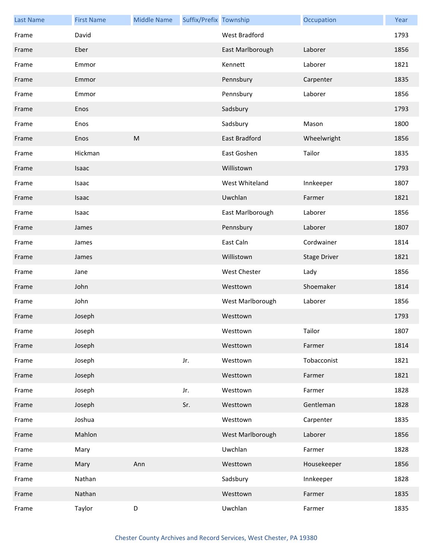| <b>Last Name</b> | <b>First Name</b> | <b>Middle Name</b> | Suffix/Prefix Township |                  | Occupation          | Year |
|------------------|-------------------|--------------------|------------------------|------------------|---------------------|------|
| Frame            | David             |                    |                        | West Bradford    |                     | 1793 |
| Frame            | Eber              |                    |                        | East Marlborough | Laborer             | 1856 |
| Frame            | Emmor             |                    |                        | Kennett          | Laborer             | 1821 |
| Frame            | Emmor             |                    |                        | Pennsbury        | Carpenter           | 1835 |
| Frame            | Emmor             |                    |                        | Pennsbury        | Laborer             | 1856 |
| Frame            | Enos              |                    |                        | Sadsbury         |                     | 1793 |
| Frame            | Enos              |                    |                        | Sadsbury         | Mason               | 1800 |
| Frame            | Enos              | M                  |                        | East Bradford    | Wheelwright         | 1856 |
| Frame            | Hickman           |                    |                        | East Goshen      | Tailor              | 1835 |
| Frame            | Isaac             |                    |                        | Willistown       |                     | 1793 |
| Frame            | Isaac             |                    |                        | West Whiteland   | Innkeeper           | 1807 |
| Frame            | Isaac             |                    |                        | Uwchlan          | Farmer              | 1821 |
| Frame            | Isaac             |                    |                        | East Marlborough | Laborer             | 1856 |
| Frame            | James             |                    |                        | Pennsbury        | Laborer             | 1807 |
| Frame            | James             |                    |                        | East Caln        | Cordwainer          | 1814 |
| Frame            | James             |                    |                        | Willistown       | <b>Stage Driver</b> | 1821 |
| Frame            | Jane              |                    |                        | West Chester     | Lady                | 1856 |
| Frame            | John              |                    |                        | Westtown         | Shoemaker           | 1814 |
| Frame            | John              |                    |                        | West Marlborough | Laborer             | 1856 |
| Frame            | Joseph            |                    |                        | Westtown         |                     | 1793 |
| Frame            | Joseph            |                    |                        | Westtown         | Tailor              | 1807 |
| Frame            | Joseph            |                    |                        | Westtown         | Farmer              | 1814 |
| Frame            | Joseph            |                    | Jr.                    | Westtown         | Tobacconist         | 1821 |
| Frame            | Joseph            |                    |                        | Westtown         | Farmer              | 1821 |
| Frame            | Joseph            |                    | Jr.                    | Westtown         | Farmer              | 1828 |
| Frame            | Joseph            |                    | Sr.                    | Westtown         | Gentleman           | 1828 |
| Frame            | Joshua            |                    |                        | Westtown         | Carpenter           | 1835 |
| Frame            | Mahlon            |                    |                        | West Marlborough | Laborer             | 1856 |
| Frame            | Mary              |                    |                        | Uwchlan          | Farmer              | 1828 |
| Frame            | Mary              | Ann                |                        | Westtown         | Housekeeper         | 1856 |
| Frame            | Nathan            |                    |                        | Sadsbury         | Innkeeper           | 1828 |
| Frame            | Nathan            |                    |                        | Westtown         | Farmer              | 1835 |
| Frame            | Taylor            | D                  |                        | Uwchlan          | Farmer              | 1835 |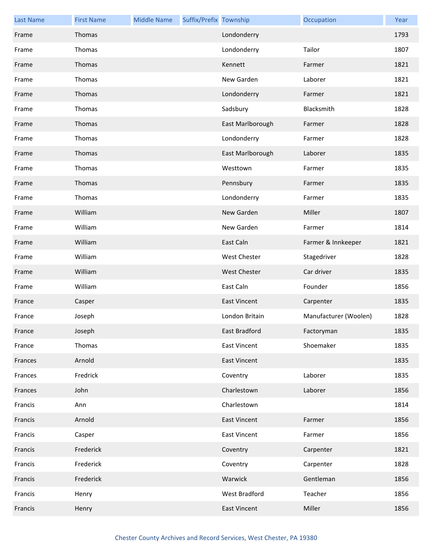| <b>Last Name</b> | <b>First Name</b> | <b>Middle Name</b> | Suffix/Prefix Township |                     | Occupation            | Year |
|------------------|-------------------|--------------------|------------------------|---------------------|-----------------------|------|
| Frame            | Thomas            |                    |                        | Londonderry         |                       | 1793 |
| Frame            | Thomas            |                    |                        | Londonderry         | Tailor                | 1807 |
| Frame            | Thomas            |                    |                        | Kennett             | Farmer                | 1821 |
| Frame            | Thomas            |                    |                        | New Garden          | Laborer               | 1821 |
| Frame            | Thomas            |                    |                        | Londonderry         | Farmer                | 1821 |
| Frame            | Thomas            |                    |                        | Sadsbury            | Blacksmith            | 1828 |
| Frame            | Thomas            |                    |                        | East Marlborough    | Farmer                | 1828 |
| Frame            | Thomas            |                    |                        | Londonderry         | Farmer                | 1828 |
| Frame            | Thomas            |                    |                        | East Marlborough    | Laborer               | 1835 |
| Frame            | Thomas            |                    |                        | Westtown            | Farmer                | 1835 |
| Frame            | Thomas            |                    |                        | Pennsbury           | Farmer                | 1835 |
| Frame            | Thomas            |                    |                        | Londonderry         | Farmer                | 1835 |
| Frame            | William           |                    |                        | New Garden          | Miller                | 1807 |
| Frame            | William           |                    |                        | New Garden          | Farmer                | 1814 |
| Frame            | William           |                    |                        | East Caln           | Farmer & Innkeeper    | 1821 |
| Frame            | William           |                    |                        | West Chester        | Stagedriver           | 1828 |
| Frame            | William           |                    |                        | <b>West Chester</b> | Car driver            | 1835 |
| Frame            | William           |                    |                        | East Caln           | Founder               | 1856 |
| France           | Casper            |                    |                        | <b>East Vincent</b> | Carpenter             | 1835 |
| France           | Joseph            |                    |                        | London Britain      | Manufacturer (Woolen) | 1828 |
| France           | Joseph            |                    |                        | East Bradford       | Factoryman            | 1835 |
| France           | Thomas            |                    |                        | <b>East Vincent</b> | Shoemaker             | 1835 |
| Frances          | Arnold            |                    |                        | <b>East Vincent</b> |                       | 1835 |
| Frances          | Fredrick          |                    |                        | Coventry            | Laborer               | 1835 |
| Frances          | John              |                    |                        | Charlestown         | Laborer               | 1856 |
| Francis          | Ann               |                    |                        | Charlestown         |                       | 1814 |
| Francis          | Arnold            |                    |                        | <b>East Vincent</b> | Farmer                | 1856 |
| Francis          | Casper            |                    |                        | <b>East Vincent</b> | Farmer                | 1856 |
| Francis          | Frederick         |                    |                        | Coventry            | Carpenter             | 1821 |
| Francis          | Frederick         |                    |                        | Coventry            | Carpenter             | 1828 |
| Francis          | Frederick         |                    |                        | Warwick             | Gentleman             | 1856 |
| Francis          | Henry             |                    |                        | West Bradford       | Teacher               | 1856 |
| Francis          | Henry             |                    |                        | <b>East Vincent</b> | Miller                | 1856 |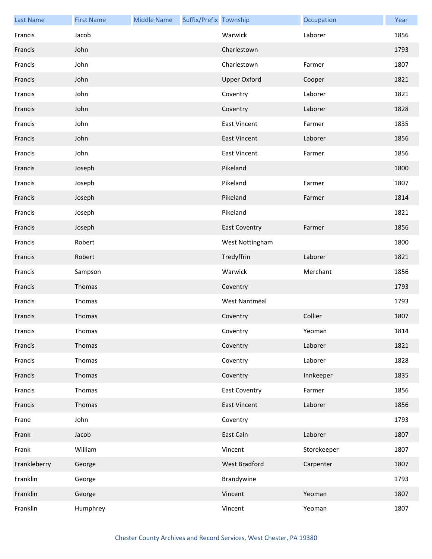| <b>Last Name</b> | <b>First Name</b> | <b>Middle Name</b> | Suffix/Prefix Township |                      | Occupation  | Year |
|------------------|-------------------|--------------------|------------------------|----------------------|-------------|------|
| Francis          | Jacob             |                    |                        | Warwick              | Laborer     | 1856 |
| Francis          | John              |                    |                        | Charlestown          |             | 1793 |
| Francis          | John              |                    |                        | Charlestown          | Farmer      | 1807 |
| Francis          | John              |                    |                        | <b>Upper Oxford</b>  | Cooper      | 1821 |
| Francis          | John              |                    |                        | Coventry             | Laborer     | 1821 |
| Francis          | John              |                    |                        | Coventry             | Laborer     | 1828 |
| Francis          | John              |                    |                        | <b>East Vincent</b>  | Farmer      | 1835 |
| Francis          | John              |                    |                        | <b>East Vincent</b>  | Laborer     | 1856 |
| Francis          | John              |                    |                        | <b>East Vincent</b>  | Farmer      | 1856 |
| Francis          | Joseph            |                    |                        | Pikeland             |             | 1800 |
| Francis          | Joseph            |                    |                        | Pikeland             | Farmer      | 1807 |
| Francis          | Joseph            |                    |                        | Pikeland             | Farmer      | 1814 |
| Francis          | Joseph            |                    |                        | Pikeland             |             | 1821 |
| Francis          | Joseph            |                    |                        | <b>East Coventry</b> | Farmer      | 1856 |
| Francis          | Robert            |                    |                        | West Nottingham      |             | 1800 |
| Francis          | Robert            |                    |                        | Tredyffrin           | Laborer     | 1821 |
| Francis          | Sampson           |                    |                        | Warwick              | Merchant    | 1856 |
| Francis          | Thomas            |                    |                        | Coventry             |             | 1793 |
| Francis          | Thomas            |                    |                        | <b>West Nantmeal</b> |             | 1793 |
| Francis          | Thomas            |                    |                        | Coventry             | Collier     | 1807 |
| Francis          | Thomas            |                    |                        | Coventry             | Yeoman      | 1814 |
| Francis          | Thomas            |                    |                        | Coventry             | Laborer     | 1821 |
| Francis          | Thomas            |                    |                        | Coventry             | Laborer     | 1828 |
| Francis          | Thomas            |                    |                        | Coventry             | Innkeeper   | 1835 |
| Francis          | Thomas            |                    |                        | <b>East Coventry</b> | Farmer      | 1856 |
| Francis          | Thomas            |                    |                        | <b>East Vincent</b>  | Laborer     | 1856 |
| Frane            | John              |                    |                        | Coventry             |             | 1793 |
| Frank            | Jacob             |                    |                        | East Caln            | Laborer     | 1807 |
| Frank            | William           |                    |                        | Vincent              | Storekeeper | 1807 |
| Frankleberry     | George            |                    |                        | West Bradford        | Carpenter   | 1807 |
| Franklin         | George            |                    |                        | Brandywine           |             | 1793 |
| Franklin         | George            |                    |                        | Vincent              | Yeoman      | 1807 |
| Franklin         | Humphrey          |                    |                        | Vincent              | Yeoman      | 1807 |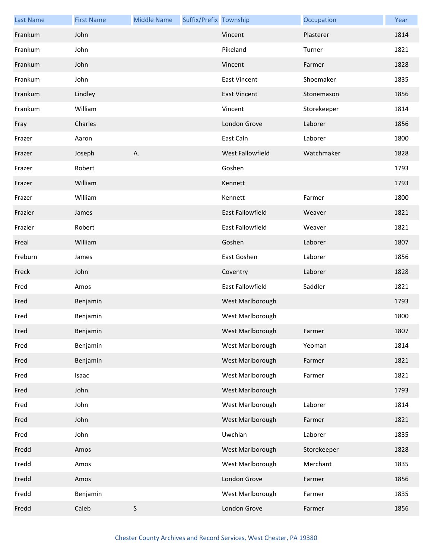| <b>Last Name</b> | <b>First Name</b> | <b>Middle Name</b> | Suffix/Prefix Township |                         | Occupation  | Year |
|------------------|-------------------|--------------------|------------------------|-------------------------|-------------|------|
| Frankum          | John              |                    |                        | Vincent                 | Plasterer   | 1814 |
| Frankum          | John              |                    |                        | Pikeland                | Turner      | 1821 |
| Frankum          | John              |                    |                        | Vincent                 | Farmer      | 1828 |
| Frankum          | John              |                    |                        | <b>East Vincent</b>     | Shoemaker   | 1835 |
| Frankum          | Lindley           |                    |                        | <b>East Vincent</b>     | Stonemason  | 1856 |
| Frankum          | William           |                    |                        | Vincent                 | Storekeeper | 1814 |
| Fray             | Charles           |                    |                        | London Grove            | Laborer     | 1856 |
| Frazer           | Aaron             |                    |                        | East Caln               | Laborer     | 1800 |
| Frazer           | Joseph            | Α.                 |                        | <b>West Fallowfield</b> | Watchmaker  | 1828 |
| Frazer           | Robert            |                    |                        | Goshen                  |             | 1793 |
| Frazer           | William           |                    |                        | Kennett                 |             | 1793 |
| Frazer           | William           |                    |                        | Kennett                 | Farmer      | 1800 |
| Frazier          | James             |                    |                        | East Fallowfield        | Weaver      | 1821 |
| Frazier          | Robert            |                    |                        | East Fallowfield        | Weaver      | 1821 |
| Freal            | William           |                    |                        | Goshen                  | Laborer     | 1807 |
| Freburn          | James             |                    |                        | East Goshen             | Laborer     | 1856 |
| Freck            | John              |                    |                        | Coventry                | Laborer     | 1828 |
| Fred             | Amos              |                    |                        | East Fallowfield        | Saddler     | 1821 |
| Fred             | Benjamin          |                    |                        | West Marlborough        |             | 1793 |
| Fred             | Benjamin          |                    |                        | West Marlborough        |             | 1800 |
| Fred             | Benjamin          |                    |                        | West Marlborough        | Farmer      | 1807 |
| Fred             | Benjamin          |                    |                        | West Marlborough        | Yeoman      | 1814 |
| Fred             | Benjamin          |                    |                        | West Marlborough        | Farmer      | 1821 |
| Fred             | Isaac             |                    |                        | West Marlborough        | Farmer      | 1821 |
| Fred             | John              |                    |                        | West Marlborough        |             | 1793 |
| Fred             | John              |                    |                        | West Marlborough        | Laborer     | 1814 |
| Fred             | John              |                    |                        | West Marlborough        | Farmer      | 1821 |
| Fred             | John              |                    |                        | Uwchlan                 | Laborer     | 1835 |
| Fredd            | Amos              |                    |                        | West Marlborough        | Storekeeper | 1828 |
| Fredd            | Amos              |                    |                        | West Marlborough        | Merchant    | 1835 |
| Fredd            | Amos              |                    |                        | London Grove            | Farmer      | 1856 |
| Fredd            | Benjamin          |                    |                        | West Marlborough        | Farmer      | 1835 |
| Fredd            | Caleb             | $\mathsf S$        |                        | London Grove            | Farmer      | 1856 |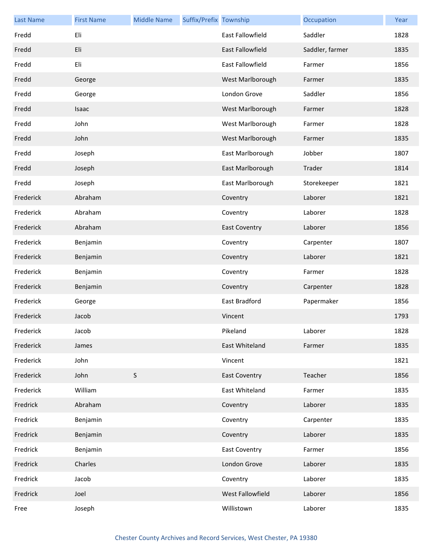| <b>Last Name</b> | <b>First Name</b> | <b>Middle Name</b> | Suffix/Prefix Township |                         | Occupation      | Year |
|------------------|-------------------|--------------------|------------------------|-------------------------|-----------------|------|
| Fredd            | Eli               |                    |                        | East Fallowfield        | Saddler         | 1828 |
| Fredd            | Eli               |                    |                        | <b>East Fallowfield</b> | Saddler, farmer | 1835 |
| Fredd            | Eli               |                    |                        | East Fallowfield        | Farmer          | 1856 |
| Fredd            | George            |                    |                        | West Marlborough        | Farmer          | 1835 |
| Fredd            | George            |                    |                        | London Grove            | Saddler         | 1856 |
| Fredd            | Isaac             |                    |                        | West Marlborough        | Farmer          | 1828 |
| Fredd            | John              |                    |                        | West Marlborough        | Farmer          | 1828 |
| Fredd            | John              |                    |                        | West Marlborough        | Farmer          | 1835 |
| Fredd            | Joseph            |                    |                        | East Marlborough        | Jobber          | 1807 |
| Fredd            | Joseph            |                    |                        | East Marlborough        | Trader          | 1814 |
| Fredd            | Joseph            |                    |                        | East Marlborough        | Storekeeper     | 1821 |
| Frederick        | Abraham           |                    |                        | Coventry                | Laborer         | 1821 |
| Frederick        | Abraham           |                    |                        | Coventry                | Laborer         | 1828 |
| Frederick        | Abraham           |                    |                        | <b>East Coventry</b>    | Laborer         | 1856 |
| Frederick        | Benjamin          |                    |                        | Coventry                | Carpenter       | 1807 |
| Frederick        | Benjamin          |                    |                        | Coventry                | Laborer         | 1821 |
| Frederick        | Benjamin          |                    |                        | Coventry                | Farmer          | 1828 |
| Frederick        | Benjamin          |                    |                        | Coventry                | Carpenter       | 1828 |
| Frederick        | George            |                    |                        | East Bradford           | Papermaker      | 1856 |
| Frederick        | Jacob             |                    |                        | Vincent                 |                 | 1793 |
| Frederick        | Jacob             |                    |                        | Pikeland                | Laborer         | 1828 |
| Frederick        | James             |                    |                        | East Whiteland          | Farmer          | 1835 |
| Frederick        | John              |                    |                        | Vincent                 |                 | 1821 |
| Frederick        | John              | $\mathsf S$        |                        | <b>East Coventry</b>    | Teacher         | 1856 |
| Frederick        | William           |                    |                        | East Whiteland          | Farmer          | 1835 |
| Fredrick         | Abraham           |                    |                        | Coventry                | Laborer         | 1835 |
| Fredrick         | Benjamin          |                    |                        | Coventry                | Carpenter       | 1835 |
| Fredrick         | Benjamin          |                    |                        | Coventry                | Laborer         | 1835 |
| Fredrick         | Benjamin          |                    |                        | <b>East Coventry</b>    | Farmer          | 1856 |
| Fredrick         | Charles           |                    |                        | London Grove            | Laborer         | 1835 |
| Fredrick         | Jacob             |                    |                        | Coventry                | Laborer         | 1835 |
| Fredrick         | Joel              |                    |                        | West Fallowfield        | Laborer         | 1856 |
| Free             | Joseph            |                    |                        | Willistown              | Laborer         | 1835 |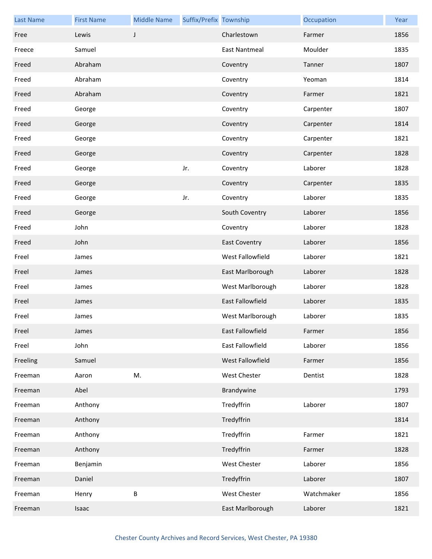| <b>Last Name</b> | <b>First Name</b> | <b>Middle Name</b> | Suffix/Prefix Township |                         | Occupation | Year |
|------------------|-------------------|--------------------|------------------------|-------------------------|------------|------|
| Free             | Lewis             | J                  |                        | Charlestown             | Farmer     | 1856 |
| Freece           | Samuel            |                    |                        | East Nantmeal           | Moulder    | 1835 |
| Freed            | Abraham           |                    |                        | Coventry                | Tanner     | 1807 |
| Freed            | Abraham           |                    |                        | Coventry                | Yeoman     | 1814 |
| Freed            | Abraham           |                    |                        | Coventry                | Farmer     | 1821 |
| Freed            | George            |                    |                        | Coventry                | Carpenter  | 1807 |
| Freed            | George            |                    |                        | Coventry                | Carpenter  | 1814 |
| Freed            | George            |                    |                        | Coventry                | Carpenter  | 1821 |
| Freed            | George            |                    |                        | Coventry                | Carpenter  | 1828 |
| Freed            | George            |                    | Jr.                    | Coventry                | Laborer    | 1828 |
| Freed            | George            |                    |                        | Coventry                | Carpenter  | 1835 |
| Freed            | George            |                    | Jr.                    | Coventry                | Laborer    | 1835 |
| Freed            | George            |                    |                        | South Coventry          | Laborer    | 1856 |
| Freed            | John              |                    |                        | Coventry                | Laborer    | 1828 |
| Freed            | John              |                    |                        | <b>East Coventry</b>    | Laborer    | 1856 |
| Freel            | James             |                    |                        | West Fallowfield        | Laborer    | 1821 |
| Freel            | James             |                    |                        | East Marlborough        | Laborer    | 1828 |
| Freel            | James             |                    |                        | West Marlborough        | Laborer    | 1828 |
| Freel            | James             |                    |                        | <b>East Fallowfield</b> | Laborer    | 1835 |
| Freel            | James             |                    |                        | West Marlborough        | Laborer    | 1835 |
| Freel            | James             |                    |                        | East Fallowfield        | Farmer     | 1856 |
| Freel            | John              |                    |                        | East Fallowfield        | Laborer    | 1856 |
| Freeling         | Samuel            |                    |                        | West Fallowfield        | Farmer     | 1856 |
| Freeman          | Aaron             | M.                 |                        | <b>West Chester</b>     | Dentist    | 1828 |
| Freeman          | Abel              |                    |                        | Brandywine              |            | 1793 |
| Freeman          | Anthony           |                    |                        | Tredyffrin              | Laborer    | 1807 |
| Freeman          | Anthony           |                    |                        | Tredyffrin              |            | 1814 |
| Freeman          | Anthony           |                    |                        | Tredyffrin              | Farmer     | 1821 |
| Freeman          | Anthony           |                    |                        | Tredyffrin              | Farmer     | 1828 |
| Freeman          | Benjamin          |                    |                        | <b>West Chester</b>     | Laborer    | 1856 |
| Freeman          | Daniel            |                    |                        | Tredyffrin              | Laborer    | 1807 |
| Freeman          | Henry             | $\sf B$            |                        | West Chester            | Watchmaker | 1856 |
| Freeman          | Isaac             |                    |                        | East Marlborough        | Laborer    | 1821 |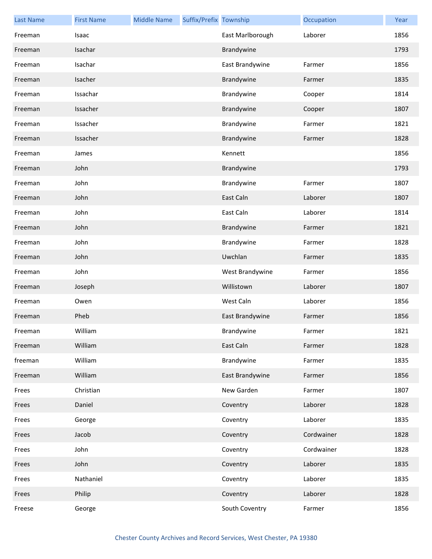| <b>Last Name</b> | <b>First Name</b> | <b>Middle Name</b> | Suffix/Prefix Township |                  | Occupation | Year |
|------------------|-------------------|--------------------|------------------------|------------------|------------|------|
| Freeman          | Isaac             |                    |                        | East Marlborough | Laborer    | 1856 |
| Freeman          | Isachar           |                    |                        | Brandywine       |            | 1793 |
| Freeman          | Isachar           |                    |                        | East Brandywine  | Farmer     | 1856 |
| Freeman          | Isacher           |                    |                        | Brandywine       | Farmer     | 1835 |
| Freeman          | Issachar          |                    |                        | Brandywine       | Cooper     | 1814 |
| Freeman          | Issacher          |                    |                        | Brandywine       | Cooper     | 1807 |
| Freeman          | Issacher          |                    |                        | Brandywine       | Farmer     | 1821 |
| Freeman          | Issacher          |                    |                        | Brandywine       | Farmer     | 1828 |
| Freeman          | James             |                    |                        | Kennett          |            | 1856 |
| Freeman          | John              |                    |                        | Brandywine       |            | 1793 |
| Freeman          | John              |                    |                        | Brandywine       | Farmer     | 1807 |
| Freeman          | John              |                    |                        | East Caln        | Laborer    | 1807 |
| Freeman          | John              |                    |                        | East Caln        | Laborer    | 1814 |
| Freeman          | John              |                    |                        | Brandywine       | Farmer     | 1821 |
| Freeman          | John              |                    |                        | Brandywine       | Farmer     | 1828 |
| Freeman          | John              |                    |                        | Uwchlan          | Farmer     | 1835 |
| Freeman          | John              |                    |                        | West Brandywine  | Farmer     | 1856 |
| Freeman          | Joseph            |                    |                        | Willistown       | Laborer    | 1807 |
| Freeman          | Owen              |                    |                        | West Caln        | Laborer    | 1856 |
| Freeman          | Pheb              |                    |                        | East Brandywine  | Farmer     | 1856 |
| Freeman          | William           |                    |                        | Brandywine       | Farmer     | 1821 |
| Freeman          | William           |                    |                        | East Caln        | Farmer     | 1828 |
| freeman          | William           |                    |                        | Brandywine       | Farmer     | 1835 |
| Freeman          | William           |                    |                        | East Brandywine  | Farmer     | 1856 |
| Frees            | Christian         |                    |                        | New Garden       | Farmer     | 1807 |
| Frees            | Daniel            |                    |                        | Coventry         | Laborer    | 1828 |
| Frees            | George            |                    |                        | Coventry         | Laborer    | 1835 |
| Frees            | Jacob             |                    |                        | Coventry         | Cordwainer | 1828 |
| Frees            | John              |                    |                        | Coventry         | Cordwainer | 1828 |
| Frees            | John              |                    |                        | Coventry         | Laborer    | 1835 |
| Frees            | Nathaniel         |                    |                        | Coventry         | Laborer    | 1835 |
| Frees            | Philip            |                    |                        | Coventry         | Laborer    | 1828 |
| Freese           | George            |                    |                        | South Coventry   | Farmer     | 1856 |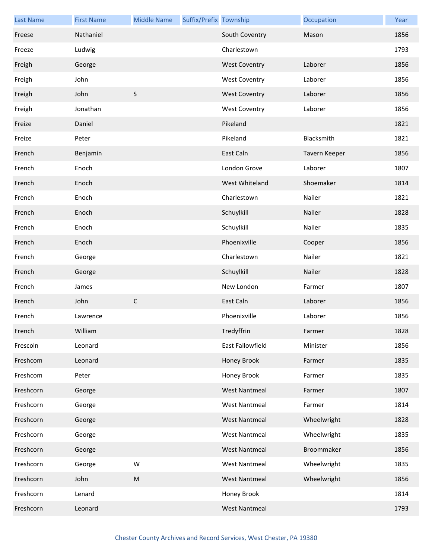| <b>Last Name</b> | <b>First Name</b> | <b>Middle Name</b> | Suffix/Prefix Township |                      | Occupation    | Year |
|------------------|-------------------|--------------------|------------------------|----------------------|---------------|------|
| Freese           | Nathaniel         |                    |                        | South Coventry       | Mason         | 1856 |
| Freeze           | Ludwig            |                    |                        | Charlestown          |               | 1793 |
| Freigh           | George            |                    |                        | <b>West Coventry</b> | Laborer       | 1856 |
| Freigh           | John              |                    |                        | <b>West Coventry</b> | Laborer       | 1856 |
| Freigh           | John              | $\sf S$            |                        | <b>West Coventry</b> | Laborer       | 1856 |
| Freigh           | Jonathan          |                    |                        | <b>West Coventry</b> | Laborer       | 1856 |
| Freize           | Daniel            |                    |                        | Pikeland             |               | 1821 |
| Freize           | Peter             |                    |                        | Pikeland             | Blacksmith    | 1821 |
| French           | Benjamin          |                    |                        | East Caln            | Tavern Keeper | 1856 |
| French           | Enoch             |                    |                        | London Grove         | Laborer       | 1807 |
| French           | Enoch             |                    |                        | West Whiteland       | Shoemaker     | 1814 |
| French           | Enoch             |                    |                        | Charlestown          | Nailer        | 1821 |
| French           | Enoch             |                    |                        | Schuylkill           | Nailer        | 1828 |
| French           | Enoch             |                    |                        | Schuylkill           | Nailer        | 1835 |
| French           | Enoch             |                    |                        | Phoenixville         | Cooper        | 1856 |
| French           | George            |                    |                        | Charlestown          | Nailer        | 1821 |
| French           | George            |                    |                        | Schuylkill           | Nailer        | 1828 |
| French           | James             |                    |                        | New London           | Farmer        | 1807 |
| French           | John              | $\mathsf{C}$       |                        | East Caln            | Laborer       | 1856 |
| French           | Lawrence          |                    |                        | Phoenixville         | Laborer       | 1856 |
| French           | William           |                    |                        | Tredyffrin           | Farmer        | 1828 |
| Frescoln         | Leonard           |                    |                        | East Fallowfield     | Minister      | 1856 |
| Freshcom         | Leonard           |                    |                        | Honey Brook          | Farmer        | 1835 |
| Freshcom         | Peter             |                    |                        | Honey Brook          | Farmer        | 1835 |
| Freshcorn        | George            |                    |                        | <b>West Nantmeal</b> | Farmer        | 1807 |
| Freshcorn        | George            |                    |                        | <b>West Nantmeal</b> | Farmer        | 1814 |
| Freshcorn        | George            |                    |                        | <b>West Nantmeal</b> | Wheelwright   | 1828 |
| Freshcorn        | George            |                    |                        | <b>West Nantmeal</b> | Wheelwright   | 1835 |
| Freshcorn        | George            |                    |                        | <b>West Nantmeal</b> | Broommaker    | 1856 |
| Freshcorn        | George            | W                  |                        | <b>West Nantmeal</b> | Wheelwright   | 1835 |
| Freshcorn        | John              | M                  |                        | <b>West Nantmeal</b> | Wheelwright   | 1856 |
| Freshcorn        | Lenard            |                    |                        | Honey Brook          |               | 1814 |
| Freshcorn        | Leonard           |                    |                        | <b>West Nantmeal</b> |               | 1793 |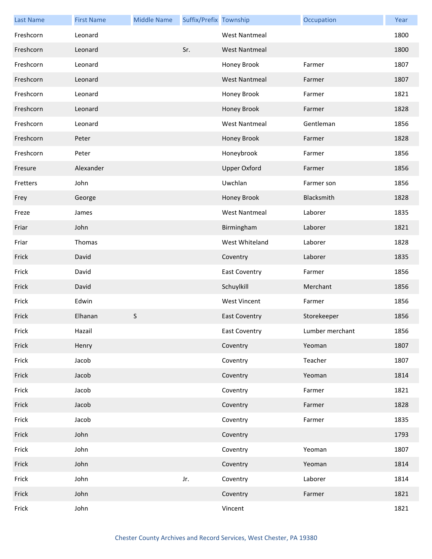| <b>Last Name</b> | <b>First Name</b> | <b>Middle Name</b> | Suffix/Prefix Township |                      | Occupation      | Year |
|------------------|-------------------|--------------------|------------------------|----------------------|-----------------|------|
| Freshcorn        | Leonard           |                    |                        | <b>West Nantmeal</b> |                 | 1800 |
| Freshcorn        | Leonard           |                    | Sr.                    | <b>West Nantmeal</b> |                 | 1800 |
| Freshcorn        | Leonard           |                    |                        | Honey Brook          | Farmer          | 1807 |
| Freshcorn        | Leonard           |                    |                        | West Nantmeal        | Farmer          | 1807 |
| Freshcorn        | Leonard           |                    |                        | Honey Brook          | Farmer          | 1821 |
| Freshcorn        | Leonard           |                    |                        | Honey Brook          | Farmer          | 1828 |
| Freshcorn        | Leonard           |                    |                        | <b>West Nantmeal</b> | Gentleman       | 1856 |
| Freshcorn        | Peter             |                    |                        | Honey Brook          | Farmer          | 1828 |
| Freshcorn        | Peter             |                    |                        | Honeybrook           | Farmer          | 1856 |
| Fresure          | Alexander         |                    |                        | <b>Upper Oxford</b>  | Farmer          | 1856 |
| Fretters         | John              |                    |                        | Uwchlan              | Farmer son      | 1856 |
| Frey             | George            |                    |                        | Honey Brook          | Blacksmith      | 1828 |
| Freze            | James             |                    |                        | <b>West Nantmeal</b> | Laborer         | 1835 |
| Friar            | John              |                    |                        | Birmingham           | Laborer         | 1821 |
| Friar            | Thomas            |                    |                        | West Whiteland       | Laborer         | 1828 |
| Frick            | David             |                    |                        | Coventry             | Laborer         | 1835 |
| Frick            | David             |                    |                        | <b>East Coventry</b> | Farmer          | 1856 |
| Frick            | David             |                    |                        | Schuylkill           | Merchant        | 1856 |
| Frick            | Edwin             |                    |                        | <b>West Vincent</b>  | Farmer          | 1856 |
| Frick            | Elhanan           | $\sf S$            |                        | <b>East Coventry</b> | Storekeeper     | 1856 |
| Frick            | Hazail            |                    |                        | East Coventry        | Lumber merchant | 1856 |
| Frick            | Henry             |                    |                        | Coventry             | Yeoman          | 1807 |
| Frick            | Jacob             |                    |                        | Coventry             | Teacher         | 1807 |
| Frick            | Jacob             |                    |                        | Coventry             | Yeoman          | 1814 |
| Frick            | Jacob             |                    |                        | Coventry             | Farmer          | 1821 |
| Frick            | Jacob             |                    |                        | Coventry             | Farmer          | 1828 |
| Frick            | Jacob             |                    |                        | Coventry             | Farmer          | 1835 |
| Frick            | John              |                    |                        | Coventry             |                 | 1793 |
| Frick            | John              |                    |                        | Coventry             | Yeoman          | 1807 |
| Frick            | John              |                    |                        | Coventry             | Yeoman          | 1814 |
| Frick            | John              |                    | Jr.                    | Coventry             | Laborer         | 1814 |
| Frick            | John              |                    |                        | Coventry             | Farmer          | 1821 |
| Frick            | John              |                    |                        | Vincent              |                 | 1821 |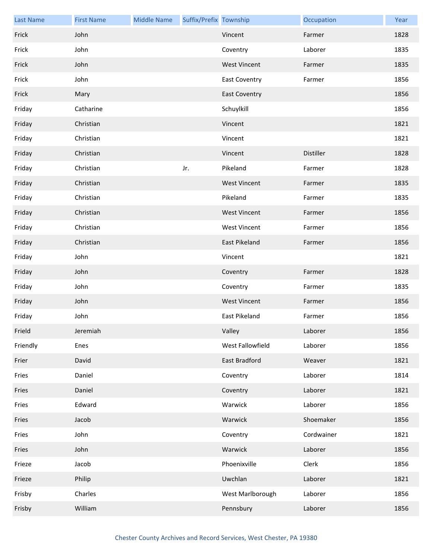| <b>Last Name</b> | <b>First Name</b> | <b>Middle Name</b> | Suffix/Prefix Township |                      | Occupation | Year |
|------------------|-------------------|--------------------|------------------------|----------------------|------------|------|
| Frick            | John              |                    |                        | Vincent              | Farmer     | 1828 |
| Frick            | John              |                    |                        | Coventry             | Laborer    | 1835 |
| Frick            | John              |                    |                        | <b>West Vincent</b>  | Farmer     | 1835 |
| Frick            | John              |                    |                        | <b>East Coventry</b> | Farmer     | 1856 |
| Frick            | Mary              |                    |                        | <b>East Coventry</b> |            | 1856 |
| Friday           | Catharine         |                    |                        | Schuylkill           |            | 1856 |
| Friday           | Christian         |                    |                        | Vincent              |            | 1821 |
| Friday           | Christian         |                    |                        | Vincent              |            | 1821 |
| Friday           | Christian         |                    |                        | Vincent              | Distiller  | 1828 |
| Friday           | Christian         |                    | Jr.                    | Pikeland             | Farmer     | 1828 |
| Friday           | Christian         |                    |                        | <b>West Vincent</b>  | Farmer     | 1835 |
| Friday           | Christian         |                    |                        | Pikeland             | Farmer     | 1835 |
| Friday           | Christian         |                    |                        | <b>West Vincent</b>  | Farmer     | 1856 |
| Friday           | Christian         |                    |                        | <b>West Vincent</b>  | Farmer     | 1856 |
| Friday           | Christian         |                    |                        | East Pikeland        | Farmer     | 1856 |
| Friday           | John              |                    |                        | Vincent              |            | 1821 |
| Friday           | John              |                    |                        | Coventry             | Farmer     | 1828 |
| Friday           | John              |                    |                        | Coventry             | Farmer     | 1835 |
| Friday           | John              |                    |                        | <b>West Vincent</b>  | Farmer     | 1856 |
| Friday           | John              |                    |                        | East Pikeland        | Farmer     | 1856 |
| Frield           | Jeremiah          |                    |                        | Valley               | Laborer    | 1856 |
| Friendly         | Enes              |                    |                        | West Fallowfield     | Laborer    | 1856 |
| Frier            | David             |                    |                        | East Bradford        | Weaver     | 1821 |
| Fries            | Daniel            |                    |                        | Coventry             | Laborer    | 1814 |
| Fries            | Daniel            |                    |                        | Coventry             | Laborer    | 1821 |
| Fries            | Edward            |                    |                        | Warwick              | Laborer    | 1856 |
| Fries            | Jacob             |                    |                        | Warwick              | Shoemaker  | 1856 |
| Fries            | John              |                    |                        | Coventry             | Cordwainer | 1821 |
| Fries            | John              |                    |                        | Warwick              | Laborer    | 1856 |
| Frieze           | Jacob             |                    |                        | Phoenixville         | Clerk      | 1856 |
| Frieze           | Philip            |                    |                        | Uwchlan              | Laborer    | 1821 |
| Frisby           | Charles           |                    |                        | West Marlborough     | Laborer    | 1856 |
| Frisby           | William           |                    |                        | Pennsbury            | Laborer    | 1856 |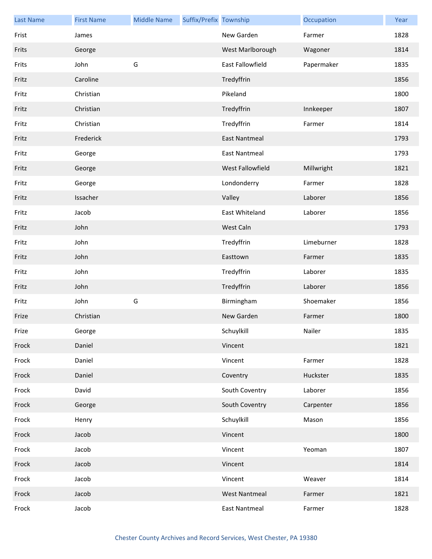| <b>Last Name</b> | <b>First Name</b> | <b>Middle Name</b> | Suffix/Prefix Township |                      | Occupation | Year |
|------------------|-------------------|--------------------|------------------------|----------------------|------------|------|
| Frist            | James             |                    |                        | New Garden           | Farmer     | 1828 |
| Frits            | George            |                    |                        | West Marlborough     | Wagoner    | 1814 |
| Frits            | John              | G                  |                        | East Fallowfield     | Papermaker | 1835 |
| Fritz            | Caroline          |                    |                        | Tredyffrin           |            | 1856 |
| Fritz            | Christian         |                    |                        | Pikeland             |            | 1800 |
| Fritz            | Christian         |                    |                        | Tredyffrin           | Innkeeper  | 1807 |
| Fritz            | Christian         |                    |                        | Tredyffrin           | Farmer     | 1814 |
| Fritz            | Frederick         |                    |                        | <b>East Nantmeal</b> |            | 1793 |
| Fritz            | George            |                    |                        | <b>East Nantmeal</b> |            | 1793 |
| Fritz            | George            |                    |                        | West Fallowfield     | Millwright | 1821 |
| Fritz            | George            |                    |                        | Londonderry          | Farmer     | 1828 |
| Fritz            | Issacher          |                    |                        | Valley               | Laborer    | 1856 |
| Fritz            | Jacob             |                    |                        | East Whiteland       | Laborer    | 1856 |
| Fritz            | John              |                    |                        | West Caln            |            | 1793 |
| Fritz            | John              |                    |                        | Tredyffrin           | Limeburner | 1828 |
| Fritz            | John              |                    |                        | Easttown             | Farmer     | 1835 |
| Fritz            | John              |                    |                        | Tredyffrin           | Laborer    | 1835 |
| Fritz            | John              |                    |                        | Tredyffrin           | Laborer    | 1856 |
| Fritz            | John              | G                  |                        | Birmingham           | Shoemaker  | 1856 |
| Frize            | Christian         |                    |                        | New Garden           | Farmer     | 1800 |
| Frize            | George            |                    |                        | Schuylkill           | Nailer     | 1835 |
| Frock            | Daniel            |                    |                        | Vincent              |            | 1821 |
| Frock            | Daniel            |                    |                        | Vincent              | Farmer     | 1828 |
| Frock            | Daniel            |                    |                        | Coventry             | Huckster   | 1835 |
| Frock            | David             |                    |                        | South Coventry       | Laborer    | 1856 |
| Frock            | George            |                    |                        | South Coventry       | Carpenter  | 1856 |
| Frock            | Henry             |                    |                        | Schuylkill           | Mason      | 1856 |
| Frock            | Jacob             |                    |                        | Vincent              |            | 1800 |
| Frock            | Jacob             |                    |                        | Vincent              | Yeoman     | 1807 |
| Frock            | Jacob             |                    |                        | Vincent              |            | 1814 |
| Frock            | Jacob             |                    |                        | Vincent              | Weaver     | 1814 |
| Frock            | Jacob             |                    |                        | <b>West Nantmeal</b> | Farmer     | 1821 |
| Frock            | Jacob             |                    |                        | <b>East Nantmeal</b> | Farmer     | 1828 |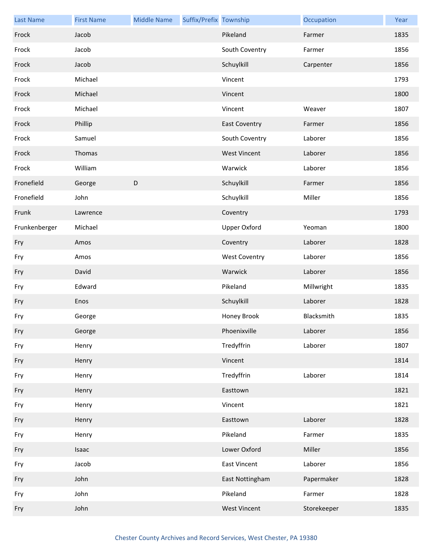| <b>Last Name</b> | <b>First Name</b> | <b>Middle Name</b> | Suffix/Prefix Township |                      | Occupation  | Year |
|------------------|-------------------|--------------------|------------------------|----------------------|-------------|------|
| Frock            | Jacob             |                    |                        | Pikeland             | Farmer      | 1835 |
| Frock            | Jacob             |                    |                        | South Coventry       | Farmer      | 1856 |
| Frock            | Jacob             |                    |                        | Schuylkill           | Carpenter   | 1856 |
| Frock            | Michael           |                    |                        | Vincent              |             | 1793 |
| Frock            | Michael           |                    |                        | Vincent              |             | 1800 |
| Frock            | Michael           |                    |                        | Vincent              | Weaver      | 1807 |
| Frock            | Phillip           |                    |                        | <b>East Coventry</b> | Farmer      | 1856 |
| Frock            | Samuel            |                    |                        | South Coventry       | Laborer     | 1856 |
| Frock            | Thomas            |                    |                        | <b>West Vincent</b>  | Laborer     | 1856 |
| Frock            | William           |                    |                        | Warwick              | Laborer     | 1856 |
| Fronefield       | George            | D                  |                        | Schuylkill           | Farmer      | 1856 |
| Fronefield       | John              |                    |                        | Schuylkill           | Miller      | 1856 |
| Frunk            | Lawrence          |                    |                        | Coventry             |             | 1793 |
| Frunkenberger    | Michael           |                    |                        | <b>Upper Oxford</b>  | Yeoman      | 1800 |
| Fry              | Amos              |                    |                        | Coventry             | Laborer     | 1828 |
| Fry              | Amos              |                    |                        | <b>West Coventry</b> | Laborer     | 1856 |
| Fry              | David             |                    |                        | Warwick              | Laborer     | 1856 |
| Fry              | Edward            |                    |                        | Pikeland             | Millwright  | 1835 |
| Fry              | Enos              |                    |                        | Schuylkill           | Laborer     | 1828 |
| Fry              | George            |                    |                        | Honey Brook          | Blacksmith  | 1835 |
| Fry              | George            |                    |                        | Phoenixville         | Laborer     | 1856 |
| Fry              | Henry             |                    |                        | Tredyffrin           | Laborer     | 1807 |
| Fry              | Henry             |                    |                        | Vincent              |             | 1814 |
| Fry              | Henry             |                    |                        | Tredyffrin           | Laborer     | 1814 |
| Fry              | Henry             |                    |                        | Easttown             |             | 1821 |
| Fry              | Henry             |                    |                        | Vincent              |             | 1821 |
| Fry              | Henry             |                    |                        | Easttown             | Laborer     | 1828 |
| Fry              | Henry             |                    |                        | Pikeland             | Farmer      | 1835 |
| Fry              | Isaac             |                    |                        | Lower Oxford         | Miller      | 1856 |
| Fry              | Jacob             |                    |                        | <b>East Vincent</b>  | Laborer     | 1856 |
| Fry              | John              |                    |                        | East Nottingham      | Papermaker  | 1828 |
| Fry              | John              |                    |                        | Pikeland             | Farmer      | 1828 |
| Fry              | John              |                    |                        | <b>West Vincent</b>  | Storekeeper | 1835 |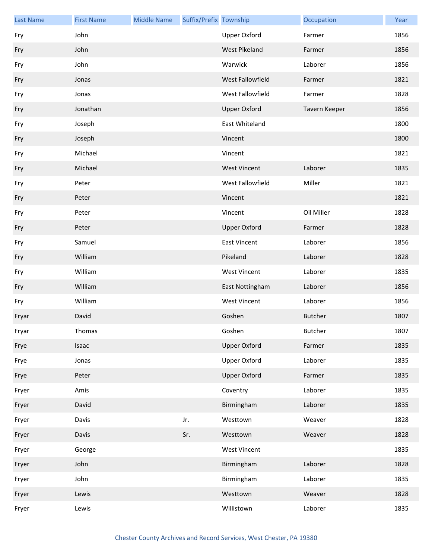| <b>Last Name</b> | <b>First Name</b> | <b>Middle Name</b> | Suffix/Prefix Township |                     | Occupation     | Year |
|------------------|-------------------|--------------------|------------------------|---------------------|----------------|------|
| Fry              | John              |                    |                        | Upper Oxford        | Farmer         | 1856 |
| Fry              | John              |                    |                        | West Pikeland       | Farmer         | 1856 |
| Fry              | John              |                    |                        | Warwick             | Laborer        | 1856 |
| Fry              | Jonas             |                    |                        | West Fallowfield    | Farmer         | 1821 |
| Fry              | Jonas             |                    |                        | West Fallowfield    | Farmer         | 1828 |
| Fry              | Jonathan          |                    |                        | <b>Upper Oxford</b> | Tavern Keeper  | 1856 |
| Fry              | Joseph            |                    |                        | East Whiteland      |                | 1800 |
| Fry              | Joseph            |                    |                        | Vincent             |                | 1800 |
| Fry              | Michael           |                    |                        | Vincent             |                | 1821 |
| Fry              | Michael           |                    |                        | <b>West Vincent</b> | Laborer        | 1835 |
| Fry              | Peter             |                    |                        | West Fallowfield    | Miller         | 1821 |
| Fry              | Peter             |                    |                        | Vincent             |                | 1821 |
| Fry              | Peter             |                    |                        | Vincent             | Oil Miller     | 1828 |
| Fry              | Peter             |                    |                        | <b>Upper Oxford</b> | Farmer         | 1828 |
| Fry              | Samuel            |                    |                        | <b>East Vincent</b> | Laborer        | 1856 |
| Fry              | William           |                    |                        | Pikeland            | Laborer        | 1828 |
| Fry              | William           |                    |                        | <b>West Vincent</b> | Laborer        | 1835 |
| Fry              | William           |                    |                        | East Nottingham     | Laborer        | 1856 |
| Fry              | William           |                    |                        | <b>West Vincent</b> | Laborer        | 1856 |
| Fryar            | David             |                    |                        | Goshen              | <b>Butcher</b> | 1807 |
| Fryar            | Thomas            |                    |                        | Goshen              | <b>Butcher</b> | 1807 |
| Frye             | Isaac             |                    |                        | <b>Upper Oxford</b> | Farmer         | 1835 |
| Frye             | Jonas             |                    |                        | Upper Oxford        | Laborer        | 1835 |
| Frye             | Peter             |                    |                        | <b>Upper Oxford</b> | Farmer         | 1835 |
| Fryer            | Amis              |                    |                        | Coventry            | Laborer        | 1835 |
| Fryer            | David             |                    |                        | Birmingham          | Laborer        | 1835 |
| Fryer            | Davis             |                    | Jr.                    | Westtown            | Weaver         | 1828 |
| Fryer            | Davis             |                    | Sr.                    | Westtown            | Weaver         | 1828 |
| Fryer            | George            |                    |                        | <b>West Vincent</b> |                | 1835 |
| Fryer            | John              |                    |                        | Birmingham          | Laborer        | 1828 |
| Fryer            | John              |                    |                        | Birmingham          | Laborer        | 1835 |
| Fryer            | Lewis             |                    |                        | Westtown            | Weaver         | 1828 |
| Fryer            | Lewis             |                    |                        | Willistown          | Laborer        | 1835 |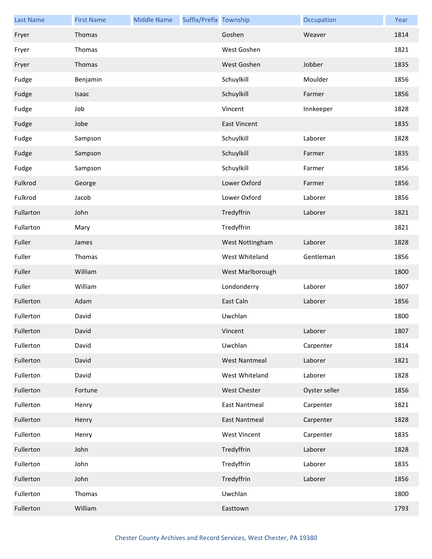| <b>Last Name</b> | <b>First Name</b> | <b>Middle Name</b> | Suffix/Prefix Township |                      | Occupation    | Year |
|------------------|-------------------|--------------------|------------------------|----------------------|---------------|------|
| Fryer            | Thomas            |                    |                        | Goshen               | Weaver        | 1814 |
| Fryer            | Thomas            |                    |                        | West Goshen          |               | 1821 |
| Fryer            | Thomas            |                    |                        | West Goshen          | Jobber        | 1835 |
| Fudge            | Benjamin          |                    |                        | Schuylkill           | Moulder       | 1856 |
| Fudge            | Isaac             |                    |                        | Schuylkill           | Farmer        | 1856 |
| Fudge            | Job               |                    |                        | Vincent              | Innkeeper     | 1828 |
| Fudge            | Jobe              |                    |                        | <b>East Vincent</b>  |               | 1835 |
| Fudge            | Sampson           |                    |                        | Schuylkill           | Laborer       | 1828 |
| Fudge            | Sampson           |                    |                        | Schuylkill           | Farmer        | 1835 |
| Fudge            | Sampson           |                    |                        | Schuylkill           | Farmer        | 1856 |
| Fulkrod          | George            |                    |                        | Lower Oxford         | Farmer        | 1856 |
| Fulkrod          | Jacob             |                    |                        | Lower Oxford         | Laborer       | 1856 |
| Fullarton        | John              |                    |                        | Tredyffrin           | Laborer       | 1821 |
| Fullarton        | Mary              |                    |                        | Tredyffrin           |               | 1821 |
| Fuller           | James             |                    |                        | West Nottingham      | Laborer       | 1828 |
| Fuller           | Thomas            |                    |                        | West Whiteland       | Gentleman     | 1856 |
| Fuller           | William           |                    |                        | West Marlborough     |               | 1800 |
| Fuller           | William           |                    |                        | Londonderry          | Laborer       | 1807 |
| Fullerton        | Adam              |                    |                        | East Caln            | Laborer       | 1856 |
| Fullerton        | David             |                    |                        | Uwchlan              |               | 1800 |
| Fullerton        | David             |                    |                        | Vincent              | Laborer       | 1807 |
| Fullerton        | David             |                    |                        | Uwchlan              | Carpenter     | 1814 |
| Fullerton        | David             |                    |                        | <b>West Nantmeal</b> | Laborer       | 1821 |
| Fullerton        | David             |                    |                        | West Whiteland       | Laborer       | 1828 |
| Fullerton        | Fortune           |                    |                        | <b>West Chester</b>  | Oyster seller | 1856 |
| Fullerton        | Henry             |                    |                        | <b>East Nantmeal</b> | Carpenter     | 1821 |
| Fullerton        | Henry             |                    |                        | <b>East Nantmeal</b> | Carpenter     | 1828 |
| Fullerton        | Henry             |                    |                        | <b>West Vincent</b>  | Carpenter     | 1835 |
| Fullerton        | John              |                    |                        | Tredyffrin           | Laborer       | 1828 |
| Fullerton        | John              |                    |                        | Tredyffrin           | Laborer       | 1835 |
| Fullerton        | John              |                    |                        | Tredyffrin           | Laborer       | 1856 |
| Fullerton        | Thomas            |                    |                        | Uwchlan              |               | 1800 |
| Fullerton        | William           |                    |                        | Easttown             |               | 1793 |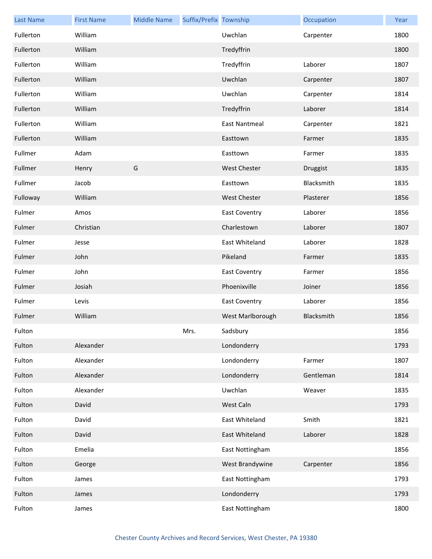| <b>Last Name</b> | <b>First Name</b> | <b>Middle Name</b> | Suffix/Prefix Township |                      | Occupation | Year |
|------------------|-------------------|--------------------|------------------------|----------------------|------------|------|
| Fullerton        | William           |                    |                        | Uwchlan              | Carpenter  | 1800 |
| Fullerton        | William           |                    |                        | Tredyffrin           |            | 1800 |
| Fullerton        | William           |                    |                        | Tredyffrin           | Laborer    | 1807 |
| Fullerton        | William           |                    |                        | Uwchlan              | Carpenter  | 1807 |
| Fullerton        | William           |                    |                        | Uwchlan              | Carpenter  | 1814 |
| Fullerton        | William           |                    |                        | Tredyffrin           | Laborer    | 1814 |
| Fullerton        | William           |                    |                        | <b>East Nantmeal</b> | Carpenter  | 1821 |
| Fullerton        | William           |                    |                        | Easttown             | Farmer     | 1835 |
| Fullmer          | Adam              |                    |                        | Easttown             | Farmer     | 1835 |
| Fullmer          | Henry             | G                  |                        | <b>West Chester</b>  | Druggist   | 1835 |
| Fullmer          | Jacob             |                    |                        | Easttown             | Blacksmith | 1835 |
| Fulloway         | William           |                    |                        | <b>West Chester</b>  | Plasterer  | 1856 |
| Fulmer           | Amos              |                    |                        | <b>East Coventry</b> | Laborer    | 1856 |
| Fulmer           | Christian         |                    |                        | Charlestown          | Laborer    | 1807 |
| Fulmer           | Jesse             |                    |                        | East Whiteland       | Laborer    | 1828 |
| Fulmer           | John              |                    |                        | Pikeland             | Farmer     | 1835 |
| Fulmer           | John              |                    |                        | <b>East Coventry</b> | Farmer     | 1856 |
| Fulmer           | Josiah            |                    |                        | Phoenixville         | Joiner     | 1856 |
| Fulmer           | Levis             |                    |                        | <b>East Coventry</b> | Laborer    | 1856 |
| Fulmer           | William           |                    |                        | West Marlborough     | Blacksmith | 1856 |
| Fulton           |                   |                    | Mrs.                   | Sadsbury             |            | 1856 |
| Fulton           | Alexander         |                    |                        | Londonderry          |            | 1793 |
| Fulton           | Alexander         |                    |                        | Londonderry          | Farmer     | 1807 |
| Fulton           | Alexander         |                    |                        | Londonderry          | Gentleman  | 1814 |
| Fulton           | Alexander         |                    |                        | Uwchlan              | Weaver     | 1835 |
| Fulton           | David             |                    |                        | West Caln            |            | 1793 |
| Fulton           | David             |                    |                        | East Whiteland       | Smith      | 1821 |
| Fulton           | David             |                    |                        | East Whiteland       | Laborer    | 1828 |
| Fulton           | Emelia            |                    |                        | East Nottingham      |            | 1856 |
| Fulton           | George            |                    |                        | West Brandywine      | Carpenter  | 1856 |
| Fulton           | James             |                    |                        | East Nottingham      |            | 1793 |
| Fulton           | James             |                    |                        | Londonderry          |            | 1793 |
| Fulton           | James             |                    |                        | East Nottingham      |            | 1800 |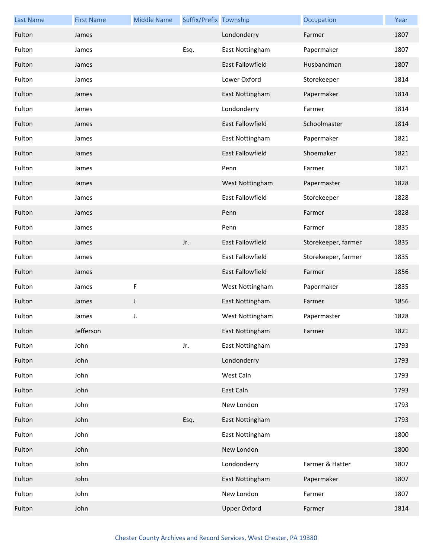| <b>Last Name</b> | <b>First Name</b> | <b>Middle Name</b> | Suffix/Prefix Township |                         | Occupation          | Year |
|------------------|-------------------|--------------------|------------------------|-------------------------|---------------------|------|
| Fulton           | James             |                    |                        | Londonderry             | Farmer              | 1807 |
| Fulton           | James             |                    | Esq.                   | East Nottingham         | Papermaker          | 1807 |
| Fulton           | James             |                    |                        | <b>East Fallowfield</b> | Husbandman          | 1807 |
| Fulton           | James             |                    |                        | Lower Oxford            | Storekeeper         | 1814 |
| Fulton           | James             |                    |                        | East Nottingham         | Papermaker          | 1814 |
| Fulton           | James             |                    |                        | Londonderry             | Farmer              | 1814 |
| Fulton           | James             |                    |                        | East Fallowfield        | Schoolmaster        | 1814 |
| Fulton           | James             |                    |                        | East Nottingham         | Papermaker          | 1821 |
| Fulton           | James             |                    |                        | <b>East Fallowfield</b> | Shoemaker           | 1821 |
| Fulton           | James             |                    |                        | Penn                    | Farmer              | 1821 |
| Fulton           | James             |                    |                        | West Nottingham         | Papermaster         | 1828 |
| Fulton           | James             |                    |                        | East Fallowfield        | Storekeeper         | 1828 |
| Fulton           | James             |                    |                        | Penn                    | Farmer              | 1828 |
| Fulton           | James             |                    |                        | Penn                    | Farmer              | 1835 |
| Fulton           | James             |                    | Jr.                    | East Fallowfield        | Storekeeper, farmer | 1835 |
| Fulton           | James             |                    |                        | East Fallowfield        | Storekeeper, farmer | 1835 |
| Fulton           | James             |                    |                        | East Fallowfield        | Farmer              | 1856 |
| Fulton           | James             | $\mathsf F$        |                        | West Nottingham         | Papermaker          | 1835 |
| Fulton           | James             | J                  |                        | East Nottingham         | Farmer              | 1856 |
| Fulton           | James             | J.                 |                        | West Nottingham         | Papermaster         | 1828 |
| Fulton           | Jefferson         |                    |                        | East Nottingham         | Farmer              | 1821 |
| Fulton           | John              |                    | Jr.                    | East Nottingham         |                     | 1793 |
| Fulton           | John              |                    |                        | Londonderry             |                     | 1793 |
| Fulton           | John              |                    |                        | West Caln               |                     | 1793 |
| Fulton           | John              |                    |                        | East Caln               |                     | 1793 |
| Fulton           | John              |                    |                        | New London              |                     | 1793 |
| Fulton           | John              |                    | Esq.                   | East Nottingham         |                     | 1793 |
| Fulton           | John              |                    |                        | East Nottingham         |                     | 1800 |
| Fulton           | John              |                    |                        | New London              |                     | 1800 |
| Fulton           | John              |                    |                        | Londonderry             | Farmer & Hatter     | 1807 |
| Fulton           | John              |                    |                        | East Nottingham         | Papermaker          | 1807 |
| Fulton           | John              |                    |                        | New London              | Farmer              | 1807 |
| Fulton           | John              |                    |                        | <b>Upper Oxford</b>     | Farmer              | 1814 |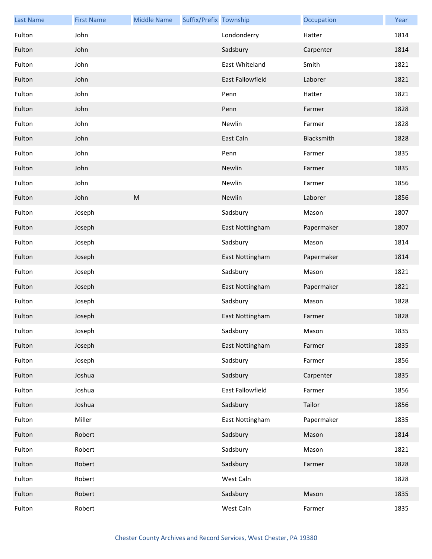| <b>Last Name</b> | <b>First Name</b> | <b>Middle Name</b> | Suffix/Prefix Township |                  | Occupation | Year |
|------------------|-------------------|--------------------|------------------------|------------------|------------|------|
| Fulton           | John              |                    |                        | Londonderry      | Hatter     | 1814 |
| Fulton           | John              |                    |                        | Sadsbury         | Carpenter  | 1814 |
| Fulton           | John              |                    |                        | East Whiteland   | Smith      | 1821 |
| Fulton           | John              |                    |                        | East Fallowfield | Laborer    | 1821 |
| Fulton           | John              |                    |                        | Penn             | Hatter     | 1821 |
| Fulton           | John              |                    |                        | Penn             | Farmer     | 1828 |
| Fulton           | John              |                    |                        | Newlin           | Farmer     | 1828 |
| Fulton           | John              |                    |                        | East Caln        | Blacksmith | 1828 |
| Fulton           | John              |                    |                        | Penn             | Farmer     | 1835 |
| Fulton           | John              |                    |                        | Newlin           | Farmer     | 1835 |
| Fulton           | John              |                    |                        | Newlin           | Farmer     | 1856 |
| Fulton           | John              | ${\sf M}$          |                        | Newlin           | Laborer    | 1856 |
| Fulton           | Joseph            |                    |                        | Sadsbury         | Mason      | 1807 |
| Fulton           | Joseph            |                    |                        | East Nottingham  | Papermaker | 1807 |
| Fulton           | Joseph            |                    |                        | Sadsbury         | Mason      | 1814 |
| Fulton           | Joseph            |                    |                        | East Nottingham  | Papermaker | 1814 |
| Fulton           | Joseph            |                    |                        | Sadsbury         | Mason      | 1821 |
| Fulton           | Joseph            |                    |                        | East Nottingham  | Papermaker | 1821 |
| Fulton           | Joseph            |                    |                        | Sadsbury         | Mason      | 1828 |
| Fulton           | Joseph            |                    |                        | East Nottingham  | Farmer     | 1828 |
| Fulton           | Joseph            |                    |                        | Sadsbury         | Mason      | 1835 |
| Fulton           | Joseph            |                    |                        | East Nottingham  | Farmer     | 1835 |
| Fulton           | Joseph            |                    |                        | Sadsbury         | Farmer     | 1856 |
| Fulton           | Joshua            |                    |                        | Sadsbury         | Carpenter  | 1835 |
| Fulton           | Joshua            |                    |                        | East Fallowfield | Farmer     | 1856 |
| Fulton           | Joshua            |                    |                        | Sadsbury         | Tailor     | 1856 |
| Fulton           | Miller            |                    |                        | East Nottingham  | Papermaker | 1835 |
| Fulton           | Robert            |                    |                        | Sadsbury         | Mason      | 1814 |
| Fulton           | Robert            |                    |                        | Sadsbury         | Mason      | 1821 |
| Fulton           | Robert            |                    |                        | Sadsbury         | Farmer     | 1828 |
| Fulton           | Robert            |                    |                        | West Caln        |            | 1828 |
| Fulton           | Robert            |                    |                        | Sadsbury         | Mason      | 1835 |
| Fulton           | Robert            |                    |                        | West Caln        | Farmer     | 1835 |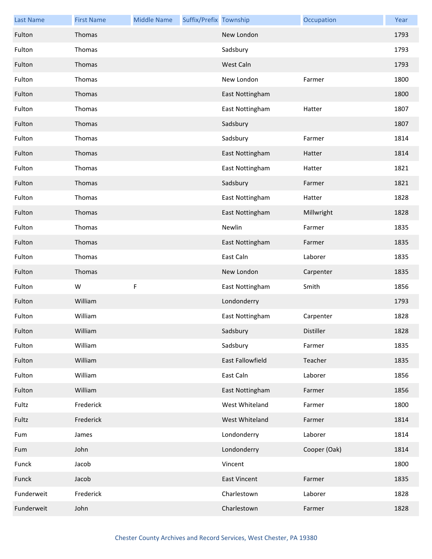| <b>Last Name</b> | <b>First Name</b> | <b>Middle Name</b> | Suffix/Prefix Township |                     | Occupation   | Year |
|------------------|-------------------|--------------------|------------------------|---------------------|--------------|------|
| Fulton           | Thomas            |                    |                        | New London          |              | 1793 |
| Fulton           | Thomas            |                    |                        | Sadsbury            |              | 1793 |
| Fulton           | Thomas            |                    |                        | West Caln           |              | 1793 |
| Fulton           | Thomas            |                    |                        | New London          | Farmer       | 1800 |
| Fulton           | Thomas            |                    |                        | East Nottingham     |              | 1800 |
| Fulton           | Thomas            |                    |                        | East Nottingham     | Hatter       | 1807 |
| Fulton           | Thomas            |                    |                        | Sadsbury            |              | 1807 |
| Fulton           | Thomas            |                    |                        | Sadsbury            | Farmer       | 1814 |
| Fulton           | Thomas            |                    |                        | East Nottingham     | Hatter       | 1814 |
| Fulton           | Thomas            |                    |                        | East Nottingham     | Hatter       | 1821 |
| Fulton           | Thomas            |                    |                        | Sadsbury            | Farmer       | 1821 |
| Fulton           | Thomas            |                    |                        | East Nottingham     | Hatter       | 1828 |
| Fulton           | Thomas            |                    |                        | East Nottingham     | Millwright   | 1828 |
| Fulton           | Thomas            |                    |                        | Newlin              | Farmer       | 1835 |
| Fulton           | Thomas            |                    |                        | East Nottingham     | Farmer       | 1835 |
| Fulton           | Thomas            |                    |                        | East Caln           | Laborer      | 1835 |
| Fulton           | Thomas            |                    |                        | New London          | Carpenter    | 1835 |
| Fulton           | W                 | F                  |                        | East Nottingham     | Smith        | 1856 |
| Fulton           | William           |                    |                        | Londonderry         |              | 1793 |
| Fulton           | William           |                    |                        | East Nottingham     | Carpenter    | 1828 |
| Fulton           | William           |                    |                        | Sadsbury            | Distiller    | 1828 |
| Fulton           | William           |                    |                        | Sadsbury            | Farmer       | 1835 |
| Fulton           | William           |                    |                        | East Fallowfield    | Teacher      | 1835 |
| Fulton           | William           |                    |                        | East Caln           | Laborer      | 1856 |
| Fulton           | William           |                    |                        | East Nottingham     | Farmer       | 1856 |
| Fultz            | Frederick         |                    |                        | West Whiteland      | Farmer       | 1800 |
| Fultz            | Frederick         |                    |                        | West Whiteland      | Farmer       | 1814 |
| Fum              | James             |                    |                        | Londonderry         | Laborer      | 1814 |
| Fum              | John              |                    |                        | Londonderry         | Cooper (Oak) | 1814 |
| Funck            | Jacob             |                    |                        | Vincent             |              | 1800 |
| Funck            | Jacob             |                    |                        | <b>East Vincent</b> | Farmer       | 1835 |
| Funderweit       | Frederick         |                    |                        | Charlestown         | Laborer      | 1828 |
| Funderweit       | John              |                    |                        | Charlestown         | Farmer       | 1828 |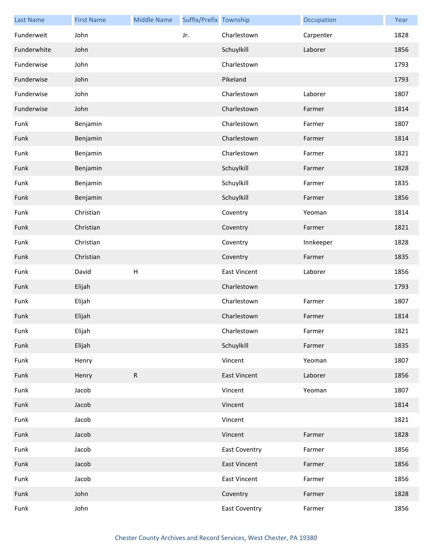| <b>Last Name</b> | <b>First Name</b> | <b>Middle Name</b> | Suffix/Prefix Township |                      | Occupation | Year |
|------------------|-------------------|--------------------|------------------------|----------------------|------------|------|
| Funderweit       | John              |                    | Jr.                    | Charlestown          | Carpenter  | 1828 |
| Funderwhite      | John              |                    |                        | Schuylkill           | Laborer    | 1856 |
| Funderwise       | John              |                    |                        | Charlestown          |            | 1793 |
| Funderwise       | John              |                    |                        | Pikeland             |            | 1793 |
| Funderwise       | John              |                    |                        | Charlestown          | Laborer    | 1807 |
| Funderwise       | John              |                    |                        | Charlestown          | Farmer     | 1814 |
| Funk             | Benjamin          |                    |                        | Charlestown          | Farmer     | 1807 |
| Funk             | Benjamin          |                    |                        | Charlestown          | Farmer     | 1814 |
| Funk             | Benjamin          |                    |                        | Charlestown          | Farmer     | 1821 |
| Funk             | Benjamin          |                    |                        | Schuylkill           | Farmer     | 1828 |
| Funk             | Benjamin          |                    |                        | Schuylkill           | Farmer     | 1835 |
| Funk             | Benjamin          |                    |                        | Schuylkill           | Farmer     | 1856 |
| Funk             | Christian         |                    |                        | Coventry             | Yeoman     | 1814 |
| Funk             | Christian         |                    |                        | Coventry             | Farmer     | 1821 |
| Funk             | Christian         |                    |                        | Coventry             | Innkeeper  | 1828 |
| Funk             | Christian         |                    |                        | Coventry             | Farmer     | 1835 |
| Funk             | David             | Н                  |                        | <b>East Vincent</b>  | Laborer    | 1856 |
| Funk             | Elijah            |                    |                        | Charlestown          |            | 1793 |
| Funk             | Elijah            |                    |                        | Charlestown          | Farmer     | 1807 |
| Funk             | Elijah            |                    |                        | Charlestown          | Farmer     | 1814 |
| Funk             | Elijah            |                    |                        | Charlestown          | Farmer     | 1821 |
| Funk             | Elijah            |                    |                        | Schuylkill           | Farmer     | 1835 |
| Funk             | Henry             |                    |                        | Vincent              | Yeoman     | 1807 |
| Funk             | Henry             | ${\sf R}$          |                        | <b>East Vincent</b>  | Laborer    | 1856 |
| Funk             | Jacob             |                    |                        | Vincent              | Yeoman     | 1807 |
| Funk             | Jacob             |                    |                        | Vincent              |            | 1814 |
| Funk             | Jacob             |                    |                        | Vincent              |            | 1821 |
| Funk             | Jacob             |                    |                        | Vincent              | Farmer     | 1828 |
| Funk             | Jacob             |                    |                        | <b>East Coventry</b> | Farmer     | 1856 |
| Funk             | Jacob             |                    |                        | <b>East Vincent</b>  | Farmer     | 1856 |
| Funk             | Jacob             |                    |                        | East Vincent         | Farmer     | 1856 |
| Funk             | John              |                    |                        | Coventry             | Farmer     | 1828 |
| Funk             | John              |                    |                        | <b>East Coventry</b> | Farmer     | 1856 |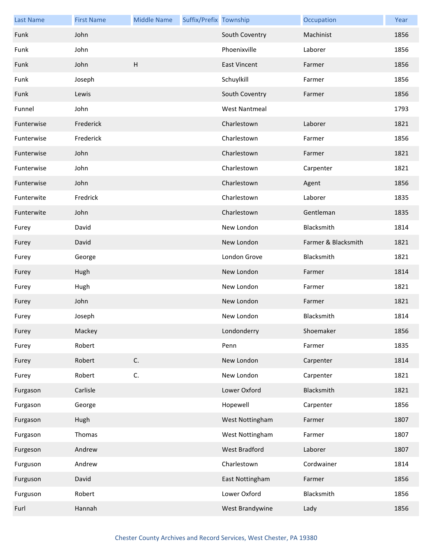| <b>Last Name</b> | <b>First Name</b> | <b>Middle Name</b> | Suffix/Prefix Township |                      | Occupation          | Year |
|------------------|-------------------|--------------------|------------------------|----------------------|---------------------|------|
| Funk             | John              |                    |                        | South Coventry       | Machinist           | 1856 |
| Funk             | John              |                    |                        | Phoenixville         | Laborer             | 1856 |
| Funk             | John              | H                  |                        | <b>East Vincent</b>  | Farmer              | 1856 |
| Funk             | Joseph            |                    |                        | Schuylkill           | Farmer              | 1856 |
| Funk             | Lewis             |                    |                        | South Coventry       | Farmer              | 1856 |
| Funnel           | John              |                    |                        | <b>West Nantmeal</b> |                     | 1793 |
| Funterwise       | Frederick         |                    |                        | Charlestown          | Laborer             | 1821 |
| Funterwise       | Frederick         |                    |                        | Charlestown          | Farmer              | 1856 |
| Funterwise       | John              |                    |                        | Charlestown          | Farmer              | 1821 |
| Funterwise       | John              |                    |                        | Charlestown          | Carpenter           | 1821 |
| Funterwise       | John              |                    |                        | Charlestown          | Agent               | 1856 |
| Funterwite       | Fredrick          |                    |                        | Charlestown          | Laborer             | 1835 |
| Funterwite       | John              |                    |                        | Charlestown          | Gentleman           | 1835 |
| Furey            | David             |                    |                        | New London           | Blacksmith          | 1814 |
| Furey            | David             |                    |                        | New London           | Farmer & Blacksmith | 1821 |
| Furey            | George            |                    |                        | London Grove         | Blacksmith          | 1821 |
| Furey            | Hugh              |                    |                        | New London           | Farmer              | 1814 |
| Furey            | Hugh              |                    |                        | New London           | Farmer              | 1821 |
| Furey            | John              |                    |                        | New London           | Farmer              | 1821 |
| Furey            | Joseph            |                    |                        | New London           | Blacksmith          | 1814 |
| Furey            | Mackey            |                    |                        | Londonderry          | Shoemaker           | 1856 |
| Furey            | Robert            |                    |                        | Penn                 | Farmer              | 1835 |
| Furey            | Robert            | C.                 |                        | New London           | Carpenter           | 1814 |
| Furey            | Robert            | C.                 |                        | New London           | Carpenter           | 1821 |
| Furgason         | Carlisle          |                    |                        | Lower Oxford         | Blacksmith          | 1821 |
| Furgason         | George            |                    |                        | Hopewell             | Carpenter           | 1856 |
| Furgason         | Hugh              |                    |                        | West Nottingham      | Farmer              | 1807 |
| Furgason         | Thomas            |                    |                        | West Nottingham      | Farmer              | 1807 |
| Furgeson         | Andrew            |                    |                        | West Bradford        | Laborer             | 1807 |
| Furguson         | Andrew            |                    |                        | Charlestown          | Cordwainer          | 1814 |
| Furguson         | David             |                    |                        | East Nottingham      | Farmer              | 1856 |
| Furguson         | Robert            |                    |                        | Lower Oxford         | Blacksmith          | 1856 |
| Furl             | Hannah            |                    |                        | West Brandywine      | Lady                | 1856 |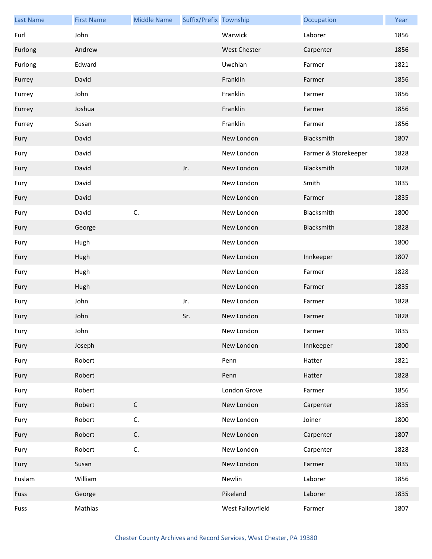| <b>Last Name</b> | <b>First Name</b> | <b>Middle Name</b> | Suffix/Prefix Township |                     | Occupation           | Year |
|------------------|-------------------|--------------------|------------------------|---------------------|----------------------|------|
| Furl             | John              |                    |                        | Warwick             | Laborer              | 1856 |
| Furlong          | Andrew            |                    |                        | <b>West Chester</b> | Carpenter            | 1856 |
| Furlong          | Edward            |                    |                        | Uwchlan             | Farmer               | 1821 |
| Furrey           | David             |                    |                        | Franklin            | Farmer               | 1856 |
| Furrey           | John              |                    |                        | Franklin            | Farmer               | 1856 |
| Furrey           | Joshua            |                    |                        | Franklin            | Farmer               | 1856 |
| Furrey           | Susan             |                    |                        | Franklin            | Farmer               | 1856 |
| Fury             | David             |                    |                        | New London          | Blacksmith           | 1807 |
| Fury             | David             |                    |                        | New London          | Farmer & Storekeeper | 1828 |
| Fury             | David             |                    | Jr.                    | New London          | Blacksmith           | 1828 |
| Fury             | David             |                    |                        | New London          | Smith                | 1835 |
| Fury             | David             |                    |                        | New London          | Farmer               | 1835 |
| Fury             | David             | C.                 |                        | New London          | Blacksmith           | 1800 |
| Fury             | George            |                    |                        | New London          | Blacksmith           | 1828 |
| Fury             | Hugh              |                    |                        | New London          |                      | 1800 |
| Fury             | Hugh              |                    |                        | New London          | Innkeeper            | 1807 |
| Fury             | Hugh              |                    |                        | New London          | Farmer               | 1828 |
| Fury             | Hugh              |                    |                        | New London          | Farmer               | 1835 |
| Fury             | John              |                    | Jr.                    | New London          | Farmer               | 1828 |
| Fury             | John              |                    | Sr.                    | New London          | Farmer               | 1828 |
| Fury             | John              |                    |                        | New London          | Farmer               | 1835 |
| Fury             | Joseph            |                    |                        | New London          | Innkeeper            | 1800 |
| Fury             | Robert            |                    |                        | Penn                | Hatter               | 1821 |
| Fury             | Robert            |                    |                        | Penn                | Hatter               | 1828 |
| Fury             | Robert            |                    |                        | London Grove        | Farmer               | 1856 |
| Fury             | Robert            | $\mathsf C$        |                        | New London          | Carpenter            | 1835 |
| Fury             | Robert            | C.                 |                        | New London          | Joiner               | 1800 |
| Fury             | Robert            | C.                 |                        | New London          | Carpenter            | 1807 |
| Fury             | Robert            | C.                 |                        | New London          | Carpenter            | 1828 |
| Fury             | Susan             |                    |                        | New London          | Farmer               | 1835 |
| Fuslam           | William           |                    |                        | Newlin              | Laborer              | 1856 |
| Fuss             | George            |                    |                        | Pikeland            | Laborer              | 1835 |
| Fuss             | Mathias           |                    |                        | West Fallowfield    | Farmer               | 1807 |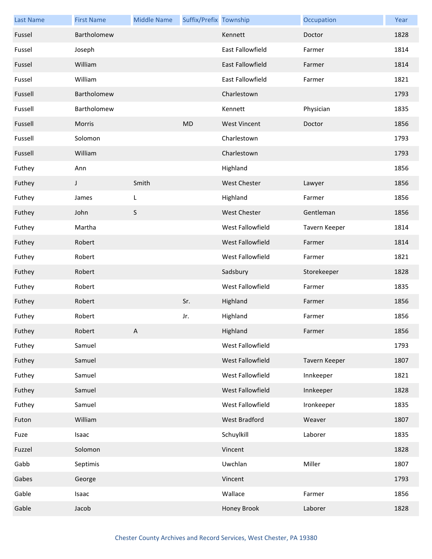| <b>Last Name</b> | <b>First Name</b> | <b>Middle Name</b> | Suffix/Prefix Township |                     | Occupation    | Year |
|------------------|-------------------|--------------------|------------------------|---------------------|---------------|------|
| Fussel           | Bartholomew       |                    |                        | Kennett             | Doctor        | 1828 |
| Fussel           | Joseph            |                    |                        | East Fallowfield    | Farmer        | 1814 |
| Fussel           | William           |                    |                        | East Fallowfield    | Farmer        | 1814 |
| Fussel           | William           |                    |                        | East Fallowfield    | Farmer        | 1821 |
| Fussell          | Bartholomew       |                    |                        | Charlestown         |               | 1793 |
| Fussell          | Bartholomew       |                    |                        | Kennett             | Physician     | 1835 |
| Fussell          | Morris            |                    | <b>MD</b>              | <b>West Vincent</b> | Doctor        | 1856 |
| Fussell          | Solomon           |                    |                        | Charlestown         |               | 1793 |
| Fussell          | William           |                    |                        | Charlestown         |               | 1793 |
| Futhey           | Ann               |                    |                        | Highland            |               | 1856 |
| Futhey           | J                 | Smith              |                        | <b>West Chester</b> | Lawyer        | 1856 |
| Futhey           | James             | L                  |                        | Highland            | Farmer        | 1856 |
| Futhey           | John              | $\mathsf S$        |                        | West Chester        | Gentleman     | 1856 |
| Futhey           | Martha            |                    |                        | West Fallowfield    | Tavern Keeper | 1814 |
| Futhey           | Robert            |                    |                        | West Fallowfield    | Farmer        | 1814 |
| Futhey           | Robert            |                    |                        | West Fallowfield    | Farmer        | 1821 |
| Futhey           | Robert            |                    |                        | Sadsbury            | Storekeeper   | 1828 |
| Futhey           | Robert            |                    |                        | West Fallowfield    | Farmer        | 1835 |
| Futhey           | Robert            |                    | Sr.                    | Highland            | Farmer        | 1856 |
| Futhey           | Robert            |                    | Jr.                    | Highland            | Farmer        | 1856 |
| Futhey           | Robert            | A                  |                        | Highland            | Farmer        | 1856 |
| Futhey           | Samuel            |                    |                        | West Fallowfield    |               | 1793 |
| Futhey           | Samuel            |                    |                        | West Fallowfield    | Tavern Keeper | 1807 |
| Futhey           | Samuel            |                    |                        | West Fallowfield    | Innkeeper     | 1821 |
| Futhey           | Samuel            |                    |                        | West Fallowfield    | Innkeeper     | 1828 |
| Futhey           | Samuel            |                    |                        | West Fallowfield    | Ironkeeper    | 1835 |
| Futon            | William           |                    |                        | West Bradford       | Weaver        | 1807 |
| Fuze             | Isaac             |                    |                        | Schuylkill          | Laborer       | 1835 |
| Fuzzel           | Solomon           |                    |                        | Vincent             |               | 1828 |
| Gabb             | Septimis          |                    |                        | Uwchlan             | Miller        | 1807 |
| Gabes            | George            |                    |                        | Vincent             |               | 1793 |
| Gable            | Isaac             |                    |                        | Wallace             | Farmer        | 1856 |
| Gable            | Jacob             |                    |                        | Honey Brook         | Laborer       | 1828 |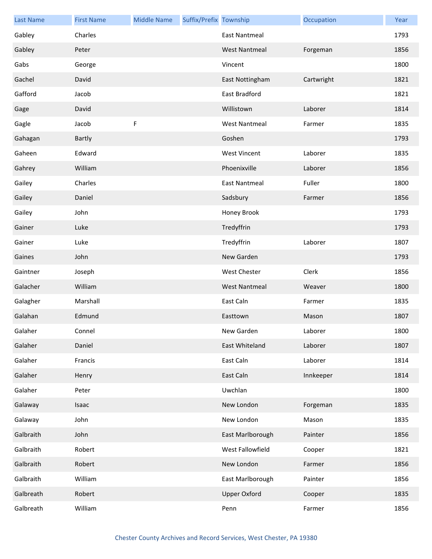| <b>Last Name</b> | <b>First Name</b> | <b>Middle Name</b> | Suffix/Prefix Township |                      | Occupation | Year |
|------------------|-------------------|--------------------|------------------------|----------------------|------------|------|
| Gabley           | Charles           |                    |                        | East Nantmeal        |            | 1793 |
| Gabley           | Peter             |                    |                        | <b>West Nantmeal</b> | Forgeman   | 1856 |
| Gabs             | George            |                    |                        | Vincent              |            | 1800 |
| Gachel           | David             |                    |                        | East Nottingham      | Cartwright | 1821 |
| Gafford          | Jacob             |                    |                        | East Bradford        |            | 1821 |
| Gage             | David             |                    |                        | Willistown           | Laborer    | 1814 |
| Gagle            | Jacob             | F                  |                        | <b>West Nantmeal</b> | Farmer     | 1835 |
| Gahagan          | Bartly            |                    |                        | Goshen               |            | 1793 |
| Gaheen           | Edward            |                    |                        | <b>West Vincent</b>  | Laborer    | 1835 |
| Gahrey           | William           |                    |                        | Phoenixville         | Laborer    | 1856 |
| Gailey           | Charles           |                    |                        | <b>East Nantmeal</b> | Fuller     | 1800 |
| Gailey           | Daniel            |                    |                        | Sadsbury             | Farmer     | 1856 |
| Gailey           | John              |                    |                        | Honey Brook          |            | 1793 |
| Gainer           | Luke              |                    |                        | Tredyffrin           |            | 1793 |
| Gainer           | Luke              |                    |                        | Tredyffrin           | Laborer    | 1807 |
| Gaines           | John              |                    |                        | New Garden           |            | 1793 |
| Gaintner         | Joseph            |                    |                        | <b>West Chester</b>  | Clerk      | 1856 |
| Galacher         | William           |                    |                        | <b>West Nantmeal</b> | Weaver     | 1800 |
| Galagher         | Marshall          |                    |                        | East Caln            | Farmer     | 1835 |
| Galahan          | Edmund            |                    |                        | Easttown             | Mason      | 1807 |
| Galaher          | Connel            |                    |                        | New Garden           | Laborer    | 1800 |
| Galaher          | Daniel            |                    |                        | East Whiteland       | Laborer    | 1807 |
| Galaher          | Francis           |                    |                        | East Caln            | Laborer    | 1814 |
| Galaher          | Henry             |                    |                        | East Caln            | Innkeeper  | 1814 |
| Galaher          | Peter             |                    |                        | Uwchlan              |            | 1800 |
| Galaway          | Isaac             |                    |                        | New London           | Forgeman   | 1835 |
| Galaway          | John              |                    |                        | New London           | Mason      | 1835 |
| Galbraith        | John              |                    |                        | East Marlborough     | Painter    | 1856 |
| Galbraith        | Robert            |                    |                        | West Fallowfield     | Cooper     | 1821 |
| Galbraith        | Robert            |                    |                        | New London           | Farmer     | 1856 |
| Galbraith        | William           |                    |                        | East Marlborough     | Painter    | 1856 |
| Galbreath        | Robert            |                    |                        | <b>Upper Oxford</b>  | Cooper     | 1835 |
| Galbreath        | William           |                    |                        | Penn                 | Farmer     | 1856 |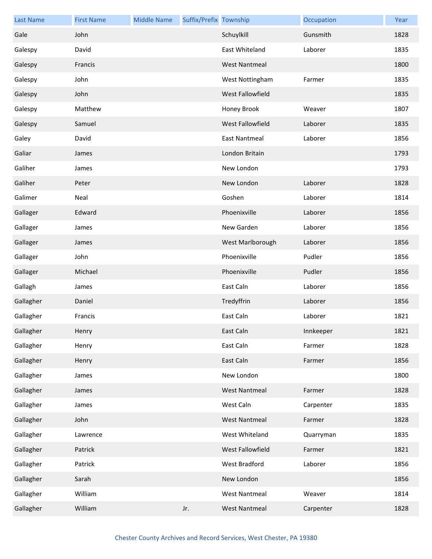| <b>Last Name</b> | <b>First Name</b> | <b>Middle Name</b> | Suffix/Prefix Township |                      | Occupation | Year |
|------------------|-------------------|--------------------|------------------------|----------------------|------------|------|
| Gale             | John              |                    |                        | Schuylkill           | Gunsmith   | 1828 |
| Galespy          | David             |                    |                        | East Whiteland       | Laborer    | 1835 |
| Galespy          | Francis           |                    |                        | <b>West Nantmeal</b> |            | 1800 |
| Galespy          | John              |                    |                        | West Nottingham      | Farmer     | 1835 |
| Galespy          | John              |                    |                        | West Fallowfield     |            | 1835 |
| Galespy          | Matthew           |                    |                        | Honey Brook          | Weaver     | 1807 |
| Galespy          | Samuel            |                    |                        | West Fallowfield     | Laborer    | 1835 |
| Galey            | David             |                    |                        | <b>East Nantmeal</b> | Laborer    | 1856 |
| Galiar           | James             |                    |                        | London Britain       |            | 1793 |
| Galiher          | James             |                    |                        | New London           |            | 1793 |
| Galiher          | Peter             |                    |                        | New London           | Laborer    | 1828 |
| Galimer          | Neal              |                    |                        | Goshen               | Laborer    | 1814 |
| Gallager         | Edward            |                    |                        | Phoenixville         | Laborer    | 1856 |
| Gallager         | James             |                    |                        | New Garden           | Laborer    | 1856 |
| Gallager         | James             |                    |                        | West Marlborough     | Laborer    | 1856 |
| Gallager         | John              |                    |                        | Phoenixville         | Pudler     | 1856 |
| Gallager         | Michael           |                    |                        | Phoenixville         | Pudler     | 1856 |
| Gallagh          | James             |                    |                        | East Caln            | Laborer    | 1856 |
| Gallagher        | Daniel            |                    |                        | Tredyffrin           | Laborer    | 1856 |
| Gallagher        | Francis           |                    |                        | East Caln            | Laborer    | 1821 |
| Gallagher        | Henry             |                    |                        | East Caln            | Innkeeper  | 1821 |
| Gallagher        | Henry             |                    |                        | East Caln            | Farmer     | 1828 |
| Gallagher        | Henry             |                    |                        | East Caln            | Farmer     | 1856 |
| Gallagher        | James             |                    |                        | New London           |            | 1800 |
| Gallagher        | James             |                    |                        | <b>West Nantmeal</b> | Farmer     | 1828 |
| Gallagher        | James             |                    |                        | West Caln            | Carpenter  | 1835 |
| Gallagher        | John              |                    |                        | <b>West Nantmeal</b> | Farmer     | 1828 |
| Gallagher        | Lawrence          |                    |                        | West Whiteland       | Quarryman  | 1835 |
| Gallagher        | Patrick           |                    |                        | West Fallowfield     | Farmer     | 1821 |
| Gallagher        | Patrick           |                    |                        | West Bradford        | Laborer    | 1856 |
| Gallagher        | Sarah             |                    |                        | New London           |            | 1856 |
| Gallagher        | William           |                    |                        | <b>West Nantmeal</b> | Weaver     | 1814 |
| Gallagher        | William           |                    | Jr.                    | <b>West Nantmeal</b> | Carpenter  | 1828 |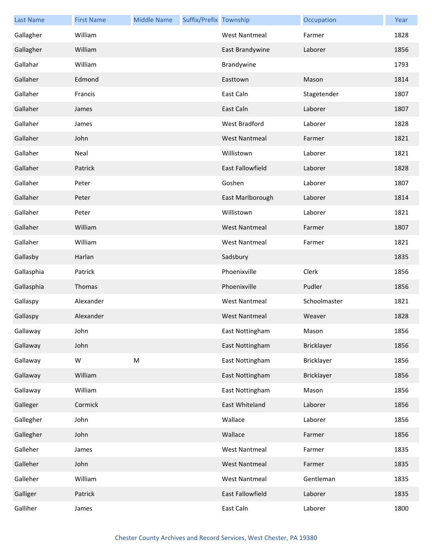| <b>Last Name</b> | <b>First Name</b> | <b>Middle Name</b> | Suffix/Prefix Township |                         | Occupation   | Year |
|------------------|-------------------|--------------------|------------------------|-------------------------|--------------|------|
| Gallagher        | William           |                    |                        | <b>West Nantmeal</b>    | Farmer       | 1828 |
| Gallagher        | William           |                    |                        | East Brandywine         | Laborer      | 1856 |
| Gallahar         | William           |                    |                        | Brandywine              |              | 1793 |
| Gallaher         | Edmond            |                    |                        | Easttown                | Mason        | 1814 |
| Gallaher         | Francis           |                    |                        | East Caln               | Stagetender  | 1807 |
| Gallaher         | James             |                    |                        | East Caln               | Laborer      | 1807 |
| Gallaher         | James             |                    |                        | West Bradford           | Laborer      | 1828 |
| Gallaher         | John              |                    |                        | <b>West Nantmeal</b>    | Farmer       | 1821 |
| Gallaher         | Neal              |                    |                        | Willistown              | Laborer      | 1821 |
| Gallaher         | Patrick           |                    |                        | <b>East Fallowfield</b> | Laborer      | 1828 |
| Gallaher         | Peter             |                    |                        | Goshen                  | Laborer      | 1807 |
| Gallaher         | Peter             |                    |                        | East Marlborough        | Laborer      | 1814 |
| Gallaher         | Peter             |                    |                        | Willistown              | Laborer      | 1821 |
| Gallaher         | William           |                    |                        | <b>West Nantmeal</b>    | Farmer       | 1807 |
| Gallaher         | William           |                    |                        | <b>West Nantmeal</b>    | Farmer       | 1821 |
| Gallasby         | Harlan            |                    |                        | Sadsbury                |              | 1835 |
| Gallasphia       | Patrick           |                    |                        | Phoenixville            | Clerk        | 1856 |
| Gallasphia       | Thomas            |                    |                        | Phoenixville            | Pudler       | 1856 |
| Gallaspy         | Alexander         |                    |                        | <b>West Nantmeal</b>    | Schoolmaster | 1821 |
| Gallaspy         | Alexander         |                    |                        | <b>West Nantmeal</b>    | Weaver       | 1828 |
| Gallaway         | John              |                    |                        | East Nottingham         | Mason        | 1856 |
| Gallaway         | John              |                    |                        | East Nottingham         | Bricklayer   | 1856 |
| Gallaway         | W                 | M                  |                        | East Nottingham         | Bricklayer   | 1856 |
| Gallaway         | William           |                    |                        | East Nottingham         | Bricklayer   | 1856 |
| Gallaway         | William           |                    |                        | East Nottingham         | Mason        | 1856 |
| Galleger         | Cormick           |                    |                        | East Whiteland          | Laborer      | 1856 |
| Gallegher        | John              |                    |                        | Wallace                 | Laborer      | 1856 |
| Gallegher        | John              |                    |                        | Wallace                 | Farmer       | 1856 |
| Galleher         | James             |                    |                        | <b>West Nantmeal</b>    | Farmer       | 1835 |
| Galleher         | John              |                    |                        | <b>West Nantmeal</b>    | Farmer       | 1835 |
| Galleher         | William           |                    |                        | <b>West Nantmeal</b>    | Gentleman    | 1835 |
| Galliger         | Patrick           |                    |                        | East Fallowfield        | Laborer      | 1835 |
| Galliher         | James             |                    |                        | East Caln               | Laborer      | 1800 |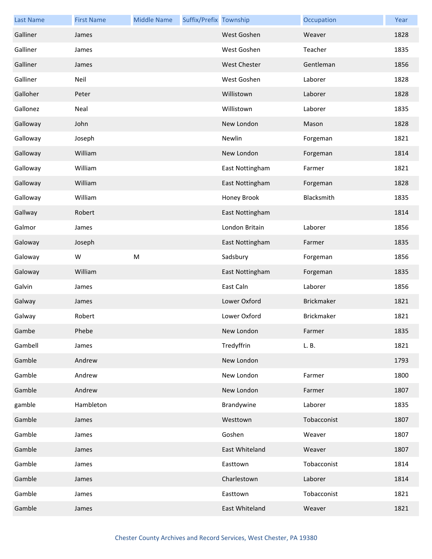| <b>Last Name</b> | <b>First Name</b> | <b>Middle Name</b> | Suffix/Prefix Township |                     | Occupation        | Year |
|------------------|-------------------|--------------------|------------------------|---------------------|-------------------|------|
| Galliner         | James             |                    |                        | West Goshen         | Weaver            | 1828 |
| Galliner         | James             |                    |                        | West Goshen         | Teacher           | 1835 |
| Galliner         | James             |                    |                        | <b>West Chester</b> | Gentleman         | 1856 |
| Galliner         | Neil              |                    |                        | West Goshen         | Laborer           | 1828 |
| Galloher         | Peter             |                    |                        | Willistown          | Laborer           | 1828 |
| Gallonez         | Neal              |                    |                        | Willistown          | Laborer           | 1835 |
| Galloway         | John              |                    |                        | New London          | Mason             | 1828 |
| Galloway         | Joseph            |                    |                        | Newlin              | Forgeman          | 1821 |
| Galloway         | William           |                    |                        | New London          | Forgeman          | 1814 |
| Galloway         | William           |                    |                        | East Nottingham     | Farmer            | 1821 |
| Galloway         | William           |                    |                        | East Nottingham     | Forgeman          | 1828 |
| Galloway         | William           |                    |                        | Honey Brook         | Blacksmith        | 1835 |
| Gallway          | Robert            |                    |                        | East Nottingham     |                   | 1814 |
| Galmor           | James             |                    |                        | London Britain      | Laborer           | 1856 |
| Galoway          | Joseph            |                    |                        | East Nottingham     | Farmer            | 1835 |
| Galoway          | W                 | ${\sf M}$          |                        | Sadsbury            | Forgeman          | 1856 |
| Galoway          | William           |                    |                        | East Nottingham     | Forgeman          | 1835 |
| Galvin           | James             |                    |                        | East Caln           | Laborer           | 1856 |
| Galway           | James             |                    |                        | Lower Oxford        | <b>Brickmaker</b> | 1821 |
| Galway           | Robert            |                    |                        | Lower Oxford        | Brickmaker        | 1821 |
| Gambe            | Phebe             |                    |                        | New London          | Farmer            | 1835 |
| Gambell          | James             |                    |                        | Tredyffrin          | L. B.             | 1821 |
| Gamble           | Andrew            |                    |                        | New London          |                   | 1793 |
| Gamble           | Andrew            |                    |                        | New London          | Farmer            | 1800 |
| Gamble           | Andrew            |                    |                        | New London          | Farmer            | 1807 |
| gamble           | Hambleton         |                    |                        | Brandywine          | Laborer           | 1835 |
| Gamble           | James             |                    |                        | Westtown            | Tobacconist       | 1807 |
| Gamble           | James             |                    |                        | Goshen              | Weaver            | 1807 |
| Gamble           | James             |                    |                        | East Whiteland      | Weaver            | 1807 |
| Gamble           | James             |                    |                        | Easttown            | Tobacconist       | 1814 |
| Gamble           | James             |                    |                        | Charlestown         | Laborer           | 1814 |
| Gamble           | James             |                    |                        | Easttown            | Tobacconist       | 1821 |
| Gamble           | James             |                    |                        | East Whiteland      | Weaver            | 1821 |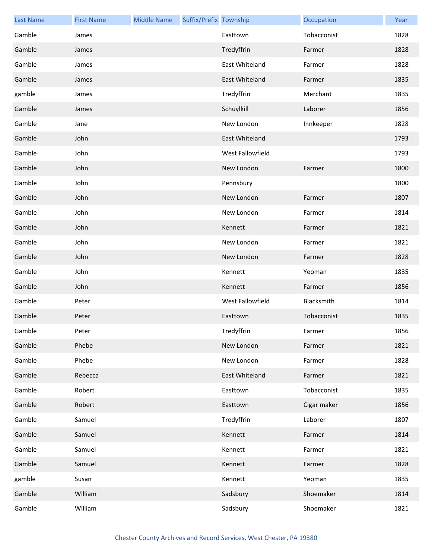| <b>Last Name</b> | <b>First Name</b> | <b>Middle Name</b> | Suffix/Prefix Township |                  | Occupation  | Year |
|------------------|-------------------|--------------------|------------------------|------------------|-------------|------|
| Gamble           | James             |                    |                        | Easttown         | Tobacconist | 1828 |
| Gamble           | James             |                    |                        | Tredyffrin       | Farmer      | 1828 |
| Gamble           | James             |                    |                        | East Whiteland   | Farmer      | 1828 |
| Gamble           | James             |                    |                        | East Whiteland   | Farmer      | 1835 |
| gamble           | James             |                    |                        | Tredyffrin       | Merchant    | 1835 |
| Gamble           | James             |                    |                        | Schuylkill       | Laborer     | 1856 |
| Gamble           | Jane              |                    |                        | New London       | Innkeeper   | 1828 |
| Gamble           | John              |                    |                        | East Whiteland   |             | 1793 |
| Gamble           | John              |                    |                        | West Fallowfield |             | 1793 |
| Gamble           | John              |                    |                        | New London       | Farmer      | 1800 |
| Gamble           | John              |                    |                        | Pennsbury        |             | 1800 |
| Gamble           | John              |                    |                        | New London       | Farmer      | 1807 |
| Gamble           | John              |                    |                        | New London       | Farmer      | 1814 |
| Gamble           | John              |                    |                        | Kennett          | Farmer      | 1821 |
| Gamble           | John              |                    |                        | New London       | Farmer      | 1821 |
| Gamble           | John              |                    |                        | New London       | Farmer      | 1828 |
| Gamble           | John              |                    |                        | Kennett          | Yeoman      | 1835 |
| Gamble           | John              |                    |                        | Kennett          | Farmer      | 1856 |
| Gamble           | Peter             |                    |                        | West Fallowfield | Blacksmith  | 1814 |
| Gamble           | Peter             |                    |                        | Easttown         | Tobacconist | 1835 |
| Gamble           | Peter             |                    |                        | Tredyffrin       | Farmer      | 1856 |
| Gamble           | Phebe             |                    |                        | New London       | Farmer      | 1821 |
| Gamble           | Phebe             |                    |                        | New London       | Farmer      | 1828 |
| Gamble           | Rebecca           |                    |                        | East Whiteland   | Farmer      | 1821 |
| Gamble           | Robert            |                    |                        | Easttown         | Tobacconist | 1835 |
| Gamble           | Robert            |                    |                        | Easttown         | Cigar maker | 1856 |
| Gamble           | Samuel            |                    |                        | Tredyffrin       | Laborer     | 1807 |
| Gamble           | Samuel            |                    |                        | Kennett          | Farmer      | 1814 |
| Gamble           | Samuel            |                    |                        | Kennett          | Farmer      | 1821 |
| Gamble           | Samuel            |                    |                        | Kennett          | Farmer      | 1828 |
| gamble           | Susan             |                    |                        | Kennett          | Yeoman      | 1835 |
| Gamble           | William           |                    |                        | Sadsbury         | Shoemaker   | 1814 |
| Gamble           | William           |                    |                        | Sadsbury         | Shoemaker   | 1821 |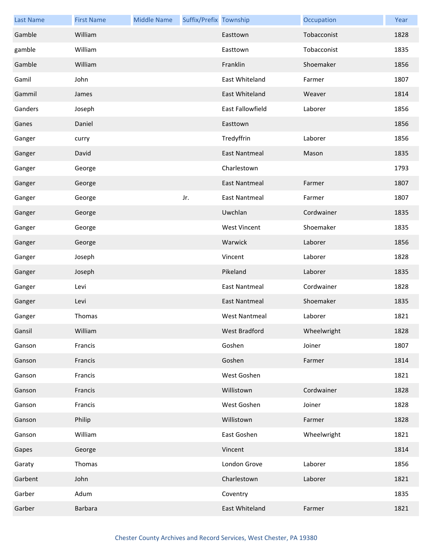| <b>Last Name</b> | <b>First Name</b> | <b>Middle Name</b> | Suffix/Prefix Township |                         | Occupation  | Year |
|------------------|-------------------|--------------------|------------------------|-------------------------|-------------|------|
| Gamble           | William           |                    |                        | Easttown                | Tobacconist | 1828 |
| gamble           | William           |                    |                        | Easttown                | Tobacconist | 1835 |
| Gamble           | William           |                    |                        | Franklin                | Shoemaker   | 1856 |
| Gamil            | John              |                    |                        | East Whiteland          | Farmer      | 1807 |
| Gammil           | James             |                    |                        | East Whiteland          | Weaver      | 1814 |
| Ganders          | Joseph            |                    |                        | <b>East Fallowfield</b> | Laborer     | 1856 |
| Ganes            | Daniel            |                    |                        | Easttown                |             | 1856 |
| Ganger           | curry             |                    |                        | Tredyffrin              | Laborer     | 1856 |
| Ganger           | David             |                    |                        | <b>East Nantmeal</b>    | Mason       | 1835 |
| Ganger           | George            |                    |                        | Charlestown             |             | 1793 |
| Ganger           | George            |                    |                        | <b>East Nantmeal</b>    | Farmer      | 1807 |
| Ganger           | George            |                    | Jr.                    | <b>East Nantmeal</b>    | Farmer      | 1807 |
| Ganger           | George            |                    |                        | Uwchlan                 | Cordwainer  | 1835 |
| Ganger           | George            |                    |                        | <b>West Vincent</b>     | Shoemaker   | 1835 |
| Ganger           | George            |                    |                        | Warwick                 | Laborer     | 1856 |
| Ganger           | Joseph            |                    |                        | Vincent                 | Laborer     | 1828 |
| Ganger           | Joseph            |                    |                        | Pikeland                | Laborer     | 1835 |
| Ganger           | Levi              |                    |                        | <b>East Nantmeal</b>    | Cordwainer  | 1828 |
| Ganger           | Levi              |                    |                        | <b>East Nantmeal</b>    | Shoemaker   | 1835 |
| Ganger           | Thomas            |                    |                        | <b>West Nantmeal</b>    | Laborer     | 1821 |
| Gansil           | William           |                    |                        | West Bradford           | Wheelwright | 1828 |
| Ganson           | Francis           |                    |                        | Goshen                  | Joiner      | 1807 |
| Ganson           | Francis           |                    |                        | Goshen                  | Farmer      | 1814 |
| Ganson           | Francis           |                    |                        | West Goshen             |             | 1821 |
| Ganson           | Francis           |                    |                        | Willistown              | Cordwainer  | 1828 |
| Ganson           | Francis           |                    |                        | West Goshen             | Joiner      | 1828 |
| Ganson           | Philip            |                    |                        | Willistown              | Farmer      | 1828 |
| Ganson           | William           |                    |                        | East Goshen             | Wheelwright | 1821 |
| Gapes            | George            |                    |                        | Vincent                 |             | 1814 |
| Garaty           | Thomas            |                    |                        | London Grove            | Laborer     | 1856 |
| Garbent          | John              |                    |                        | Charlestown             | Laborer     | 1821 |
| Garber           | Adum              |                    |                        | Coventry                |             | 1835 |
| Garber           | <b>Barbara</b>    |                    |                        | East Whiteland          | Farmer      | 1821 |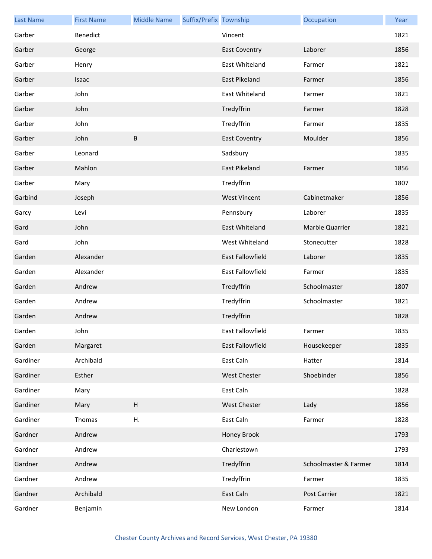| <b>Last Name</b> | <b>First Name</b> | <b>Middle Name</b>        | Suffix/Prefix Township |                         | Occupation            | Year |
|------------------|-------------------|---------------------------|------------------------|-------------------------|-----------------------|------|
| Garber           | Benedict          |                           |                        | Vincent                 |                       | 1821 |
| Garber           | George            |                           |                        | <b>East Coventry</b>    | Laborer               | 1856 |
| Garber           | Henry             |                           |                        | <b>East Whiteland</b>   | Farmer                | 1821 |
| Garber           | Isaac             |                           |                        | East Pikeland           | Farmer                | 1856 |
| Garber           | John              |                           |                        | East Whiteland          | Farmer                | 1821 |
| Garber           | John              |                           |                        | Tredyffrin              | Farmer                | 1828 |
| Garber           | John              |                           |                        | Tredyffrin              | Farmer                | 1835 |
| Garber           | John              | $\sf B$                   |                        | <b>East Coventry</b>    | Moulder               | 1856 |
| Garber           | Leonard           |                           |                        | Sadsbury                |                       | 1835 |
| Garber           | Mahlon            |                           |                        | <b>East Pikeland</b>    | Farmer                | 1856 |
| Garber           | Mary              |                           |                        | Tredyffrin              |                       | 1807 |
| Garbind          | Joseph            |                           |                        | <b>West Vincent</b>     | Cabinetmaker          | 1856 |
| Garcy            | Levi              |                           |                        | Pennsbury               | Laborer               | 1835 |
| Gard             | John              |                           |                        | East Whiteland          | Marble Quarrier       | 1821 |
| Gard             | John              |                           |                        | West Whiteland          | Stonecutter           | 1828 |
| Garden           | Alexander         |                           |                        | <b>East Fallowfield</b> | Laborer               | 1835 |
| Garden           | Alexander         |                           |                        | East Fallowfield        | Farmer                | 1835 |
| Garden           | Andrew            |                           |                        | Tredyffrin              | Schoolmaster          | 1807 |
| Garden           | Andrew            |                           |                        | Tredyffrin              | Schoolmaster          | 1821 |
| Garden           | Andrew            |                           |                        | Tredyffrin              |                       | 1828 |
| Garden           | John              |                           |                        | East Fallowfield        | Farmer                | 1835 |
| Garden           | Margaret          |                           |                        | East Fallowfield        | Housekeeper           | 1835 |
| Gardiner         | Archibald         |                           |                        | East Caln               | Hatter                | 1814 |
| Gardiner         | Esther            |                           |                        | <b>West Chester</b>     | Shoebinder            | 1856 |
| Gardiner         | Mary              |                           |                        | East Caln               |                       | 1828 |
| Gardiner         | Mary              | $\boldsymbol{\mathsf{H}}$ |                        | West Chester            | Lady                  | 1856 |
| Gardiner         | Thomas            | Η.                        |                        | East Caln               | Farmer                | 1828 |
| Gardner          | Andrew            |                           |                        | Honey Brook             |                       | 1793 |
| Gardner          | Andrew            |                           |                        | Charlestown             |                       | 1793 |
| Gardner          | Andrew            |                           |                        | Tredyffrin              | Schoolmaster & Farmer | 1814 |
| Gardner          | Andrew            |                           |                        | Tredyffrin              | Farmer                | 1835 |
| Gardner          | Archibald         |                           |                        | East Caln               | Post Carrier          | 1821 |
| Gardner          | Benjamin          |                           |                        | New London              | Farmer                | 1814 |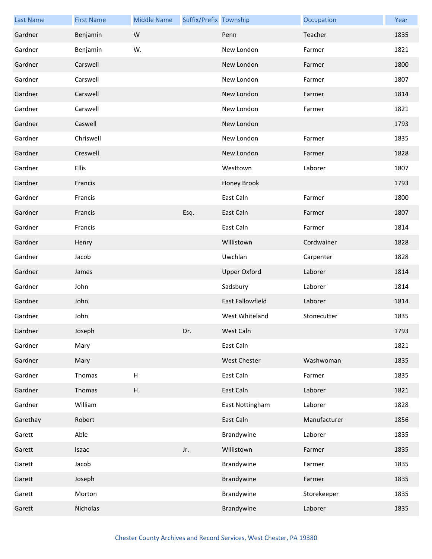| <b>Last Name</b> | <b>First Name</b> | <b>Middle Name</b>        | Suffix/Prefix Township |                         | Occupation   | Year |
|------------------|-------------------|---------------------------|------------------------|-------------------------|--------------|------|
| Gardner          | Benjamin          | W                         |                        | Penn                    | Teacher      | 1835 |
| Gardner          | Benjamin          | W.                        |                        | New London              | Farmer       | 1821 |
| Gardner          | Carswell          |                           |                        | New London              | Farmer       | 1800 |
| Gardner          | Carswell          |                           |                        | New London              | Farmer       | 1807 |
| Gardner          | Carswell          |                           |                        | New London              | Farmer       | 1814 |
| Gardner          | Carswell          |                           |                        | New London              | Farmer       | 1821 |
| Gardner          | Caswell           |                           |                        | New London              |              | 1793 |
| Gardner          | Chriswell         |                           |                        | New London              | Farmer       | 1835 |
| Gardner          | Creswell          |                           |                        | New London              | Farmer       | 1828 |
| Gardner          | Ellis             |                           |                        | Westtown                | Laborer      | 1807 |
| Gardner          | Francis           |                           |                        | Honey Brook             |              | 1793 |
| Gardner          | Francis           |                           |                        | East Caln               | Farmer       | 1800 |
| Gardner          | Francis           |                           | Esq.                   | East Caln               | Farmer       | 1807 |
| Gardner          | Francis           |                           |                        | East Caln               | Farmer       | 1814 |
| Gardner          | Henry             |                           |                        | Willistown              | Cordwainer   | 1828 |
| Gardner          | Jacob             |                           |                        | Uwchlan                 | Carpenter    | 1828 |
| Gardner          | James             |                           |                        | <b>Upper Oxford</b>     | Laborer      | 1814 |
| Gardner          | John              |                           |                        | Sadsbury                | Laborer      | 1814 |
| Gardner          | John              |                           |                        | <b>East Fallowfield</b> | Laborer      | 1814 |
| Gardner          | John              |                           |                        | West Whiteland          | Stonecutter  | 1835 |
| Gardner          | Joseph            |                           | Dr.                    | West Caln               |              | 1793 |
| Gardner          | Mary              |                           |                        | East Caln               |              | 1821 |
| Gardner          | Mary              |                           |                        | West Chester            | Washwoman    | 1835 |
| Gardner          | Thomas            | $\boldsymbol{\mathsf{H}}$ |                        | East Caln               | Farmer       | 1835 |
| Gardner          | Thomas            | Η.                        |                        | East Caln               | Laborer      | 1821 |
| Gardner          | William           |                           |                        | East Nottingham         | Laborer      | 1828 |
| Garethay         | Robert            |                           |                        | East Caln               | Manufacturer | 1856 |
| Garett           | Able              |                           |                        | Brandywine              | Laborer      | 1835 |
| Garett           | Isaac             |                           | Jr.                    | Willistown              | Farmer       | 1835 |
| Garett           | Jacob             |                           |                        | Brandywine              | Farmer       | 1835 |
| Garett           | Joseph            |                           |                        | Brandywine              | Farmer       | 1835 |
| Garett           | Morton            |                           |                        | Brandywine              | Storekeeper  | 1835 |
| Garett           | Nicholas          |                           |                        | Brandywine              | Laborer      | 1835 |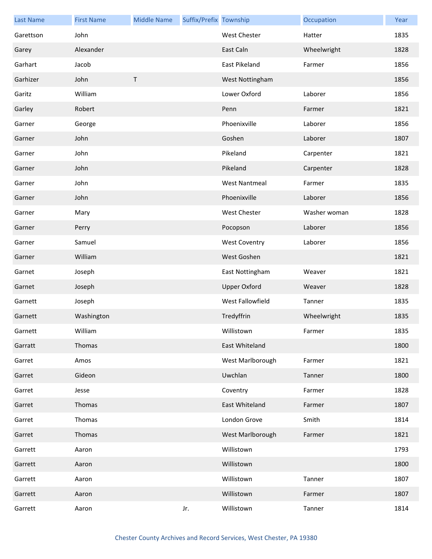| <b>Last Name</b> | <b>First Name</b> | <b>Middle Name</b> | Suffix/Prefix Township |                      | Occupation   | Year |
|------------------|-------------------|--------------------|------------------------|----------------------|--------------|------|
| Garettson        | John              |                    |                        | <b>West Chester</b>  | Hatter       | 1835 |
| Garey            | Alexander         |                    |                        | East Caln            | Wheelwright  | 1828 |
| Garhart          | Jacob             |                    |                        | <b>East Pikeland</b> | Farmer       | 1856 |
| Garhizer         | John              | $\sf T$            |                        | West Nottingham      |              | 1856 |
| Garitz           | William           |                    |                        | Lower Oxford         | Laborer      | 1856 |
| Garley           | Robert            |                    |                        | Penn                 | Farmer       | 1821 |
| Garner           | George            |                    |                        | Phoenixville         | Laborer      | 1856 |
| Garner           | John              |                    |                        | Goshen               | Laborer      | 1807 |
| Garner           | John              |                    |                        | Pikeland             | Carpenter    | 1821 |
| Garner           | John              |                    |                        | Pikeland             | Carpenter    | 1828 |
| Garner           | John              |                    |                        | <b>West Nantmeal</b> | Farmer       | 1835 |
| Garner           | John              |                    |                        | Phoenixville         | Laborer      | 1856 |
| Garner           | Mary              |                    |                        | <b>West Chester</b>  | Washer woman | 1828 |
| Garner           | Perry             |                    |                        | Pocopson             | Laborer      | 1856 |
| Garner           | Samuel            |                    |                        | <b>West Coventry</b> | Laborer      | 1856 |
| Garner           | William           |                    |                        | West Goshen          |              | 1821 |
| Garnet           | Joseph            |                    |                        | East Nottingham      | Weaver       | 1821 |
| Garnet           | Joseph            |                    |                        | <b>Upper Oxford</b>  | Weaver       | 1828 |
| Garnett          | Joseph            |                    |                        | West Fallowfield     | Tanner       | 1835 |
| Garnett          | Washington        |                    |                        | Tredyffrin           | Wheelwright  | 1835 |
| Garnett          | William           |                    |                        | Willistown           | Farmer       | 1835 |
| Garratt          | Thomas            |                    |                        | East Whiteland       |              | 1800 |
| Garret           | Amos              |                    |                        | West Marlborough     | Farmer       | 1821 |
| Garret           | Gideon            |                    |                        | Uwchlan              | Tanner       | 1800 |
| Garret           | Jesse             |                    |                        | Coventry             | Farmer       | 1828 |
| Garret           | Thomas            |                    |                        | East Whiteland       | Farmer       | 1807 |
| Garret           | Thomas            |                    |                        | London Grove         | Smith        | 1814 |
| Garret           | Thomas            |                    |                        | West Marlborough     | Farmer       | 1821 |
| Garrett          | Aaron             |                    |                        | Willistown           |              | 1793 |
| Garrett          | Aaron             |                    |                        | Willistown           |              | 1800 |
| Garrett          | Aaron             |                    |                        | Willistown           | Tanner       | 1807 |
| Garrett          | Aaron             |                    |                        | Willistown           | Farmer       | 1807 |
| Garrett          | Aaron             |                    | Jr.                    | Willistown           | Tanner       | 1814 |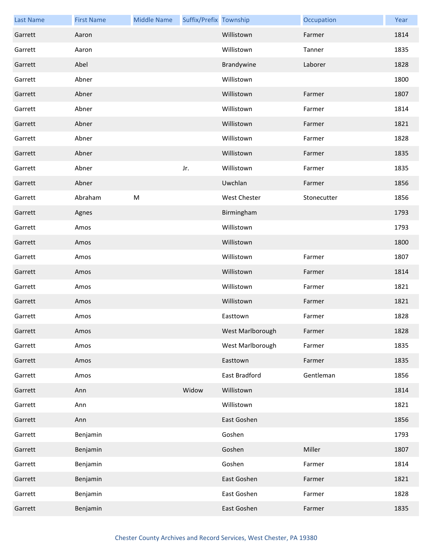| <b>Last Name</b> | <b>First Name</b> | <b>Middle Name</b> | Suffix/Prefix Township |                     | Occupation  | Year |
|------------------|-------------------|--------------------|------------------------|---------------------|-------------|------|
| Garrett          | Aaron             |                    |                        | Willistown          | Farmer      | 1814 |
| Garrett          | Aaron             |                    |                        | Willistown          | Tanner      | 1835 |
| Garrett          | Abel              |                    |                        | Brandywine          | Laborer     | 1828 |
| Garrett          | Abner             |                    |                        | Willistown          |             | 1800 |
| Garrett          | Abner             |                    |                        | Willistown          | Farmer      | 1807 |
| Garrett          | Abner             |                    |                        | Willistown          | Farmer      | 1814 |
| Garrett          | Abner             |                    |                        | Willistown          | Farmer      | 1821 |
| Garrett          | Abner             |                    |                        | Willistown          | Farmer      | 1828 |
| Garrett          | Abner             |                    |                        | Willistown          | Farmer      | 1835 |
| Garrett          | Abner             |                    | Jr.                    | Willistown          | Farmer      | 1835 |
| Garrett          | Abner             |                    |                        | Uwchlan             | Farmer      | 1856 |
| Garrett          | Abraham           | ${\sf M}$          |                        | <b>West Chester</b> | Stonecutter | 1856 |
| Garrett          | Agnes             |                    |                        | Birmingham          |             | 1793 |
| Garrett          | Amos              |                    |                        | Willistown          |             | 1793 |
| Garrett          | Amos              |                    |                        | Willistown          |             | 1800 |
| Garrett          | Amos              |                    |                        | Willistown          | Farmer      | 1807 |
| Garrett          | Amos              |                    |                        | Willistown          | Farmer      | 1814 |
| Garrett          | Amos              |                    |                        | Willistown          | Farmer      | 1821 |
| Garrett          | Amos              |                    |                        | Willistown          | Farmer      | 1821 |
| Garrett          | Amos              |                    |                        | Easttown            | Farmer      | 1828 |
| Garrett          | Amos              |                    |                        | West Marlborough    | Farmer      | 1828 |
| Garrett          | Amos              |                    |                        | West Marlborough    | Farmer      | 1835 |
| Garrett          | Amos              |                    |                        | Easttown            | Farmer      | 1835 |
| Garrett          | Amos              |                    |                        | East Bradford       | Gentleman   | 1856 |
| Garrett          | Ann               |                    | Widow                  | Willistown          |             | 1814 |
| Garrett          | Ann               |                    |                        | Willistown          |             | 1821 |
| Garrett          | Ann               |                    |                        | East Goshen         |             | 1856 |
| Garrett          | Benjamin          |                    |                        | Goshen              |             | 1793 |
| Garrett          | Benjamin          |                    |                        | Goshen              | Miller      | 1807 |
| Garrett          | Benjamin          |                    |                        | Goshen              | Farmer      | 1814 |
| Garrett          | Benjamin          |                    |                        | East Goshen         | Farmer      | 1821 |
| Garrett          | Benjamin          |                    |                        | East Goshen         | Farmer      | 1828 |
| Garrett          | Benjamin          |                    |                        | East Goshen         | Farmer      | 1835 |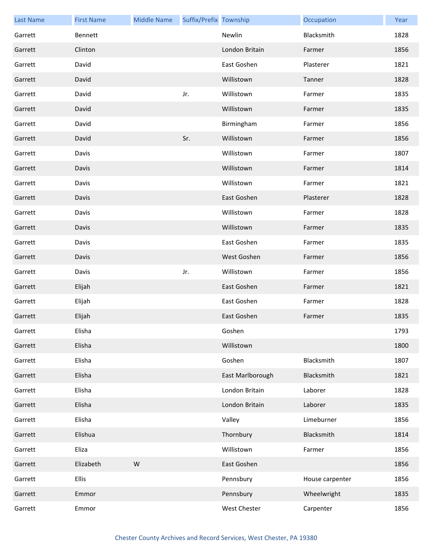| <b>Last Name</b> | <b>First Name</b> | <b>Middle Name</b> | Suffix/Prefix Township |                  | Occupation      | Year |
|------------------|-------------------|--------------------|------------------------|------------------|-----------------|------|
| Garrett          | Bennett           |                    |                        | Newlin           | Blacksmith      | 1828 |
| Garrett          | Clinton           |                    |                        | London Britain   | Farmer          | 1856 |
| Garrett          | David             |                    |                        | East Goshen      | Plasterer       | 1821 |
| Garrett          | David             |                    |                        | Willistown       | Tanner          | 1828 |
| Garrett          | David             |                    | Jr.                    | Willistown       | Farmer          | 1835 |
| Garrett          | David             |                    |                        | Willistown       | Farmer          | 1835 |
| Garrett          | David             |                    |                        | Birmingham       | Farmer          | 1856 |
| Garrett          | David             |                    | Sr.                    | Willistown       | Farmer          | 1856 |
| Garrett          | Davis             |                    |                        | Willistown       | Farmer          | 1807 |
| Garrett          | Davis             |                    |                        | Willistown       | Farmer          | 1814 |
| Garrett          | Davis             |                    |                        | Willistown       | Farmer          | 1821 |
| Garrett          | Davis             |                    |                        | East Goshen      | Plasterer       | 1828 |
| Garrett          | Davis             |                    |                        | Willistown       | Farmer          | 1828 |
| Garrett          | Davis             |                    |                        | Willistown       | Farmer          | 1835 |
| Garrett          | Davis             |                    |                        | East Goshen      | Farmer          | 1835 |
| Garrett          | Davis             |                    |                        | West Goshen      | Farmer          | 1856 |
| Garrett          | Davis             |                    | Jr.                    | Willistown       | Farmer          | 1856 |
| Garrett          | Elijah            |                    |                        | East Goshen      | Farmer          | 1821 |
| Garrett          | Elijah            |                    |                        | East Goshen      | Farmer          | 1828 |
| Garrett          | Elijah            |                    |                        | East Goshen      | Farmer          | 1835 |
| Garrett          | Elisha            |                    |                        | Goshen           |                 | 1793 |
| Garrett          | Elisha            |                    |                        | Willistown       |                 | 1800 |
| Garrett          | Elisha            |                    |                        | Goshen           | Blacksmith      | 1807 |
| Garrett          | Elisha            |                    |                        | East Marlborough | Blacksmith      | 1821 |
| Garrett          | Elisha            |                    |                        | London Britain   | Laborer         | 1828 |
| Garrett          | Elisha            |                    |                        | London Britain   | Laborer         | 1835 |
| Garrett          | Elisha            |                    |                        | Valley           | Limeburner      | 1856 |
| Garrett          | Elishua           |                    |                        | Thornbury        | Blacksmith      | 1814 |
| Garrett          | Eliza             |                    |                        | Willistown       | Farmer          | 1856 |
| Garrett          | Elizabeth         | W                  |                        | East Goshen      |                 | 1856 |
| Garrett          | <b>Ellis</b>      |                    |                        | Pennsbury        | House carpenter | 1856 |
| Garrett          | Emmor             |                    |                        | Pennsbury        | Wheelwright     | 1835 |
| Garrett          | Emmor             |                    |                        | West Chester     | Carpenter       | 1856 |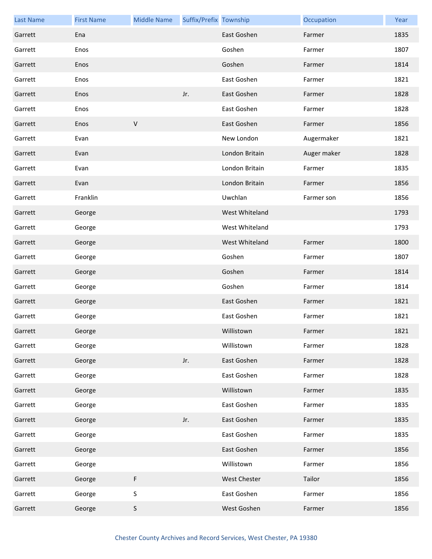| <b>Last Name</b> | <b>First Name</b> | <b>Middle Name</b> | Suffix/Prefix Township |                     | Occupation  | Year |
|------------------|-------------------|--------------------|------------------------|---------------------|-------------|------|
| Garrett          | Ena               |                    |                        | East Goshen         | Farmer      | 1835 |
| Garrett          | Enos              |                    |                        | Goshen              | Farmer      | 1807 |
| Garrett          | Enos              |                    |                        | Goshen              | Farmer      | 1814 |
| Garrett          | Enos              |                    |                        | East Goshen         | Farmer      | 1821 |
| Garrett          | Enos              |                    | Jr.                    | East Goshen         | Farmer      | 1828 |
| Garrett          | Enos              |                    |                        | East Goshen         | Farmer      | 1828 |
| Garrett          | Enos              | $\mathsf V$        |                        | East Goshen         | Farmer      | 1856 |
| Garrett          | Evan              |                    |                        | New London          | Augermaker  | 1821 |
| Garrett          | Evan              |                    |                        | London Britain      | Auger maker | 1828 |
| Garrett          | Evan              |                    |                        | London Britain      | Farmer      | 1835 |
| Garrett          | Evan              |                    |                        | London Britain      | Farmer      | 1856 |
| Garrett          | Franklin          |                    |                        | Uwchlan             | Farmer son  | 1856 |
| Garrett          | George            |                    |                        | West Whiteland      |             | 1793 |
| Garrett          | George            |                    |                        | West Whiteland      |             | 1793 |
| Garrett          | George            |                    |                        | West Whiteland      | Farmer      | 1800 |
| Garrett          | George            |                    |                        | Goshen              | Farmer      | 1807 |
| Garrett          | George            |                    |                        | Goshen              | Farmer      | 1814 |
| Garrett          | George            |                    |                        | Goshen              | Farmer      | 1814 |
| Garrett          | George            |                    |                        | East Goshen         | Farmer      | 1821 |
| Garrett          | George            |                    |                        | East Goshen         | Farmer      | 1821 |
| Garrett          | George            |                    |                        | Willistown          | Farmer      | 1821 |
| Garrett          | George            |                    |                        | Willistown          | Farmer      | 1828 |
| Garrett          | George            |                    | Jr.                    | East Goshen         | Farmer      | 1828 |
| Garrett          | George            |                    |                        | East Goshen         | Farmer      | 1828 |
| Garrett          | George            |                    |                        | Willistown          | Farmer      | 1835 |
| Garrett          | George            |                    |                        | East Goshen         | Farmer      | 1835 |
| Garrett          | George            |                    | Jr.                    | East Goshen         | Farmer      | 1835 |
| Garrett          | George            |                    |                        | East Goshen         | Farmer      | 1835 |
| Garrett          | George            |                    |                        | East Goshen         | Farmer      | 1856 |
| Garrett          | George            |                    |                        | Willistown          | Farmer      | 1856 |
| Garrett          | George            | F                  |                        | <b>West Chester</b> | Tailor      | 1856 |
| Garrett          | George            | $\mathsf S$        |                        | East Goshen         | Farmer      | 1856 |
| Garrett          | George            | $\sf S$            |                        | West Goshen         | Farmer      | 1856 |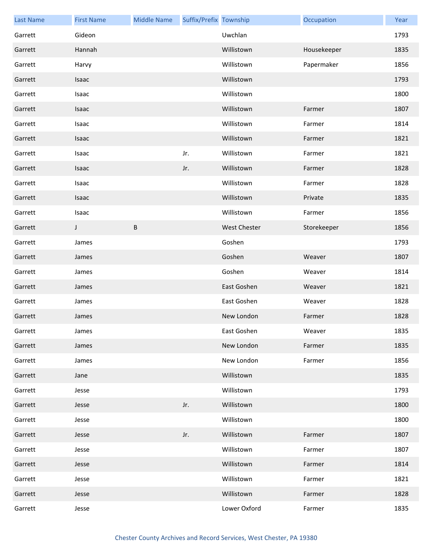| <b>Last Name</b> | <b>First Name</b> | <b>Middle Name</b> | Suffix/Prefix Township |                     | Occupation  | Year |
|------------------|-------------------|--------------------|------------------------|---------------------|-------------|------|
| Garrett          | Gideon            |                    |                        | Uwchlan             |             | 1793 |
| Garrett          | Hannah            |                    |                        | Willistown          | Housekeeper | 1835 |
| Garrett          | Harvy             |                    |                        | Willistown          | Papermaker  | 1856 |
| Garrett          | Isaac             |                    |                        | Willistown          |             | 1793 |
| Garrett          | Isaac             |                    |                        | Willistown          |             | 1800 |
| Garrett          | Isaac             |                    |                        | Willistown          | Farmer      | 1807 |
| Garrett          | Isaac             |                    |                        | Willistown          | Farmer      | 1814 |
| Garrett          | Isaac             |                    |                        | Willistown          | Farmer      | 1821 |
| Garrett          | Isaac             |                    | Jr.                    | Willistown          | Farmer      | 1821 |
| Garrett          | Isaac             |                    | Jr.                    | Willistown          | Farmer      | 1828 |
| Garrett          | Isaac             |                    |                        | Willistown          | Farmer      | 1828 |
| Garrett          | Isaac             |                    |                        | Willistown          | Private     | 1835 |
| Garrett          | Isaac             |                    |                        | Willistown          | Farmer      | 1856 |
| Garrett          | J                 | B                  |                        | <b>West Chester</b> | Storekeeper | 1856 |
| Garrett          | James             |                    |                        | Goshen              |             | 1793 |
| Garrett          | James             |                    |                        | Goshen              | Weaver      | 1807 |
| Garrett          | James             |                    |                        | Goshen              | Weaver      | 1814 |
| Garrett          | James             |                    |                        | East Goshen         | Weaver      | 1821 |
| Garrett          | James             |                    |                        | East Goshen         | Weaver      | 1828 |
| Garrett          | James             |                    |                        | New London          | Farmer      | 1828 |
| Garrett          | James             |                    |                        | East Goshen         | Weaver      | 1835 |
| Garrett          | James             |                    |                        | New London          | Farmer      | 1835 |
| Garrett          | James             |                    |                        | New London          | Farmer      | 1856 |
| Garrett          | Jane              |                    |                        | Willistown          |             | 1835 |
| Garrett          | Jesse             |                    |                        | Willistown          |             | 1793 |
| Garrett          | Jesse             |                    | Jr.                    | Willistown          |             | 1800 |
| Garrett          | Jesse             |                    |                        | Willistown          |             | 1800 |
| Garrett          | Jesse             |                    | Jr.                    | Willistown          | Farmer      | 1807 |
| Garrett          | Jesse             |                    |                        | Willistown          | Farmer      | 1807 |
| Garrett          | Jesse             |                    |                        | Willistown          | Farmer      | 1814 |
| Garrett          | Jesse             |                    |                        | Willistown          | Farmer      | 1821 |
| Garrett          | Jesse             |                    |                        | Willistown          | Farmer      | 1828 |
| Garrett          | Jesse             |                    |                        | Lower Oxford        | Farmer      | 1835 |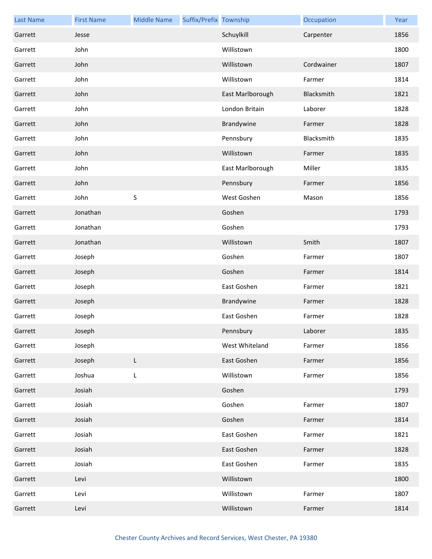| <b>Last Name</b> | <b>First Name</b> | <b>Middle Name</b> | Suffix/Prefix Township |                  | Occupation | Year |
|------------------|-------------------|--------------------|------------------------|------------------|------------|------|
| Garrett          | Jesse             |                    |                        | Schuylkill       | Carpenter  | 1856 |
| Garrett          | John              |                    |                        | Willistown       |            | 1800 |
| Garrett          | John              |                    |                        | Willistown       | Cordwainer | 1807 |
| Garrett          | John              |                    |                        | Willistown       | Farmer     | 1814 |
| Garrett          | John              |                    |                        | East Marlborough | Blacksmith | 1821 |
| Garrett          | John              |                    |                        | London Britain   | Laborer    | 1828 |
| Garrett          | John              |                    |                        | Brandywine       | Farmer     | 1828 |
| Garrett          | John              |                    |                        | Pennsbury        | Blacksmith | 1835 |
| Garrett          | John              |                    |                        | Willistown       | Farmer     | 1835 |
| Garrett          | John              |                    |                        | East Marlborough | Miller     | 1835 |
| Garrett          | John              |                    |                        | Pennsbury        | Farmer     | 1856 |
| Garrett          | John              | $\sf S$            |                        | West Goshen      | Mason      | 1856 |
| Garrett          | Jonathan          |                    |                        | Goshen           |            | 1793 |
| Garrett          | Jonathan          |                    |                        | Goshen           |            | 1793 |
| Garrett          | Jonathan          |                    |                        | Willistown       | Smith      | 1807 |
| Garrett          | Joseph            |                    |                        | Goshen           | Farmer     | 1807 |
| Garrett          | Joseph            |                    |                        | Goshen           | Farmer     | 1814 |
| Garrett          | Joseph            |                    |                        | East Goshen      | Farmer     | 1821 |
| Garrett          | Joseph            |                    |                        | Brandywine       | Farmer     | 1828 |
| Garrett          | Joseph            |                    |                        | East Goshen      | Farmer     | 1828 |
| Garrett          | Joseph            |                    |                        | Pennsbury        | Laborer    | 1835 |
| Garrett          | Joseph            |                    |                        | West Whiteland   | Farmer     | 1856 |
| Garrett          | Joseph            | $\mathsf{L}$       |                        | East Goshen      | Farmer     | 1856 |
| Garrett          | Joshua            | L                  |                        | Willistown       | Farmer     | 1856 |
| Garrett          | Josiah            |                    |                        | Goshen           |            | 1793 |
| Garrett          | Josiah            |                    |                        | Goshen           | Farmer     | 1807 |
| Garrett          | Josiah            |                    |                        | Goshen           | Farmer     | 1814 |
| Garrett          | Josiah            |                    |                        | East Goshen      | Farmer     | 1821 |
| Garrett          | Josiah            |                    |                        | East Goshen      | Farmer     | 1828 |
| Garrett          | Josiah            |                    |                        | East Goshen      | Farmer     | 1835 |
| Garrett          | Levi              |                    |                        | Willistown       |            | 1800 |
| Garrett          | Levi              |                    |                        | Willistown       | Farmer     | 1807 |
| Garrett          | Levi              |                    |                        | Willistown       | Farmer     | 1814 |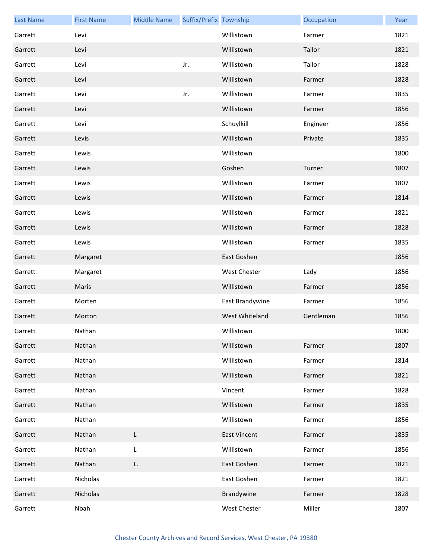| <b>Last Name</b> | <b>First Name</b> | <b>Middle Name</b> | Suffix/Prefix Township |                     | Occupation | Year |
|------------------|-------------------|--------------------|------------------------|---------------------|------------|------|
| Garrett          | Levi              |                    |                        | Willistown          | Farmer     | 1821 |
| Garrett          | Levi              |                    |                        | Willistown          | Tailor     | 1821 |
| Garrett          | Levi              |                    | Jr.                    | Willistown          | Tailor     | 1828 |
| Garrett          | Levi              |                    |                        | Willistown          | Farmer     | 1828 |
| Garrett          | Levi              |                    | Jr.                    | Willistown          | Farmer     | 1835 |
| Garrett          | Levi              |                    |                        | Willistown          | Farmer     | 1856 |
| Garrett          | Levi              |                    |                        | Schuylkill          | Engineer   | 1856 |
| Garrett          | Levis             |                    |                        | Willistown          | Private    | 1835 |
| Garrett          | Lewis             |                    |                        | Willistown          |            | 1800 |
| Garrett          | Lewis             |                    |                        | Goshen              | Turner     | 1807 |
| Garrett          | Lewis             |                    |                        | Willistown          | Farmer     | 1807 |
| Garrett          | Lewis             |                    |                        | Willistown          | Farmer     | 1814 |
| Garrett          | Lewis             |                    |                        | Willistown          | Farmer     | 1821 |
| Garrett          | Lewis             |                    |                        | Willistown          | Farmer     | 1828 |
| Garrett          | Lewis             |                    |                        | Willistown          | Farmer     | 1835 |
| Garrett          | Margaret          |                    |                        | East Goshen         |            | 1856 |
| Garrett          | Margaret          |                    |                        | <b>West Chester</b> | Lady       | 1856 |
| Garrett          | Maris             |                    |                        | Willistown          | Farmer     | 1856 |
| Garrett          | Morten            |                    |                        | East Brandywine     | Farmer     | 1856 |
| Garrett          | Morton            |                    |                        | West Whiteland      | Gentleman  | 1856 |
| Garrett          | Nathan            |                    |                        | Willistown          |            | 1800 |
| Garrett          | Nathan            |                    |                        | Willistown          | Farmer     | 1807 |
| Garrett          | Nathan            |                    |                        | Willistown          | Farmer     | 1814 |
| Garrett          | Nathan            |                    |                        | Willistown          | Farmer     | 1821 |
| Garrett          | Nathan            |                    |                        | Vincent             | Farmer     | 1828 |
| Garrett          | Nathan            |                    |                        | Willistown          | Farmer     | 1835 |
| Garrett          | Nathan            |                    |                        | Willistown          | Farmer     | 1856 |
| Garrett          | Nathan            | L                  |                        | <b>East Vincent</b> | Farmer     | 1835 |
| Garrett          | Nathan            | L                  |                        | Willistown          | Farmer     | 1856 |
| Garrett          | Nathan            | L.                 |                        | East Goshen         | Farmer     | 1821 |
| Garrett          | Nicholas          |                    |                        | East Goshen         | Farmer     | 1821 |
| Garrett          | Nicholas          |                    |                        | Brandywine          | Farmer     | 1828 |
| Garrett          | Noah              |                    |                        | West Chester        | Miller     | 1807 |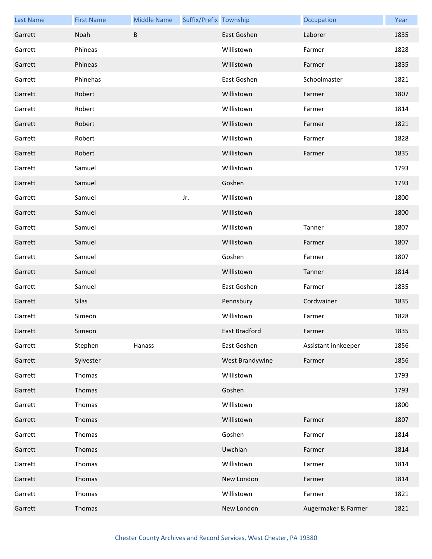| <b>Last Name</b> | <b>First Name</b> | <b>Middle Name</b> | Suffix/Prefix Township |                 | Occupation          | Year |
|------------------|-------------------|--------------------|------------------------|-----------------|---------------------|------|
| Garrett          | Noah              | B                  |                        | East Goshen     | Laborer             | 1835 |
| Garrett          | Phineas           |                    |                        | Willistown      | Farmer              | 1828 |
| Garrett          | Phineas           |                    |                        | Willistown      | Farmer              | 1835 |
| Garrett          | Phinehas          |                    |                        | East Goshen     | Schoolmaster        | 1821 |
| Garrett          | Robert            |                    |                        | Willistown      | Farmer              | 1807 |
| Garrett          | Robert            |                    |                        | Willistown      | Farmer              | 1814 |
| Garrett          | Robert            |                    |                        | Willistown      | Farmer              | 1821 |
| Garrett          | Robert            |                    |                        | Willistown      | Farmer              | 1828 |
| Garrett          | Robert            |                    |                        | Willistown      | Farmer              | 1835 |
| Garrett          | Samuel            |                    |                        | Willistown      |                     | 1793 |
| Garrett          | Samuel            |                    |                        | Goshen          |                     | 1793 |
| Garrett          | Samuel            |                    | Jr.                    | Willistown      |                     | 1800 |
| Garrett          | Samuel            |                    |                        | Willistown      |                     | 1800 |
| Garrett          | Samuel            |                    |                        | Willistown      | Tanner              | 1807 |
| Garrett          | Samuel            |                    |                        | Willistown      | Farmer              | 1807 |
| Garrett          | Samuel            |                    |                        | Goshen          | Farmer              | 1807 |
| Garrett          | Samuel            |                    |                        | Willistown      | Tanner              | 1814 |
| Garrett          | Samuel            |                    |                        | East Goshen     | Farmer              | 1835 |
| Garrett          | Silas             |                    |                        | Pennsbury       | Cordwainer          | 1835 |
| Garrett          | Simeon            |                    |                        | Willistown      | Farmer              | 1828 |
| Garrett          | Simeon            |                    |                        | East Bradford   | Farmer              | 1835 |
| Garrett          | Stephen           | Hanass             |                        | East Goshen     | Assistant innkeeper | 1856 |
| Garrett          | Sylvester         |                    |                        | West Brandywine | Farmer              | 1856 |
| Garrett          | Thomas            |                    |                        | Willistown      |                     | 1793 |
| Garrett          | Thomas            |                    |                        | Goshen          |                     | 1793 |
| Garrett          | Thomas            |                    |                        | Willistown      |                     | 1800 |
| Garrett          | Thomas            |                    |                        | Willistown      | Farmer              | 1807 |
| Garrett          | Thomas            |                    |                        | Goshen          | Farmer              | 1814 |
| Garrett          | Thomas            |                    |                        | Uwchlan         | Farmer              | 1814 |
| Garrett          | Thomas            |                    |                        | Willistown      | Farmer              | 1814 |
| Garrett          | Thomas            |                    |                        | New London      | Farmer              | 1814 |
| Garrett          | Thomas            |                    |                        | Willistown      | Farmer              | 1821 |
| Garrett          | Thomas            |                    |                        | New London      | Augermaker & Farmer | 1821 |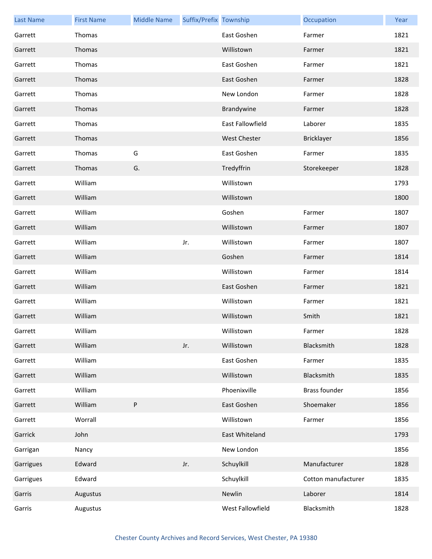| <b>Last Name</b> | <b>First Name</b> | <b>Middle Name</b> | Suffix/Prefix Township |                     | Occupation           | Year |
|------------------|-------------------|--------------------|------------------------|---------------------|----------------------|------|
| Garrett          | Thomas            |                    |                        | East Goshen         | Farmer               | 1821 |
| Garrett          | Thomas            |                    |                        | Willistown          | Farmer               | 1821 |
| Garrett          | Thomas            |                    |                        | East Goshen         | Farmer               | 1821 |
| Garrett          | Thomas            |                    |                        | East Goshen         | Farmer               | 1828 |
| Garrett          | Thomas            |                    |                        | New London          | Farmer               | 1828 |
| Garrett          | Thomas            |                    |                        | Brandywine          | Farmer               | 1828 |
| Garrett          | Thomas            |                    |                        | East Fallowfield    | Laborer              | 1835 |
| Garrett          | Thomas            |                    |                        | <b>West Chester</b> | Bricklayer           | 1856 |
| Garrett          | Thomas            | G                  |                        | East Goshen         | Farmer               | 1835 |
| Garrett          | Thomas            | G.                 |                        | Tredyffrin          | Storekeeper          | 1828 |
| Garrett          | William           |                    |                        | Willistown          |                      | 1793 |
| Garrett          | William           |                    |                        | Willistown          |                      | 1800 |
| Garrett          | William           |                    |                        | Goshen              | Farmer               | 1807 |
| Garrett          | William           |                    |                        | Willistown          | Farmer               | 1807 |
| Garrett          | William           |                    | Jr.                    | Willistown          | Farmer               | 1807 |
| Garrett          | William           |                    |                        | Goshen              | Farmer               | 1814 |
| Garrett          | William           |                    |                        | Willistown          | Farmer               | 1814 |
| Garrett          | William           |                    |                        | East Goshen         | Farmer               | 1821 |
| Garrett          | William           |                    |                        | Willistown          | Farmer               | 1821 |
| Garrett          | William           |                    |                        | Willistown          | Smith                | 1821 |
| Garrett          | William           |                    |                        | Willistown          | Farmer               | 1828 |
| Garrett          | William           |                    | Jr.                    | Willistown          | Blacksmith           | 1828 |
| Garrett          | William           |                    |                        | East Goshen         | Farmer               | 1835 |
| Garrett          | William           |                    |                        | Willistown          | Blacksmith           | 1835 |
| Garrett          | William           |                    |                        | Phoenixville        | <b>Brass founder</b> | 1856 |
| Garrett          | William           | P                  |                        | East Goshen         | Shoemaker            | 1856 |
| Garrett          | Worrall           |                    |                        | Willistown          | Farmer               | 1856 |
| Garrick          | John              |                    |                        | East Whiteland      |                      | 1793 |
| Garrigan         | Nancy             |                    |                        | New London          |                      | 1856 |
| Garrigues        | Edward            |                    | Jr.                    | Schuylkill          | Manufacturer         | 1828 |
| Garrigues        | Edward            |                    |                        | Schuylkill          | Cotton manufacturer  | 1835 |
| Garris           | Augustus          |                    |                        | Newlin              | Laborer              | 1814 |
| Garris           | Augustus          |                    |                        | West Fallowfield    | Blacksmith           | 1828 |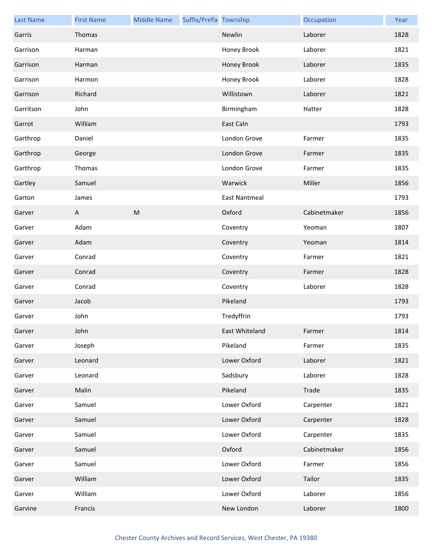| <b>Last Name</b> | <b>First Name</b> | <b>Middle Name</b>                                                                                         | Suffix/Prefix Township |                      | Occupation   | Year |
|------------------|-------------------|------------------------------------------------------------------------------------------------------------|------------------------|----------------------|--------------|------|
| Garris           | Thomas            |                                                                                                            |                        | Newlin               | Laborer      | 1828 |
| Garrison         | Harman            |                                                                                                            |                        | Honey Brook          | Laborer      | 1821 |
| Garrison         | Harman            |                                                                                                            |                        | Honey Brook          | Laborer      | 1835 |
| Garrison         | Harmon            |                                                                                                            |                        | Honey Brook          | Laborer      | 1828 |
| Garrison         | Richard           |                                                                                                            |                        | Willistown           | Laborer      | 1821 |
| Garritson        | John              |                                                                                                            |                        | Birmingham           | Hatter       | 1828 |
| Garrot           | William           |                                                                                                            |                        | East Caln            |              | 1793 |
| Garthrop         | Daniel            |                                                                                                            |                        | London Grove         | Farmer       | 1835 |
| Garthrop         | George            |                                                                                                            |                        | London Grove         | Farmer       | 1835 |
| Garthrop         | Thomas            |                                                                                                            |                        | London Grove         | Farmer       | 1835 |
| Gartley          | Samuel            |                                                                                                            |                        | Warwick              | Miller       | 1856 |
| Garton           | James             |                                                                                                            |                        | <b>East Nantmeal</b> |              | 1793 |
| Garver           | A                 | $\mathsf{M}% _{T}=\mathsf{M}_{T}\!\left( a,b\right) ,\ \mathsf{M}_{T}=\mathsf{M}_{T}\!\left( a,b\right) ,$ |                        | Oxford               | Cabinetmaker | 1856 |
| Garver           | Adam              |                                                                                                            |                        | Coventry             | Yeoman       | 1807 |
| Garver           | Adam              |                                                                                                            |                        | Coventry             | Yeoman       | 1814 |
| Garver           | Conrad            |                                                                                                            |                        | Coventry             | Farmer       | 1821 |
| Garver           | Conrad            |                                                                                                            |                        | Coventry             | Farmer       | 1828 |
| Garver           | Conrad            |                                                                                                            |                        | Coventry             | Laborer      | 1828 |
| Garver           | Jacob             |                                                                                                            |                        | Pikeland             |              | 1793 |
| Garver           | John              |                                                                                                            |                        | Tredyffrin           |              | 1793 |
| Garver           | John              |                                                                                                            |                        | East Whiteland       | Farmer       | 1814 |
| Garver           | Joseph            |                                                                                                            |                        | Pikeland             | Farmer       | 1835 |
| Garver           | Leonard           |                                                                                                            |                        | Lower Oxford         | Laborer      | 1821 |
| Garver           | Leonard           |                                                                                                            |                        | Sadsbury             | Laborer      | 1828 |
| Garver           | Malin             |                                                                                                            |                        | Pikeland             | Trade        | 1835 |
| Garver           | Samuel            |                                                                                                            |                        | Lower Oxford         | Carpenter    | 1821 |
| Garver           | Samuel            |                                                                                                            |                        | Lower Oxford         | Carpenter    | 1828 |
| Garver           | Samuel            |                                                                                                            |                        | Lower Oxford         | Carpenter    | 1835 |
| Garver           | Samuel            |                                                                                                            |                        | Oxford               | Cabinetmaker | 1856 |
| Garver           | Samuel            |                                                                                                            |                        | Lower Oxford         | Farmer       | 1856 |
| Garver           | William           |                                                                                                            |                        | Lower Oxford         | Tailor       | 1835 |
| Garver           | William           |                                                                                                            |                        | Lower Oxford         | Laborer      | 1856 |
| Garvine          | Francis           |                                                                                                            |                        | New London           | Laborer      | 1800 |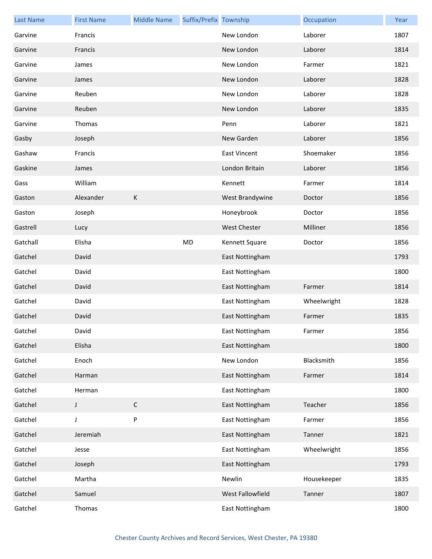| <b>Last Name</b> | <b>First Name</b> | <b>Middle Name</b> | Suffix/Prefix Township |                     | Occupation  | Year |
|------------------|-------------------|--------------------|------------------------|---------------------|-------------|------|
| Garvine          | Francis           |                    |                        | New London          | Laborer     | 1807 |
| Garvine          | Francis           |                    |                        | New London          | Laborer     | 1814 |
| Garvine          | James             |                    |                        | New London          | Farmer      | 1821 |
| Garvine          | James             |                    |                        | New London          | Laborer     | 1828 |
| Garvine          | Reuben            |                    |                        | New London          | Laborer     | 1828 |
| Garvine          | Reuben            |                    |                        | New London          | Laborer     | 1835 |
| Garvine          | Thomas            |                    |                        | Penn                | Laborer     | 1821 |
| Gasby            | Joseph            |                    |                        | New Garden          | Laborer     | 1856 |
| Gashaw           | Francis           |                    |                        | <b>East Vincent</b> | Shoemaker   | 1856 |
| Gaskine          | James             |                    |                        | London Britain      | Laborer     | 1856 |
| Gass             | William           |                    |                        | Kennett             | Farmer      | 1814 |
| Gaston           | Alexander         | К                  |                        | West Brandywine     | Doctor      | 1856 |
| Gaston           | Joseph            |                    |                        | Honeybrook          | Doctor      | 1856 |
| Gastrell         | Lucy              |                    |                        | <b>West Chester</b> | Milliner    | 1856 |
| Gatchall         | Elisha            |                    | <b>MD</b>              | Kennett Square      | Doctor      | 1856 |
| Gatchel          | David             |                    |                        | East Nottingham     |             | 1793 |
| Gatchel          | David             |                    |                        | East Nottingham     |             | 1800 |
| Gatchel          | David             |                    |                        | East Nottingham     | Farmer      | 1814 |
| Gatchel          | David             |                    |                        | East Nottingham     | Wheelwright | 1828 |
| Gatchel          | David             |                    |                        | East Nottingham     | Farmer      | 1835 |
| Gatchel          | David             |                    |                        | East Nottingham     | Farmer      | 1856 |
| Gatchel          | Elisha            |                    |                        | East Nottingham     |             | 1800 |
| Gatchel          | Enoch             |                    |                        | New London          | Blacksmith  | 1856 |
| Gatchel          | Harman            |                    |                        | East Nottingham     | Farmer      | 1814 |
| Gatchel          | Herman            |                    |                        | East Nottingham     |             | 1800 |
| Gatchel          | J                 | $\mathsf C$        |                        | East Nottingham     | Teacher     | 1856 |
| Gatchel          | J                 | P                  |                        | East Nottingham     | Farmer      | 1856 |
| Gatchel          | Jeremiah          |                    |                        | East Nottingham     | Tanner      | 1821 |
| Gatchel          | Jesse             |                    |                        | East Nottingham     | Wheelwright | 1856 |
| Gatchel          | Joseph            |                    |                        | East Nottingham     |             | 1793 |
| Gatchel          | Martha            |                    |                        | Newlin              | Housekeeper | 1835 |
| Gatchel          | Samuel            |                    |                        | West Fallowfield    | Tanner      | 1807 |
| Gatchel          | Thomas            |                    |                        | East Nottingham     |             | 1800 |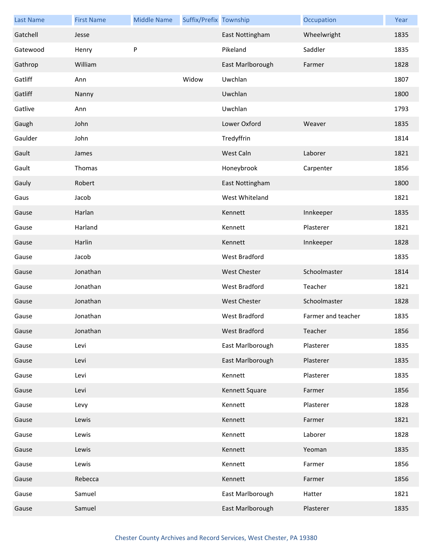| <b>Last Name</b> | <b>First Name</b> | <b>Middle Name</b> | Suffix/Prefix Township |                      | Occupation         | Year |
|------------------|-------------------|--------------------|------------------------|----------------------|--------------------|------|
| Gatchell         | Jesse             |                    |                        | East Nottingham      | Wheelwright        | 1835 |
| Gatewood         | Henry             | P                  |                        | Pikeland             | Saddler            | 1835 |
| Gathrop          | William           |                    |                        | East Marlborough     | Farmer             | 1828 |
| Gatliff          | Ann               |                    | Widow                  | Uwchlan              |                    | 1807 |
| Gatliff          | Nanny             |                    |                        | Uwchlan              |                    | 1800 |
| Gatlive          | Ann               |                    |                        | Uwchlan              |                    | 1793 |
| Gaugh            | John              |                    |                        | Lower Oxford         | Weaver             | 1835 |
| Gaulder          | John              |                    |                        | Tredyffrin           |                    | 1814 |
| Gault            | James             |                    |                        | West Caln            | Laborer            | 1821 |
| Gault            | Thomas            |                    |                        | Honeybrook           | Carpenter          | 1856 |
| Gauly            | Robert            |                    |                        | East Nottingham      |                    | 1800 |
| Gaus             | Jacob             |                    |                        | West Whiteland       |                    | 1821 |
| Gause            | Harlan            |                    |                        | Kennett              | Innkeeper          | 1835 |
| Gause            | Harland           |                    |                        | Kennett              | Plasterer          | 1821 |
| Gause            | Harlin            |                    |                        | Kennett              | Innkeeper          | 1828 |
| Gause            | Jacob             |                    |                        | West Bradford        |                    | 1835 |
| Gause            | Jonathan          |                    |                        | <b>West Chester</b>  | Schoolmaster       | 1814 |
| Gause            | Jonathan          |                    |                        | West Bradford        | Teacher            | 1821 |
| Gause            | Jonathan          |                    |                        | West Chester         | Schoolmaster       | 1828 |
| Gause            | Jonathan          |                    |                        | <b>West Bradford</b> | Farmer and teacher | 1835 |
| Gause            | Jonathan          |                    |                        | West Bradford        | Teacher            | 1856 |
| Gause            | Levi              |                    |                        | East Marlborough     | Plasterer          | 1835 |
| Gause            | Levi              |                    |                        | East Marlborough     | Plasterer          | 1835 |
| Gause            | Levi              |                    |                        | Kennett              | Plasterer          | 1835 |
| Gause            | Levi              |                    |                        | Kennett Square       | Farmer             | 1856 |
| Gause            | Levy              |                    |                        | Kennett              | Plasterer          | 1828 |
| Gause            | Lewis             |                    |                        | Kennett              | Farmer             | 1821 |
| Gause            | Lewis             |                    |                        | Kennett              | Laborer            | 1828 |
| Gause            | Lewis             |                    |                        | Kennett              | Yeoman             | 1835 |
| Gause            | Lewis             |                    |                        | Kennett              | Farmer             | 1856 |
| Gause            | Rebecca           |                    |                        | Kennett              | Farmer             | 1856 |
| Gause            | Samuel            |                    |                        | East Marlborough     | Hatter             | 1821 |
| Gause            | Samuel            |                    |                        | East Marlborough     | Plasterer          | 1835 |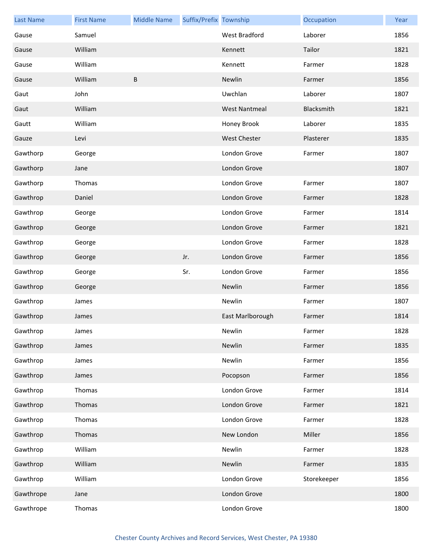| <b>Last Name</b> | <b>First Name</b> | <b>Middle Name</b> | Suffix/Prefix Township |                      | Occupation  | Year |
|------------------|-------------------|--------------------|------------------------|----------------------|-------------|------|
| Gause            | Samuel            |                    |                        | <b>West Bradford</b> | Laborer     | 1856 |
| Gause            | William           |                    |                        | Kennett              | Tailor      | 1821 |
| Gause            | William           |                    |                        | Kennett              | Farmer      | 1828 |
| Gause            | William           | $\sf B$            |                        | Newlin               | Farmer      | 1856 |
| Gaut             | John              |                    |                        | Uwchlan              | Laborer     | 1807 |
| Gaut             | William           |                    |                        | <b>West Nantmeal</b> | Blacksmith  | 1821 |
| Gautt            | William           |                    |                        | Honey Brook          | Laborer     | 1835 |
| Gauze            | Levi              |                    |                        | <b>West Chester</b>  | Plasterer   | 1835 |
| Gawthorp         | George            |                    |                        | London Grove         | Farmer      | 1807 |
| Gawthorp         | Jane              |                    |                        | London Grove         |             | 1807 |
| Gawthorp         | Thomas            |                    |                        | London Grove         | Farmer      | 1807 |
| Gawthrop         | Daniel            |                    |                        | London Grove         | Farmer      | 1828 |
| Gawthrop         | George            |                    |                        | London Grove         | Farmer      | 1814 |
| Gawthrop         | George            |                    |                        | London Grove         | Farmer      | 1821 |
| Gawthrop         | George            |                    |                        | London Grove         | Farmer      | 1828 |
| Gawthrop         | George            |                    | Jr.                    | London Grove         | Farmer      | 1856 |
| Gawthrop         | George            |                    | Sr.                    | London Grove         | Farmer      | 1856 |
| Gawthrop         | George            |                    |                        | Newlin               | Farmer      | 1856 |
| Gawthrop         | James             |                    |                        | Newlin               | Farmer      | 1807 |
| Gawthrop         | James             |                    |                        | East Marlborough     | Farmer      | 1814 |
| Gawthrop         | James             |                    |                        | Newlin               | Farmer      | 1828 |
| Gawthrop         | James             |                    |                        | Newlin               | Farmer      | 1835 |
| Gawthrop         | James             |                    |                        | Newlin               | Farmer      | 1856 |
| Gawthrop         | James             |                    |                        | Pocopson             | Farmer      | 1856 |
| Gawthrop         | Thomas            |                    |                        | London Grove         | Farmer      | 1814 |
| Gawthrop         | Thomas            |                    |                        | London Grove         | Farmer      | 1821 |
| Gawthrop         | Thomas            |                    |                        | London Grove         | Farmer      | 1828 |
| Gawthrop         | Thomas            |                    |                        | New London           | Miller      | 1856 |
| Gawthrop         | William           |                    |                        | Newlin               | Farmer      | 1828 |
| Gawthrop         | William           |                    |                        | Newlin               | Farmer      | 1835 |
| Gawthrop         | William           |                    |                        | London Grove         | Storekeeper | 1856 |
| Gawthrope        | Jane              |                    |                        | London Grove         |             | 1800 |
| Gawthrope        | Thomas            |                    |                        | London Grove         |             | 1800 |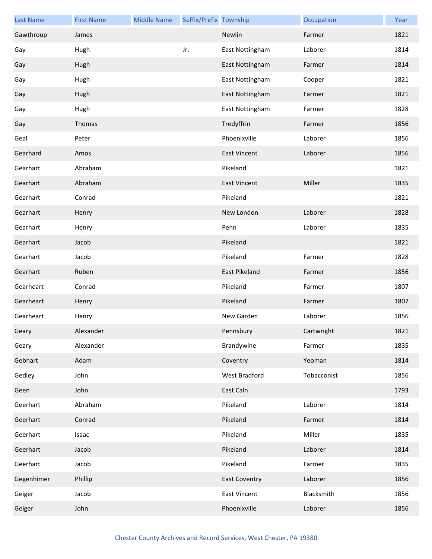| <b>Last Name</b> | <b>First Name</b> | <b>Middle Name</b> | Suffix/Prefix Township |                      | Occupation  | Year |
|------------------|-------------------|--------------------|------------------------|----------------------|-------------|------|
| Gawthroup        | James             |                    |                        | Newlin               | Farmer      | 1821 |
| Gay              | Hugh              |                    | Jr.                    | East Nottingham      | Laborer     | 1814 |
| Gay              | Hugh              |                    |                        | East Nottingham      | Farmer      | 1814 |
| Gay              | Hugh              |                    |                        | East Nottingham      | Cooper      | 1821 |
| Gay              | Hugh              |                    |                        | East Nottingham      | Farmer      | 1821 |
| Gay              | Hugh              |                    |                        | East Nottingham      | Farmer      | 1828 |
| Gay              | Thomas            |                    |                        | Tredyffrin           | Farmer      | 1856 |
| Geal             | Peter             |                    |                        | Phoenixville         | Laborer     | 1856 |
| Gearhard         | Amos              |                    |                        | <b>East Vincent</b>  | Laborer     | 1856 |
| Gearhart         | Abraham           |                    |                        | Pikeland             |             | 1821 |
| Gearhart         | Abraham           |                    |                        | <b>East Vincent</b>  | Miller      | 1835 |
| Gearhart         | Conrad            |                    |                        | Pikeland             |             | 1821 |
| Gearhart         | Henry             |                    |                        | New London           | Laborer     | 1828 |
| Gearhart         | Henry             |                    |                        | Penn                 | Laborer     | 1835 |
| Gearhart         | Jacob             |                    |                        | Pikeland             |             | 1821 |
| Gearhart         | Jacob             |                    |                        | Pikeland             | Farmer      | 1828 |
| Gearhart         | Ruben             |                    |                        | East Pikeland        | Farmer      | 1856 |
| Gearheart        | Conrad            |                    |                        | Pikeland             | Farmer      | 1807 |
| Gearheart        | Henry             |                    |                        | Pikeland             | Farmer      | 1807 |
| Gearheart        | Henry             |                    |                        | New Garden           | Laborer     | 1856 |
| Geary            | Alexander         |                    |                        | Pennsbury            | Cartwright  | 1821 |
| Geary            | Alexander         |                    |                        | Brandywine           | Farmer      | 1835 |
| Gebhart          | Adam              |                    |                        | Coventry             | Yeoman      | 1814 |
| Gedley           | John              |                    |                        | <b>West Bradford</b> | Tobacconist | 1856 |
| Geen             | John              |                    |                        | East Caln            |             | 1793 |
| Geerhart         | Abraham           |                    |                        | Pikeland             | Laborer     | 1814 |
| Geerhart         | Conrad            |                    |                        | Pikeland             | Farmer      | 1814 |
| Geerhart         | Isaac             |                    |                        | Pikeland             | Miller      | 1835 |
| Geerhart         | Jacob             |                    |                        | Pikeland             | Laborer     | 1814 |
| Geerhart         | Jacob             |                    |                        | Pikeland             | Farmer      | 1835 |
| Gegenhimer       | Phillip           |                    |                        | <b>East Coventry</b> | Laborer     | 1856 |
| Geiger           | Jacob             |                    |                        | <b>East Vincent</b>  | Blacksmith  | 1856 |
| Geiger           | John              |                    |                        | Phoenixville         | Laborer     | 1856 |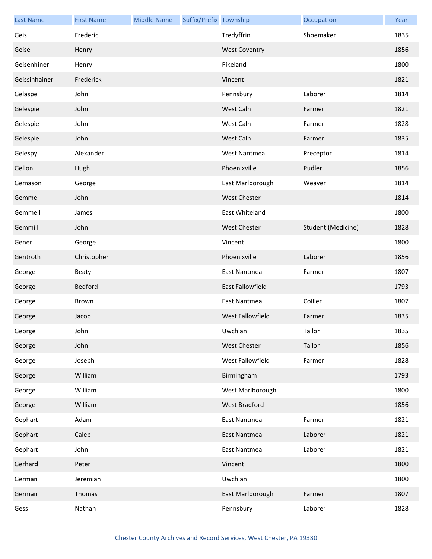| <b>Last Name</b> | <b>First Name</b> | <b>Middle Name</b> | Suffix/Prefix Township |                         | Occupation         | Year |
|------------------|-------------------|--------------------|------------------------|-------------------------|--------------------|------|
| Geis             | Frederic          |                    |                        | Tredyffrin              | Shoemaker          | 1835 |
| Geise            | Henry             |                    |                        | <b>West Coventry</b>    |                    | 1856 |
| Geisenhiner      | Henry             |                    |                        | Pikeland                |                    | 1800 |
| Geissinhainer    | Frederick         |                    |                        | Vincent                 |                    | 1821 |
| Gelaspe          | John              |                    |                        | Pennsbury               | Laborer            | 1814 |
| Gelespie         | John              |                    |                        | West Caln               | Farmer             | 1821 |
| Gelespie         | John              |                    |                        | West Caln               | Farmer             | 1828 |
| Gelespie         | John              |                    |                        | West Caln               | Farmer             | 1835 |
| Gelespy          | Alexander         |                    |                        | <b>West Nantmeal</b>    | Preceptor          | 1814 |
| Gellon           | Hugh              |                    |                        | Phoenixville            | Pudler             | 1856 |
| Gemason          | George            |                    |                        | East Marlborough        | Weaver             | 1814 |
| Gemmel           | John              |                    |                        | <b>West Chester</b>     |                    | 1814 |
| Gemmell          | James             |                    |                        | East Whiteland          |                    | 1800 |
| Gemmill          | John              |                    |                        | <b>West Chester</b>     | Student (Medicine) | 1828 |
| Gener            | George            |                    |                        | Vincent                 |                    | 1800 |
| Gentroth         | Christopher       |                    |                        | Phoenixville            | Laborer            | 1856 |
| George           | <b>Beaty</b>      |                    |                        | <b>East Nantmeal</b>    | Farmer             | 1807 |
| George           | <b>Bedford</b>    |                    |                        | <b>East Fallowfield</b> |                    | 1793 |
| George           | Brown             |                    |                        | <b>East Nantmeal</b>    | Collier            | 1807 |
| George           | Jacob             |                    |                        | West Fallowfield        | Farmer             | 1835 |
| George           | John              |                    |                        | Uwchlan                 | Tailor             | 1835 |
| George           | John              |                    |                        | <b>West Chester</b>     | Tailor             | 1856 |
| George           | Joseph            |                    |                        | West Fallowfield        | Farmer             | 1828 |
| George           | William           |                    |                        | Birmingham              |                    | 1793 |
| George           | William           |                    |                        | West Marlborough        |                    | 1800 |
| George           | William           |                    |                        | West Bradford           |                    | 1856 |
| Gephart          | Adam              |                    |                        | <b>East Nantmeal</b>    | Farmer             | 1821 |
| Gephart          | Caleb             |                    |                        | <b>East Nantmeal</b>    | Laborer            | 1821 |
| Gephart          | John              |                    |                        | <b>East Nantmeal</b>    | Laborer            | 1821 |
| Gerhard          | Peter             |                    |                        | Vincent                 |                    | 1800 |
| German           | Jeremiah          |                    |                        | Uwchlan                 |                    | 1800 |
| German           | Thomas            |                    |                        | East Marlborough        | Farmer             | 1807 |
| Gess             | Nathan            |                    |                        | Pennsbury               | Laborer            | 1828 |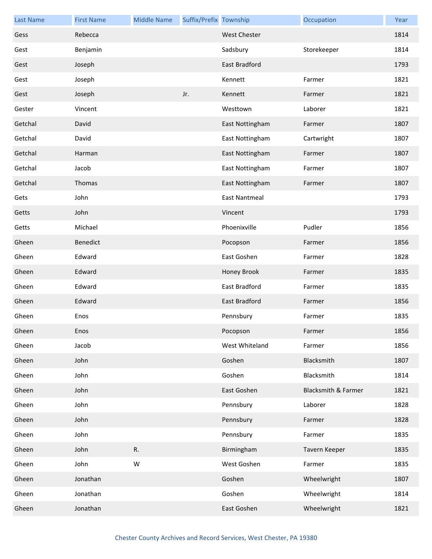| <b>Last Name</b> | <b>First Name</b> | <b>Middle Name</b> | Suffix/Prefix Township |                      | Occupation          | Year |
|------------------|-------------------|--------------------|------------------------|----------------------|---------------------|------|
| Gess             | Rebecca           |                    |                        | <b>West Chester</b>  |                     | 1814 |
| Gest             | Benjamin          |                    |                        | Sadsbury             | Storekeeper         | 1814 |
| Gest             | Joseph            |                    |                        | East Bradford        |                     | 1793 |
| Gest             | Joseph            |                    |                        | Kennett              | Farmer              | 1821 |
| Gest             | Joseph            |                    | Jr.                    | Kennett              | Farmer              | 1821 |
| Gester           | Vincent           |                    |                        | Westtown             | Laborer             | 1821 |
| Getchal          | David             |                    |                        | East Nottingham      | Farmer              | 1807 |
| Getchal          | David             |                    |                        | East Nottingham      | Cartwright          | 1807 |
| Getchal          | Harman            |                    |                        | East Nottingham      | Farmer              | 1807 |
| Getchal          | Jacob             |                    |                        | East Nottingham      | Farmer              | 1807 |
| Getchal          | Thomas            |                    |                        | East Nottingham      | Farmer              | 1807 |
| Gets             | John              |                    |                        | <b>East Nantmeal</b> |                     | 1793 |
| Getts            | John              |                    |                        | Vincent              |                     | 1793 |
| Getts            | Michael           |                    |                        | Phoenixville         | Pudler              | 1856 |
| Gheen            | <b>Benedict</b>   |                    |                        | Pocopson             | Farmer              | 1856 |
| Gheen            | Edward            |                    |                        | East Goshen          | Farmer              | 1828 |
| Gheen            | Edward            |                    |                        | Honey Brook          | Farmer              | 1835 |
| Gheen            | Edward            |                    |                        | East Bradford        | Farmer              | 1835 |
| Gheen            | Edward            |                    |                        | East Bradford        | Farmer              | 1856 |
| Gheen            | Enos              |                    |                        | Pennsbury            | Farmer              | 1835 |
| Gheen            | Enos              |                    |                        | Pocopson             | Farmer              | 1856 |
| Gheen            | Jacob             |                    |                        | West Whiteland       | Farmer              | 1856 |
| Gheen            | John              |                    |                        | Goshen               | Blacksmith          | 1807 |
| Gheen            | John              |                    |                        | Goshen               | Blacksmith          | 1814 |
| Gheen            | John              |                    |                        | East Goshen          | Blacksmith & Farmer | 1821 |
| Gheen            | John              |                    |                        | Pennsbury            | Laborer             | 1828 |
| Gheen            | John              |                    |                        | Pennsbury            | Farmer              | 1828 |
| Gheen            | John              |                    |                        | Pennsbury            | Farmer              | 1835 |
| Gheen            | John              | R.                 |                        | Birmingham           | Tavern Keeper       | 1835 |
| Gheen            | John              | W                  |                        | West Goshen          | Farmer              | 1835 |
| Gheen            | Jonathan          |                    |                        | Goshen               | Wheelwright         | 1807 |
| Gheen            | Jonathan          |                    |                        | Goshen               | Wheelwright         | 1814 |
| Gheen            | Jonathan          |                    |                        | East Goshen          | Wheelwright         | 1821 |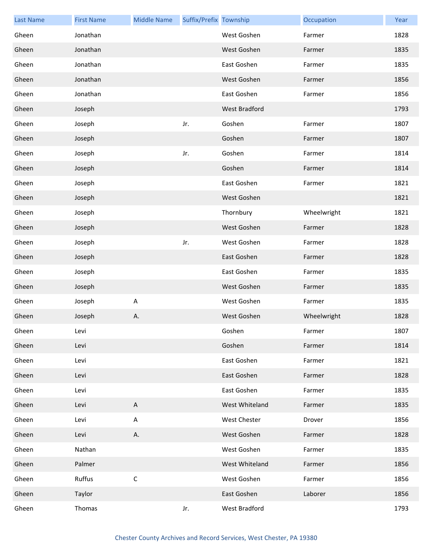| <b>Last Name</b> | <b>First Name</b> | <b>Middle Name</b>        | Suffix/Prefix Township |                | Occupation  | Year |
|------------------|-------------------|---------------------------|------------------------|----------------|-------------|------|
| Gheen            | Jonathan          |                           |                        | West Goshen    | Farmer      | 1828 |
| Gheen            | Jonathan          |                           |                        | West Goshen    | Farmer      | 1835 |
| Gheen            | Jonathan          |                           |                        | East Goshen    | Farmer      | 1835 |
| Gheen            | Jonathan          |                           |                        | West Goshen    | Farmer      | 1856 |
| Gheen            | Jonathan          |                           |                        | East Goshen    | Farmer      | 1856 |
| Gheen            | Joseph            |                           |                        | West Bradford  |             | 1793 |
| Gheen            | Joseph            |                           | Jr.                    | Goshen         | Farmer      | 1807 |
| Gheen            | Joseph            |                           |                        | Goshen         | Farmer      | 1807 |
| Gheen            | Joseph            |                           | Jr.                    | Goshen         | Farmer      | 1814 |
| Gheen            | Joseph            |                           |                        | Goshen         | Farmer      | 1814 |
| Gheen            | Joseph            |                           |                        | East Goshen    | Farmer      | 1821 |
| Gheen            | Joseph            |                           |                        | West Goshen    |             | 1821 |
| Gheen            | Joseph            |                           |                        | Thornbury      | Wheelwright | 1821 |
| Gheen            | Joseph            |                           |                        | West Goshen    | Farmer      | 1828 |
| Gheen            | Joseph            |                           | Jr.                    | West Goshen    | Farmer      | 1828 |
| Gheen            | Joseph            |                           |                        | East Goshen    | Farmer      | 1828 |
| Gheen            | Joseph            |                           |                        | East Goshen    | Farmer      | 1835 |
| Gheen            | Joseph            |                           |                        | West Goshen    | Farmer      | 1835 |
| Gheen            | Joseph            | A                         |                        | West Goshen    | Farmer      | 1835 |
| Gheen            | Joseph            | Α.                        |                        | West Goshen    | Wheelwright | 1828 |
| Gheen            | Levi              |                           |                        | Goshen         | Farmer      | 1807 |
| Gheen            | Levi              |                           |                        | Goshen         | Farmer      | 1814 |
| Gheen            | Levi              |                           |                        | East Goshen    | Farmer      | 1821 |
| Gheen            | Levi              |                           |                        | East Goshen    | Farmer      | 1828 |
| Gheen            | Levi              |                           |                        | East Goshen    | Farmer      | 1835 |
| Gheen            | Levi              | $\boldsymbol{\mathsf{A}}$ |                        | West Whiteland | Farmer      | 1835 |
| Gheen            | Levi              | A                         |                        | West Chester   | Drover      | 1856 |
| Gheen            | Levi              | Α.                        |                        | West Goshen    | Farmer      | 1828 |
| Gheen            | Nathan            |                           |                        | West Goshen    | Farmer      | 1835 |
| Gheen            | Palmer            |                           |                        | West Whiteland | Farmer      | 1856 |
| Gheen            | Ruffus            | $\mathsf C$               |                        | West Goshen    | Farmer      | 1856 |
| Gheen            | Taylor            |                           |                        | East Goshen    | Laborer     | 1856 |
| Gheen            | Thomas            |                           | Jr.                    | West Bradford  |             | 1793 |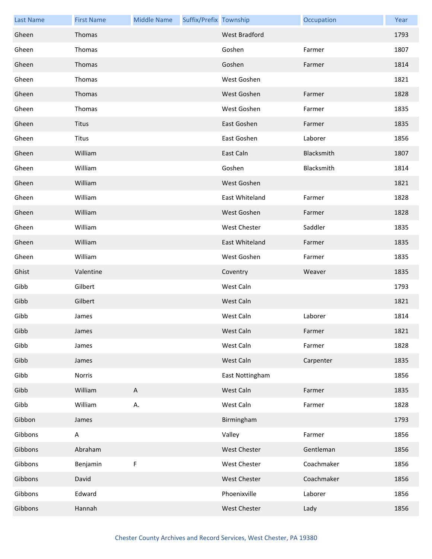| <b>Last Name</b> | <b>First Name</b> | <b>Middle Name</b> | Suffix/Prefix Township |                      | Occupation | Year |
|------------------|-------------------|--------------------|------------------------|----------------------|------------|------|
| Gheen            | Thomas            |                    |                        | <b>West Bradford</b> |            | 1793 |
| Gheen            | Thomas            |                    |                        | Goshen               | Farmer     | 1807 |
| Gheen            | Thomas            |                    |                        | Goshen               | Farmer     | 1814 |
| Gheen            | Thomas            |                    |                        | West Goshen          |            | 1821 |
| Gheen            | Thomas            |                    |                        | West Goshen          | Farmer     | 1828 |
| Gheen            | Thomas            |                    |                        | West Goshen          | Farmer     | 1835 |
| Gheen            | <b>Titus</b>      |                    |                        | East Goshen          | Farmer     | 1835 |
| Gheen            | Titus             |                    |                        | East Goshen          | Laborer    | 1856 |
| Gheen            | William           |                    |                        | East Caln            | Blacksmith | 1807 |
| Gheen            | William           |                    |                        | Goshen               | Blacksmith | 1814 |
| Gheen            | William           |                    |                        | West Goshen          |            | 1821 |
| Gheen            | William           |                    |                        | East Whiteland       | Farmer     | 1828 |
| Gheen            | William           |                    |                        | West Goshen          | Farmer     | 1828 |
| Gheen            | William           |                    |                        | West Chester         | Saddler    | 1835 |
| Gheen            | William           |                    |                        | East Whiteland       | Farmer     | 1835 |
| Gheen            | William           |                    |                        | West Goshen          | Farmer     | 1835 |
| Ghist            | Valentine         |                    |                        | Coventry             | Weaver     | 1835 |
| Gibb             | Gilbert           |                    |                        | West Caln            |            | 1793 |
| Gibb             | Gilbert           |                    |                        | West Caln            |            | 1821 |
| Gibb             | James             |                    |                        | West Caln            | Laborer    | 1814 |
| Gibb             | James             |                    |                        | West Caln            | Farmer     | 1821 |
| Gibb             | James             |                    |                        | West Caln            | Farmer     | 1828 |
| Gibb             | James             |                    |                        | West Caln            | Carpenter  | 1835 |
| Gibb             | Norris            |                    |                        | East Nottingham      |            | 1856 |
| Gibb             | William           | $\mathsf A$        |                        | West Caln            | Farmer     | 1835 |
| Gibb             | William           | А.                 |                        | West Caln            | Farmer     | 1828 |
| Gibbon           | James             |                    |                        | Birmingham           |            | 1793 |
| Gibbons          | A                 |                    |                        | Valley               | Farmer     | 1856 |
| Gibbons          | Abraham           |                    |                        | <b>West Chester</b>  | Gentleman  | 1856 |
| Gibbons          | Benjamin          | F                  |                        | West Chester         | Coachmaker | 1856 |
| Gibbons          | David             |                    |                        | <b>West Chester</b>  | Coachmaker | 1856 |
| Gibbons          | Edward            |                    |                        | Phoenixville         | Laborer    | 1856 |
| Gibbons          | Hannah            |                    |                        | West Chester         | Lady       | 1856 |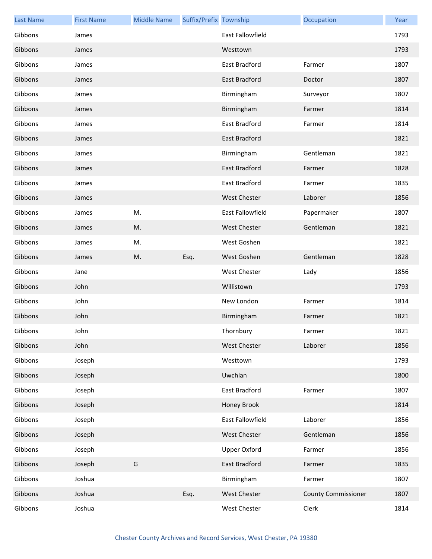| <b>Last Name</b> | <b>First Name</b> | <b>Middle Name</b> | Suffix/Prefix Township |                         | Occupation                 | Year |
|------------------|-------------------|--------------------|------------------------|-------------------------|----------------------------|------|
| Gibbons          | James             |                    |                        | <b>East Fallowfield</b> |                            | 1793 |
| Gibbons          | James             |                    |                        | Westtown                |                            | 1793 |
| Gibbons          | James             |                    |                        | East Bradford           | Farmer                     | 1807 |
| Gibbons          | James             |                    |                        | East Bradford           | Doctor                     | 1807 |
| Gibbons          | James             |                    |                        | Birmingham              | Surveyor                   | 1807 |
| Gibbons          | James             |                    |                        | Birmingham              | Farmer                     | 1814 |
| Gibbons          | James             |                    |                        | East Bradford           | Farmer                     | 1814 |
| Gibbons          | James             |                    |                        | East Bradford           |                            | 1821 |
| Gibbons          | James             |                    |                        | Birmingham              | Gentleman                  | 1821 |
| Gibbons          | James             |                    |                        | <b>East Bradford</b>    | Farmer                     | 1828 |
| Gibbons          | James             |                    |                        | East Bradford           | Farmer                     | 1835 |
| Gibbons          | James             |                    |                        | <b>West Chester</b>     | Laborer                    | 1856 |
| Gibbons          | James             | M.                 |                        | East Fallowfield        | Papermaker                 | 1807 |
| Gibbons          | James             | M.                 |                        | <b>West Chester</b>     | Gentleman                  | 1821 |
| Gibbons          | James             | M.                 |                        | West Goshen             |                            | 1821 |
| Gibbons          | James             | M.                 | Esq.                   | West Goshen             | Gentleman                  | 1828 |
| Gibbons          | Jane              |                    |                        | <b>West Chester</b>     | Lady                       | 1856 |
| Gibbons          | John              |                    |                        | Willistown              |                            | 1793 |
| Gibbons          | John              |                    |                        | New London              | Farmer                     | 1814 |
| Gibbons          | John              |                    |                        | Birmingham              | Farmer                     | 1821 |
| Gibbons          | John              |                    |                        | Thornbury               | Farmer                     | 1821 |
| Gibbons          | John              |                    |                        | <b>West Chester</b>     | Laborer                    | 1856 |
| Gibbons          | Joseph            |                    |                        | Westtown                |                            | 1793 |
| Gibbons          | Joseph            |                    |                        | Uwchlan                 |                            | 1800 |
| Gibbons          | Joseph            |                    |                        | East Bradford           | Farmer                     | 1807 |
| Gibbons          | Joseph            |                    |                        | Honey Brook             |                            | 1814 |
| Gibbons          | Joseph            |                    |                        | East Fallowfield        | Laborer                    | 1856 |
| Gibbons          | Joseph            |                    |                        | West Chester            | Gentleman                  | 1856 |
| Gibbons          | Joseph            |                    |                        | <b>Upper Oxford</b>     | Farmer                     | 1856 |
| Gibbons          | Joseph            | G                  |                        | East Bradford           | Farmer                     | 1835 |
| Gibbons          | Joshua            |                    |                        | Birmingham              | Farmer                     | 1807 |
| Gibbons          | Joshua            |                    | Esq.                   | West Chester            | <b>County Commissioner</b> | 1807 |
| Gibbons          | Joshua            |                    |                        | West Chester            | Clerk                      | 1814 |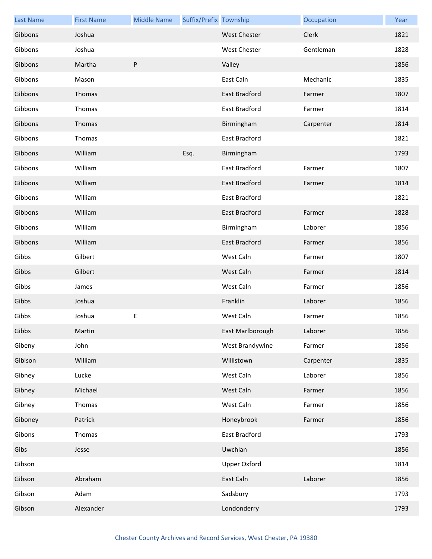| <b>Last Name</b> | <b>First Name</b> | <b>Middle Name</b> | Suffix/Prefix Township |                      | Occupation | Year |
|------------------|-------------------|--------------------|------------------------|----------------------|------------|------|
| Gibbons          | Joshua            |                    |                        | <b>West Chester</b>  | Clerk      | 1821 |
| Gibbons          | Joshua            |                    |                        | <b>West Chester</b>  | Gentleman  | 1828 |
| Gibbons          | Martha            | $\sf P$            |                        | Valley               |            | 1856 |
| Gibbons          | Mason             |                    |                        | East Caln            | Mechanic   | 1835 |
| Gibbons          | Thomas            |                    |                        | East Bradford        | Farmer     | 1807 |
| Gibbons          | Thomas            |                    |                        | East Bradford        | Farmer     | 1814 |
| Gibbons          | Thomas            |                    |                        | Birmingham           | Carpenter  | 1814 |
| Gibbons          | Thomas            |                    |                        | East Bradford        |            | 1821 |
| Gibbons          | William           |                    | Esq.                   | Birmingham           |            | 1793 |
| Gibbons          | William           |                    |                        | <b>East Bradford</b> | Farmer     | 1807 |
| Gibbons          | William           |                    |                        | East Bradford        | Farmer     | 1814 |
| Gibbons          | William           |                    |                        | East Bradford        |            | 1821 |
| Gibbons          | William           |                    |                        | East Bradford        | Farmer     | 1828 |
| Gibbons          | William           |                    |                        | Birmingham           | Laborer    | 1856 |
| Gibbons          | William           |                    |                        | East Bradford        | Farmer     | 1856 |
| Gibbs            | Gilbert           |                    |                        | West Caln            | Farmer     | 1807 |
| Gibbs            | Gilbert           |                    |                        | West Caln            | Farmer     | 1814 |
| Gibbs            | James             |                    |                        | West Caln            | Farmer     | 1856 |
| Gibbs            | Joshua            |                    |                        | Franklin             | Laborer    | 1856 |
| Gibbs            | Joshua            | E                  |                        | West Caln            | Farmer     | 1856 |
| Gibbs            | Martin            |                    |                        | East Marlborough     | Laborer    | 1856 |
| Gibeny           | John              |                    |                        | West Brandywine      | Farmer     | 1856 |
| Gibison          | William           |                    |                        | Willistown           | Carpenter  | 1835 |
| Gibney           | Lucke             |                    |                        | West Caln            | Laborer    | 1856 |
| Gibney           | Michael           |                    |                        | West Caln            | Farmer     | 1856 |
| Gibney           | Thomas            |                    |                        | West Caln            | Farmer     | 1856 |
| Giboney          | Patrick           |                    |                        | Honeybrook           | Farmer     | 1856 |
| Gibons           | Thomas            |                    |                        | East Bradford        |            | 1793 |
| Gibs             | Jesse             |                    |                        | Uwchlan              |            | 1856 |
| Gibson           |                   |                    |                        | <b>Upper Oxford</b>  |            | 1814 |
| Gibson           | Abraham           |                    |                        | East Caln            | Laborer    | 1856 |
| Gibson           | Adam              |                    |                        | Sadsbury             |            | 1793 |
| Gibson           | Alexander         |                    |                        | Londonderry          |            | 1793 |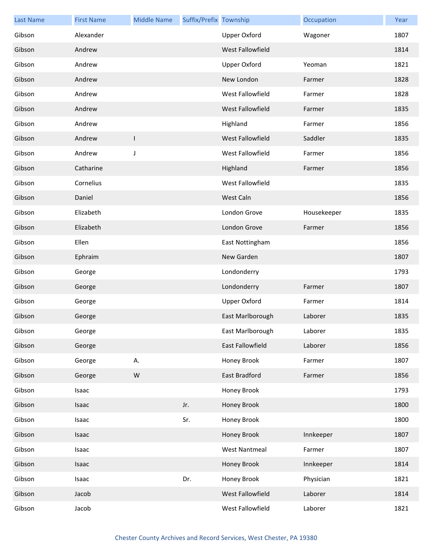| <b>Last Name</b> | <b>First Name</b> | <b>Middle Name</b> | Suffix/Prefix Township |                      | Occupation  | Year |
|------------------|-------------------|--------------------|------------------------|----------------------|-------------|------|
| Gibson           | Alexander         |                    |                        | <b>Upper Oxford</b>  | Wagoner     | 1807 |
| Gibson           | Andrew            |                    |                        | West Fallowfield     |             | 1814 |
| Gibson           | Andrew            |                    |                        | Upper Oxford         | Yeoman      | 1821 |
| Gibson           | Andrew            |                    |                        | New London           | Farmer      | 1828 |
| Gibson           | Andrew            |                    |                        | West Fallowfield     | Farmer      | 1828 |
| Gibson           | Andrew            |                    |                        | West Fallowfield     | Farmer      | 1835 |
| Gibson           | Andrew            |                    |                        | Highland             | Farmer      | 1856 |
| Gibson           | Andrew            | $\mathsf{I}$       |                        | West Fallowfield     | Saddler     | 1835 |
| Gibson           | Andrew            | J                  |                        | West Fallowfield     | Farmer      | 1856 |
| Gibson           | Catharine         |                    |                        | Highland             | Farmer      | 1856 |
| Gibson           | Cornelius         |                    |                        | West Fallowfield     |             | 1835 |
| Gibson           | Daniel            |                    |                        | West Caln            |             | 1856 |
| Gibson           | Elizabeth         |                    |                        | London Grove         | Housekeeper | 1835 |
| Gibson           | Elizabeth         |                    |                        | London Grove         | Farmer      | 1856 |
| Gibson           | Ellen             |                    |                        | East Nottingham      |             | 1856 |
| Gibson           | Ephraim           |                    |                        | New Garden           |             | 1807 |
| Gibson           | George            |                    |                        | Londonderry          |             | 1793 |
| Gibson           | George            |                    |                        | Londonderry          | Farmer      | 1807 |
| Gibson           | George            |                    |                        | Upper Oxford         | Farmer      | 1814 |
| Gibson           | George            |                    |                        | East Marlborough     | Laborer     | 1835 |
| Gibson           | George            |                    |                        | East Marlborough     | Laborer     | 1835 |
| Gibson           | George            |                    |                        | East Fallowfield     | Laborer     | 1856 |
| Gibson           | George            | А.                 |                        | Honey Brook          | Farmer      | 1807 |
| Gibson           | George            | ${\sf W}$          |                        | East Bradford        | Farmer      | 1856 |
| Gibson           | Isaac             |                    |                        | Honey Brook          |             | 1793 |
| Gibson           | Isaac             |                    | Jr.                    | Honey Brook          |             | 1800 |
| Gibson           | Isaac             |                    | Sr.                    | Honey Brook          |             | 1800 |
| Gibson           | Isaac             |                    |                        | Honey Brook          | Innkeeper   | 1807 |
| Gibson           | Isaac             |                    |                        | <b>West Nantmeal</b> | Farmer      | 1807 |
| Gibson           | Isaac             |                    |                        | Honey Brook          | Innkeeper   | 1814 |
| Gibson           | Isaac             |                    | Dr.                    | Honey Brook          | Physician   | 1821 |
| Gibson           | Jacob             |                    |                        | West Fallowfield     | Laborer     | 1814 |
| Gibson           | Jacob             |                    |                        | West Fallowfield     | Laborer     | 1821 |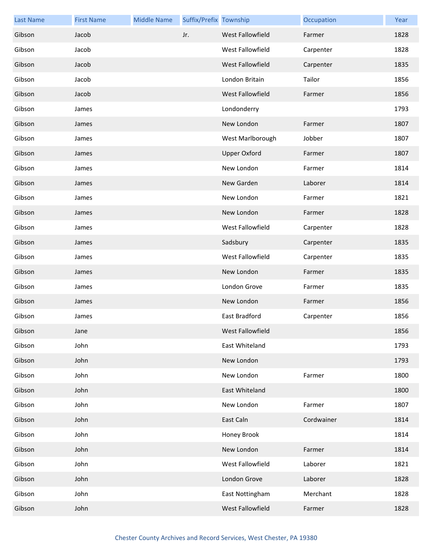| <b>Last Name</b> | <b>First Name</b> | <b>Middle Name</b> | Suffix/Prefix Township |                     | Occupation | Year |
|------------------|-------------------|--------------------|------------------------|---------------------|------------|------|
| Gibson           | Jacob             |                    | Jr.                    | West Fallowfield    | Farmer     | 1828 |
| Gibson           | Jacob             |                    |                        | West Fallowfield    | Carpenter  | 1828 |
| Gibson           | Jacob             |                    |                        | West Fallowfield    | Carpenter  | 1835 |
| Gibson           | Jacob             |                    |                        | London Britain      | Tailor     | 1856 |
| Gibson           | Jacob             |                    |                        | West Fallowfield    | Farmer     | 1856 |
| Gibson           | James             |                    |                        | Londonderry         |            | 1793 |
| Gibson           | James             |                    |                        | New London          | Farmer     | 1807 |
| Gibson           | James             |                    |                        | West Marlborough    | Jobber     | 1807 |
| Gibson           | James             |                    |                        | <b>Upper Oxford</b> | Farmer     | 1807 |
| Gibson           | James             |                    |                        | New London          | Farmer     | 1814 |
| Gibson           | James             |                    |                        | New Garden          | Laborer    | 1814 |
| Gibson           | James             |                    |                        | New London          | Farmer     | 1821 |
| Gibson           | James             |                    |                        | New London          | Farmer     | 1828 |
| Gibson           | James             |                    |                        | West Fallowfield    | Carpenter  | 1828 |
| Gibson           | James             |                    |                        | Sadsbury            | Carpenter  | 1835 |
| Gibson           | James             |                    |                        | West Fallowfield    | Carpenter  | 1835 |
| Gibson           | James             |                    |                        | New London          | Farmer     | 1835 |
| Gibson           | James             |                    |                        | London Grove        | Farmer     | 1835 |
| Gibson           | James             |                    |                        | New London          | Farmer     | 1856 |
| Gibson           | James             |                    |                        | East Bradford       | Carpenter  | 1856 |
| Gibson           | Jane              |                    |                        | West Fallowfield    |            | 1856 |
| Gibson           | John              |                    |                        | East Whiteland      |            | 1793 |
| Gibson           | John              |                    |                        | New London          |            | 1793 |
| Gibson           | John              |                    |                        | New London          | Farmer     | 1800 |
| Gibson           | John              |                    |                        | East Whiteland      |            | 1800 |
| Gibson           | John              |                    |                        | New London          | Farmer     | 1807 |
| Gibson           | John              |                    |                        | East Caln           | Cordwainer | 1814 |
| Gibson           | John              |                    |                        | Honey Brook         |            | 1814 |
| Gibson           | John              |                    |                        | New London          | Farmer     | 1814 |
| Gibson           | John              |                    |                        | West Fallowfield    | Laborer    | 1821 |
| Gibson           | John              |                    |                        | London Grove        | Laborer    | 1828 |
| Gibson           | John              |                    |                        | East Nottingham     | Merchant   | 1828 |
| Gibson           | John              |                    |                        | West Fallowfield    | Farmer     | 1828 |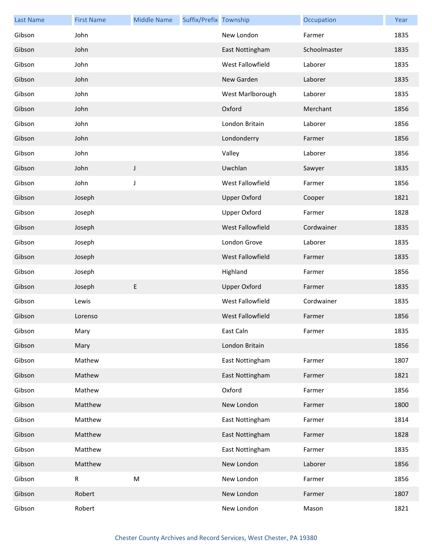| <b>Last Name</b> | <b>First Name</b> | <b>Middle Name</b> | Suffix/Prefix Township |                         | Occupation   | Year |
|------------------|-------------------|--------------------|------------------------|-------------------------|--------------|------|
| Gibson           | John              |                    |                        | New London              | Farmer       | 1835 |
| Gibson           | John              |                    |                        | East Nottingham         | Schoolmaster | 1835 |
| Gibson           | John              |                    |                        | West Fallowfield        | Laborer      | 1835 |
| Gibson           | John              |                    |                        | New Garden              | Laborer      | 1835 |
| Gibson           | John              |                    |                        | West Marlborough        | Laborer      | 1835 |
| Gibson           | John              |                    |                        | Oxford                  | Merchant     | 1856 |
| Gibson           | John              |                    |                        | London Britain          | Laborer      | 1856 |
| Gibson           | John              |                    |                        | Londonderry             | Farmer       | 1856 |
| Gibson           | John              |                    |                        | Valley                  | Laborer      | 1856 |
| Gibson           | John              | J                  |                        | Uwchlan                 | Sawyer       | 1835 |
| Gibson           | John              | J                  |                        | West Fallowfield        | Farmer       | 1856 |
| Gibson           | Joseph            |                    |                        | <b>Upper Oxford</b>     | Cooper       | 1821 |
| Gibson           | Joseph            |                    |                        | <b>Upper Oxford</b>     | Farmer       | 1828 |
| Gibson           | Joseph            |                    |                        | West Fallowfield        | Cordwainer   | 1835 |
| Gibson           | Joseph            |                    |                        | London Grove            | Laborer      | 1835 |
| Gibson           | Joseph            |                    |                        | <b>West Fallowfield</b> | Farmer       | 1835 |
| Gibson           | Joseph            |                    |                        | Highland                | Farmer       | 1856 |
| Gibson           | Joseph            | E                  |                        | <b>Upper Oxford</b>     | Farmer       | 1835 |
| Gibson           | Lewis             |                    |                        | West Fallowfield        | Cordwainer   | 1835 |
| Gibson           | Lorenso           |                    |                        | West Fallowfield        | Farmer       | 1856 |
| Gibson           | Mary              |                    |                        | East Caln               | Farmer       | 1835 |
| Gibson           | Mary              |                    |                        | London Britain          |              | 1856 |
| Gibson           | Mathew            |                    |                        | East Nottingham         | Farmer       | 1807 |
| Gibson           | Mathew            |                    |                        | East Nottingham         | Farmer       | 1821 |
| Gibson           | Mathew            |                    |                        | Oxford                  | Farmer       | 1856 |
| Gibson           | Matthew           |                    |                        | New London              | Farmer       | 1800 |
| Gibson           | Matthew           |                    |                        | East Nottingham         | Farmer       | 1814 |
| Gibson           | Matthew           |                    |                        | East Nottingham         | Farmer       | 1828 |
| Gibson           | Matthew           |                    |                        | East Nottingham         | Farmer       | 1835 |
| Gibson           | Matthew           |                    |                        | New London              | Laborer      | 1856 |
| Gibson           | R                 | ${\sf M}$          |                        | New London              | Farmer       | 1856 |
| Gibson           | Robert            |                    |                        | New London              | Farmer       | 1807 |
| Gibson           | Robert            |                    |                        | New London              | Mason        | 1821 |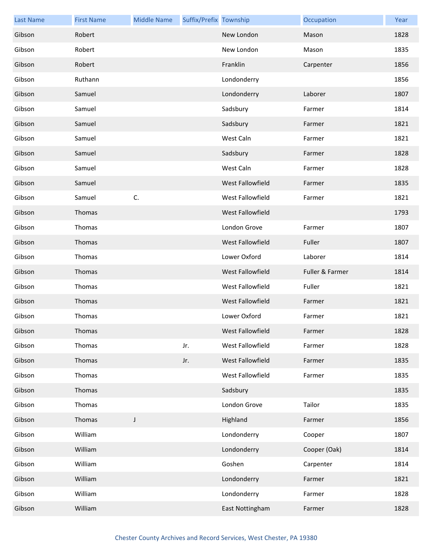| <b>Last Name</b> | <b>First Name</b> | <b>Middle Name</b> | Suffix/Prefix Township |                  | Occupation      | Year |
|------------------|-------------------|--------------------|------------------------|------------------|-----------------|------|
| Gibson           | Robert            |                    |                        | New London       | Mason           | 1828 |
| Gibson           | Robert            |                    |                        | New London       | Mason           | 1835 |
| Gibson           | Robert            |                    |                        | Franklin         | Carpenter       | 1856 |
| Gibson           | Ruthann           |                    |                        | Londonderry      |                 | 1856 |
| Gibson           | Samuel            |                    |                        | Londonderry      | Laborer         | 1807 |
| Gibson           | Samuel            |                    |                        | Sadsbury         | Farmer          | 1814 |
| Gibson           | Samuel            |                    |                        | Sadsbury         | Farmer          | 1821 |
| Gibson           | Samuel            |                    |                        | West Caln        | Farmer          | 1821 |
| Gibson           | Samuel            |                    |                        | Sadsbury         | Farmer          | 1828 |
| Gibson           | Samuel            |                    |                        | West Caln        | Farmer          | 1828 |
| Gibson           | Samuel            |                    |                        | West Fallowfield | Farmer          | 1835 |
| Gibson           | Samuel            | C.                 |                        | West Fallowfield | Farmer          | 1821 |
| Gibson           | Thomas            |                    |                        | West Fallowfield |                 | 1793 |
| Gibson           | Thomas            |                    |                        | London Grove     | Farmer          | 1807 |
| Gibson           | Thomas            |                    |                        | West Fallowfield | Fuller          | 1807 |
| Gibson           | Thomas            |                    |                        | Lower Oxford     | Laborer         | 1814 |
| Gibson           | Thomas            |                    |                        | West Fallowfield | Fuller & Farmer | 1814 |
| Gibson           | Thomas            |                    |                        | West Fallowfield | Fuller          | 1821 |
| Gibson           | Thomas            |                    |                        | West Fallowfield | Farmer          | 1821 |
| Gibson           | Thomas            |                    |                        | Lower Oxford     | Farmer          | 1821 |
| Gibson           | Thomas            |                    |                        | West Fallowfield | Farmer          | 1828 |
| Gibson           | Thomas            |                    | Jr.                    | West Fallowfield | Farmer          | 1828 |
| Gibson           | Thomas            |                    | Jr.                    | West Fallowfield | Farmer          | 1835 |
| Gibson           | Thomas            |                    |                        | West Fallowfield | Farmer          | 1835 |
| Gibson           | Thomas            |                    |                        | Sadsbury         |                 | 1835 |
| Gibson           | Thomas            |                    |                        | London Grove     | Tailor          | 1835 |
| Gibson           | Thomas            | J                  |                        | Highland         | Farmer          | 1856 |
| Gibson           | William           |                    |                        | Londonderry      | Cooper          | 1807 |
| Gibson           | William           |                    |                        | Londonderry      | Cooper (Oak)    | 1814 |
| Gibson           | William           |                    |                        | Goshen           | Carpenter       | 1814 |
| Gibson           | William           |                    |                        | Londonderry      | Farmer          | 1821 |
| Gibson           | William           |                    |                        | Londonderry      | Farmer          | 1828 |
| Gibson           | William           |                    |                        | East Nottingham  | Farmer          | 1828 |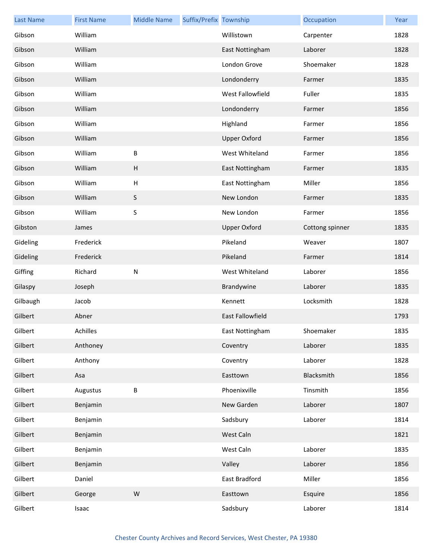| <b>Last Name</b> | <b>First Name</b> | <b>Middle Name</b>        | Suffix/Prefix Township |                     | Occupation      | Year |
|------------------|-------------------|---------------------------|------------------------|---------------------|-----------------|------|
| Gibson           | William           |                           |                        | Willistown          | Carpenter       | 1828 |
| Gibson           | William           |                           |                        | East Nottingham     | Laborer         | 1828 |
| Gibson           | William           |                           |                        | London Grove        | Shoemaker       | 1828 |
| Gibson           | William           |                           |                        | Londonderry         | Farmer          | 1835 |
| Gibson           | William           |                           |                        | West Fallowfield    | Fuller          | 1835 |
| Gibson           | William           |                           |                        | Londonderry         | Farmer          | 1856 |
| Gibson           | William           |                           |                        | Highland            | Farmer          | 1856 |
| Gibson           | William           |                           |                        | <b>Upper Oxford</b> | Farmer          | 1856 |
| Gibson           | William           | $\sf B$                   |                        | West Whiteland      | Farmer          | 1856 |
| Gibson           | William           | H                         |                        | East Nottingham     | Farmer          | 1835 |
| Gibson           | William           | $\boldsymbol{\mathsf{H}}$ |                        | East Nottingham     | Miller          | 1856 |
| Gibson           | William           | $\sf S$                   |                        | New London          | Farmer          | 1835 |
| Gibson           | William           | $\sf S$                   |                        | New London          | Farmer          | 1856 |
| Gibston          | James             |                           |                        | <b>Upper Oxford</b> | Cottong spinner | 1835 |
| Gideling         | Frederick         |                           |                        | Pikeland            | Weaver          | 1807 |
| Gideling         | Frederick         |                           |                        | Pikeland            | Farmer          | 1814 |
| Giffing          | Richard           | ${\sf N}$                 |                        | West Whiteland      | Laborer         | 1856 |
| Gilaspy          | Joseph            |                           |                        | Brandywine          | Laborer         | 1835 |
| Gilbaugh         | Jacob             |                           |                        | Kennett             | Locksmith       | 1828 |
| Gilbert          | Abner             |                           |                        | East Fallowfield    |                 | 1793 |
| Gilbert          | Achilles          |                           |                        | East Nottingham     | Shoemaker       | 1835 |
| Gilbert          | Anthoney          |                           |                        | Coventry            | Laborer         | 1835 |
| Gilbert          | Anthony           |                           |                        | Coventry            | Laborer         | 1828 |
| Gilbert          | Asa               |                           |                        | Easttown            | Blacksmith      | 1856 |
| Gilbert          | Augustus          | $\sf B$                   |                        | Phoenixville        | Tinsmith        | 1856 |
| Gilbert          | Benjamin          |                           |                        | New Garden          | Laborer         | 1807 |
| Gilbert          | Benjamin          |                           |                        | Sadsbury            | Laborer         | 1814 |
| Gilbert          | Benjamin          |                           |                        | West Caln           |                 | 1821 |
| Gilbert          | Benjamin          |                           |                        | West Caln           | Laborer         | 1835 |
| Gilbert          | Benjamin          |                           |                        | Valley              | Laborer         | 1856 |
| Gilbert          | Daniel            |                           |                        | East Bradford       | Miller          | 1856 |
| Gilbert          | George            | ${\sf W}$                 |                        | Easttown            | Esquire         | 1856 |
| Gilbert          | Isaac             |                           |                        | Sadsbury            | Laborer         | 1814 |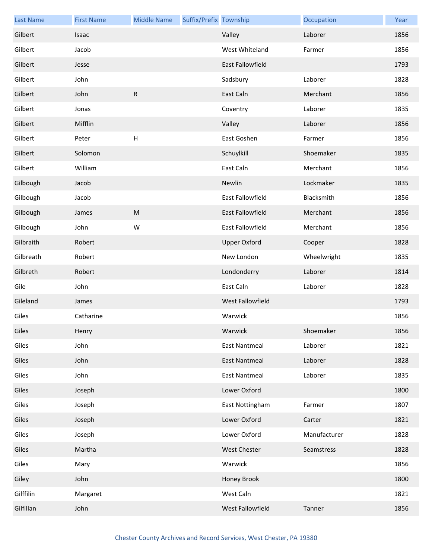| <b>Last Name</b> | <b>First Name</b> | <b>Middle Name</b> | Suffix/Prefix Township |                      | Occupation   | Year |
|------------------|-------------------|--------------------|------------------------|----------------------|--------------|------|
| Gilbert          | Isaac             |                    |                        | Valley               | Laborer      | 1856 |
| Gilbert          | Jacob             |                    |                        | West Whiteland       | Farmer       | 1856 |
| Gilbert          | Jesse             |                    |                        | East Fallowfield     |              | 1793 |
| Gilbert          | John              |                    |                        | Sadsbury             | Laborer      | 1828 |
| Gilbert          | John              | ${\sf R}$          |                        | East Caln            | Merchant     | 1856 |
| Gilbert          | Jonas             |                    |                        | Coventry             | Laborer      | 1835 |
| Gilbert          | Mifflin           |                    |                        | Valley               | Laborer      | 1856 |
| Gilbert          | Peter             | $\sf H$            |                        | East Goshen          | Farmer       | 1856 |
| Gilbert          | Solomon           |                    |                        | Schuylkill           | Shoemaker    | 1835 |
| Gilbert          | William           |                    |                        | East Caln            | Merchant     | 1856 |
| Gilbough         | Jacob             |                    |                        | Newlin               | Lockmaker    | 1835 |
| Gilbough         | Jacob             |                    |                        | East Fallowfield     | Blacksmith   | 1856 |
| Gilbough         | James             | ${\sf M}$          |                        | East Fallowfield     | Merchant     | 1856 |
| Gilbough         | John              | W                  |                        | East Fallowfield     | Merchant     | 1856 |
| Gilbraith        | Robert            |                    |                        | <b>Upper Oxford</b>  | Cooper       | 1828 |
| Gilbreath        | Robert            |                    |                        | New London           | Wheelwright  | 1835 |
| Gilbreth         | Robert            |                    |                        | Londonderry          | Laborer      | 1814 |
| Gile             | John              |                    |                        | East Caln            | Laborer      | 1828 |
| Gileland         | James             |                    |                        | West Fallowfield     |              | 1793 |
| Giles            | Catharine         |                    |                        | Warwick              |              | 1856 |
| Giles            | Henry             |                    |                        | Warwick              | Shoemaker    | 1856 |
| Giles            | John              |                    |                        | <b>East Nantmeal</b> | Laborer      | 1821 |
| Giles            | John              |                    |                        | <b>East Nantmeal</b> | Laborer      | 1828 |
| Giles            | John              |                    |                        | <b>East Nantmeal</b> | Laborer      | 1835 |
| Giles            | Joseph            |                    |                        | Lower Oxford         |              | 1800 |
| Giles            | Joseph            |                    |                        | East Nottingham      | Farmer       | 1807 |
| Giles            | Joseph            |                    |                        | Lower Oxford         | Carter       | 1821 |
| Giles            | Joseph            |                    |                        | Lower Oxford         | Manufacturer | 1828 |
| Giles            | Martha            |                    |                        | West Chester         | Seamstress   | 1828 |
| Giles            | Mary              |                    |                        | Warwick              |              | 1856 |
| Giley            | John              |                    |                        | Honey Brook          |              | 1800 |
| Gilffilin        | Margaret          |                    |                        | West Caln            |              | 1821 |
| Gilfillan        | John              |                    |                        | West Fallowfield     | Tanner       | 1856 |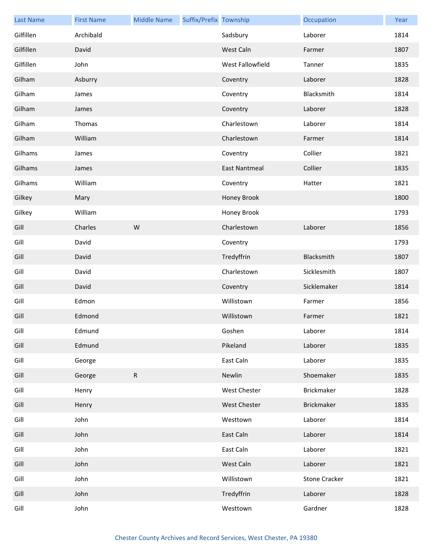| <b>Last Name</b> | <b>First Name</b> | <b>Middle Name</b> | Suffix/Prefix Township |                      | Occupation           | Year |
|------------------|-------------------|--------------------|------------------------|----------------------|----------------------|------|
| Gilfillen        | Archibald         |                    |                        | Sadsbury             | Laborer              | 1814 |
| Gilfillen        | David             |                    |                        | West Caln            | Farmer               | 1807 |
| Gilfillen        | John              |                    |                        | West Fallowfield     | Tanner               | 1835 |
| Gilham           | Asburry           |                    |                        | Coventry             | Laborer              | 1828 |
| Gilham           | James             |                    |                        | Coventry             | Blacksmith           | 1814 |
| Gilham           | James             |                    |                        | Coventry             | Laborer              | 1828 |
| Gilham           | Thomas            |                    |                        | Charlestown          | Laborer              | 1814 |
| Gilham           | William           |                    |                        | Charlestown          | Farmer               | 1814 |
| Gilhams          | James             |                    |                        | Coventry             | Collier              | 1821 |
| Gilhams          | James             |                    |                        | <b>East Nantmeal</b> | Collier              | 1835 |
| Gilhams          | William           |                    |                        | Coventry             | Hatter               | 1821 |
| Gilkey           | Mary              |                    |                        | Honey Brook          |                      | 1800 |
| Gilkey           | William           |                    |                        | Honey Brook          |                      | 1793 |
| Gill             | Charles           | W                  |                        | Charlestown          | Laborer              | 1856 |
| Gill             | David             |                    |                        | Coventry             |                      | 1793 |
| Gill             | David             |                    |                        | Tredyffrin           | Blacksmith           | 1807 |
| Gill             | David             |                    |                        | Charlestown          | Sicklesmith          | 1807 |
| Gill             | David             |                    |                        | Coventry             | Sicklemaker          | 1814 |
| Gill             | Edmon             |                    |                        | Willistown           | Farmer               | 1856 |
| Gill             | Edmond            |                    |                        | Willistown           | Farmer               | 1821 |
| Gill             | Edmund            |                    |                        | Goshen               | Laborer              | 1814 |
| Gill             | Edmund            |                    |                        | Pikeland             | Laborer              | 1835 |
| Gill             | George            |                    |                        | East Caln            | Laborer              | 1835 |
| Gill             | George            | $\mathsf{R}$       |                        | Newlin               | Shoemaker            | 1835 |
| Gill             | Henry             |                    |                        | West Chester         | Brickmaker           | 1828 |
| Gill             | Henry             |                    |                        | <b>West Chester</b>  | <b>Brickmaker</b>    | 1835 |
| Gill             | John              |                    |                        | Westtown             | Laborer              | 1814 |
| Gill             | John              |                    |                        | East Caln            | Laborer              | 1814 |
| Gill             | John              |                    |                        | East Caln            | Laborer              | 1821 |
| Gill             | John              |                    |                        | West Caln            | Laborer              | 1821 |
| Gill             | John              |                    |                        | Willistown           | <b>Stone Cracker</b> | 1821 |
| Gill             | John              |                    |                        | Tredyffrin           | Laborer              | 1828 |
| Gill             | John              |                    |                        | Westtown             | Gardner              | 1828 |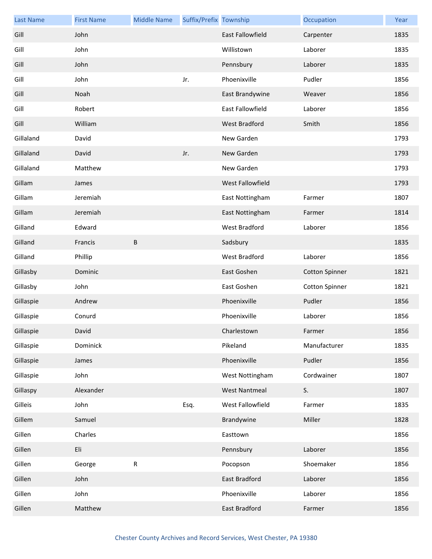| <b>Last Name</b> | <b>First Name</b> | <b>Middle Name</b> | Suffix/Prefix Township |                         | Occupation            | Year |
|------------------|-------------------|--------------------|------------------------|-------------------------|-----------------------|------|
| Gill             | John              |                    |                        | <b>East Fallowfield</b> | Carpenter             | 1835 |
| Gill             | John              |                    |                        | Willistown              | Laborer               | 1835 |
| Gill             | John              |                    |                        | Pennsbury               | Laborer               | 1835 |
| Gill             | John              |                    | Jr.                    | Phoenixville            | Pudler                | 1856 |
| Gill             | Noah              |                    |                        | East Brandywine         | Weaver                | 1856 |
| Gill             | Robert            |                    |                        | East Fallowfield        | Laborer               | 1856 |
| Gill             | William           |                    |                        | <b>West Bradford</b>    | Smith                 | 1856 |
| Gillaland        | David             |                    |                        | New Garden              |                       | 1793 |
| Gillaland        | David             |                    | Jr.                    | New Garden              |                       | 1793 |
| Gillaland        | Matthew           |                    |                        | New Garden              |                       | 1793 |
| Gillam           | James             |                    |                        | West Fallowfield        |                       | 1793 |
| Gillam           | Jeremiah          |                    |                        | East Nottingham         | Farmer                | 1807 |
| Gillam           | Jeremiah          |                    |                        | East Nottingham         | Farmer                | 1814 |
| Gilland          | Edward            |                    |                        | West Bradford           | Laborer               | 1856 |
| Gilland          | Francis           | B                  |                        | Sadsbury                |                       | 1835 |
| Gilland          | Phillip           |                    |                        | West Bradford           | Laborer               | 1856 |
| Gillasby         | Dominic           |                    |                        | East Goshen             | <b>Cotton Spinner</b> | 1821 |
| Gillasby         | John              |                    |                        | East Goshen             | <b>Cotton Spinner</b> | 1821 |
| Gillaspie        | Andrew            |                    |                        | Phoenixville            | Pudler                | 1856 |
| Gillaspie        | Conurd            |                    |                        | Phoenixville            | Laborer               | 1856 |
| Gillaspie        | David             |                    |                        | Charlestown             | Farmer                | 1856 |
| Gillaspie        | Dominick          |                    |                        | Pikeland                | Manufacturer          | 1835 |
| Gillaspie        | James             |                    |                        | Phoenixville            | Pudler                | 1856 |
| Gillaspie        | John              |                    |                        | West Nottingham         | Cordwainer            | 1807 |
| Gillaspy         | Alexander         |                    |                        | <b>West Nantmeal</b>    | S.                    | 1807 |
| Gilleis          | John              |                    | Esq.                   | West Fallowfield        | Farmer                | 1835 |
| Gillem           | Samuel            |                    |                        | Brandywine              | Miller                | 1828 |
| Gillen           | Charles           |                    |                        | Easttown                |                       | 1856 |
| Gillen           | Eli               |                    |                        | Pennsbury               | Laborer               | 1856 |
| Gillen           | George            | ${\sf R}$          |                        | Pocopson                | Shoemaker             | 1856 |
| Gillen           | John              |                    |                        | East Bradford           | Laborer               | 1856 |
| Gillen           | John              |                    |                        | Phoenixville            | Laborer               | 1856 |
| Gillen           | Matthew           |                    |                        | East Bradford           | Farmer                | 1856 |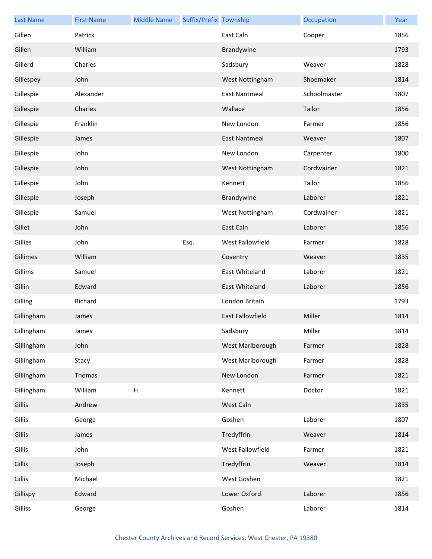| <b>Last Name</b> | <b>First Name</b> | <b>Middle Name</b> | Suffix/Prefix Township |                         | Occupation   | Year |
|------------------|-------------------|--------------------|------------------------|-------------------------|--------------|------|
| Gillen           | Patrick           |                    |                        | East Caln               | Cooper       | 1856 |
| Gillen           | William           |                    |                        | Brandywine              |              | 1793 |
| Gillerd          | Charles           |                    |                        | Sadsbury                | Weaver       | 1828 |
| Gillespey        | John              |                    |                        | West Nottingham         | Shoemaker    | 1814 |
| Gillespie        | Alexander         |                    |                        | <b>East Nantmeal</b>    | Schoolmaster | 1807 |
| Gillespie        | Charles           |                    |                        | Wallace                 | Tailor       | 1856 |
| Gillespie        | Franklin          |                    |                        | New London              | Farmer       | 1856 |
| Gillespie        | James             |                    |                        | East Nantmeal           | Weaver       | 1807 |
| Gillespie        | John              |                    |                        | New London              | Carpenter    | 1800 |
| Gillespie        | John              |                    |                        | West Nottingham         | Cordwainer   | 1821 |
| Gillespie        | John              |                    |                        | Kennett                 | Tailor       | 1856 |
| Gillespie        | Joseph            |                    |                        | Brandywine              | Laborer      | 1821 |
| Gillespie        | Samuel            |                    |                        | West Nottingham         | Cordwainer   | 1821 |
| Gillet           | John              |                    |                        | East Caln               | Laborer      | 1856 |
| Gillies          | John              |                    | Esq.                   | West Fallowfield        | Farmer       | 1828 |
| Gillimes         | William           |                    |                        | Coventry                | Weaver       | 1835 |
| Gillims          | Samuel            |                    |                        | East Whiteland          | Laborer      | 1821 |
| Gillin           | Edward            |                    |                        | East Whiteland          | Laborer      | 1856 |
| Gilling          | Richard           |                    |                        | London Britain          |              | 1793 |
| Gillingham       | James             |                    |                        | <b>East Fallowfield</b> | Miller       | 1814 |
| Gillingham       | James             |                    |                        | Sadsbury                | Miller       | 1814 |
| Gillingham       | John              |                    |                        | West Marlborough        | Farmer       | 1828 |
| Gillingham       | Stacy             |                    |                        | West Marlborough        | Farmer       | 1828 |
| Gillingham       | Thomas            |                    |                        | New London              | Farmer       | 1821 |
| Gillingham       | William           | Η.                 |                        | Kennett                 | Doctor       | 1821 |
| Gillis           | Andrew            |                    |                        | West Caln               |              | 1835 |
| Gillis           | George            |                    |                        | Goshen                  | Laborer      | 1807 |
| Gillis           | James             |                    |                        | Tredyffrin              | Weaver       | 1814 |
| Gillis           | John              |                    |                        | West Fallowfield        | Farmer       | 1821 |
| Gillis           | Joseph            |                    |                        | Tredyffrin              | Weaver       | 1814 |
| Gillis           | Michael           |                    |                        | West Goshen             |              | 1821 |
| Gillispy         | Edward            |                    |                        | Lower Oxford            | Laborer      | 1856 |
| Gilliss          | George            |                    |                        | Goshen                  | Laborer      | 1814 |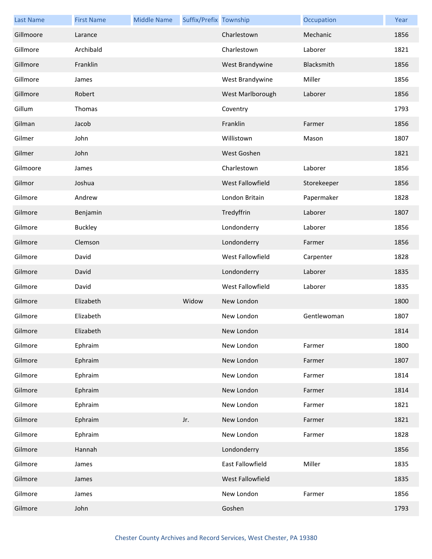| <b>Last Name</b> | <b>First Name</b> | <b>Middle Name</b> | Suffix/Prefix Township |                         | Occupation  | Year |
|------------------|-------------------|--------------------|------------------------|-------------------------|-------------|------|
| Gillmoore        | Larance           |                    |                        | Charlestown             | Mechanic    | 1856 |
| Gillmore         | Archibald         |                    |                        | Charlestown             | Laborer     | 1821 |
| Gillmore         | Franklin          |                    |                        | West Brandywine         | Blacksmith  | 1856 |
| Gillmore         | James             |                    |                        | West Brandywine         | Miller      | 1856 |
| Gillmore         | Robert            |                    |                        | West Marlborough        | Laborer     | 1856 |
| Gillum           | Thomas            |                    |                        | Coventry                |             | 1793 |
| Gilman           | Jacob             |                    |                        | Franklin                | Farmer      | 1856 |
| Gilmer           | John              |                    |                        | Willistown              | Mason       | 1807 |
| Gilmer           | John              |                    |                        | West Goshen             |             | 1821 |
| Gilmoore         | James             |                    |                        | Charlestown             | Laborer     | 1856 |
| Gilmor           | Joshua            |                    |                        | <b>West Fallowfield</b> | Storekeeper | 1856 |
| Gilmore          | Andrew            |                    |                        | London Britain          | Papermaker  | 1828 |
| Gilmore          | Benjamin          |                    |                        | Tredyffrin              | Laborer     | 1807 |
| Gilmore          | <b>Buckley</b>    |                    |                        | Londonderry             | Laborer     | 1856 |
| Gilmore          | Clemson           |                    |                        | Londonderry             | Farmer      | 1856 |
| Gilmore          | David             |                    |                        | West Fallowfield        | Carpenter   | 1828 |
| Gilmore          | David             |                    |                        | Londonderry             | Laborer     | 1835 |
| Gilmore          | David             |                    |                        | West Fallowfield        | Laborer     | 1835 |
| Gilmore          | Elizabeth         |                    | Widow                  | New London              |             | 1800 |
| Gilmore          | Elizabeth         |                    |                        | New London              | Gentlewoman | 1807 |
| Gilmore          | Elizabeth         |                    |                        | New London              |             | 1814 |
| Gilmore          | Ephraim           |                    |                        | New London              | Farmer      | 1800 |
| Gilmore          | Ephraim           |                    |                        | New London              | Farmer      | 1807 |
| Gilmore          | Ephraim           |                    |                        | New London              | Farmer      | 1814 |
| Gilmore          | Ephraim           |                    |                        | New London              | Farmer      | 1814 |
| Gilmore          | Ephraim           |                    |                        | New London              | Farmer      | 1821 |
| Gilmore          | Ephraim           |                    | Jr.                    | New London              | Farmer      | 1821 |
| Gilmore          | Ephraim           |                    |                        | New London              | Farmer      | 1828 |
| Gilmore          | Hannah            |                    |                        | Londonderry             |             | 1856 |
| Gilmore          | James             |                    |                        | East Fallowfield        | Miller      | 1835 |
| Gilmore          | James             |                    |                        | West Fallowfield        |             | 1835 |
| Gilmore          | James             |                    |                        | New London              | Farmer      | 1856 |
| Gilmore          | John              |                    |                        | Goshen                  |             | 1793 |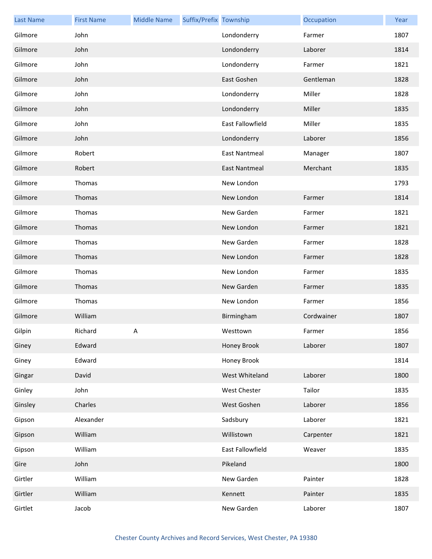| <b>Last Name</b> | <b>First Name</b> | <b>Middle Name</b> | Suffix/Prefix Township |                      | Occupation | Year |
|------------------|-------------------|--------------------|------------------------|----------------------|------------|------|
| Gilmore          | John              |                    |                        | Londonderry          | Farmer     | 1807 |
| Gilmore          | John              |                    |                        | Londonderry          | Laborer    | 1814 |
| Gilmore          | John              |                    |                        | Londonderry          | Farmer     | 1821 |
| Gilmore          | John              |                    |                        | East Goshen          | Gentleman  | 1828 |
| Gilmore          | John              |                    |                        | Londonderry          | Miller     | 1828 |
| Gilmore          | John              |                    |                        | Londonderry          | Miller     | 1835 |
| Gilmore          | John              |                    |                        | East Fallowfield     | Miller     | 1835 |
| Gilmore          | John              |                    |                        | Londonderry          | Laborer    | 1856 |
| Gilmore          | Robert            |                    |                        | <b>East Nantmeal</b> | Manager    | 1807 |
| Gilmore          | Robert            |                    |                        | <b>East Nantmeal</b> | Merchant   | 1835 |
| Gilmore          | Thomas            |                    |                        | New London           |            | 1793 |
| Gilmore          | Thomas            |                    |                        | New London           | Farmer     | 1814 |
| Gilmore          | Thomas            |                    |                        | New Garden           | Farmer     | 1821 |
| Gilmore          | Thomas            |                    |                        | New London           | Farmer     | 1821 |
| Gilmore          | Thomas            |                    |                        | New Garden           | Farmer     | 1828 |
| Gilmore          | Thomas            |                    |                        | New London           | Farmer     | 1828 |
| Gilmore          | Thomas            |                    |                        | New London           | Farmer     | 1835 |
| Gilmore          | Thomas            |                    |                        | New Garden           | Farmer     | 1835 |
| Gilmore          | Thomas            |                    |                        | New London           | Farmer     | 1856 |
| Gilmore          | William           |                    |                        | Birmingham           | Cordwainer | 1807 |
| Gilpin           | Richard           | A                  |                        | Westtown             | Farmer     | 1856 |
| Giney            | Edward            |                    |                        | Honey Brook          | Laborer    | 1807 |
| Giney            | Edward            |                    |                        | Honey Brook          |            | 1814 |
| Gingar           | David             |                    |                        | West Whiteland       | Laborer    | 1800 |
| Ginley           | John              |                    |                        | <b>West Chester</b>  | Tailor     | 1835 |
| Ginsley          | Charles           |                    |                        | West Goshen          | Laborer    | 1856 |
| Gipson           | Alexander         |                    |                        | Sadsbury             | Laborer    | 1821 |
| Gipson           | William           |                    |                        | Willistown           | Carpenter  | 1821 |
| Gipson           | William           |                    |                        | East Fallowfield     | Weaver     | 1835 |
| Gire             | John              |                    |                        | Pikeland             |            | 1800 |
| Girtler          | William           |                    |                        | New Garden           | Painter    | 1828 |
| Girtler          | William           |                    |                        | Kennett              | Painter    | 1835 |
| Girtlet          | Jacob             |                    |                        | New Garden           | Laborer    | 1807 |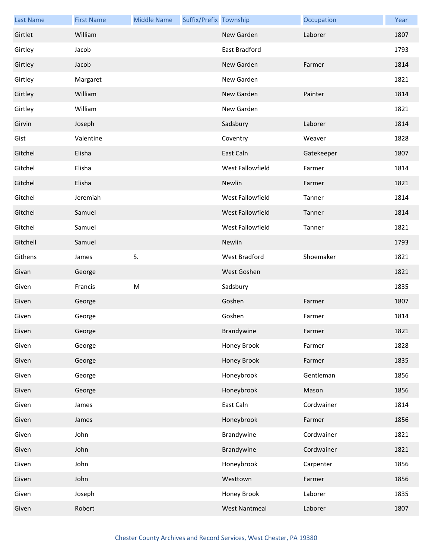| <b>Last Name</b> | <b>First Name</b> | <b>Middle Name</b> | Suffix/Prefix Township |                    | Occupation | Year |
|------------------|-------------------|--------------------|------------------------|--------------------|------------|------|
| Girtlet          | William           |                    |                        | New Garden         | Laborer    | 1807 |
| Girtley          | Jacob             |                    |                        | East Bradford      |            | 1793 |
| Girtley          | Jacob             |                    |                        | New Garden         | Farmer     | 1814 |
| Girtley          | Margaret          |                    |                        | New Garden         |            | 1821 |
| Girtley          | William           |                    |                        | New Garden         | Painter    | 1814 |
| Girtley          | William           |                    |                        | New Garden         |            | 1821 |
| Girvin           | Joseph            |                    |                        | Sadsbury           | Laborer    | 1814 |
| Gist             | Valentine         |                    |                        | Coventry           | Weaver     | 1828 |
| Gitchel          | Elisha            |                    |                        | East Caln          | Gatekeeper | 1807 |
| Gitchel          | Elisha            |                    |                        | West Fallowfield   | Farmer     | 1814 |
| Gitchel          | Elisha            |                    |                        | Newlin             | Farmer     | 1821 |
| Gitchel          | Jeremiah          |                    |                        | West Fallowfield   | Tanner     | 1814 |
| Gitchel          | Samuel            |                    |                        | West Fallowfield   | Tanner     | 1814 |
| Gitchel          | Samuel            |                    |                        | West Fallowfield   | Tanner     | 1821 |
| Gitchell         | Samuel            |                    |                        | Newlin             |            | 1793 |
| Githens          | James             | S.                 |                        | West Bradford      | Shoemaker  | 1821 |
| Givan            | George            |                    |                        | West Goshen        |            | 1821 |
| Given            | Francis           | ${\sf M}$          |                        | Sadsbury           |            | 1835 |
| Given            | George            |                    |                        | Goshen             | Farmer     | 1807 |
| Given            | George            |                    |                        | Goshen             | Farmer     | 1814 |
| Given            | George            |                    |                        | Brandywine         | Farmer     | 1821 |
| Given            | George            |                    |                        | Honey Brook        | Farmer     | 1828 |
| Given            | George            |                    |                        | <b>Honey Brook</b> | Farmer     | 1835 |
| Given            | George            |                    |                        | Honeybrook         | Gentleman  | 1856 |
| Given            | George            |                    |                        | Honeybrook         | Mason      | 1856 |
| Given            | James             |                    |                        | East Caln          | Cordwainer | 1814 |
| Given            | James             |                    |                        | Honeybrook         | Farmer     | 1856 |
| Given            | John              |                    |                        | Brandywine         | Cordwainer | 1821 |
| Given            | John              |                    |                        | Brandywine         | Cordwainer | 1821 |
| Given            | John              |                    |                        | Honeybrook         | Carpenter  | 1856 |
| Given            | John              |                    |                        | Westtown           | Farmer     | 1856 |
| Given            | Joseph            |                    |                        | Honey Brook        | Laborer    | 1835 |
| Given            | Robert            |                    |                        | West Nantmeal      | Laborer    | 1807 |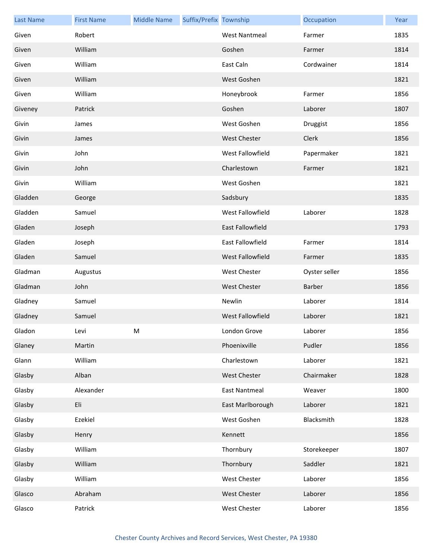| <b>Last Name</b> | <b>First Name</b> | <b>Middle Name</b> | Suffix/Prefix Township |                         | Occupation    | Year |
|------------------|-------------------|--------------------|------------------------|-------------------------|---------------|------|
| Given            | Robert            |                    |                        | <b>West Nantmeal</b>    | Farmer        | 1835 |
| Given            | William           |                    |                        | Goshen                  | Farmer        | 1814 |
| Given            | William           |                    |                        | East Caln               | Cordwainer    | 1814 |
| Given            | William           |                    |                        | West Goshen             |               | 1821 |
| Given            | William           |                    |                        | Honeybrook              | Farmer        | 1856 |
| Giveney          | Patrick           |                    |                        | Goshen                  | Laborer       | 1807 |
| Givin            | James             |                    |                        | West Goshen             | Druggist      | 1856 |
| Givin            | James             |                    |                        | <b>West Chester</b>     | Clerk         | 1856 |
| Givin            | John              |                    |                        | West Fallowfield        | Papermaker    | 1821 |
| Givin            | John              |                    |                        | Charlestown             | Farmer        | 1821 |
| Givin            | William           |                    |                        | West Goshen             |               | 1821 |
| Gladden          | George            |                    |                        | Sadsbury                |               | 1835 |
| Gladden          | Samuel            |                    |                        | West Fallowfield        | Laborer       | 1828 |
| Gladen           | Joseph            |                    |                        | <b>East Fallowfield</b> |               | 1793 |
| Gladen           | Joseph            |                    |                        | East Fallowfield        | Farmer        | 1814 |
| Gladen           | Samuel            |                    |                        | West Fallowfield        | Farmer        | 1835 |
| Gladman          | Augustus          |                    |                        | <b>West Chester</b>     | Oyster seller | 1856 |
| Gladman          | John              |                    |                        | <b>West Chester</b>     | Barber        | 1856 |
| Gladney          | Samuel            |                    |                        | Newlin                  | Laborer       | 1814 |
| Gladney          | Samuel            |                    |                        | <b>West Fallowfield</b> | Laborer       | 1821 |
| Gladon           | Levi              | М                  |                        | London Grove            | Laborer       | 1856 |
| Glaney           | Martin            |                    |                        | Phoenixville            | Pudler        | 1856 |
| Glann            | William           |                    |                        | Charlestown             | Laborer       | 1821 |
| Glasby           | Alban             |                    |                        | West Chester            | Chairmaker    | 1828 |
| Glasby           | Alexander         |                    |                        | <b>East Nantmeal</b>    | Weaver        | 1800 |
| Glasby           | Eli               |                    |                        | East Marlborough        | Laborer       | 1821 |
| Glasby           | Ezekiel           |                    |                        | West Goshen             | Blacksmith    | 1828 |
| Glasby           | Henry             |                    |                        | Kennett                 |               | 1856 |
| Glasby           | William           |                    |                        | Thornbury               | Storekeeper   | 1807 |
| Glasby           | William           |                    |                        | Thornbury               | Saddler       | 1821 |
| Glasby           | William           |                    |                        | West Chester            | Laborer       | 1856 |
| Glasco           | Abraham           |                    |                        | West Chester            | Laborer       | 1856 |
| Glasco           | Patrick           |                    |                        | West Chester            | Laborer       | 1856 |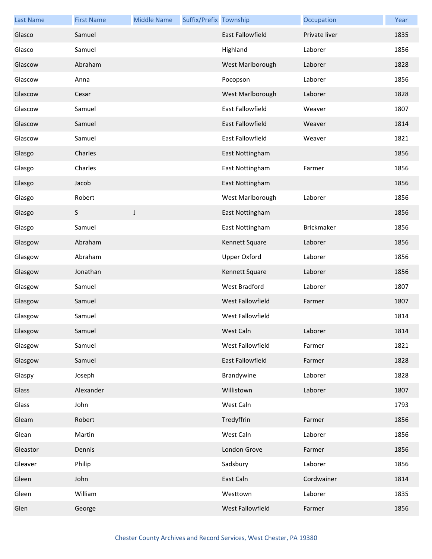| <b>Last Name</b> | <b>First Name</b> | <b>Middle Name</b> | Suffix/Prefix Township |                         | Occupation        | Year |
|------------------|-------------------|--------------------|------------------------|-------------------------|-------------------|------|
| Glasco           | Samuel            |                    |                        | <b>East Fallowfield</b> | Private liver     | 1835 |
| Glasco           | Samuel            |                    |                        | Highland                | Laborer           | 1856 |
| Glascow          | Abraham           |                    |                        | West Marlborough        | Laborer           | 1828 |
| Glascow          | Anna              |                    |                        | Pocopson                | Laborer           | 1856 |
| Glascow          | Cesar             |                    |                        | West Marlborough        | Laborer           | 1828 |
| Glascow          | Samuel            |                    |                        | <b>East Fallowfield</b> | Weaver            | 1807 |
| Glascow          | Samuel            |                    |                        | <b>East Fallowfield</b> | Weaver            | 1814 |
| Glascow          | Samuel            |                    |                        | East Fallowfield        | Weaver            | 1821 |
| Glasgo           | Charles           |                    |                        | East Nottingham         |                   | 1856 |
| Glasgo           | Charles           |                    |                        | East Nottingham         | Farmer            | 1856 |
| Glasgo           | Jacob             |                    |                        | East Nottingham         |                   | 1856 |
| Glasgo           | Robert            |                    |                        | West Marlborough        | Laborer           | 1856 |
| Glasgo           | S                 | J                  |                        | East Nottingham         |                   | 1856 |
| Glasgo           | Samuel            |                    |                        | East Nottingham         | <b>Brickmaker</b> | 1856 |
| Glasgow          | Abraham           |                    |                        | Kennett Square          | Laborer           | 1856 |
| Glasgow          | Abraham           |                    |                        | <b>Upper Oxford</b>     | Laborer           | 1856 |
| Glasgow          | Jonathan          |                    |                        | Kennett Square          | Laborer           | 1856 |
| Glasgow          | Samuel            |                    |                        | West Bradford           | Laborer           | 1807 |
| Glasgow          | Samuel            |                    |                        | West Fallowfield        | Farmer            | 1807 |
| Glasgow          | Samuel            |                    |                        | West Fallowfield        |                   | 1814 |
| Glasgow          | Samuel            |                    |                        | West Caln               | Laborer           | 1814 |
| Glasgow          | Samuel            |                    |                        | West Fallowfield        | Farmer            | 1821 |
| Glasgow          | Samuel            |                    |                        | East Fallowfield        | Farmer            | 1828 |
| Glaspy           | Joseph            |                    |                        | Brandywine              | Laborer           | 1828 |
| Glass            | Alexander         |                    |                        | Willistown              | Laborer           | 1807 |
| Glass            | John              |                    |                        | West Caln               |                   | 1793 |
| Gleam            | Robert            |                    |                        | Tredyffrin              | Farmer            | 1856 |
| Glean            | Martin            |                    |                        | West Caln               | Laborer           | 1856 |
| Gleastor         | Dennis            |                    |                        | London Grove            | Farmer            | 1856 |
| Gleaver          | Philip            |                    |                        | Sadsbury                | Laborer           | 1856 |
| Gleen            | John              |                    |                        | East Caln               | Cordwainer        | 1814 |
| Gleen            | William           |                    |                        | Westtown                | Laborer           | 1835 |
| Glen             | George            |                    |                        | West Fallowfield        | Farmer            | 1856 |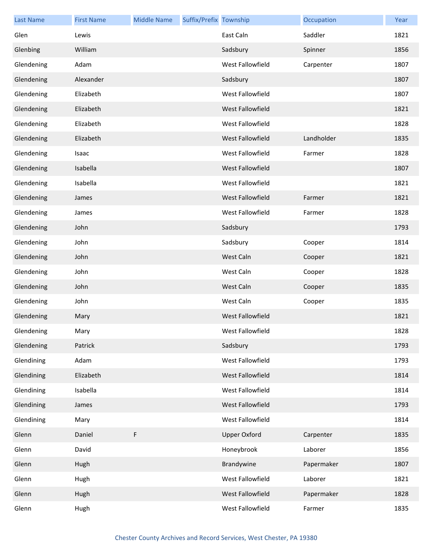| <b>Last Name</b> | <b>First Name</b> | <b>Middle Name</b> | Suffix/Prefix Township |                         | Occupation | Year |
|------------------|-------------------|--------------------|------------------------|-------------------------|------------|------|
| Glen             | Lewis             |                    |                        | East Caln               | Saddler    | 1821 |
| Glenbing         | William           |                    |                        | Sadsbury                | Spinner    | 1856 |
| Glendening       | Adam              |                    |                        | West Fallowfield        | Carpenter  | 1807 |
| Glendening       | Alexander         |                    |                        | Sadsbury                |            | 1807 |
| Glendening       | Elizabeth         |                    |                        | West Fallowfield        |            | 1807 |
| Glendening       | Elizabeth         |                    |                        | West Fallowfield        |            | 1821 |
| Glendening       | Elizabeth         |                    |                        | West Fallowfield        |            | 1828 |
| Glendening       | Elizabeth         |                    |                        | <b>West Fallowfield</b> | Landholder | 1835 |
| Glendening       | Isaac             |                    |                        | West Fallowfield        | Farmer     | 1828 |
| Glendening       | Isabella          |                    |                        | West Fallowfield        |            | 1807 |
| Glendening       | Isabella          |                    |                        | West Fallowfield        |            | 1821 |
| Glendening       | James             |                    |                        | West Fallowfield        | Farmer     | 1821 |
| Glendening       | James             |                    |                        | West Fallowfield        | Farmer     | 1828 |
| Glendening       | John              |                    |                        | Sadsbury                |            | 1793 |
| Glendening       | John              |                    |                        | Sadsbury                | Cooper     | 1814 |
| Glendening       | John              |                    |                        | West Caln               | Cooper     | 1821 |
| Glendening       | John              |                    |                        | West Caln               | Cooper     | 1828 |
| Glendening       | John              |                    |                        | West Caln               | Cooper     | 1835 |
| Glendening       | John              |                    |                        | West Caln               | Cooper     | 1835 |
| Glendening       | Mary              |                    |                        | West Fallowfield        |            | 1821 |
| Glendening       | Mary              |                    |                        | West Fallowfield        |            | 1828 |
| Glendening       | Patrick           |                    |                        | Sadsbury                |            | 1793 |
| Glendining       | Adam              |                    |                        | West Fallowfield        |            | 1793 |
| Glendining       | Elizabeth         |                    |                        | West Fallowfield        |            | 1814 |
| Glendining       | Isabella          |                    |                        | West Fallowfield        |            | 1814 |
| Glendining       | James             |                    |                        | West Fallowfield        |            | 1793 |
| Glendining       | Mary              |                    |                        | West Fallowfield        |            | 1814 |
| Glenn            | Daniel            | F                  |                        | <b>Upper Oxford</b>     | Carpenter  | 1835 |
| Glenn            | David             |                    |                        | Honeybrook              | Laborer    | 1856 |
| Glenn            | Hugh              |                    |                        | Brandywine              | Papermaker | 1807 |
| Glenn            | Hugh              |                    |                        | West Fallowfield        | Laborer    | 1821 |
| Glenn            | Hugh              |                    |                        | West Fallowfield        | Papermaker | 1828 |
| Glenn            | Hugh              |                    |                        | West Fallowfield        | Farmer     | 1835 |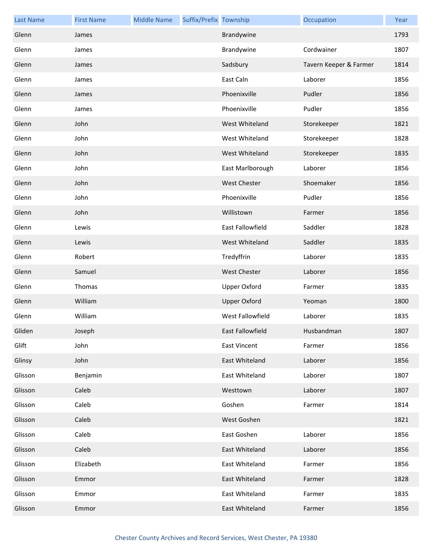| <b>Last Name</b> | <b>First Name</b> | <b>Middle Name</b> | Suffix/Prefix Township |                     | Occupation             | Year |
|------------------|-------------------|--------------------|------------------------|---------------------|------------------------|------|
| Glenn            | James             |                    |                        | Brandywine          |                        | 1793 |
| Glenn            | James             |                    |                        | Brandywine          | Cordwainer             | 1807 |
| Glenn            | James             |                    |                        | Sadsbury            | Tavern Keeper & Farmer | 1814 |
| Glenn            | James             |                    |                        | East Caln           | Laborer                | 1856 |
| Glenn            | James             |                    |                        | Phoenixville        | Pudler                 | 1856 |
| Glenn            | James             |                    |                        | Phoenixville        | Pudler                 | 1856 |
| Glenn            | John              |                    |                        | West Whiteland      | Storekeeper            | 1821 |
| Glenn            | John              |                    |                        | West Whiteland      | Storekeeper            | 1828 |
| Glenn            | John              |                    |                        | West Whiteland      | Storekeeper            | 1835 |
| Glenn            | John              |                    |                        | East Marlborough    | Laborer                | 1856 |
| Glenn            | John              |                    |                        | West Chester        | Shoemaker              | 1856 |
| Glenn            | John              |                    |                        | Phoenixville        | Pudler                 | 1856 |
| Glenn            | John              |                    |                        | Willistown          | Farmer                 | 1856 |
| Glenn            | Lewis             |                    |                        | East Fallowfield    | Saddler                | 1828 |
| Glenn            | Lewis             |                    |                        | West Whiteland      | Saddler                | 1835 |
| Glenn            | Robert            |                    |                        | Tredyffrin          | Laborer                | 1835 |
| Glenn            | Samuel            |                    |                        | <b>West Chester</b> | Laborer                | 1856 |
| Glenn            | Thomas            |                    |                        | Upper Oxford        | Farmer                 | 1835 |
| Glenn            | William           |                    |                        | <b>Upper Oxford</b> | Yeoman                 | 1800 |
| Glenn            | William           |                    |                        | West Fallowfield    | Laborer                | 1835 |
| Gliden           | Joseph            |                    |                        | East Fallowfield    | Husbandman             | 1807 |
| Glift            | John              |                    |                        | <b>East Vincent</b> | Farmer                 | 1856 |
| Glinsy           | John              |                    |                        | East Whiteland      | Laborer                | 1856 |
| Glisson          | Benjamin          |                    |                        | East Whiteland      | Laborer                | 1807 |
| Glisson          | Caleb             |                    |                        | Westtown            | Laborer                | 1807 |
| Glisson          | Caleb             |                    |                        | Goshen              | Farmer                 | 1814 |
| Glisson          | Caleb             |                    |                        | West Goshen         |                        | 1821 |
| Glisson          | Caleb             |                    |                        | East Goshen         | Laborer                | 1856 |
| Glisson          | Caleb             |                    |                        | East Whiteland      | Laborer                | 1856 |
| Glisson          | Elizabeth         |                    |                        | East Whiteland      | Farmer                 | 1856 |
| Glisson          | Emmor             |                    |                        | East Whiteland      | Farmer                 | 1828 |
| Glisson          | Emmor             |                    |                        | East Whiteland      | Farmer                 | 1835 |
| Glisson          | Emmor             |                    |                        | East Whiteland      | Farmer                 | 1856 |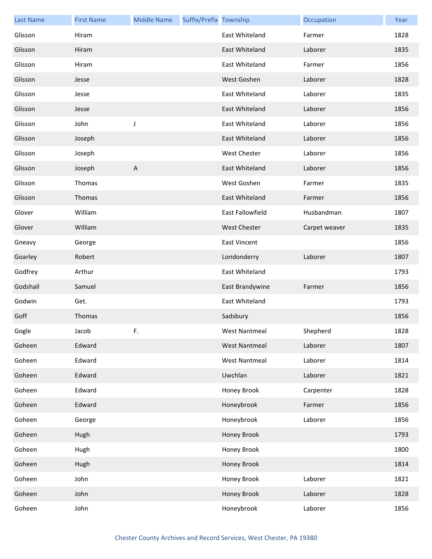| <b>Last Name</b> | <b>First Name</b> | <b>Middle Name</b> | Suffix/Prefix Township |                      | Occupation    | Year |
|------------------|-------------------|--------------------|------------------------|----------------------|---------------|------|
| Glisson          | Hiram             |                    |                        | East Whiteland       | Farmer        | 1828 |
| Glisson          | Hiram             |                    |                        | East Whiteland       | Laborer       | 1835 |
| Glisson          | Hiram             |                    |                        | East Whiteland       | Farmer        | 1856 |
| Glisson          | Jesse             |                    |                        | West Goshen          | Laborer       | 1828 |
| Glisson          | Jesse             |                    |                        | East Whiteland       | Laborer       | 1835 |
| Glisson          | Jesse             |                    |                        | East Whiteland       | Laborer       | 1856 |
| Glisson          | John              | J                  |                        | East Whiteland       | Laborer       | 1856 |
| Glisson          | Joseph            |                    |                        | East Whiteland       | Laborer       | 1856 |
| Glisson          | Joseph            |                    |                        | <b>West Chester</b>  | Laborer       | 1856 |
| Glisson          | Joseph            | $\overline{A}$     |                        | East Whiteland       | Laborer       | 1856 |
| Glisson          | Thomas            |                    |                        | West Goshen          | Farmer        | 1835 |
| Glisson          | Thomas            |                    |                        | East Whiteland       | Farmer        | 1856 |
| Glover           | William           |                    |                        | East Fallowfield     | Husbandman    | 1807 |
| Glover           | William           |                    |                        | <b>West Chester</b>  | Carpet weaver | 1835 |
| Gneavy           | George            |                    |                        | <b>East Vincent</b>  |               | 1856 |
| Goarley          | Robert            |                    |                        | Londonderry          | Laborer       | 1807 |
| Godfrey          | Arthur            |                    |                        | East Whiteland       |               | 1793 |
| Godshall         | Samuel            |                    |                        | East Brandywine      | Farmer        | 1856 |
| Godwin           | Get.              |                    |                        | East Whiteland       |               | 1793 |
| Goff             | Thomas            |                    |                        | Sadsbury             |               | 1856 |
| Gogle            | Jacob             | F.                 |                        | West Nantmeal        | Shepherd      | 1828 |
| Goheen           | Edward            |                    |                        | <b>West Nantmeal</b> | Laborer       | 1807 |
| Goheen           | Edward            |                    |                        | <b>West Nantmeal</b> | Laborer       | 1814 |
| Goheen           | Edward            |                    |                        | Uwchlan              | Laborer       | 1821 |
| Goheen           | Edward            |                    |                        | Honey Brook          | Carpenter     | 1828 |
| Goheen           | Edward            |                    |                        | Honeybrook           | Farmer        | 1856 |
| Goheen           | George            |                    |                        | Honeybrook           | Laborer       | 1856 |
| Goheen           | Hugh              |                    |                        | Honey Brook          |               | 1793 |
| Goheen           | Hugh              |                    |                        | Honey Brook          |               | 1800 |
| Goheen           | Hugh              |                    |                        | Honey Brook          |               | 1814 |
| Goheen           | John              |                    |                        | Honey Brook          | Laborer       | 1821 |
| Goheen           | John              |                    |                        | Honey Brook          | Laborer       | 1828 |
| Goheen           | John              |                    |                        | Honeybrook           | Laborer       | 1856 |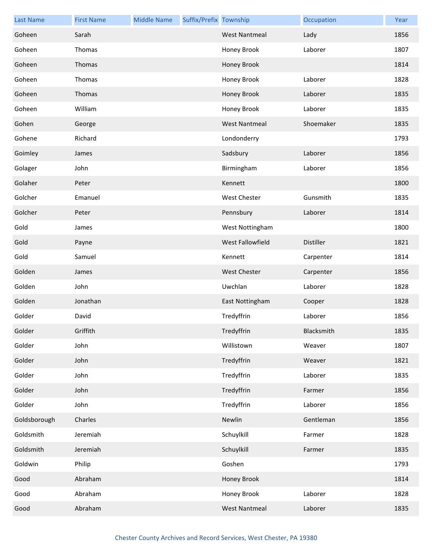| <b>Last Name</b> | <b>First Name</b> | <b>Middle Name</b> | Suffix/Prefix Township |                      | Occupation | Year |
|------------------|-------------------|--------------------|------------------------|----------------------|------------|------|
| Goheen           | Sarah             |                    |                        | <b>West Nantmeal</b> | Lady       | 1856 |
| Goheen           | Thomas            |                    |                        | Honey Brook          | Laborer    | 1807 |
| Goheen           | Thomas            |                    |                        | Honey Brook          |            | 1814 |
| Goheen           | Thomas            |                    |                        | Honey Brook          | Laborer    | 1828 |
| Goheen           | Thomas            |                    |                        | Honey Brook          | Laborer    | 1835 |
| Goheen           | William           |                    |                        | Honey Brook          | Laborer    | 1835 |
| Gohen            | George            |                    |                        | <b>West Nantmeal</b> | Shoemaker  | 1835 |
| Gohene           | Richard           |                    |                        | Londonderry          |            | 1793 |
| Goimley          | James             |                    |                        | Sadsbury             | Laborer    | 1856 |
| Golager          | John              |                    |                        | Birmingham           | Laborer    | 1856 |
| Golaher          | Peter             |                    |                        | Kennett              |            | 1800 |
| Golcher          | Emanuel           |                    |                        | <b>West Chester</b>  | Gunsmith   | 1835 |
| Golcher          | Peter             |                    |                        | Pennsbury            | Laborer    | 1814 |
| Gold             | James             |                    |                        | West Nottingham      |            | 1800 |
| Gold             | Payne             |                    |                        | West Fallowfield     | Distiller  | 1821 |
| Gold             | Samuel            |                    |                        | Kennett              | Carpenter  | 1814 |
| Golden           | James             |                    |                        | <b>West Chester</b>  | Carpenter  | 1856 |
| Golden           | John              |                    |                        | Uwchlan              | Laborer    | 1828 |
| Golden           | Jonathan          |                    |                        | East Nottingham      | Cooper     | 1828 |
| Golder           | David             |                    |                        | Tredyffrin           | Laborer    | 1856 |
| Golder           | Griffith          |                    |                        | Tredyffrin           | Blacksmith | 1835 |
| Golder           | John              |                    |                        | Willistown           | Weaver     | 1807 |
| Golder           | John              |                    |                        | Tredyffrin           | Weaver     | 1821 |
| Golder           | John              |                    |                        | Tredyffrin           | Laborer    | 1835 |
| Golder           | John              |                    |                        | Tredyffrin           | Farmer     | 1856 |
| Golder           | John              |                    |                        | Tredyffrin           | Laborer    | 1856 |
| Goldsborough     | Charles           |                    |                        | Newlin               | Gentleman  | 1856 |
| Goldsmith        | Jeremiah          |                    |                        | Schuylkill           | Farmer     | 1828 |
| Goldsmith        | Jeremiah          |                    |                        | Schuylkill           | Farmer     | 1835 |
| Goldwin          | Philip            |                    |                        | Goshen               |            | 1793 |
| Good             | Abraham           |                    |                        | Honey Brook          |            | 1814 |
| Good             | Abraham           |                    |                        | Honey Brook          | Laborer    | 1828 |
| Good             | Abraham           |                    |                        | <b>West Nantmeal</b> | Laborer    | 1835 |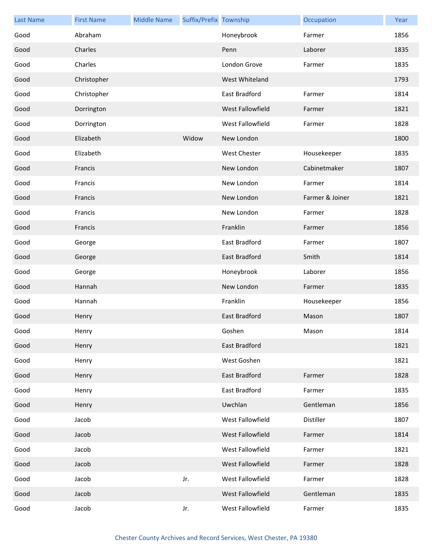| <b>Last Name</b> | <b>First Name</b> | <b>Middle Name</b> | Suffix/Prefix Township |                  | Occupation      | Year |
|------------------|-------------------|--------------------|------------------------|------------------|-----------------|------|
| Good             | Abraham           |                    |                        | Honeybrook       | Farmer          | 1856 |
| Good             | Charles           |                    |                        | Penn             | Laborer         | 1835 |
| Good             | Charles           |                    |                        | London Grove     | Farmer          | 1835 |
| Good             | Christopher       |                    |                        | West Whiteland   |                 | 1793 |
| Good             | Christopher       |                    |                        | East Bradford    | Farmer          | 1814 |
| Good             | Dorrington        |                    |                        | West Fallowfield | Farmer          | 1821 |
| Good             | Dorrington        |                    |                        | West Fallowfield | Farmer          | 1828 |
| Good             | Elizabeth         |                    | Widow                  | New London       |                 | 1800 |
| Good             | Elizabeth         |                    |                        | West Chester     | Housekeeper     | 1835 |
| Good             | Francis           |                    |                        | New London       | Cabinetmaker    | 1807 |
| Good             | Francis           |                    |                        | New London       | Farmer          | 1814 |
| Good             | Francis           |                    |                        | New London       | Farmer & Joiner | 1821 |
| Good             | Francis           |                    |                        | New London       | Farmer          | 1828 |
| Good             | Francis           |                    |                        | Franklin         | Farmer          | 1856 |
| Good             | George            |                    |                        | East Bradford    | Farmer          | 1807 |
| Good             | George            |                    |                        | East Bradford    | Smith           | 1814 |
| Good             | George            |                    |                        | Honeybrook       | Laborer         | 1856 |
| Good             | Hannah            |                    |                        | New London       | Farmer          | 1835 |
| Good             | Hannah            |                    |                        | Franklin         | Housekeeper     | 1856 |
| Good             | Henry             |                    |                        | East Bradford    | Mason           | 1807 |
| Good             | Henry             |                    |                        | Goshen           | Mason           | 1814 |
| Good             | Henry             |                    |                        | East Bradford    |                 | 1821 |
| Good             | Henry             |                    |                        | West Goshen      |                 | 1821 |
| Good             | Henry             |                    |                        | East Bradford    | Farmer          | 1828 |
| Good             | Henry             |                    |                        | East Bradford    | Farmer          | 1835 |
| Good             | Henry             |                    |                        | Uwchlan          | Gentleman       | 1856 |
| Good             | Jacob             |                    |                        | West Fallowfield | Distiller       | 1807 |
| Good             | Jacob             |                    |                        | West Fallowfield | Farmer          | 1814 |
| Good             | Jacob             |                    |                        | West Fallowfield | Farmer          | 1821 |
| Good             | Jacob             |                    |                        | West Fallowfield | Farmer          | 1828 |
| Good             | Jacob             |                    | Jr.                    | West Fallowfield | Farmer          | 1828 |
| Good             | Jacob             |                    |                        | West Fallowfield | Gentleman       | 1835 |
| Good             | Jacob             |                    | Jr.                    | West Fallowfield | Farmer          | 1835 |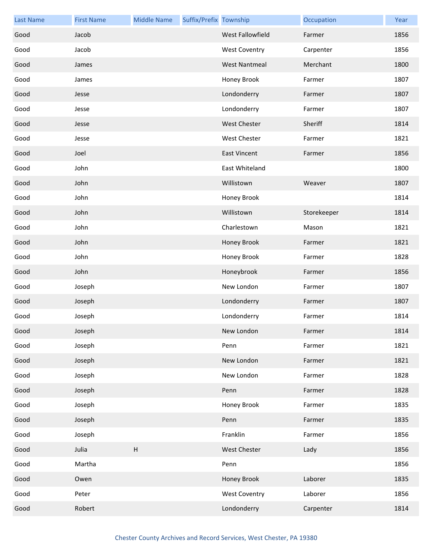| <b>Last Name</b> | <b>First Name</b> | <b>Middle Name</b> | Suffix/Prefix Township |                      | Occupation  | Year |
|------------------|-------------------|--------------------|------------------------|----------------------|-------------|------|
| Good             | Jacob             |                    |                        | West Fallowfield     | Farmer      | 1856 |
| Good             | Jacob             |                    |                        | <b>West Coventry</b> | Carpenter   | 1856 |
| Good             | James             |                    |                        | <b>West Nantmeal</b> | Merchant    | 1800 |
| Good             | James             |                    |                        | Honey Brook          | Farmer      | 1807 |
| Good             | Jesse             |                    |                        | Londonderry          | Farmer      | 1807 |
| Good             | Jesse             |                    |                        | Londonderry          | Farmer      | 1807 |
| Good             | Jesse             |                    |                        | West Chester         | Sheriff     | 1814 |
| Good             | Jesse             |                    |                        | West Chester         | Farmer      | 1821 |
| Good             | Joel              |                    |                        | <b>East Vincent</b>  | Farmer      | 1856 |
| Good             | John              |                    |                        | East Whiteland       |             | 1800 |
| Good             | John              |                    |                        | Willistown           | Weaver      | 1807 |
| Good             | John              |                    |                        | Honey Brook          |             | 1814 |
| Good             | John              |                    |                        | Willistown           | Storekeeper | 1814 |
| Good             | John              |                    |                        | Charlestown          | Mason       | 1821 |
| Good             | John              |                    |                        | Honey Brook          | Farmer      | 1821 |
| Good             | John              |                    |                        | Honey Brook          | Farmer      | 1828 |
| Good             | John              |                    |                        | Honeybrook           | Farmer      | 1856 |
| Good             | Joseph            |                    |                        | New London           | Farmer      | 1807 |
| Good             | Joseph            |                    |                        | Londonderry          | Farmer      | 1807 |
| Good             | Joseph            |                    |                        | Londonderry          | Farmer      | 1814 |
| Good             | Joseph            |                    |                        | New London           | Farmer      | 1814 |
| Good             | Joseph            |                    |                        | Penn                 | Farmer      | 1821 |
| Good             | Joseph            |                    |                        | New London           | Farmer      | 1821 |
| Good             | Joseph            |                    |                        | New London           | Farmer      | 1828 |
| Good             | Joseph            |                    |                        | Penn                 | Farmer      | 1828 |
| Good             | Joseph            |                    |                        | Honey Brook          | Farmer      | 1835 |
| Good             | Joseph            |                    |                        | Penn                 | Farmer      | 1835 |
| Good             | Joseph            |                    |                        | Franklin             | Farmer      | 1856 |
| Good             | Julia             | $\sf H$            |                        | <b>West Chester</b>  | Lady        | 1856 |
| Good             | Martha            |                    |                        | Penn                 |             | 1856 |
| Good             | Owen              |                    |                        | Honey Brook          | Laborer     | 1835 |
| Good             | Peter             |                    |                        | <b>West Coventry</b> | Laborer     | 1856 |
| Good             | Robert            |                    |                        | Londonderry          | Carpenter   | 1814 |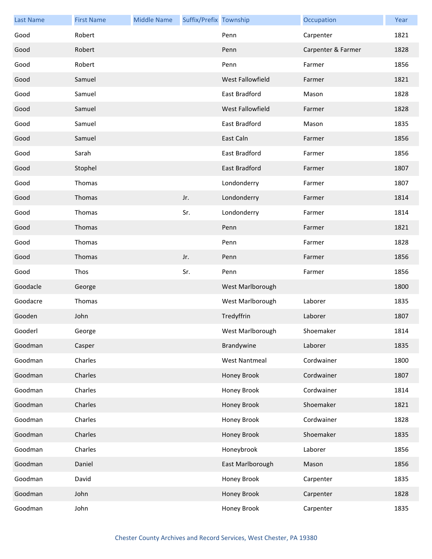| <b>Last Name</b> | <b>First Name</b> | <b>Middle Name</b> | Suffix/Prefix Township |                         | Occupation         | Year |
|------------------|-------------------|--------------------|------------------------|-------------------------|--------------------|------|
| Good             | Robert            |                    |                        | Penn                    | Carpenter          | 1821 |
| Good             | Robert            |                    |                        | Penn                    | Carpenter & Farmer | 1828 |
| Good             | Robert            |                    |                        | Penn                    | Farmer             | 1856 |
| Good             | Samuel            |                    |                        | West Fallowfield        | Farmer             | 1821 |
| Good             | Samuel            |                    |                        | East Bradford           | Mason              | 1828 |
| Good             | Samuel            |                    |                        | <b>West Fallowfield</b> | Farmer             | 1828 |
| Good             | Samuel            |                    |                        | East Bradford           | Mason              | 1835 |
| Good             | Samuel            |                    |                        | East Caln               | Farmer             | 1856 |
| Good             | Sarah             |                    |                        | East Bradford           | Farmer             | 1856 |
| Good             | Stophel           |                    |                        | East Bradford           | Farmer             | 1807 |
| Good             | Thomas            |                    |                        | Londonderry             | Farmer             | 1807 |
| Good             | Thomas            |                    | Jr.                    | Londonderry             | Farmer             | 1814 |
| Good             | Thomas            |                    | Sr.                    | Londonderry             | Farmer             | 1814 |
| Good             | Thomas            |                    |                        | Penn                    | Farmer             | 1821 |
| Good             | Thomas            |                    |                        | Penn                    | Farmer             | 1828 |
| Good             | Thomas            |                    | Jr.                    | Penn                    | Farmer             | 1856 |
| Good             | Thos              |                    | Sr.                    | Penn                    | Farmer             | 1856 |
| Goodacle         | George            |                    |                        | West Marlborough        |                    | 1800 |
| Goodacre         | Thomas            |                    |                        | West Marlborough        | Laborer            | 1835 |
| Gooden           | John              |                    |                        | Tredyffrin              | Laborer            | 1807 |
| Gooderl          | George            |                    |                        | West Marlborough        | Shoemaker          | 1814 |
| Goodman          | Casper            |                    |                        | Brandywine              | Laborer            | 1835 |
| Goodman          | Charles           |                    |                        | <b>West Nantmeal</b>    | Cordwainer         | 1800 |
| Goodman          | Charles           |                    |                        | Honey Brook             | Cordwainer         | 1807 |
| Goodman          | Charles           |                    |                        | Honey Brook             | Cordwainer         | 1814 |
| Goodman          | Charles           |                    |                        | Honey Brook             | Shoemaker          | 1821 |
| Goodman          | Charles           |                    |                        | Honey Brook             | Cordwainer         | 1828 |
| Goodman          | Charles           |                    |                        | Honey Brook             | Shoemaker          | 1835 |
| Goodman          | Charles           |                    |                        | Honeybrook              | Laborer            | 1856 |
| Goodman          | Daniel            |                    |                        | East Marlborough        | Mason              | 1856 |
| Goodman          | David             |                    |                        | Honey Brook             | Carpenter          | 1835 |
| Goodman          | John              |                    |                        | Honey Brook             | Carpenter          | 1828 |
| Goodman          | John              |                    |                        | Honey Brook             | Carpenter          | 1835 |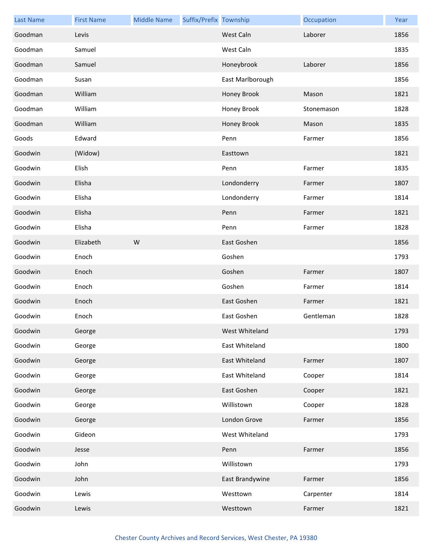| <b>Last Name</b> | <b>First Name</b> | <b>Middle Name</b> | Suffix/Prefix Township |                  | Occupation | Year |
|------------------|-------------------|--------------------|------------------------|------------------|------------|------|
| Goodman          | Levis             |                    |                        | West Caln        | Laborer    | 1856 |
| Goodman          | Samuel            |                    |                        | West Caln        |            | 1835 |
| Goodman          | Samuel            |                    |                        | Honeybrook       | Laborer    | 1856 |
| Goodman          | Susan             |                    |                        | East Marlborough |            | 1856 |
| Goodman          | William           |                    |                        | Honey Brook      | Mason      | 1821 |
| Goodman          | William           |                    |                        | Honey Brook      | Stonemason | 1828 |
| Goodman          | William           |                    |                        | Honey Brook      | Mason      | 1835 |
| Goods            | Edward            |                    |                        | Penn             | Farmer     | 1856 |
| Goodwin          | (Widow)           |                    |                        | Easttown         |            | 1821 |
| Goodwin          | Elish             |                    |                        | Penn             | Farmer     | 1835 |
| Goodwin          | Elisha            |                    |                        | Londonderry      | Farmer     | 1807 |
| Goodwin          | Elisha            |                    |                        | Londonderry      | Farmer     | 1814 |
| Goodwin          | Elisha            |                    |                        | Penn             | Farmer     | 1821 |
| Goodwin          | Elisha            |                    |                        | Penn             | Farmer     | 1828 |
| Goodwin          | Elizabeth         | ${\sf W}$          |                        | East Goshen      |            | 1856 |
| Goodwin          | Enoch             |                    |                        | Goshen           |            | 1793 |
| Goodwin          | Enoch             |                    |                        | Goshen           | Farmer     | 1807 |
| Goodwin          | Enoch             |                    |                        | Goshen           | Farmer     | 1814 |
| Goodwin          | Enoch             |                    |                        | East Goshen      | Farmer     | 1821 |
| Goodwin          | Enoch             |                    |                        | East Goshen      | Gentleman  | 1828 |
| Goodwin          | George            |                    |                        | West Whiteland   |            | 1793 |
| Goodwin          | George            |                    |                        | East Whiteland   |            | 1800 |
| Goodwin          | George            |                    |                        | East Whiteland   | Farmer     | 1807 |
| Goodwin          | George            |                    |                        | East Whiteland   | Cooper     | 1814 |
| Goodwin          | George            |                    |                        | East Goshen      | Cooper     | 1821 |
| Goodwin          | George            |                    |                        | Willistown       | Cooper     | 1828 |
| Goodwin          | George            |                    |                        | London Grove     | Farmer     | 1856 |
| Goodwin          | Gideon            |                    |                        | West Whiteland   |            | 1793 |
| Goodwin          | Jesse             |                    |                        | Penn             | Farmer     | 1856 |
| Goodwin          | John              |                    |                        | Willistown       |            | 1793 |
| Goodwin          | John              |                    |                        | East Brandywine  | Farmer     | 1856 |
| Goodwin          | Lewis             |                    |                        | Westtown         | Carpenter  | 1814 |
| Goodwin          | Lewis             |                    |                        | Westtown         | Farmer     | 1821 |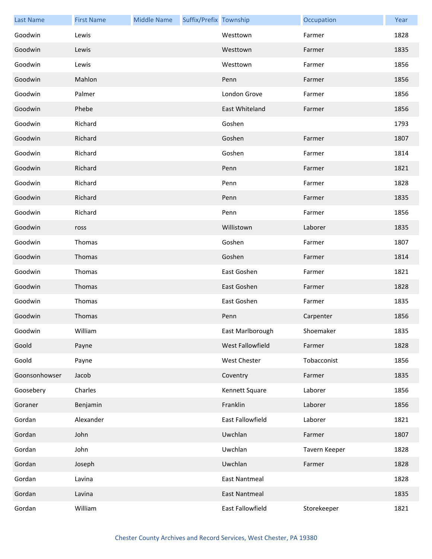| <b>Last Name</b> | <b>First Name</b> | <b>Middle Name</b> | Suffix/Prefix Township |                      | Occupation    | Year |
|------------------|-------------------|--------------------|------------------------|----------------------|---------------|------|
| Goodwin          | Lewis             |                    |                        | Westtown             | Farmer        | 1828 |
| Goodwin          | Lewis             |                    |                        | Westtown             | Farmer        | 1835 |
| Goodwin          | Lewis             |                    |                        | Westtown             | Farmer        | 1856 |
| Goodwin          | Mahlon            |                    |                        | Penn                 | Farmer        | 1856 |
| Goodwin          | Palmer            |                    |                        | London Grove         | Farmer        | 1856 |
| Goodwin          | Phebe             |                    |                        | East Whiteland       | Farmer        | 1856 |
| Goodwin          | Richard           |                    |                        | Goshen               |               | 1793 |
| Goodwin          | Richard           |                    |                        | Goshen               | Farmer        | 1807 |
| Goodwin          | Richard           |                    |                        | Goshen               | Farmer        | 1814 |
| Goodwin          | Richard           |                    |                        | Penn                 | Farmer        | 1821 |
| Goodwin          | Richard           |                    |                        | Penn                 | Farmer        | 1828 |
| Goodwin          | Richard           |                    |                        | Penn                 | Farmer        | 1835 |
| Goodwin          | Richard           |                    |                        | Penn                 | Farmer        | 1856 |
| Goodwin          | ross              |                    |                        | Willistown           | Laborer       | 1835 |
| Goodwin          | Thomas            |                    |                        | Goshen               | Farmer        | 1807 |
| Goodwin          | Thomas            |                    |                        | Goshen               | Farmer        | 1814 |
| Goodwin          | Thomas            |                    |                        | East Goshen          | Farmer        | 1821 |
| Goodwin          | Thomas            |                    |                        | East Goshen          | Farmer        | 1828 |
| Goodwin          | Thomas            |                    |                        | East Goshen          | Farmer        | 1835 |
| Goodwin          | Thomas            |                    |                        | Penn                 | Carpenter     | 1856 |
| Goodwin          | William           |                    |                        | East Marlborough     | Shoemaker     | 1835 |
| Goold            | Payne             |                    |                        | West Fallowfield     | Farmer        | 1828 |
| Goold            | Payne             |                    |                        | West Chester         | Tobacconist   | 1856 |
| Goonsonhowser    | Jacob             |                    |                        | Coventry             | Farmer        | 1835 |
| Goosebery        | Charles           |                    |                        | Kennett Square       | Laborer       | 1856 |
| Goraner          | Benjamin          |                    |                        | Franklin             | Laborer       | 1856 |
| Gordan           | Alexander         |                    |                        | East Fallowfield     | Laborer       | 1821 |
| Gordan           | John              |                    |                        | Uwchlan              | Farmer        | 1807 |
| Gordan           | John              |                    |                        | Uwchlan              | Tavern Keeper | 1828 |
| Gordan           | Joseph            |                    |                        | Uwchlan              | Farmer        | 1828 |
| Gordan           | Lavina            |                    |                        | <b>East Nantmeal</b> |               | 1828 |
| Gordan           | Lavina            |                    |                        | <b>East Nantmeal</b> |               | 1835 |
| Gordan           | William           |                    |                        | East Fallowfield     | Storekeeper   | 1821 |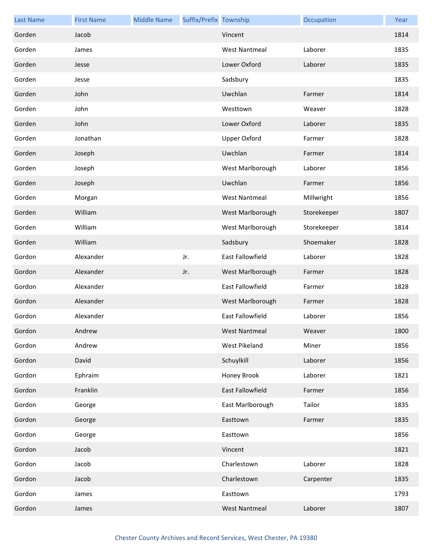| <b>Last Name</b> | <b>First Name</b> | <b>Middle Name</b> | Suffix/Prefix Township |                         | Occupation  | Year |
|------------------|-------------------|--------------------|------------------------|-------------------------|-------------|------|
| Gorden           | Jacob             |                    |                        | Vincent                 |             | 1814 |
| Gorden           | James             |                    |                        | <b>West Nantmeal</b>    | Laborer     | 1835 |
| Gorden           | Jesse             |                    |                        | Lower Oxford            | Laborer     | 1835 |
| Gorden           | Jesse             |                    |                        | Sadsbury                |             | 1835 |
| Gorden           | John              |                    |                        | Uwchlan                 | Farmer      | 1814 |
| Gorden           | John              |                    |                        | Westtown                | Weaver      | 1828 |
| Gorden           | John              |                    |                        | Lower Oxford            | Laborer     | 1835 |
| Gorden           | Jonathan          |                    |                        | <b>Upper Oxford</b>     | Farmer      | 1828 |
| Gorden           | Joseph            |                    |                        | Uwchlan                 | Farmer      | 1814 |
| Gorden           | Joseph            |                    |                        | West Marlborough        | Laborer     | 1856 |
| Gorden           | Joseph            |                    |                        | Uwchlan                 | Farmer      | 1856 |
| Gorden           | Morgan            |                    |                        | <b>West Nantmeal</b>    | Millwright  | 1856 |
| Gorden           | William           |                    |                        | West Marlborough        | Storekeeper | 1807 |
| Gorden           | William           |                    |                        | West Marlborough        | Storekeeper | 1814 |
| Gorden           | William           |                    |                        | Sadsbury                | Shoemaker   | 1828 |
| Gordon           | Alexander         |                    | Jr.                    | East Fallowfield        | Laborer     | 1828 |
| Gordon           | Alexander         |                    | Jr.                    | West Marlborough        | Farmer      | 1828 |
| Gordon           | Alexander         |                    |                        | East Fallowfield        | Farmer      | 1828 |
| Gordon           | Alexander         |                    |                        | West Marlborough        | Farmer      | 1828 |
| Gordon           | Alexander         |                    |                        | <b>East Fallowfield</b> | Laborer     | 1856 |
| Gordon           | Andrew            |                    |                        | <b>West Nantmeal</b>    | Weaver      | 1800 |
| Gordon           | Andrew            |                    |                        | West Pikeland           | Miner       | 1856 |
| Gordon           | David             |                    |                        | Schuylkill              | Laborer     | 1856 |
| Gordon           | Ephraim           |                    |                        | Honey Brook             | Laborer     | 1821 |
| Gordon           | Franklin          |                    |                        | East Fallowfield        | Farmer      | 1856 |
| Gordon           | George            |                    |                        | East Marlborough        | Tailor      | 1835 |
| Gordon           | George            |                    |                        | Easttown                | Farmer      | 1835 |
| Gordon           | George            |                    |                        | Easttown                |             | 1856 |
| Gordon           | Jacob             |                    |                        | Vincent                 |             | 1821 |
| Gordon           | Jacob             |                    |                        | Charlestown             | Laborer     | 1828 |
| Gordon           | Jacob             |                    |                        | Charlestown             | Carpenter   | 1835 |
| Gordon           | James             |                    |                        | Easttown                |             | 1793 |
| Gordon           | James             |                    |                        | <b>West Nantmeal</b>    | Laborer     | 1807 |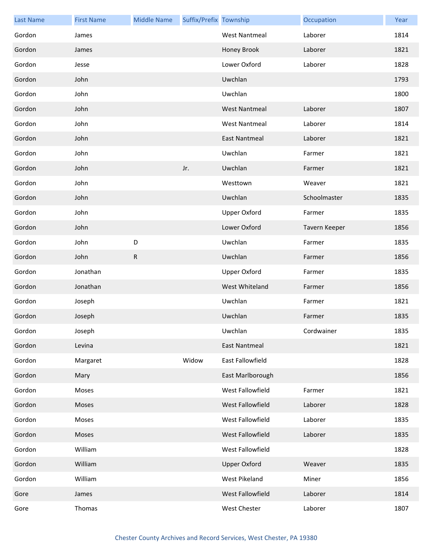| <b>Last Name</b> | <b>First Name</b> | <b>Middle Name</b> | Suffix/Prefix Township |                      | Occupation    | Year |
|------------------|-------------------|--------------------|------------------------|----------------------|---------------|------|
| Gordon           | James             |                    |                        | <b>West Nantmeal</b> | Laborer       | 1814 |
| Gordon           | James             |                    |                        | Honey Brook          | Laborer       | 1821 |
| Gordon           | Jesse             |                    |                        | Lower Oxford         | Laborer       | 1828 |
| Gordon           | John              |                    |                        | Uwchlan              |               | 1793 |
| Gordon           | John              |                    |                        | Uwchlan              |               | 1800 |
| Gordon           | John              |                    |                        | <b>West Nantmeal</b> | Laborer       | 1807 |
| Gordon           | John              |                    |                        | <b>West Nantmeal</b> | Laborer       | 1814 |
| Gordon           | John              |                    |                        | <b>East Nantmeal</b> | Laborer       | 1821 |
| Gordon           | John              |                    |                        | Uwchlan              | Farmer        | 1821 |
| Gordon           | John              |                    | Jr.                    | Uwchlan              | Farmer        | 1821 |
| Gordon           | John              |                    |                        | Westtown             | Weaver        | 1821 |
| Gordon           | John              |                    |                        | Uwchlan              | Schoolmaster  | 1835 |
| Gordon           | John              |                    |                        | Upper Oxford         | Farmer        | 1835 |
| Gordon           | John              |                    |                        | Lower Oxford         | Tavern Keeper | 1856 |
| Gordon           | John              | D                  |                        | Uwchlan              | Farmer        | 1835 |
| Gordon           | John              | $\mathsf{R}$       |                        | Uwchlan              | Farmer        | 1856 |
| Gordon           | Jonathan          |                    |                        | <b>Upper Oxford</b>  | Farmer        | 1835 |
| Gordon           | Jonathan          |                    |                        | West Whiteland       | Farmer        | 1856 |
| Gordon           | Joseph            |                    |                        | Uwchlan              | Farmer        | 1821 |
| Gordon           | Joseph            |                    |                        | Uwchlan              | Farmer        | 1835 |
| Gordon           | Joseph            |                    |                        | Uwchlan              | Cordwainer    | 1835 |
| Gordon           | Levina            |                    |                        | <b>East Nantmeal</b> |               | 1821 |
| Gordon           | Margaret          |                    | Widow                  | East Fallowfield     |               | 1828 |
| Gordon           | Mary              |                    |                        | East Marlborough     |               | 1856 |
| Gordon           | Moses             |                    |                        | West Fallowfield     | Farmer        | 1821 |
| Gordon           | Moses             |                    |                        | West Fallowfield     | Laborer       | 1828 |
| Gordon           | Moses             |                    |                        | West Fallowfield     | Laborer       | 1835 |
| Gordon           | Moses             |                    |                        | West Fallowfield     | Laborer       | 1835 |
| Gordon           | William           |                    |                        | West Fallowfield     |               | 1828 |
| Gordon           | William           |                    |                        | <b>Upper Oxford</b>  | Weaver        | 1835 |
| Gordon           | William           |                    |                        | West Pikeland        | Miner         | 1856 |
| Gore             | James             |                    |                        | West Fallowfield     | Laborer       | 1814 |
| Gore             | Thomas            |                    |                        | West Chester         | Laborer       | 1807 |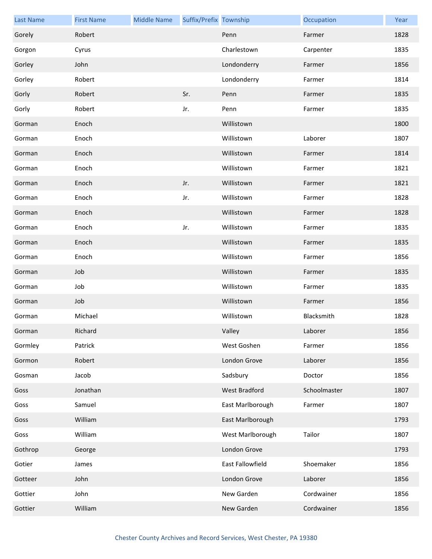| <b>Last Name</b> | <b>First Name</b> | <b>Middle Name</b> | Suffix/Prefix Township |                      | Occupation   | Year |
|------------------|-------------------|--------------------|------------------------|----------------------|--------------|------|
| Gorely           | Robert            |                    |                        | Penn                 | Farmer       | 1828 |
| Gorgon           | Cyrus             |                    |                        | Charlestown          | Carpenter    | 1835 |
| Gorley           | John              |                    |                        | Londonderry          | Farmer       | 1856 |
| Gorley           | Robert            |                    |                        | Londonderry          | Farmer       | 1814 |
| Gorly            | Robert            |                    | Sr.                    | Penn                 | Farmer       | 1835 |
| Gorly            | Robert            |                    | Jr.                    | Penn                 | Farmer       | 1835 |
| Gorman           | Enoch             |                    |                        | Willistown           |              | 1800 |
| Gorman           | Enoch             |                    |                        | Willistown           | Laborer      | 1807 |
| Gorman           | Enoch             |                    |                        | Willistown           | Farmer       | 1814 |
| Gorman           | Enoch             |                    |                        | Willistown           | Farmer       | 1821 |
| Gorman           | Enoch             |                    | Jr.                    | Willistown           | Farmer       | 1821 |
| Gorman           | Enoch             |                    | Jr.                    | Willistown           | Farmer       | 1828 |
| Gorman           | Enoch             |                    |                        | Willistown           | Farmer       | 1828 |
| Gorman           | Enoch             |                    | Jr.                    | Willistown           | Farmer       | 1835 |
| Gorman           | Enoch             |                    |                        | Willistown           | Farmer       | 1835 |
| Gorman           | Enoch             |                    |                        | Willistown           | Farmer       | 1856 |
| Gorman           | Job               |                    |                        | Willistown           | Farmer       | 1835 |
| Gorman           | Job               |                    |                        | Willistown           | Farmer       | 1835 |
| Gorman           | Job               |                    |                        | Willistown           | Farmer       | 1856 |
| Gorman           | Michael           |                    |                        | Willistown           | Blacksmith   | 1828 |
| Gorman           | Richard           |                    |                        | Valley               | Laborer      | 1856 |
| Gormley          | Patrick           |                    |                        | West Goshen          | Farmer       | 1856 |
| Gormon           | Robert            |                    |                        | London Grove         | Laborer      | 1856 |
| Gosman           | Jacob             |                    |                        | Sadsbury             | Doctor       | 1856 |
| Goss             | Jonathan          |                    |                        | <b>West Bradford</b> | Schoolmaster | 1807 |
| Goss             | Samuel            |                    |                        | East Marlborough     | Farmer       | 1807 |
| Goss             | William           |                    |                        | East Marlborough     |              | 1793 |
| Goss             | William           |                    |                        | West Marlborough     | Tailor       | 1807 |
| Gothrop          | George            |                    |                        | London Grove         |              | 1793 |
| Gotier           | James             |                    |                        | East Fallowfield     | Shoemaker    | 1856 |
| Gotteer          | John              |                    |                        | London Grove         | Laborer      | 1856 |
| Gottier          | John              |                    |                        | New Garden           | Cordwainer   | 1856 |
| Gottier          | William           |                    |                        | New Garden           | Cordwainer   | 1856 |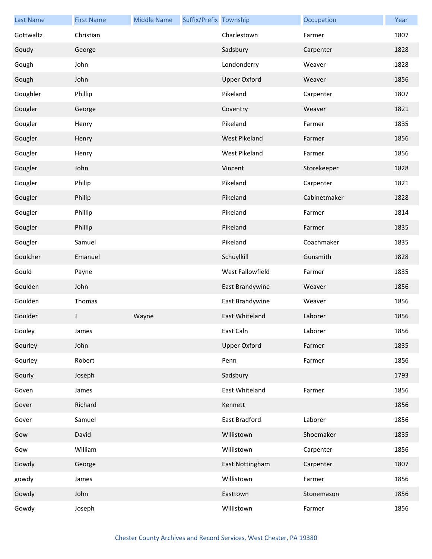| <b>Last Name</b> | <b>First Name</b> | <b>Middle Name</b> | Suffix/Prefix Township |                     | Occupation   | Year |
|------------------|-------------------|--------------------|------------------------|---------------------|--------------|------|
| Gottwaltz        | Christian         |                    |                        | Charlestown         | Farmer       | 1807 |
| Goudy            | George            |                    |                        | Sadsbury            | Carpenter    | 1828 |
| Gough            | John              |                    |                        | Londonderry         | Weaver       | 1828 |
| Gough            | John              |                    |                        | <b>Upper Oxford</b> | Weaver       | 1856 |
| Goughler         | Phillip           |                    |                        | Pikeland            | Carpenter    | 1807 |
| Gougler          | George            |                    |                        | Coventry            | Weaver       | 1821 |
| Gougler          | Henry             |                    |                        | Pikeland            | Farmer       | 1835 |
| Gougler          | Henry             |                    |                        | West Pikeland       | Farmer       | 1856 |
| Gougler          | Henry             |                    |                        | West Pikeland       | Farmer       | 1856 |
| Gougler          | John              |                    |                        | Vincent             | Storekeeper  | 1828 |
| Gougler          | Philip            |                    |                        | Pikeland            | Carpenter    | 1821 |
| Gougler          | Philip            |                    |                        | Pikeland            | Cabinetmaker | 1828 |
| Gougler          | Phillip           |                    |                        | Pikeland            | Farmer       | 1814 |
| Gougler          | Phillip           |                    |                        | Pikeland            | Farmer       | 1835 |
| Gougler          | Samuel            |                    |                        | Pikeland            | Coachmaker   | 1835 |
| Goulcher         | Emanuel           |                    |                        | Schuylkill          | Gunsmith     | 1828 |
| Gould            | Payne             |                    |                        | West Fallowfield    | Farmer       | 1835 |
| Goulden          | John              |                    |                        | East Brandywine     | Weaver       | 1856 |
| Goulden          | Thomas            |                    |                        | East Brandywine     | Weaver       | 1856 |
| Goulder          | J                 | Wayne              |                        | East Whiteland      | Laborer      | 1856 |
| Gouley           | James             |                    |                        | East Caln           | Laborer      | 1856 |
| Gourley          | John              |                    |                        | <b>Upper Oxford</b> | Farmer       | 1835 |
| Gourley          | Robert            |                    |                        | Penn                | Farmer       | 1856 |
| Gourly           | Joseph            |                    |                        | Sadsbury            |              | 1793 |
| Goven            | James             |                    |                        | East Whiteland      | Farmer       | 1856 |
| Gover            | Richard           |                    |                        | Kennett             |              | 1856 |
| Gover            | Samuel            |                    |                        | East Bradford       | Laborer      | 1856 |
| Gow              | David             |                    |                        | Willistown          | Shoemaker    | 1835 |
| Gow              | William           |                    |                        | Willistown          | Carpenter    | 1856 |
| Gowdy            | George            |                    |                        | East Nottingham     | Carpenter    | 1807 |
| gowdy            | James             |                    |                        | Willistown          | Farmer       | 1856 |
| Gowdy            | John              |                    |                        | Easttown            | Stonemason   | 1856 |
| Gowdy            | Joseph            |                    |                        | Willistown          | Farmer       | 1856 |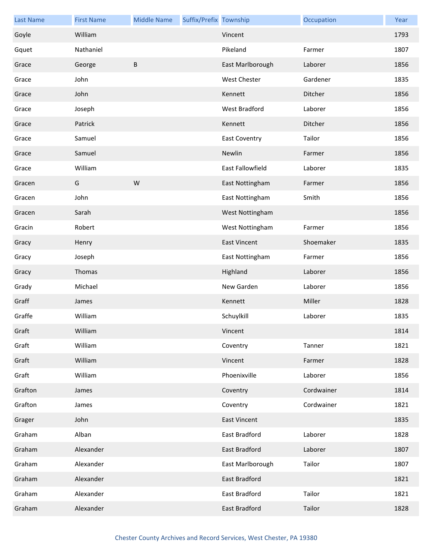| <b>Last Name</b> | <b>First Name</b> | <b>Middle Name</b> | Suffix/Prefix Township |                      | Occupation | Year |
|------------------|-------------------|--------------------|------------------------|----------------------|------------|------|
| Goyle            | William           |                    |                        | Vincent              |            | 1793 |
| Gquet            | Nathaniel         |                    |                        | Pikeland             | Farmer     | 1807 |
| Grace            | George            | $\sf B$            |                        | East Marlborough     | Laborer    | 1856 |
| Grace            | John              |                    |                        | <b>West Chester</b>  | Gardener   | 1835 |
| Grace            | John              |                    |                        | Kennett              | Ditcher    | 1856 |
| Grace            | Joseph            |                    |                        | <b>West Bradford</b> | Laborer    | 1856 |
| Grace            | Patrick           |                    |                        | Kennett              | Ditcher    | 1856 |
| Grace            | Samuel            |                    |                        | East Coventry        | Tailor     | 1856 |
| Grace            | Samuel            |                    |                        | Newlin               | Farmer     | 1856 |
| Grace            | William           |                    |                        | East Fallowfield     | Laborer    | 1835 |
| Gracen           | G                 | W                  |                        | East Nottingham      | Farmer     | 1856 |
| Gracen           | John              |                    |                        | East Nottingham      | Smith      | 1856 |
| Gracen           | Sarah             |                    |                        | West Nottingham      |            | 1856 |
| Gracin           | Robert            |                    |                        | West Nottingham      | Farmer     | 1856 |
| Gracy            | Henry             |                    |                        | <b>East Vincent</b>  | Shoemaker  | 1835 |
| Gracy            | Joseph            |                    |                        | East Nottingham      | Farmer     | 1856 |
| Gracy            | Thomas            |                    |                        | Highland             | Laborer    | 1856 |
| Grady            | Michael           |                    |                        | New Garden           | Laborer    | 1856 |
| Graff            | James             |                    |                        | Kennett              | Miller     | 1828 |
| Graffe           | William           |                    |                        | Schuylkill           | Laborer    | 1835 |
| Graft            | William           |                    |                        | Vincent              |            | 1814 |
| Graft            | William           |                    |                        | Coventry             | Tanner     | 1821 |
| Graft            | William           |                    |                        | Vincent              | Farmer     | 1828 |
| Graft            | William           |                    |                        | Phoenixville         | Laborer    | 1856 |
| Grafton          | James             |                    |                        | Coventry             | Cordwainer | 1814 |
| Grafton          | James             |                    |                        | Coventry             | Cordwainer | 1821 |
| Grager           | John              |                    |                        | <b>East Vincent</b>  |            | 1835 |
| Graham           | Alban             |                    |                        | East Bradford        | Laborer    | 1828 |
| Graham           | Alexander         |                    |                        | East Bradford        | Laborer    | 1807 |
| Graham           | Alexander         |                    |                        | East Marlborough     | Tailor     | 1807 |
| Graham           | Alexander         |                    |                        | East Bradford        |            | 1821 |
| Graham           | Alexander         |                    |                        | East Bradford        | Tailor     | 1821 |
| Graham           | Alexander         |                    |                        | <b>East Bradford</b> | Tailor     | 1828 |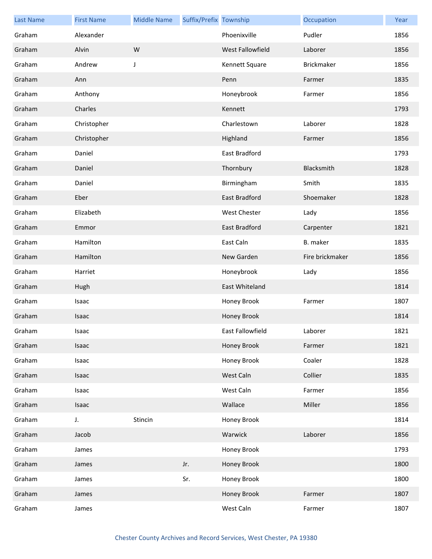| <b>Last Name</b> | <b>First Name</b> | <b>Middle Name</b> | Suffix/Prefix Township |                  | Occupation        | Year |
|------------------|-------------------|--------------------|------------------------|------------------|-------------------|------|
| Graham           | Alexander         |                    |                        | Phoenixville     | Pudler            | 1856 |
| Graham           | Alvin             | W                  |                        | West Fallowfield | Laborer           | 1856 |
| Graham           | Andrew            | J                  |                        | Kennett Square   | <b>Brickmaker</b> | 1856 |
| Graham           | Ann               |                    |                        | Penn             | Farmer            | 1835 |
| Graham           | Anthony           |                    |                        | Honeybrook       | Farmer            | 1856 |
| Graham           | Charles           |                    |                        | Kennett          |                   | 1793 |
| Graham           | Christopher       |                    |                        | Charlestown      | Laborer           | 1828 |
| Graham           | Christopher       |                    |                        | Highland         | Farmer            | 1856 |
| Graham           | Daniel            |                    |                        | East Bradford    |                   | 1793 |
| Graham           | Daniel            |                    |                        | Thornbury        | Blacksmith        | 1828 |
| Graham           | Daniel            |                    |                        | Birmingham       | Smith             | 1835 |
| Graham           | Eber              |                    |                        | East Bradford    | Shoemaker         | 1828 |
| Graham           | Elizabeth         |                    |                        | West Chester     | Lady              | 1856 |
| Graham           | Emmor             |                    |                        | East Bradford    | Carpenter         | 1821 |
| Graham           | Hamilton          |                    |                        | East Caln        | B. maker          | 1835 |
| Graham           | Hamilton          |                    |                        | New Garden       | Fire brickmaker   | 1856 |
| Graham           | Harriet           |                    |                        | Honeybrook       | Lady              | 1856 |
| Graham           | Hugh              |                    |                        | East Whiteland   |                   | 1814 |
| Graham           | Isaac             |                    |                        | Honey Brook      | Farmer            | 1807 |
| Graham           | Isaac             |                    |                        | Honey Brook      |                   | 1814 |
| Graham           | Isaac             |                    |                        | East Fallowfield | Laborer           | 1821 |
| Graham           | Isaac             |                    |                        | Honey Brook      | Farmer            | 1821 |
| Graham           | Isaac             |                    |                        | Honey Brook      | Coaler            | 1828 |
| Graham           | Isaac             |                    |                        | West Caln        | Collier           | 1835 |
| Graham           | Isaac             |                    |                        | West Caln        | Farmer            | 1856 |
| Graham           | Isaac             |                    |                        | Wallace          | Miller            | 1856 |
| Graham           | J.                | Stincin            |                        | Honey Brook      |                   | 1814 |
| Graham           | Jacob             |                    |                        | Warwick          | Laborer           | 1856 |
| Graham           | James             |                    |                        | Honey Brook      |                   | 1793 |
| Graham           | James             |                    | Jr.                    | Honey Brook      |                   | 1800 |
| Graham           | James             |                    | Sr.                    | Honey Brook      |                   | 1800 |
| Graham           | James             |                    |                        | Honey Brook      | Farmer            | 1807 |
| Graham           | James             |                    |                        | West Caln        | Farmer            | 1807 |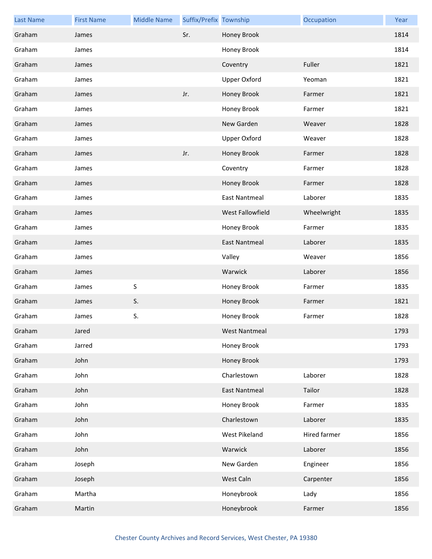| <b>Last Name</b> | <b>First Name</b> | <b>Middle Name</b> | Suffix/Prefix Township |                      | Occupation   | Year |
|------------------|-------------------|--------------------|------------------------|----------------------|--------------|------|
| Graham           | James             |                    | Sr.                    | Honey Brook          |              | 1814 |
| Graham           | James             |                    |                        | Honey Brook          |              | 1814 |
| Graham           | James             |                    |                        | Coventry             | Fuller       | 1821 |
| Graham           | James             |                    |                        | <b>Upper Oxford</b>  | Yeoman       | 1821 |
| Graham           | James             |                    | Jr.                    | Honey Brook          | Farmer       | 1821 |
| Graham           | James             |                    |                        | Honey Brook          | Farmer       | 1821 |
| Graham           | James             |                    |                        | New Garden           | Weaver       | 1828 |
| Graham           | James             |                    |                        | <b>Upper Oxford</b>  | Weaver       | 1828 |
| Graham           | James             |                    | Jr.                    | Honey Brook          | Farmer       | 1828 |
| Graham           | James             |                    |                        | Coventry             | Farmer       | 1828 |
| Graham           | James             |                    |                        | Honey Brook          | Farmer       | 1828 |
| Graham           | James             |                    |                        | <b>East Nantmeal</b> | Laborer      | 1835 |
| Graham           | James             |                    |                        | West Fallowfield     | Wheelwright  | 1835 |
| Graham           | James             |                    |                        | Honey Brook          | Farmer       | 1835 |
| Graham           | James             |                    |                        | <b>East Nantmeal</b> | Laborer      | 1835 |
| Graham           | James             |                    |                        | Valley               | Weaver       | 1856 |
| Graham           | James             |                    |                        | Warwick              | Laborer      | 1856 |
| Graham           | James             | S                  |                        | Honey Brook          | Farmer       | 1835 |
| Graham           | James             | S.                 |                        | Honey Brook          | Farmer       | 1821 |
| Graham           | James             | S.                 |                        | Honey Brook          | Farmer       | 1828 |
| Graham           | Jared             |                    |                        | West Nantmeal        |              | 1793 |
| Graham           | Jarred            |                    |                        | Honey Brook          |              | 1793 |
| Graham           | John              |                    |                        | Honey Brook          |              | 1793 |
| Graham           | John              |                    |                        | Charlestown          | Laborer      | 1828 |
| Graham           | John              |                    |                        | <b>East Nantmeal</b> | Tailor       | 1828 |
| Graham           | John              |                    |                        | Honey Brook          | Farmer       | 1835 |
| Graham           | John              |                    |                        | Charlestown          | Laborer      | 1835 |
| Graham           | John              |                    |                        | West Pikeland        | Hired farmer | 1856 |
| Graham           | John              |                    |                        | Warwick              | Laborer      | 1856 |
| Graham           | Joseph            |                    |                        | New Garden           | Engineer     | 1856 |
| Graham           | Joseph            |                    |                        | West Caln            | Carpenter    | 1856 |
| Graham           | Martha            |                    |                        | Honeybrook           | Lady         | 1856 |
| Graham           | Martin            |                    |                        | Honeybrook           | Farmer       | 1856 |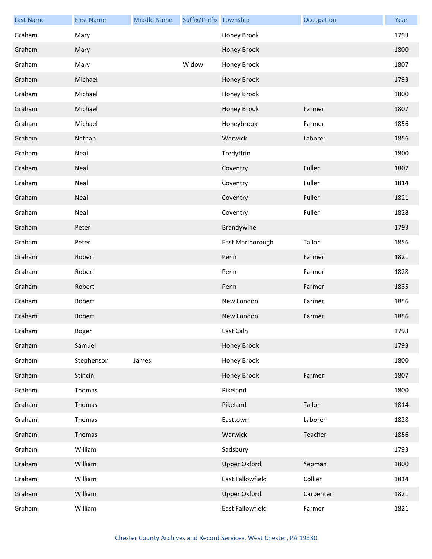| <b>Last Name</b> | <b>First Name</b> | <b>Middle Name</b> | Suffix/Prefix Township |                     | Occupation | Year |
|------------------|-------------------|--------------------|------------------------|---------------------|------------|------|
| Graham           | Mary              |                    |                        | Honey Brook         |            | 1793 |
| Graham           | Mary              |                    |                        | Honey Brook         |            | 1800 |
| Graham           | Mary              |                    | Widow                  | Honey Brook         |            | 1807 |
| Graham           | Michael           |                    |                        | Honey Brook         |            | 1793 |
| Graham           | Michael           |                    |                        | Honey Brook         |            | 1800 |
| Graham           | Michael           |                    |                        | Honey Brook         | Farmer     | 1807 |
| Graham           | Michael           |                    |                        | Honeybrook          | Farmer     | 1856 |
| Graham           | Nathan            |                    |                        | Warwick             | Laborer    | 1856 |
| Graham           | Neal              |                    |                        | Tredyffrin          |            | 1800 |
| Graham           | Neal              |                    |                        | Coventry            | Fuller     | 1807 |
| Graham           | Neal              |                    |                        | Coventry            | Fuller     | 1814 |
| Graham           | Neal              |                    |                        | Coventry            | Fuller     | 1821 |
| Graham           | Neal              |                    |                        | Coventry            | Fuller     | 1828 |
| Graham           | Peter             |                    |                        | Brandywine          |            | 1793 |
| Graham           | Peter             |                    |                        | East Marlborough    | Tailor     | 1856 |
| Graham           | Robert            |                    |                        | Penn                | Farmer     | 1821 |
| Graham           | Robert            |                    |                        | Penn                | Farmer     | 1828 |
| Graham           | Robert            |                    |                        | Penn                | Farmer     | 1835 |
| Graham           | Robert            |                    |                        | New London          | Farmer     | 1856 |
| Graham           | Robert            |                    |                        | New London          | Farmer     | 1856 |
| Graham           | Roger             |                    |                        | East Caln           |            | 1793 |
| Graham           | Samuel            |                    |                        | Honey Brook         |            | 1793 |
| Graham           | Stephenson        | James              |                        | Honey Brook         |            | 1800 |
| Graham           | Stincin           |                    |                        | Honey Brook         | Farmer     | 1807 |
| Graham           | Thomas            |                    |                        | Pikeland            |            | 1800 |
| Graham           | Thomas            |                    |                        | Pikeland            | Tailor     | 1814 |
| Graham           | Thomas            |                    |                        | Easttown            | Laborer    | 1828 |
| Graham           | Thomas            |                    |                        | Warwick             | Teacher    | 1856 |
| Graham           | William           |                    |                        | Sadsbury            |            | 1793 |
| Graham           | William           |                    |                        | <b>Upper Oxford</b> | Yeoman     | 1800 |
| Graham           | William           |                    |                        | East Fallowfield    | Collier    | 1814 |
| Graham           | William           |                    |                        | <b>Upper Oxford</b> | Carpenter  | 1821 |
| Graham           | William           |                    |                        | East Fallowfield    | Farmer     | 1821 |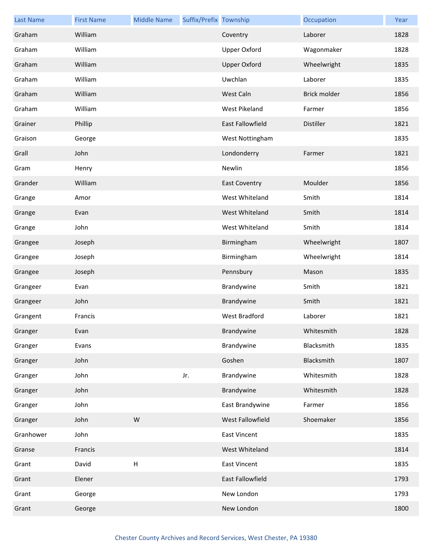| <b>Last Name</b> | <b>First Name</b> | <b>Middle Name</b> | Suffix/Prefix Township |                      | Occupation   | Year |
|------------------|-------------------|--------------------|------------------------|----------------------|--------------|------|
| Graham           | William           |                    |                        | Coventry             | Laborer      | 1828 |
| Graham           | William           |                    |                        | <b>Upper Oxford</b>  | Wagonmaker   | 1828 |
| Graham           | William           |                    |                        | <b>Upper Oxford</b>  | Wheelwright  | 1835 |
| Graham           | William           |                    |                        | Uwchlan              | Laborer      | 1835 |
| Graham           | William           |                    |                        | West Caln            | Brick molder | 1856 |
| Graham           | William           |                    |                        | West Pikeland        | Farmer       | 1856 |
| Grainer          | Phillip           |                    |                        | East Fallowfield     | Distiller    | 1821 |
| Graison          | George            |                    |                        | West Nottingham      |              | 1835 |
| Grall            | John              |                    |                        | Londonderry          | Farmer       | 1821 |
| Gram             | Henry             |                    |                        | Newlin               |              | 1856 |
| Grander          | William           |                    |                        | <b>East Coventry</b> | Moulder      | 1856 |
| Grange           | Amor              |                    |                        | West Whiteland       | Smith        | 1814 |
| Grange           | Evan              |                    |                        | West Whiteland       | Smith        | 1814 |
| Grange           | John              |                    |                        | West Whiteland       | Smith        | 1814 |
| Grangee          | Joseph            |                    |                        | Birmingham           | Wheelwright  | 1807 |
| Grangee          | Joseph            |                    |                        | Birmingham           | Wheelwright  | 1814 |
| Grangee          | Joseph            |                    |                        | Pennsbury            | Mason        | 1835 |
| Grangeer         | Evan              |                    |                        | Brandywine           | Smith        | 1821 |
| Grangeer         | John              |                    |                        | Brandywine           | Smith        | 1821 |
| Grangent         | Francis           |                    |                        | West Bradford        | Laborer      | 1821 |
| Granger          | Evan              |                    |                        | Brandywine           | Whitesmith   | 1828 |
| Granger          | Evans             |                    |                        | Brandywine           | Blacksmith   | 1835 |
| Granger          | John              |                    |                        | Goshen               | Blacksmith   | 1807 |
| Granger          | John              |                    | Jr.                    | Brandywine           | Whitesmith   | 1828 |
| Granger          | John              |                    |                        | Brandywine           | Whitesmith   | 1828 |
| Granger          | John              |                    |                        | East Brandywine      | Farmer       | 1856 |
| Granger          | John              | W                  |                        | West Fallowfield     | Shoemaker    | 1856 |
| Granhower        | John              |                    |                        | <b>East Vincent</b>  |              | 1835 |
| Granse           | Francis           |                    |                        | West Whiteland       |              | 1814 |
| Grant            | David             | $\mathsf{H}$       |                        | <b>East Vincent</b>  |              | 1835 |
| Grant            | Elener            |                    |                        | East Fallowfield     |              | 1793 |
| Grant            | George            |                    |                        | New London           |              | 1793 |
| Grant            | George            |                    |                        | New London           |              | 1800 |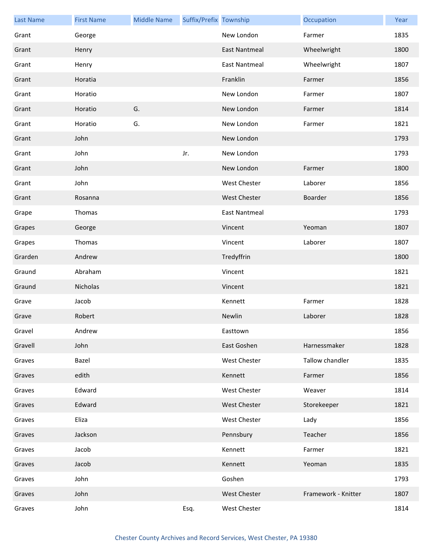| <b>Last Name</b> | <b>First Name</b> | <b>Middle Name</b> | Suffix/Prefix Township |                      | Occupation          | Year |
|------------------|-------------------|--------------------|------------------------|----------------------|---------------------|------|
| Grant            | George            |                    |                        | New London           | Farmer              | 1835 |
| Grant            | Henry             |                    |                        | <b>East Nantmeal</b> | Wheelwright         | 1800 |
| Grant            | Henry             |                    |                        | <b>East Nantmeal</b> | Wheelwright         | 1807 |
| Grant            | Horatia           |                    |                        | Franklin             | Farmer              | 1856 |
| Grant            | Horatio           |                    |                        | New London           | Farmer              | 1807 |
| Grant            | Horatio           | G.                 |                        | New London           | Farmer              | 1814 |
| Grant            | Horatio           | G.                 |                        | New London           | Farmer              | 1821 |
| Grant            | John              |                    |                        | New London           |                     | 1793 |
| Grant            | John              |                    | Jr.                    | New London           |                     | 1793 |
| Grant            | John              |                    |                        | New London           | Farmer              | 1800 |
| Grant            | John              |                    |                        | <b>West Chester</b>  | Laborer             | 1856 |
| Grant            | Rosanna           |                    |                        | <b>West Chester</b>  | Boarder             | 1856 |
| Grape            | Thomas            |                    |                        | <b>East Nantmeal</b> |                     | 1793 |
| Grapes           | George            |                    |                        | Vincent              | Yeoman              | 1807 |
| Grapes           | Thomas            |                    |                        | Vincent              | Laborer             | 1807 |
| Grarden          | Andrew            |                    |                        | Tredyffrin           |                     | 1800 |
| Graund           | Abraham           |                    |                        | Vincent              |                     | 1821 |
| Graund           | Nicholas          |                    |                        | Vincent              |                     | 1821 |
| Grave            | Jacob             |                    |                        | Kennett              | Farmer              | 1828 |
| Grave            | Robert            |                    |                        | Newlin               | Laborer             | 1828 |
| Gravel           | Andrew            |                    |                        | Easttown             |                     | 1856 |
| Gravell          | John              |                    |                        | East Goshen          | Harnessmaker        | 1828 |
| Graves           | Bazel             |                    |                        | West Chester         | Tallow chandler     | 1835 |
| Graves           | edith             |                    |                        | Kennett              | Farmer              | 1856 |
| Graves           | Edward            |                    |                        | <b>West Chester</b>  | Weaver              | 1814 |
| Graves           | Edward            |                    |                        | <b>West Chester</b>  | Storekeeper         | 1821 |
| Graves           | Eliza             |                    |                        | <b>West Chester</b>  | Lady                | 1856 |
| Graves           | Jackson           |                    |                        | Pennsbury            | Teacher             | 1856 |
| Graves           | Jacob             |                    |                        | Kennett              | Farmer              | 1821 |
| Graves           | Jacob             |                    |                        | Kennett              | Yeoman              | 1835 |
| Graves           | John              |                    |                        | Goshen               |                     | 1793 |
| Graves           | John              |                    |                        | West Chester         | Framework - Knitter | 1807 |
| Graves           | John              |                    | Esq.                   | West Chester         |                     | 1814 |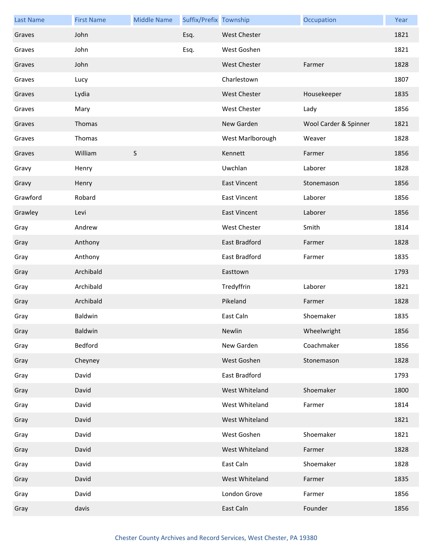| <b>Last Name</b> | <b>First Name</b> | <b>Middle Name</b> | Suffix/Prefix Township |                      | Occupation            | Year |
|------------------|-------------------|--------------------|------------------------|----------------------|-----------------------|------|
| Graves           | John              |                    | Esq.                   | <b>West Chester</b>  |                       | 1821 |
| Graves           | John              |                    | Esq.                   | West Goshen          |                       | 1821 |
| Graves           | John              |                    |                        | <b>West Chester</b>  | Farmer                | 1828 |
| Graves           | Lucy              |                    |                        | Charlestown          |                       | 1807 |
| Graves           | Lydia             |                    |                        | <b>West Chester</b>  | Housekeeper           | 1835 |
| Graves           | Mary              |                    |                        | <b>West Chester</b>  | Lady                  | 1856 |
| Graves           | Thomas            |                    |                        | New Garden           | Wool Carder & Spinner | 1821 |
| Graves           | Thomas            |                    |                        | West Marlborough     | Weaver                | 1828 |
| Graves           | William           | $\mathsf S$        |                        | Kennett              | Farmer                | 1856 |
| Gravy            | Henry             |                    |                        | Uwchlan              | Laborer               | 1828 |
| Gravy            | Henry             |                    |                        | <b>East Vincent</b>  | Stonemason            | 1856 |
| Grawford         | Robard            |                    |                        | <b>East Vincent</b>  | Laborer               | 1856 |
| Grawley          | Levi              |                    |                        | <b>East Vincent</b>  | Laborer               | 1856 |
| Gray             | Andrew            |                    |                        | <b>West Chester</b>  | Smith                 | 1814 |
| Gray             | Anthony           |                    |                        | <b>East Bradford</b> | Farmer                | 1828 |
| Gray             | Anthony           |                    |                        | East Bradford        | Farmer                | 1835 |
| Gray             | Archibald         |                    |                        | Easttown             |                       | 1793 |
| Gray             | Archibald         |                    |                        | Tredyffrin           | Laborer               | 1821 |
| Gray             | Archibald         |                    |                        | Pikeland             | Farmer                | 1828 |
| Gray             | Baldwin           |                    |                        | East Caln            | Shoemaker             | 1835 |
| Gray             | Baldwin           |                    |                        | Newlin               | Wheelwright           | 1856 |
| Gray             | Bedford           |                    |                        | New Garden           | Coachmaker            | 1856 |
| Gray             | Cheyney           |                    |                        | West Goshen          | Stonemason            | 1828 |
| Gray             | David             |                    |                        | East Bradford        |                       | 1793 |
| Gray             | David             |                    |                        | West Whiteland       | Shoemaker             | 1800 |
| Gray             | David             |                    |                        | West Whiteland       | Farmer                | 1814 |
| Gray             | David             |                    |                        | West Whiteland       |                       | 1821 |
| Gray             | David             |                    |                        | West Goshen          | Shoemaker             | 1821 |
| Gray             | David             |                    |                        | West Whiteland       | Farmer                | 1828 |
| Gray             | David             |                    |                        | East Caln            | Shoemaker             | 1828 |
| Gray             | David             |                    |                        | West Whiteland       | Farmer                | 1835 |
| Gray             | David             |                    |                        | London Grove         | Farmer                | 1856 |
| Gray             | davis             |                    |                        | East Caln            | Founder               | 1856 |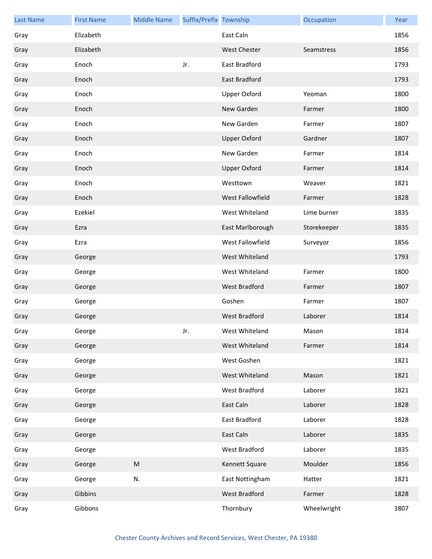| <b>Last Name</b> | <b>First Name</b> | <b>Middle Name</b> | Suffix/Prefix Township |                      | Occupation  | Year |
|------------------|-------------------|--------------------|------------------------|----------------------|-------------|------|
| Gray             | Elizabeth         |                    |                        | East Caln            |             | 1856 |
| Gray             | Elizabeth         |                    |                        | <b>West Chester</b>  | Seamstress  | 1856 |
| Gray             | Enoch             |                    | Jr.                    | East Bradford        |             | 1793 |
| Gray             | Enoch             |                    |                        | East Bradford        |             | 1793 |
| Gray             | Enoch             |                    |                        | <b>Upper Oxford</b>  | Yeoman      | 1800 |
| Gray             | Enoch             |                    |                        | New Garden           | Farmer      | 1800 |
| Gray             | Enoch             |                    |                        | New Garden           | Farmer      | 1807 |
| Gray             | Enoch             |                    |                        | <b>Upper Oxford</b>  | Gardner     | 1807 |
| Gray             | Enoch             |                    |                        | New Garden           | Farmer      | 1814 |
| Gray             | Enoch             |                    |                        | <b>Upper Oxford</b>  | Farmer      | 1814 |
| Gray             | Enoch             |                    |                        | Westtown             | Weaver      | 1821 |
| Gray             | Enoch             |                    |                        | West Fallowfield     | Farmer      | 1828 |
| Gray             | Ezekiel           |                    |                        | West Whiteland       | Lime burner | 1835 |
| Gray             | Ezra              |                    |                        | East Marlborough     | Storekeeper | 1835 |
| Gray             | Ezra              |                    |                        | West Fallowfield     | Surveyor    | 1856 |
| Gray             | George            |                    |                        | West Whiteland       |             | 1793 |
| Gray             | George            |                    |                        | West Whiteland       | Farmer      | 1800 |
| Gray             | George            |                    |                        | West Bradford        | Farmer      | 1807 |
| Gray             | George            |                    |                        | Goshen               | Farmer      | 1807 |
| Gray             | George            |                    |                        | <b>West Bradford</b> | Laborer     | 1814 |
| Gray             | George            |                    | Jr.                    | West Whiteland       | Mason       | 1814 |
| Gray             | George            |                    |                        | West Whiteland       | Farmer      | 1814 |
| Gray             | George            |                    |                        | West Goshen          |             | 1821 |
| Gray             | George            |                    |                        | West Whiteland       | Mason       | 1821 |
| Gray             | George            |                    |                        | West Bradford        | Laborer     | 1821 |
| Gray             | George            |                    |                        | East Caln            | Laborer     | 1828 |
| Gray             | George            |                    |                        | East Bradford        | Laborer     | 1828 |
| Gray             | George            |                    |                        | East Caln            | Laborer     | 1835 |
| Gray             | George            |                    |                        | West Bradford        | Laborer     | 1835 |
| Gray             | George            | ${\sf M}$          |                        | Kennett Square       | Moulder     | 1856 |
| Gray             | George            | N.                 |                        | East Nottingham      | Hatter      | 1821 |
| Gray             | Gibbins           |                    |                        | West Bradford        | Farmer      | 1828 |
| Gray             | Gibbons           |                    |                        | Thornbury            | Wheelwright | 1807 |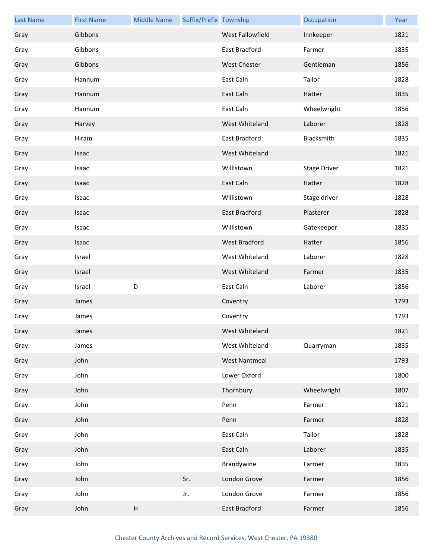| <b>Last Name</b> | <b>First Name</b> | <b>Middle Name</b> | Suffix/Prefix Township |                      | Occupation          | Year |
|------------------|-------------------|--------------------|------------------------|----------------------|---------------------|------|
| Gray             | Gibbons           |                    |                        | West Fallowfield     | Innkeeper           | 1821 |
| Gray             | Gibbons           |                    |                        | East Bradford        | Farmer              | 1835 |
| Gray             | Gibbons           |                    |                        | West Chester         | Gentleman           | 1856 |
| Gray             | Hannum            |                    |                        | East Caln            | Tailor              | 1828 |
| Gray             | Hannum            |                    |                        | East Caln            | Hatter              | 1835 |
| Gray             | Hannum            |                    |                        | East Caln            | Wheelwright         | 1856 |
| Gray             | Harvey            |                    |                        | West Whiteland       | Laborer             | 1828 |
| Gray             | Hiram             |                    |                        | East Bradford        | Blacksmith          | 1835 |
| Gray             | Isaac             |                    |                        | West Whiteland       |                     | 1821 |
| Gray             | Isaac             |                    |                        | Willistown           | <b>Stage Driver</b> | 1821 |
| Gray             | Isaac             |                    |                        | East Caln            | Hatter              | 1828 |
| Gray             | Isaac             |                    |                        | Willistown           | Stage driver        | 1828 |
| Gray             | Isaac             |                    |                        | East Bradford        | Plasterer           | 1828 |
| Gray             | Isaac             |                    |                        | Willistown           | Gatekeeper          | 1835 |
| Gray             | Isaac             |                    |                        | West Bradford        | Hatter              | 1856 |
| Gray             | Israel            |                    |                        | West Whiteland       | Laborer             | 1828 |
| Gray             | Israel            |                    |                        | West Whiteland       | Farmer              | 1835 |
| Gray             | Israel            | D                  |                        | East Caln            | Laborer             | 1856 |
| Gray             | James             |                    |                        | Coventry             |                     | 1793 |
| Gray             | James             |                    |                        | Coventry             |                     | 1793 |
| Gray             | James             |                    |                        | West Whiteland       |                     | 1821 |
| Gray             | James             |                    |                        | West Whiteland       | Quarryman           | 1835 |
| Gray             | John              |                    |                        | <b>West Nantmeal</b> |                     | 1793 |
| Gray             | John              |                    |                        | Lower Oxford         |                     | 1800 |
| Gray             | John              |                    |                        | Thornbury            | Wheelwright         | 1807 |
| Gray             | John              |                    |                        | Penn                 | Farmer              | 1821 |
| Gray             | John              |                    |                        | Penn                 | Farmer              | 1828 |
| Gray             | John              |                    |                        | East Caln            | Tailor              | 1828 |
| Gray             | John              |                    |                        | East Caln            | Laborer             | 1835 |
| Gray             | John              |                    |                        | Brandywine           | Farmer              | 1835 |
| Gray             | John              |                    | Sr.                    | London Grove         | Farmer              | 1856 |
| Gray             | John              |                    | Jr.                    | London Grove         | Farmer              | 1856 |
| Gray             | John              | $\sf H$            |                        | East Bradford        | Farmer              | 1856 |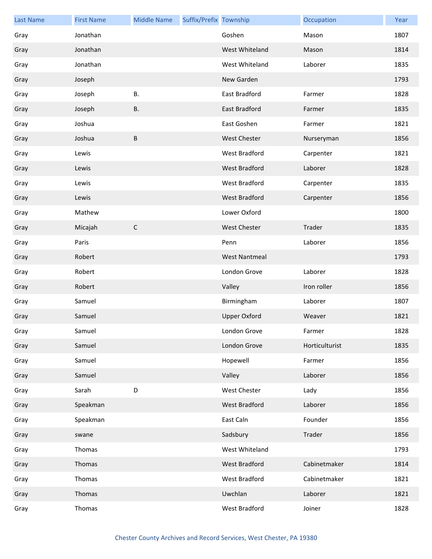| <b>Last Name</b> | <b>First Name</b> | <b>Middle Name</b> | Suffix/Prefix Township |                      | Occupation     | Year |
|------------------|-------------------|--------------------|------------------------|----------------------|----------------|------|
| Gray             | Jonathan          |                    |                        | Goshen               | Mason          | 1807 |
| Gray             | Jonathan          |                    |                        | West Whiteland       | Mason          | 1814 |
| Gray             | Jonathan          |                    |                        | West Whiteland       | Laborer        | 1835 |
| Gray             | Joseph            |                    |                        | New Garden           |                | 1793 |
| Gray             | Joseph            | <b>B.</b>          |                        | East Bradford        | Farmer         | 1828 |
| Gray             | Joseph            | <b>B.</b>          |                        | <b>East Bradford</b> | Farmer         | 1835 |
| Gray             | Joshua            |                    |                        | East Goshen          | Farmer         | 1821 |
| Gray             | Joshua            | $\sf B$            |                        | <b>West Chester</b>  | Nurseryman     | 1856 |
| Gray             | Lewis             |                    |                        | West Bradford        | Carpenter      | 1821 |
| Gray             | Lewis             |                    |                        | <b>West Bradford</b> | Laborer        | 1828 |
| Gray             | Lewis             |                    |                        | West Bradford        | Carpenter      | 1835 |
| Gray             | Lewis             |                    |                        | West Bradford        | Carpenter      | 1856 |
| Gray             | Mathew            |                    |                        | Lower Oxford         |                | 1800 |
| Gray             | Micajah           | $\mathsf C$        |                        | <b>West Chester</b>  | Trader         | 1835 |
| Gray             | Paris             |                    |                        | Penn                 | Laborer        | 1856 |
| Gray             | Robert            |                    |                        | <b>West Nantmeal</b> |                | 1793 |
| Gray             | Robert            |                    |                        | London Grove         | Laborer        | 1828 |
| Gray             | Robert            |                    |                        | Valley               | Iron roller    | 1856 |
| Gray             | Samuel            |                    |                        | Birmingham           | Laborer        | 1807 |
| Gray             | Samuel            |                    |                        | <b>Upper Oxford</b>  | Weaver         | 1821 |
| Gray             | Samuel            |                    |                        | London Grove         | Farmer         | 1828 |
| Gray             | Samuel            |                    |                        | London Grove         | Horticulturist | 1835 |
| Gray             | Samuel            |                    |                        | Hopewell             | Farmer         | 1856 |
| Gray             | Samuel            |                    |                        | Valley               | Laborer        | 1856 |
| Gray             | Sarah             | D                  |                        | West Chester         | Lady           | 1856 |
| Gray             | Speakman          |                    |                        | West Bradford        | Laborer        | 1856 |
| Gray             | Speakman          |                    |                        | East Caln            | Founder        | 1856 |
| Gray             | swane             |                    |                        | Sadsbury             | Trader         | 1856 |
| Gray             | Thomas            |                    |                        | West Whiteland       |                | 1793 |
| Gray             | Thomas            |                    |                        | West Bradford        | Cabinetmaker   | 1814 |
| Gray             | Thomas            |                    |                        | West Bradford        | Cabinetmaker   | 1821 |
| Gray             | Thomas            |                    |                        | Uwchlan              | Laborer        | 1821 |
| Gray             | Thomas            |                    |                        | West Bradford        | Joiner         | 1828 |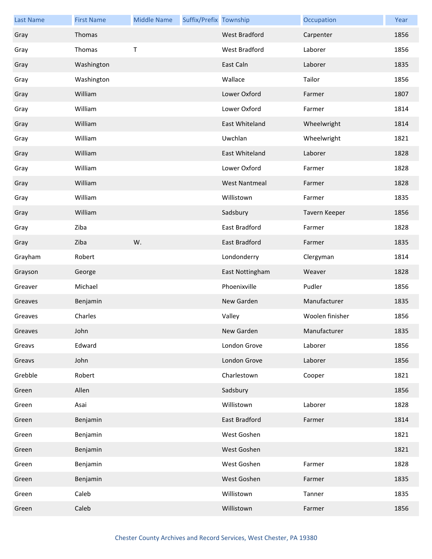| <b>Last Name</b> | <b>First Name</b> | <b>Middle Name</b> | Suffix/Prefix Township |                      | Occupation      | Year |
|------------------|-------------------|--------------------|------------------------|----------------------|-----------------|------|
| Gray             | Thomas            |                    |                        | <b>West Bradford</b> | Carpenter       | 1856 |
| Gray             | Thomas            | Т                  |                        | West Bradford        | Laborer         | 1856 |
| Gray             | Washington        |                    |                        | East Caln            | Laborer         | 1835 |
| Gray             | Washington        |                    |                        | Wallace              | Tailor          | 1856 |
| Gray             | William           |                    |                        | Lower Oxford         | Farmer          | 1807 |
| Gray             | William           |                    |                        | Lower Oxford         | Farmer          | 1814 |
| Gray             | William           |                    |                        | East Whiteland       | Wheelwright     | 1814 |
| Gray             | William           |                    |                        | Uwchlan              | Wheelwright     | 1821 |
| Gray             | William           |                    |                        | East Whiteland       | Laborer         | 1828 |
| Gray             | William           |                    |                        | Lower Oxford         | Farmer          | 1828 |
| Gray             | William           |                    |                        | <b>West Nantmeal</b> | Farmer          | 1828 |
| Gray             | William           |                    |                        | Willistown           | Farmer          | 1835 |
| Gray             | William           |                    |                        | Sadsbury             | Tavern Keeper   | 1856 |
| Gray             | Ziba              |                    |                        | East Bradford        | Farmer          | 1828 |
| Gray             | Ziba              | W.                 |                        | East Bradford        | Farmer          | 1835 |
| Grayham          | Robert            |                    |                        | Londonderry          | Clergyman       | 1814 |
| Grayson          | George            |                    |                        | East Nottingham      | Weaver          | 1828 |
| Greaver          | Michael           |                    |                        | Phoenixville         | Pudler          | 1856 |
| Greaves          | Benjamin          |                    |                        | New Garden           | Manufacturer    | 1835 |
| Greaves          | Charles           |                    |                        | Valley               | Woolen finisher | 1856 |
| Greaves          | John              |                    |                        | New Garden           | Manufacturer    | 1835 |
| Greavs           | Edward            |                    |                        | London Grove         | Laborer         | 1856 |
| Greavs           | John              |                    |                        | London Grove         | Laborer         | 1856 |
| Grebble          | Robert            |                    |                        | Charlestown          | Cooper          | 1821 |
| Green            | Allen             |                    |                        | Sadsbury             |                 | 1856 |
| Green            | Asai              |                    |                        | Willistown           | Laborer         | 1828 |
| Green            | Benjamin          |                    |                        | East Bradford        | Farmer          | 1814 |
| Green            | Benjamin          |                    |                        | West Goshen          |                 | 1821 |
| Green            | Benjamin          |                    |                        | West Goshen          |                 | 1821 |
| Green            | Benjamin          |                    |                        | West Goshen          | Farmer          | 1828 |
| Green            | Benjamin          |                    |                        | West Goshen          | Farmer          | 1835 |
| Green            | Caleb             |                    |                        | Willistown           | Tanner          | 1835 |
| Green            | Caleb             |                    |                        | Willistown           | Farmer          | 1856 |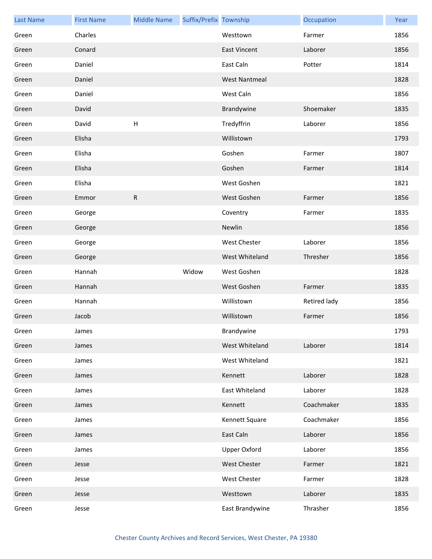| <b>Last Name</b> | <b>First Name</b> | <b>Middle Name</b>        | Suffix/Prefix Township |                      | Occupation   | Year |
|------------------|-------------------|---------------------------|------------------------|----------------------|--------------|------|
| Green            | Charles           |                           |                        | Westtown             | Farmer       | 1856 |
| Green            | Conard            |                           |                        | <b>East Vincent</b>  | Laborer      | 1856 |
| Green            | Daniel            |                           |                        | East Caln            | Potter       | 1814 |
| Green            | Daniel            |                           |                        | <b>West Nantmeal</b> |              | 1828 |
| Green            | Daniel            |                           |                        | West Caln            |              | 1856 |
| Green            | David             |                           |                        | Brandywine           | Shoemaker    | 1835 |
| Green            | David             | $\boldsymbol{\mathsf{H}}$ |                        | Tredyffrin           | Laborer      | 1856 |
| Green            | Elisha            |                           |                        | Willistown           |              | 1793 |
| Green            | Elisha            |                           |                        | Goshen               | Farmer       | 1807 |
| Green            | Elisha            |                           |                        | Goshen               | Farmer       | 1814 |
| Green            | Elisha            |                           |                        | West Goshen          |              | 1821 |
| Green            | Emmor             | ${\sf R}$                 |                        | West Goshen          | Farmer       | 1856 |
| Green            | George            |                           |                        | Coventry             | Farmer       | 1835 |
| Green            | George            |                           |                        | Newlin               |              | 1856 |
| Green            | George            |                           |                        | <b>West Chester</b>  | Laborer      | 1856 |
| Green            | George            |                           |                        | West Whiteland       | Thresher     | 1856 |
| Green            | Hannah            |                           | Widow                  | West Goshen          |              | 1828 |
| Green            | Hannah            |                           |                        | West Goshen          | Farmer       | 1835 |
| Green            | Hannah            |                           |                        | Willistown           | Retired lady | 1856 |
| Green            | Jacob             |                           |                        | Willistown           | Farmer       | 1856 |
| Green            | James             |                           |                        | Brandywine           |              | 1793 |
| Green            | James             |                           |                        | West Whiteland       | Laborer      | 1814 |
| Green            | James             |                           |                        | West Whiteland       |              | 1821 |
| Green            | James             |                           |                        | Kennett              | Laborer      | 1828 |
| Green            | James             |                           |                        | East Whiteland       | Laborer      | 1828 |
| Green            | James             |                           |                        | Kennett              | Coachmaker   | 1835 |
| Green            | James             |                           |                        | Kennett Square       | Coachmaker   | 1856 |
| Green            | James             |                           |                        | East Caln            | Laborer      | 1856 |
| Green            | James             |                           |                        | Upper Oxford         | Laborer      | 1856 |
| Green            | Jesse             |                           |                        | <b>West Chester</b>  | Farmer       | 1821 |
| Green            | Jesse             |                           |                        | <b>West Chester</b>  | Farmer       | 1828 |
| Green            | Jesse             |                           |                        | Westtown             | Laborer      | 1835 |
| Green            | Jesse             |                           |                        | East Brandywine      | Thrasher     | 1856 |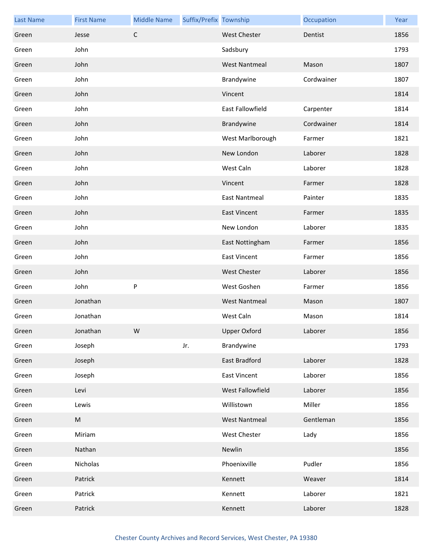| <b>Last Name</b> | <b>First Name</b> | <b>Middle Name</b> | Suffix/Prefix Township |                      | Occupation | Year |
|------------------|-------------------|--------------------|------------------------|----------------------|------------|------|
| Green            | Jesse             | $\mathsf C$        |                        | <b>West Chester</b>  | Dentist    | 1856 |
| Green            | John              |                    |                        | Sadsbury             |            | 1793 |
| Green            | John              |                    |                        | <b>West Nantmeal</b> | Mason      | 1807 |
| Green            | John              |                    |                        | Brandywine           | Cordwainer | 1807 |
| Green            | John              |                    |                        | Vincent              |            | 1814 |
| Green            | John              |                    |                        | East Fallowfield     | Carpenter  | 1814 |
| Green            | John              |                    |                        | Brandywine           | Cordwainer | 1814 |
| Green            | John              |                    |                        | West Marlborough     | Farmer     | 1821 |
| Green            | John              |                    |                        | New London           | Laborer    | 1828 |
| Green            | John              |                    |                        | West Caln            | Laborer    | 1828 |
| Green            | John              |                    |                        | Vincent              | Farmer     | 1828 |
| Green            | John              |                    |                        | <b>East Nantmeal</b> | Painter    | 1835 |
| Green            | John              |                    |                        | East Vincent         | Farmer     | 1835 |
| Green            | John              |                    |                        | New London           | Laborer    | 1835 |
| Green            | John              |                    |                        | East Nottingham      | Farmer     | 1856 |
| Green            | John              |                    |                        | East Vincent         | Farmer     | 1856 |
| Green            | John              |                    |                        | <b>West Chester</b>  | Laborer    | 1856 |
| Green            | John              | $\sf P$            |                        | West Goshen          | Farmer     | 1856 |
| Green            | Jonathan          |                    |                        | <b>West Nantmeal</b> | Mason      | 1807 |
| Green            | Jonathan          |                    |                        | West Caln            | Mason      | 1814 |
| Green            | Jonathan          | W                  |                        | <b>Upper Oxford</b>  | Laborer    | 1856 |
| Green            | Joseph            |                    | Jr.                    | Brandywine           |            | 1793 |
| Green            | Joseph            |                    |                        | East Bradford        | Laborer    | 1828 |
| Green            | Joseph            |                    |                        | <b>East Vincent</b>  | Laborer    | 1856 |
| Green            | Levi              |                    |                        | West Fallowfield     | Laborer    | 1856 |
| Green            | Lewis             |                    |                        | Willistown           | Miller     | 1856 |
| Green            | M                 |                    |                        | <b>West Nantmeal</b> | Gentleman  | 1856 |
| Green            | Miriam            |                    |                        | West Chester         | Lady       | 1856 |
| Green            | Nathan            |                    |                        | Newlin               |            | 1856 |
| Green            | Nicholas          |                    |                        | Phoenixville         | Pudler     | 1856 |
| Green            | Patrick           |                    |                        | Kennett              | Weaver     | 1814 |
| Green            | Patrick           |                    |                        | Kennett              | Laborer    | 1821 |
| Green            | Patrick           |                    |                        | Kennett              | Laborer    | 1828 |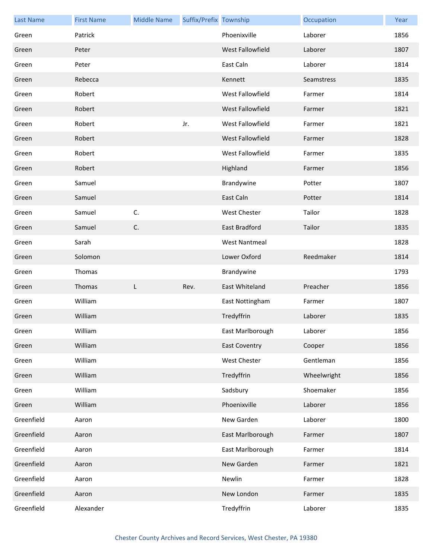| <b>Last Name</b> | <b>First Name</b> | <b>Middle Name</b> | Suffix/Prefix Township |                      | Occupation  | Year |
|------------------|-------------------|--------------------|------------------------|----------------------|-------------|------|
| Green            | Patrick           |                    |                        | Phoenixville         | Laborer     | 1856 |
| Green            | Peter             |                    |                        | West Fallowfield     | Laborer     | 1807 |
| Green            | Peter             |                    |                        | East Caln            | Laborer     | 1814 |
| Green            | Rebecca           |                    |                        | Kennett              | Seamstress  | 1835 |
| Green            | Robert            |                    |                        | West Fallowfield     | Farmer      | 1814 |
| Green            | Robert            |                    |                        | West Fallowfield     | Farmer      | 1821 |
| Green            | Robert            |                    | Jr.                    | West Fallowfield     | Farmer      | 1821 |
| Green            | Robert            |                    |                        | West Fallowfield     | Farmer      | 1828 |
| Green            | Robert            |                    |                        | West Fallowfield     | Farmer      | 1835 |
| Green            | Robert            |                    |                        | Highland             | Farmer      | 1856 |
| Green            | Samuel            |                    |                        | Brandywine           | Potter      | 1807 |
| Green            | Samuel            |                    |                        | East Caln            | Potter      | 1814 |
| Green            | Samuel            | C.                 |                        | West Chester         | Tailor      | 1828 |
| Green            | Samuel            | C.                 |                        | East Bradford        | Tailor      | 1835 |
| Green            | Sarah             |                    |                        | <b>West Nantmeal</b> |             | 1828 |
| Green            | Solomon           |                    |                        | Lower Oxford         | Reedmaker   | 1814 |
| Green            | Thomas            |                    |                        | Brandywine           |             | 1793 |
| Green            | Thomas            | L                  | Rev.                   | East Whiteland       | Preacher    | 1856 |
| Green            | William           |                    |                        | East Nottingham      | Farmer      | 1807 |
| Green            | William           |                    |                        | Tredyffrin           | Laborer     | 1835 |
| Green            | William           |                    |                        | East Marlborough     | Laborer     | 1856 |
| Green            | William           |                    |                        | <b>East Coventry</b> | Cooper      | 1856 |
| Green            | William           |                    |                        | West Chester         | Gentleman   | 1856 |
| Green            | William           |                    |                        | Tredyffrin           | Wheelwright | 1856 |
| Green            | William           |                    |                        | Sadsbury             | Shoemaker   | 1856 |
| Green            | William           |                    |                        | Phoenixville         | Laborer     | 1856 |
| Greenfield       | Aaron             |                    |                        | New Garden           | Laborer     | 1800 |
| Greenfield       | Aaron             |                    |                        | East Marlborough     | Farmer      | 1807 |
| Greenfield       | Aaron             |                    |                        | East Marlborough     | Farmer      | 1814 |
| Greenfield       | Aaron             |                    |                        | New Garden           | Farmer      | 1821 |
| Greenfield       | Aaron             |                    |                        | Newlin               | Farmer      | 1828 |
| Greenfield       | Aaron             |                    |                        | New London           | Farmer      | 1835 |
| Greenfield       | Alexander         |                    |                        | Tredyffrin           | Laborer     | 1835 |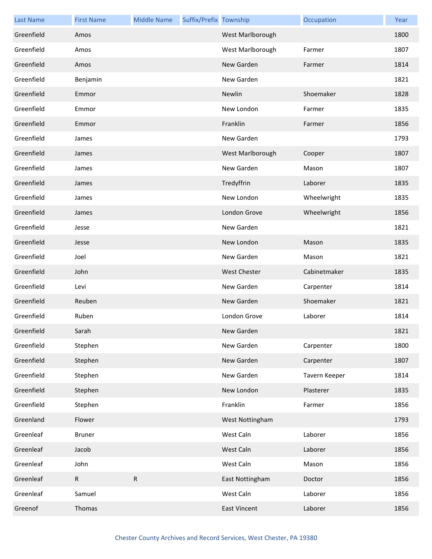| <b>Last Name</b> | <b>First Name</b> | <b>Middle Name</b> | Suffix/Prefix Township |                     | Occupation    | Year |
|------------------|-------------------|--------------------|------------------------|---------------------|---------------|------|
| Greenfield       | Amos              |                    |                        | West Marlborough    |               | 1800 |
| Greenfield       | Amos              |                    |                        | West Marlborough    | Farmer        | 1807 |
| Greenfield       | Amos              |                    |                        | New Garden          | Farmer        | 1814 |
| Greenfield       | Benjamin          |                    |                        | New Garden          |               | 1821 |
| Greenfield       | Emmor             |                    |                        | Newlin              | Shoemaker     | 1828 |
| Greenfield       | Emmor             |                    |                        | New London          | Farmer        | 1835 |
| Greenfield       | Emmor             |                    |                        | Franklin            | Farmer        | 1856 |
| Greenfield       | James             |                    |                        | New Garden          |               | 1793 |
| Greenfield       | James             |                    |                        | West Marlborough    | Cooper        | 1807 |
| Greenfield       | James             |                    |                        | New Garden          | Mason         | 1807 |
| Greenfield       | James             |                    |                        | Tredyffrin          | Laborer       | 1835 |
| Greenfield       | James             |                    |                        | New London          | Wheelwright   | 1835 |
| Greenfield       | James             |                    |                        | London Grove        | Wheelwright   | 1856 |
| Greenfield       | Jesse             |                    |                        | New Garden          |               | 1821 |
| Greenfield       | Jesse             |                    |                        | New London          | Mason         | 1835 |
| Greenfield       | Joel              |                    |                        | New Garden          | Mason         | 1821 |
| Greenfield       | John              |                    |                        | <b>West Chester</b> | Cabinetmaker  | 1835 |
| Greenfield       | Levi              |                    |                        | New Garden          | Carpenter     | 1814 |
| Greenfield       | Reuben            |                    |                        | New Garden          | Shoemaker     | 1821 |
| Greenfield       | Ruben             |                    |                        | London Grove        | Laborer       | 1814 |
| Greenfield       | Sarah             |                    |                        | New Garden          |               | 1821 |
| Greenfield       | Stephen           |                    |                        | New Garden          | Carpenter     | 1800 |
| Greenfield       | Stephen           |                    |                        | New Garden          | Carpenter     | 1807 |
| Greenfield       | Stephen           |                    |                        | New Garden          | Tavern Keeper | 1814 |
| Greenfield       | Stephen           |                    |                        | New London          | Plasterer     | 1835 |
| Greenfield       | Stephen           |                    |                        | Franklin            | Farmer        | 1856 |
| Greenland        | Flower            |                    |                        | West Nottingham     |               | 1793 |
| Greenleaf        | <b>Bruner</b>     |                    |                        | West Caln           | Laborer       | 1856 |
| Greenleaf        | Jacob             |                    |                        | West Caln           | Laborer       | 1856 |
| Greenleaf        | John              |                    |                        | West Caln           | Mason         | 1856 |
| Greenleaf        | $\mathsf{R}$      | R                  |                        | East Nottingham     | Doctor        | 1856 |
| Greenleaf        | Samuel            |                    |                        | West Caln           | Laborer       | 1856 |
| Greenof          | Thomas            |                    |                        | <b>East Vincent</b> | Laborer       | 1856 |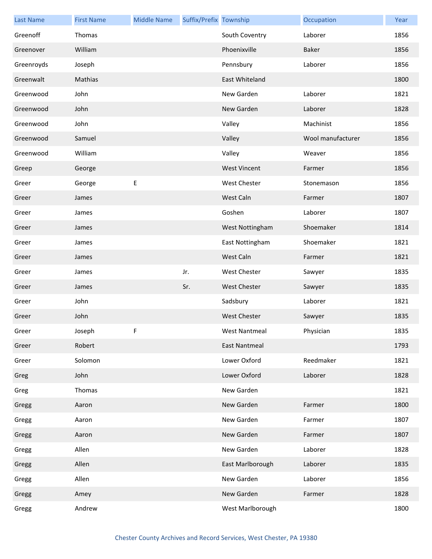| <b>Last Name</b> | <b>First Name</b> | <b>Middle Name</b> | Suffix/Prefix Township |                      | Occupation        | Year |
|------------------|-------------------|--------------------|------------------------|----------------------|-------------------|------|
| Greenoff         | Thomas            |                    |                        | South Coventry       | Laborer           | 1856 |
| Greenover        | William           |                    |                        | Phoenixville         | <b>Baker</b>      | 1856 |
| Greenroyds       | Joseph            |                    |                        | Pennsbury            | Laborer           | 1856 |
| Greenwalt        | Mathias           |                    |                        | East Whiteland       |                   | 1800 |
| Greenwood        | John              |                    |                        | New Garden           | Laborer           | 1821 |
| Greenwood        | John              |                    |                        | New Garden           | Laborer           | 1828 |
| Greenwood        | John              |                    |                        | Valley               | Machinist         | 1856 |
| Greenwood        | Samuel            |                    |                        | Valley               | Wool manufacturer | 1856 |
| Greenwood        | William           |                    |                        | Valley               | Weaver            | 1856 |
| Greep            | George            |                    |                        | <b>West Vincent</b>  | Farmer            | 1856 |
| Greer            | George            | Е                  |                        | West Chester         | Stonemason        | 1856 |
| Greer            | James             |                    |                        | West Caln            | Farmer            | 1807 |
| Greer            | James             |                    |                        | Goshen               | Laborer           | 1807 |
| Greer            | James             |                    |                        | West Nottingham      | Shoemaker         | 1814 |
| Greer            | James             |                    |                        | East Nottingham      | Shoemaker         | 1821 |
| Greer            | James             |                    |                        | West Caln            | Farmer            | 1821 |
| Greer            | James             |                    | Jr.                    | <b>West Chester</b>  | Sawyer            | 1835 |
| Greer            | James             |                    | Sr.                    | <b>West Chester</b>  | Sawyer            | 1835 |
| Greer            | John              |                    |                        | Sadsbury             | Laborer           | 1821 |
| Greer            | John              |                    |                        | <b>West Chester</b>  | Sawyer            | 1835 |
| Greer            | Joseph            | F                  |                        | West Nantmeal        | Physician         | 1835 |
| Greer            | Robert            |                    |                        | <b>East Nantmeal</b> |                   | 1793 |
| Greer            | Solomon           |                    |                        | Lower Oxford         | Reedmaker         | 1821 |
| Greg             | John              |                    |                        | Lower Oxford         | Laborer           | 1828 |
| Greg             | Thomas            |                    |                        | New Garden           |                   | 1821 |
| Gregg            | Aaron             |                    |                        | New Garden           | Farmer            | 1800 |
| Gregg            | Aaron             |                    |                        | New Garden           | Farmer            | 1807 |
| Gregg            | Aaron             |                    |                        | New Garden           | Farmer            | 1807 |
| Gregg            | Allen             |                    |                        | New Garden           | Laborer           | 1828 |
| Gregg            | Allen             |                    |                        | East Marlborough     | Laborer           | 1835 |
| Gregg            | Allen             |                    |                        | New Garden           | Laborer           | 1856 |
| Gregg            | Amey              |                    |                        | New Garden           | Farmer            | 1828 |
| Gregg            | Andrew            |                    |                        | West Marlborough     |                   | 1800 |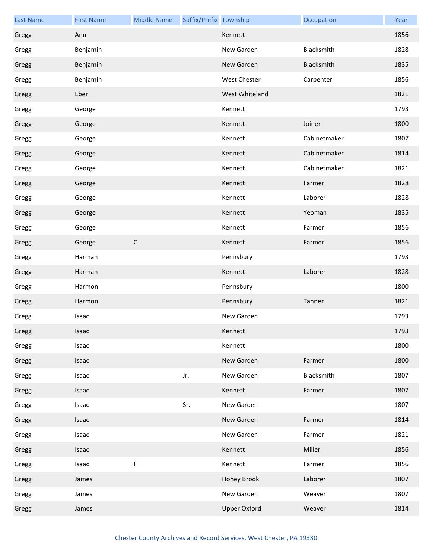| <b>Last Name</b> | <b>First Name</b> | <b>Middle Name</b> | Suffix/Prefix Township |                     | Occupation   | Year |
|------------------|-------------------|--------------------|------------------------|---------------------|--------------|------|
| Gregg            | Ann               |                    |                        | Kennett             |              | 1856 |
| Gregg            | Benjamin          |                    |                        | New Garden          | Blacksmith   | 1828 |
| Gregg            | Benjamin          |                    |                        | New Garden          | Blacksmith   | 1835 |
| Gregg            | Benjamin          |                    |                        | West Chester        | Carpenter    | 1856 |
| Gregg            | Eber              |                    |                        | West Whiteland      |              | 1821 |
| Gregg            | George            |                    |                        | Kennett             |              | 1793 |
| Gregg            | George            |                    |                        | Kennett             | Joiner       | 1800 |
| Gregg            | George            |                    |                        | Kennett             | Cabinetmaker | 1807 |
| Gregg            | George            |                    |                        | Kennett             | Cabinetmaker | 1814 |
| Gregg            | George            |                    |                        | Kennett             | Cabinetmaker | 1821 |
| Gregg            | George            |                    |                        | Kennett             | Farmer       | 1828 |
| Gregg            | George            |                    |                        | Kennett             | Laborer      | 1828 |
| Gregg            | George            |                    |                        | Kennett             | Yeoman       | 1835 |
| Gregg            | George            |                    |                        | Kennett             | Farmer       | 1856 |
| Gregg            | George            | $\mathsf C$        |                        | Kennett             | Farmer       | 1856 |
| Gregg            | Harman            |                    |                        | Pennsbury           |              | 1793 |
| Gregg            | Harman            |                    |                        | Kennett             | Laborer      | 1828 |
| Gregg            | Harmon            |                    |                        | Pennsbury           |              | 1800 |
| Gregg            | Harmon            |                    |                        | Pennsbury           | Tanner       | 1821 |
| Gregg            | Isaac             |                    |                        | New Garden          |              | 1793 |
| Gregg            | Isaac             |                    |                        | Kennett             |              | 1793 |
| Gregg            | Isaac             |                    |                        | Kennett             |              | 1800 |
| Gregg            | Isaac             |                    |                        | New Garden          | Farmer       | 1800 |
| Gregg            | Isaac             |                    | Jr.                    | New Garden          | Blacksmith   | 1807 |
| Gregg            | Isaac             |                    |                        | Kennett             | Farmer       | 1807 |
| Gregg            | Isaac             |                    | Sr.                    | New Garden          |              | 1807 |
| Gregg            | Isaac             |                    |                        | New Garden          | Farmer       | 1814 |
| Gregg            | Isaac             |                    |                        | New Garden          | Farmer       | 1821 |
| Gregg            | Isaac             |                    |                        | Kennett             | Miller       | 1856 |
| Gregg            | Isaac             | $\sf H$            |                        | Kennett             | Farmer       | 1856 |
| Gregg            | James             |                    |                        | Honey Brook         | Laborer      | 1807 |
| Gregg            | James             |                    |                        | New Garden          | Weaver       | 1807 |
| Gregg            | James             |                    |                        | <b>Upper Oxford</b> | Weaver       | 1814 |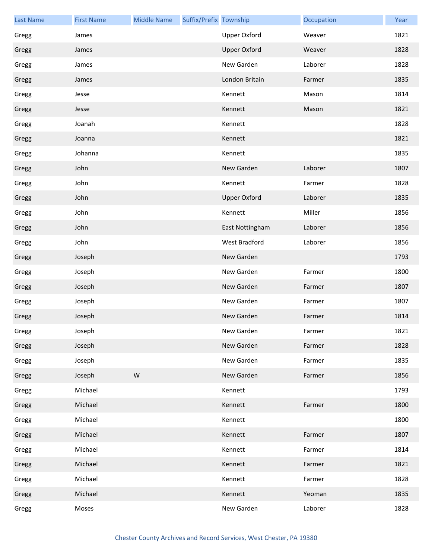| <b>Last Name</b> | <b>First Name</b> | <b>Middle Name</b> | Suffix/Prefix Township |                     | Occupation | Year |
|------------------|-------------------|--------------------|------------------------|---------------------|------------|------|
| Gregg            | James             |                    |                        | <b>Upper Oxford</b> | Weaver     | 1821 |
| Gregg            | James             |                    |                        | <b>Upper Oxford</b> | Weaver     | 1828 |
| Gregg            | James             |                    |                        | New Garden          | Laborer    | 1828 |
| Gregg            | James             |                    |                        | London Britain      | Farmer     | 1835 |
| Gregg            | Jesse             |                    |                        | Kennett             | Mason      | 1814 |
| Gregg            | Jesse             |                    |                        | Kennett             | Mason      | 1821 |
| Gregg            | Joanah            |                    |                        | Kennett             |            | 1828 |
| Gregg            | Joanna            |                    |                        | Kennett             |            | 1821 |
| Gregg            | Johanna           |                    |                        | Kennett             |            | 1835 |
| Gregg            | John              |                    |                        | New Garden          | Laborer    | 1807 |
| Gregg            | John              |                    |                        | Kennett             | Farmer     | 1828 |
| Gregg            | John              |                    |                        | <b>Upper Oxford</b> | Laborer    | 1835 |
| Gregg            | John              |                    |                        | Kennett             | Miller     | 1856 |
| Gregg            | John              |                    |                        | East Nottingham     | Laborer    | 1856 |
| Gregg            | John              |                    |                        | West Bradford       | Laborer    | 1856 |
| Gregg            | Joseph            |                    |                        | New Garden          |            | 1793 |
| Gregg            | Joseph            |                    |                        | New Garden          | Farmer     | 1800 |
| Gregg            | Joseph            |                    |                        | New Garden          | Farmer     | 1807 |
| Gregg            | Joseph            |                    |                        | New Garden          | Farmer     | 1807 |
| Gregg            | Joseph            |                    |                        | New Garden          | Farmer     | 1814 |
| Gregg            | Joseph            |                    |                        | New Garden          | Farmer     | 1821 |
| Gregg            | Joseph            |                    |                        | New Garden          | Farmer     | 1828 |
| Gregg            | Joseph            |                    |                        | New Garden          | Farmer     | 1835 |
| Gregg            | Joseph            | ${\sf W}$          |                        | New Garden          | Farmer     | 1856 |
| Gregg            | Michael           |                    |                        | Kennett             |            | 1793 |
| Gregg            | Michael           |                    |                        | Kennett             | Farmer     | 1800 |
| Gregg            | Michael           |                    |                        | Kennett             |            | 1800 |
| Gregg            | Michael           |                    |                        | Kennett             | Farmer     | 1807 |
| Gregg            | Michael           |                    |                        | Kennett             | Farmer     | 1814 |
| Gregg            | Michael           |                    |                        | Kennett             | Farmer     | 1821 |
| Gregg            | Michael           |                    |                        | Kennett             | Farmer     | 1828 |
| Gregg            | Michael           |                    |                        | Kennett             | Yeoman     | 1835 |
| Gregg            | Moses             |                    |                        | New Garden          | Laborer    | 1828 |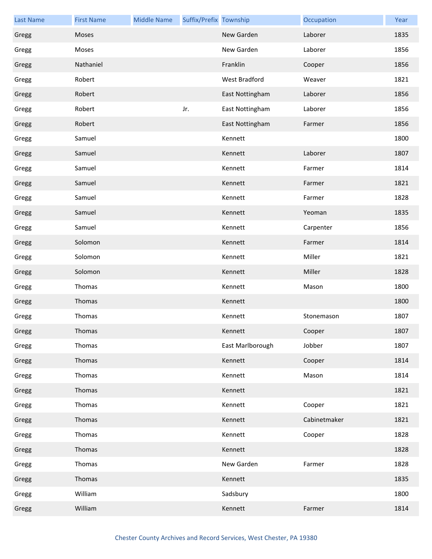| <b>Last Name</b> | <b>First Name</b> | <b>Middle Name</b> | Suffix/Prefix Township |                  | Occupation   | Year |
|------------------|-------------------|--------------------|------------------------|------------------|--------------|------|
| Gregg            | Moses             |                    |                        | New Garden       | Laborer      | 1835 |
| Gregg            | Moses             |                    |                        | New Garden       | Laborer      | 1856 |
| Gregg            | Nathaniel         |                    |                        | Franklin         | Cooper       | 1856 |
| Gregg            | Robert            |                    |                        | West Bradford    | Weaver       | 1821 |
| Gregg            | Robert            |                    |                        | East Nottingham  | Laborer      | 1856 |
| Gregg            | Robert            |                    | Jr.                    | East Nottingham  | Laborer      | 1856 |
| Gregg            | Robert            |                    |                        | East Nottingham  | Farmer       | 1856 |
| Gregg            | Samuel            |                    |                        | Kennett          |              | 1800 |
| Gregg            | Samuel            |                    |                        | Kennett          | Laborer      | 1807 |
| Gregg            | Samuel            |                    |                        | Kennett          | Farmer       | 1814 |
| Gregg            | Samuel            |                    |                        | Kennett          | Farmer       | 1821 |
| Gregg            | Samuel            |                    |                        | Kennett          | Farmer       | 1828 |
| Gregg            | Samuel            |                    |                        | Kennett          | Yeoman       | 1835 |
| Gregg            | Samuel            |                    |                        | Kennett          | Carpenter    | 1856 |
| Gregg            | Solomon           |                    |                        | Kennett          | Farmer       | 1814 |
| Gregg            | Solomon           |                    |                        | Kennett          | Miller       | 1821 |
| Gregg            | Solomon           |                    |                        | Kennett          | Miller       | 1828 |
| Gregg            | Thomas            |                    |                        | Kennett          | Mason        | 1800 |
| Gregg            | Thomas            |                    |                        | Kennett          |              | 1800 |
| Gregg            | Thomas            |                    |                        | Kennett          | Stonemason   | 1807 |
| Gregg            | Thomas            |                    |                        | Kennett          | Cooper       | 1807 |
| Gregg            | Thomas            |                    |                        | East Marlborough | Jobber       | 1807 |
| Gregg            | Thomas            |                    |                        | Kennett          | Cooper       | 1814 |
| Gregg            | Thomas            |                    |                        | Kennett          | Mason        | 1814 |
| Gregg            | Thomas            |                    |                        | Kennett          |              | 1821 |
| Gregg            | Thomas            |                    |                        | Kennett          | Cooper       | 1821 |
| Gregg            | Thomas            |                    |                        | Kennett          | Cabinetmaker | 1821 |
| Gregg            | Thomas            |                    |                        | Kennett          | Cooper       | 1828 |
| Gregg            | Thomas            |                    |                        | Kennett          |              | 1828 |
| Gregg            | Thomas            |                    |                        | New Garden       | Farmer       | 1828 |
| Gregg            | Thomas            |                    |                        | Kennett          |              | 1835 |
| Gregg            | William           |                    |                        | Sadsbury         |              | 1800 |
| Gregg            | William           |                    |                        | Kennett          | Farmer       | 1814 |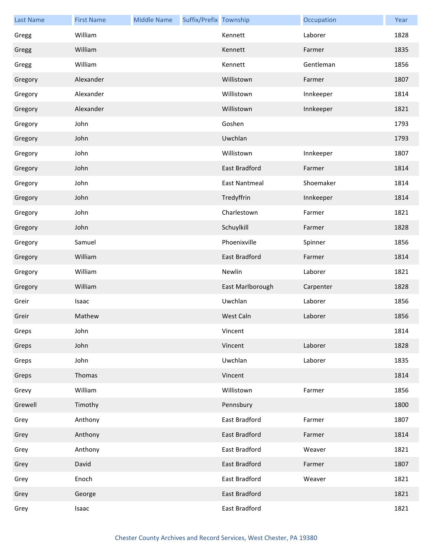| <b>Last Name</b> | <b>First Name</b> | <b>Middle Name</b> | Suffix/Prefix Township |                      | Occupation | Year |
|------------------|-------------------|--------------------|------------------------|----------------------|------------|------|
| Gregg            | William           |                    |                        | Kennett              | Laborer    | 1828 |
| Gregg            | William           |                    |                        | Kennett              | Farmer     | 1835 |
| Gregg            | William           |                    |                        | Kennett              | Gentleman  | 1856 |
| Gregory          | Alexander         |                    |                        | Willistown           | Farmer     | 1807 |
| Gregory          | Alexander         |                    |                        | Willistown           | Innkeeper  | 1814 |
| Gregory          | Alexander         |                    |                        | Willistown           | Innkeeper  | 1821 |
| Gregory          | John              |                    |                        | Goshen               |            | 1793 |
| Gregory          | John              |                    |                        | Uwchlan              |            | 1793 |
| Gregory          | John              |                    |                        | Willistown           | Innkeeper  | 1807 |
| Gregory          | John              |                    |                        | East Bradford        | Farmer     | 1814 |
| Gregory          | John              |                    |                        | <b>East Nantmeal</b> | Shoemaker  | 1814 |
| Gregory          | John              |                    |                        | Tredyffrin           | Innkeeper  | 1814 |
| Gregory          | John              |                    |                        | Charlestown          | Farmer     | 1821 |
| Gregory          | John              |                    |                        | Schuylkill           | Farmer     | 1828 |
| Gregory          | Samuel            |                    |                        | Phoenixville         | Spinner    | 1856 |
| Gregory          | William           |                    |                        | East Bradford        | Farmer     | 1814 |
| Gregory          | William           |                    |                        | Newlin               | Laborer    | 1821 |
| Gregory          | William           |                    |                        | East Marlborough     | Carpenter  | 1828 |
| Greir            | Isaac             |                    |                        | Uwchlan              | Laborer    | 1856 |
| Greir            | Mathew            |                    |                        | West Caln            | Laborer    | 1856 |
| Greps            | John              |                    |                        | Vincent              |            | 1814 |
| Greps            | John              |                    |                        | Vincent              | Laborer    | 1828 |
| Greps            | John              |                    |                        | Uwchlan              | Laborer    | 1835 |
| Greps            | Thomas            |                    |                        | Vincent              |            | 1814 |
| Grevy            | William           |                    |                        | Willistown           | Farmer     | 1856 |
| Grewell          | Timothy           |                    |                        | Pennsbury            |            | 1800 |
| Grey             | Anthony           |                    |                        | East Bradford        | Farmer     | 1807 |
| Grey             | Anthony           |                    |                        | East Bradford        | Farmer     | 1814 |
| Grey             | Anthony           |                    |                        | East Bradford        | Weaver     | 1821 |
| Grey             | David             |                    |                        | East Bradford        | Farmer     | 1807 |
| Grey             | Enoch             |                    |                        | East Bradford        | Weaver     | 1821 |
| Grey             | George            |                    |                        | East Bradford        |            | 1821 |
| Grey             | Isaac             |                    |                        | East Bradford        |            | 1821 |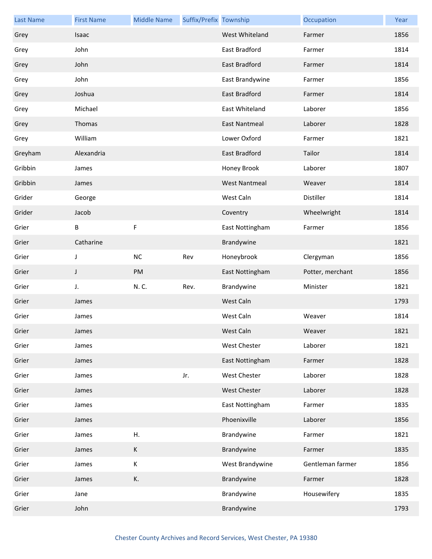| <b>Last Name</b> | <b>First Name</b> | <b>Middle Name</b> | Suffix/Prefix Township |                      | Occupation       | Year |
|------------------|-------------------|--------------------|------------------------|----------------------|------------------|------|
| Grey             | <b>Isaac</b>      |                    |                        | West Whiteland       | Farmer           | 1856 |
| Grey             | John              |                    |                        | East Bradford        | Farmer           | 1814 |
| Grey             | John              |                    |                        | East Bradford        | Farmer           | 1814 |
| Grey             | John              |                    |                        | East Brandywine      | Farmer           | 1856 |
| Grey             | Joshua            |                    |                        | East Bradford        | Farmer           | 1814 |
| Grey             | Michael           |                    |                        | East Whiteland       | Laborer          | 1856 |
| Grey             | Thomas            |                    |                        | <b>East Nantmeal</b> | Laborer          | 1828 |
| Grey             | William           |                    |                        | Lower Oxford         | Farmer           | 1821 |
| Greyham          | Alexandria        |                    |                        | <b>East Bradford</b> | Tailor           | 1814 |
| Gribbin          | James             |                    |                        | Honey Brook          | Laborer          | 1807 |
| Gribbin          | James             |                    |                        | <b>West Nantmeal</b> | Weaver           | 1814 |
| Grider           | George            |                    |                        | West Caln            | Distiller        | 1814 |
| Grider           | Jacob             |                    |                        | Coventry             | Wheelwright      | 1814 |
| Grier            | В                 | F                  |                        | East Nottingham      | Farmer           | 1856 |
| Grier            | Catharine         |                    |                        | Brandywine           |                  | 1821 |
| Grier            | J                 | NC                 | Rev                    | Honeybrook           | Clergyman        | 1856 |
| Grier            | J                 | PM                 |                        | East Nottingham      | Potter, merchant | 1856 |
| Grier            | J.                | N.C.               | Rev.                   | Brandywine           | Minister         | 1821 |
| Grier            | James             |                    |                        | West Caln            |                  | 1793 |
| Grier            | James             |                    |                        | West Caln            | Weaver           | 1814 |
| Grier            | James             |                    |                        | West Caln            | Weaver           | 1821 |
| Grier            | James             |                    |                        | West Chester         | Laborer          | 1821 |
| Grier            | James             |                    |                        | East Nottingham      | Farmer           | 1828 |
| Grier            | James             |                    | Jr.                    | West Chester         | Laborer          | 1828 |
| Grier            | James             |                    |                        | West Chester         | Laborer          | 1828 |
| Grier            | James             |                    |                        | East Nottingham      | Farmer           | 1835 |
| Grier            | James             |                    |                        | Phoenixville         | Laborer          | 1856 |
| Grier            | James             | Η.                 |                        | Brandywine           | Farmer           | 1821 |
| Grier            | James             | К                  |                        | Brandywine           | Farmer           | 1835 |
| Grier            | James             | К                  |                        | West Brandywine      | Gentleman farmer | 1856 |
| Grier            | James             | К.                 |                        | Brandywine           | Farmer           | 1828 |
| Grier            | Jane              |                    |                        | Brandywine           | Housewifery      | 1835 |
| Grier            | John              |                    |                        | Brandywine           |                  | 1793 |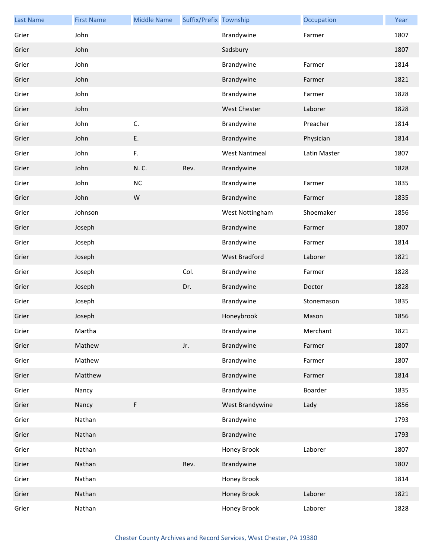| <b>Last Name</b> | <b>First Name</b> | <b>Middle Name</b> | Suffix/Prefix Township |                      | Occupation   | Year |
|------------------|-------------------|--------------------|------------------------|----------------------|--------------|------|
| Grier            | John              |                    |                        | Brandywine           | Farmer       | 1807 |
| Grier            | John              |                    |                        | Sadsbury             |              | 1807 |
| Grier            | John              |                    |                        | Brandywine           | Farmer       | 1814 |
| Grier            | John              |                    |                        | Brandywine           | Farmer       | 1821 |
| Grier            | John              |                    |                        | Brandywine           | Farmer       | 1828 |
| Grier            | John              |                    |                        | <b>West Chester</b>  | Laborer      | 1828 |
| Grier            | John              | C.                 |                        | Brandywine           | Preacher     | 1814 |
| Grier            | John              | Ε.                 |                        | Brandywine           | Physician    | 1814 |
| Grier            | John              | F.                 |                        | <b>West Nantmeal</b> | Latin Master | 1807 |
| Grier            | John              | N.C.               | Rev.                   | Brandywine           |              | 1828 |
| Grier            | John              | $NC$               |                        | Brandywine           | Farmer       | 1835 |
| Grier            | John              | W                  |                        | Brandywine           | Farmer       | 1835 |
| Grier            | Johnson           |                    |                        | West Nottingham      | Shoemaker    | 1856 |
| Grier            | Joseph            |                    |                        | Brandywine           | Farmer       | 1807 |
| Grier            | Joseph            |                    |                        | Brandywine           | Farmer       | 1814 |
| Grier            | Joseph            |                    |                        | West Bradford        | Laborer      | 1821 |
| Grier            | Joseph            |                    | Col.                   | Brandywine           | Farmer       | 1828 |
| Grier            | Joseph            |                    | Dr.                    | Brandywine           | Doctor       | 1828 |
| Grier            | Joseph            |                    |                        | Brandywine           | Stonemason   | 1835 |
| Grier            | Joseph            |                    |                        | Honeybrook           | Mason        | 1856 |
| Grier            | Martha            |                    |                        | Brandywine           | Merchant     | 1821 |
| Grier            | Mathew            |                    | Jr.                    | Brandywine           | Farmer       | 1807 |
| Grier            | Mathew            |                    |                        | Brandywine           | Farmer       | 1807 |
| Grier            | Matthew           |                    |                        | Brandywine           | Farmer       | 1814 |
| Grier            | Nancy             |                    |                        | Brandywine           | Boarder      | 1835 |
| Grier            | Nancy             | F                  |                        | West Brandywine      | Lady         | 1856 |
| Grier            | Nathan            |                    |                        | Brandywine           |              | 1793 |
| Grier            | Nathan            |                    |                        | Brandywine           |              | 1793 |
| Grier            | Nathan            |                    |                        | Honey Brook          | Laborer      | 1807 |
| Grier            | Nathan            |                    | Rev.                   | Brandywine           |              | 1807 |
| Grier            | Nathan            |                    |                        | Honey Brook          |              | 1814 |
| Grier            | Nathan            |                    |                        | Honey Brook          | Laborer      | 1821 |
| Grier            | Nathan            |                    |                        | Honey Brook          | Laborer      | 1828 |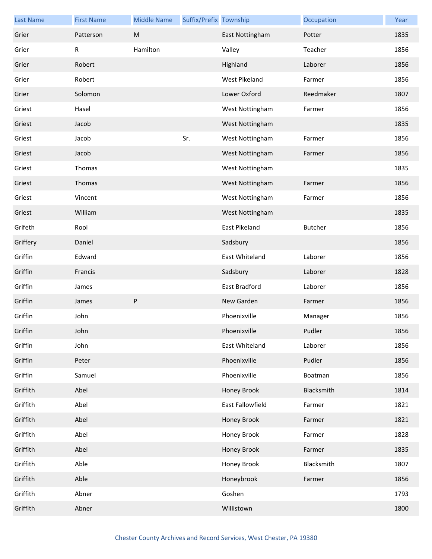| <b>Last Name</b> | <b>First Name</b> | <b>Middle Name</b> | Suffix/Prefix Township |                  | Occupation | Year |
|------------------|-------------------|--------------------|------------------------|------------------|------------|------|
| Grier            | Patterson         | M                  |                        | East Nottingham  | Potter     | 1835 |
| Grier            | R                 | Hamilton           |                        | Valley           | Teacher    | 1856 |
| Grier            | Robert            |                    |                        | Highland         | Laborer    | 1856 |
| Grier            | Robert            |                    |                        | West Pikeland    | Farmer     | 1856 |
| Grier            | Solomon           |                    |                        | Lower Oxford     | Reedmaker  | 1807 |
| Griest           | Hasel             |                    |                        | West Nottingham  | Farmer     | 1856 |
| Griest           | Jacob             |                    |                        | West Nottingham  |            | 1835 |
| Griest           | Jacob             |                    | Sr.                    | West Nottingham  | Farmer     | 1856 |
| Griest           | Jacob             |                    |                        | West Nottingham  | Farmer     | 1856 |
| Griest           | Thomas            |                    |                        | West Nottingham  |            | 1835 |
| Griest           | Thomas            |                    |                        | West Nottingham  | Farmer     | 1856 |
| Griest           | Vincent           |                    |                        | West Nottingham  | Farmer     | 1856 |
| Griest           | William           |                    |                        | West Nottingham  |            | 1835 |
| Grifeth          | Rool              |                    |                        | East Pikeland    | Butcher    | 1856 |
| Griffery         | Daniel            |                    |                        | Sadsbury         |            | 1856 |
| Griffin          | Edward            |                    |                        | East Whiteland   | Laborer    | 1856 |
| Griffin          | Francis           |                    |                        | Sadsbury         | Laborer    | 1828 |
| Griffin          | James             |                    |                        | East Bradford    | Laborer    | 1856 |
| Griffin          | James             | ${\sf P}$          |                        | New Garden       | Farmer     | 1856 |
| Griffin          | John              |                    |                        | Phoenixville     | Manager    | 1856 |
| Griffin          | John              |                    |                        | Phoenixville     | Pudler     | 1856 |
| Griffin          | John              |                    |                        | East Whiteland   | Laborer    | 1856 |
| Griffin          | Peter             |                    |                        | Phoenixville     | Pudler     | 1856 |
| Griffin          | Samuel            |                    |                        | Phoenixville     | Boatman    | 1856 |
| Griffith         | Abel              |                    |                        | Honey Brook      | Blacksmith | 1814 |
| Griffith         | Abel              |                    |                        | East Fallowfield | Farmer     | 1821 |
| Griffith         | Abel              |                    |                        | Honey Brook      | Farmer     | 1821 |
| Griffith         | Abel              |                    |                        | Honey Brook      | Farmer     | 1828 |
| Griffith         | Abel              |                    |                        | Honey Brook      | Farmer     | 1835 |
| Griffith         | Able              |                    |                        | Honey Brook      | Blacksmith | 1807 |
| Griffith         | Able              |                    |                        | Honeybrook       | Farmer     | 1856 |
| Griffith         | Abner             |                    |                        | Goshen           |            | 1793 |
| Griffith         | Abner             |                    |                        | Willistown       |            | 1800 |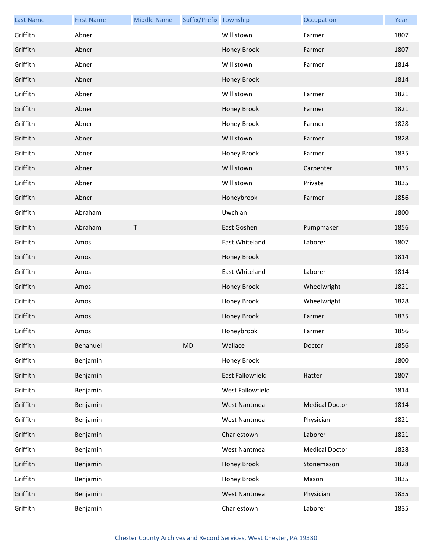| <b>Last Name</b> | <b>First Name</b> | <b>Middle Name</b> | Suffix/Prefix Township |                         | Occupation            | Year |
|------------------|-------------------|--------------------|------------------------|-------------------------|-----------------------|------|
| Griffith         | Abner             |                    |                        | Willistown              | Farmer                | 1807 |
| Griffith         | Abner             |                    |                        | Honey Brook             | Farmer                | 1807 |
| Griffith         | Abner             |                    |                        | Willistown              | Farmer                | 1814 |
| Griffith         | Abner             |                    |                        | Honey Brook             |                       | 1814 |
| Griffith         | Abner             |                    |                        | Willistown              | Farmer                | 1821 |
| Griffith         | Abner             |                    |                        | Honey Brook             | Farmer                | 1821 |
| Griffith         | Abner             |                    |                        | Honey Brook             | Farmer                | 1828 |
| Griffith         | Abner             |                    |                        | Willistown              | Farmer                | 1828 |
| Griffith         | Abner             |                    |                        | Honey Brook             | Farmer                | 1835 |
| Griffith         | Abner             |                    |                        | Willistown              | Carpenter             | 1835 |
| Griffith         | Abner             |                    |                        | Willistown              | Private               | 1835 |
| Griffith         | Abner             |                    |                        | Honeybrook              | Farmer                | 1856 |
| Griffith         | Abraham           |                    |                        | Uwchlan                 |                       | 1800 |
| Griffith         | Abraham           | $\sf T$            |                        | East Goshen             | Pumpmaker             | 1856 |
| Griffith         | Amos              |                    |                        | East Whiteland          | Laborer               | 1807 |
| Griffith         | Amos              |                    |                        | Honey Brook             |                       | 1814 |
| Griffith         | Amos              |                    |                        | East Whiteland          | Laborer               | 1814 |
| Griffith         | Amos              |                    |                        | Honey Brook             | Wheelwright           | 1821 |
| Griffith         | Amos              |                    |                        | Honey Brook             | Wheelwright           | 1828 |
| Griffith         | Amos              |                    |                        | Honey Brook             | Farmer                | 1835 |
| Griffith         | Amos              |                    |                        | Honeybrook              | Farmer                | 1856 |
| Griffith         | Benanuel          |                    | <b>MD</b>              | Wallace                 | Doctor                | 1856 |
| Griffith         | Benjamin          |                    |                        | Honey Brook             |                       | 1800 |
| Griffith         | Benjamin          |                    |                        | <b>East Fallowfield</b> | Hatter                | 1807 |
| Griffith         | Benjamin          |                    |                        | West Fallowfield        |                       | 1814 |
| Griffith         | Benjamin          |                    |                        | <b>West Nantmeal</b>    | <b>Medical Doctor</b> | 1814 |
| Griffith         | Benjamin          |                    |                        | <b>West Nantmeal</b>    | Physician             | 1821 |
| Griffith         | Benjamin          |                    |                        | Charlestown             | Laborer               | 1821 |
| Griffith         | Benjamin          |                    |                        | <b>West Nantmeal</b>    | <b>Medical Doctor</b> | 1828 |
| Griffith         | Benjamin          |                    |                        | Honey Brook             | Stonemason            | 1828 |
| Griffith         | Benjamin          |                    |                        | Honey Brook             | Mason                 | 1835 |
| Griffith         | Benjamin          |                    |                        | <b>West Nantmeal</b>    | Physician             | 1835 |
| Griffith         | Benjamin          |                    |                        | Charlestown             | Laborer               | 1835 |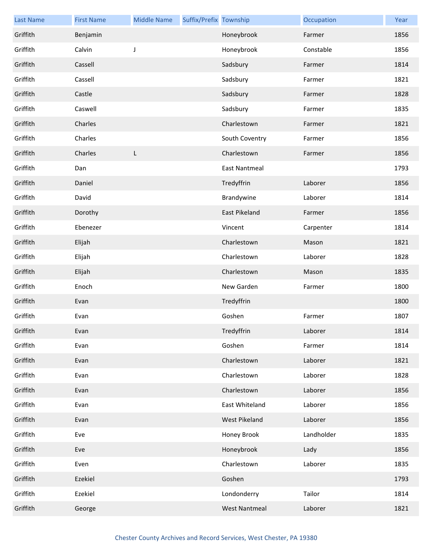| <b>Last Name</b> | <b>First Name</b> | <b>Middle Name</b> | Suffix/Prefix Township |                      | Occupation | Year |
|------------------|-------------------|--------------------|------------------------|----------------------|------------|------|
| Griffith         | Benjamin          |                    |                        | Honeybrook           | Farmer     | 1856 |
| Griffith         | Calvin            | J                  |                        | Honeybrook           | Constable  | 1856 |
| Griffith         | Cassell           |                    |                        | Sadsbury             | Farmer     | 1814 |
| Griffith         | Cassell           |                    |                        | Sadsbury             | Farmer     | 1821 |
| Griffith         | Castle            |                    |                        | Sadsbury             | Farmer     | 1828 |
| Griffith         | Caswell           |                    |                        | Sadsbury             | Farmer     | 1835 |
| Griffith         | Charles           |                    |                        | Charlestown          | Farmer     | 1821 |
| Griffith         | Charles           |                    |                        | South Coventry       | Farmer     | 1856 |
| Griffith         | Charles           | L                  |                        | Charlestown          | Farmer     | 1856 |
| Griffith         | Dan               |                    |                        | <b>East Nantmeal</b> |            | 1793 |
| Griffith         | Daniel            |                    |                        | Tredyffrin           | Laborer    | 1856 |
| Griffith         | David             |                    |                        | Brandywine           | Laborer    | 1814 |
| Griffith         | Dorothy           |                    |                        | East Pikeland        | Farmer     | 1856 |
| Griffith         | Ebenezer          |                    |                        | Vincent              | Carpenter  | 1814 |
| Griffith         | Elijah            |                    |                        | Charlestown          | Mason      | 1821 |
| Griffith         | Elijah            |                    |                        | Charlestown          | Laborer    | 1828 |
| Griffith         | Elijah            |                    |                        | Charlestown          | Mason      | 1835 |
| Griffith         | Enoch             |                    |                        | New Garden           | Farmer     | 1800 |
| Griffith         | Evan              |                    |                        | Tredyffrin           |            | 1800 |
| Griffith         | Evan              |                    |                        | Goshen               | Farmer     | 1807 |
| Griffith         | Evan              |                    |                        | Tredyffrin           | Laborer    | 1814 |
| Griffith         | Evan              |                    |                        | Goshen               | Farmer     | 1814 |
| Griffith         | Evan              |                    |                        | Charlestown          | Laborer    | 1821 |
| Griffith         | Evan              |                    |                        | Charlestown          | Laborer    | 1828 |
| Griffith         | Evan              |                    |                        | Charlestown          | Laborer    | 1856 |
| Griffith         | Evan              |                    |                        | East Whiteland       | Laborer    | 1856 |
| Griffith         | Evan              |                    |                        | West Pikeland        | Laborer    | 1856 |
| Griffith         | Eve               |                    |                        | Honey Brook          | Landholder | 1835 |
| Griffith         | Eve               |                    |                        | Honeybrook           | Lady       | 1856 |
| Griffith         | Even              |                    |                        | Charlestown          | Laborer    | 1835 |
| Griffith         | Ezekiel           |                    |                        | Goshen               |            | 1793 |
| Griffith         | Ezekiel           |                    |                        | Londonderry          | Tailor     | 1814 |
| Griffith         | George            |                    |                        | <b>West Nantmeal</b> | Laborer    | 1821 |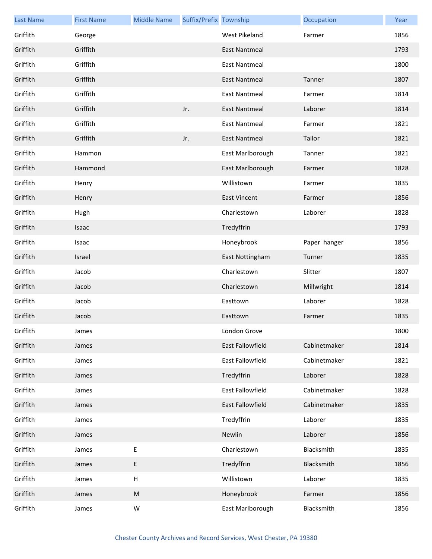| <b>Last Name</b> | <b>First Name</b> | <b>Middle Name</b> | Suffix/Prefix Township |                      | Occupation   | Year |
|------------------|-------------------|--------------------|------------------------|----------------------|--------------|------|
| Griffith         | George            |                    |                        | West Pikeland        | Farmer       | 1856 |
| Griffith         | Griffith          |                    |                        | East Nantmeal        |              | 1793 |
| Griffith         | Griffith          |                    |                        | <b>East Nantmeal</b> |              | 1800 |
| Griffith         | Griffith          |                    |                        | <b>East Nantmeal</b> | Tanner       | 1807 |
| Griffith         | Griffith          |                    |                        | <b>East Nantmeal</b> | Farmer       | 1814 |
| Griffith         | Griffith          |                    | Jr.                    | <b>East Nantmeal</b> | Laborer      | 1814 |
| Griffith         | Griffith          |                    |                        | <b>East Nantmeal</b> | Farmer       | 1821 |
| Griffith         | Griffith          |                    | Jr.                    | <b>East Nantmeal</b> | Tailor       | 1821 |
| Griffith         | Hammon            |                    |                        | East Marlborough     | Tanner       | 1821 |
| Griffith         | Hammond           |                    |                        | East Marlborough     | Farmer       | 1828 |
| Griffith         | Henry             |                    |                        | Willistown           | Farmer       | 1835 |
| Griffith         | Henry             |                    |                        | <b>East Vincent</b>  | Farmer       | 1856 |
| Griffith         | Hugh              |                    |                        | Charlestown          | Laborer      | 1828 |
| Griffith         | Isaac             |                    |                        | Tredyffrin           |              | 1793 |
| Griffith         | Isaac             |                    |                        | Honeybrook           | Paper hanger | 1856 |
| Griffith         | Israel            |                    |                        | East Nottingham      | Turner       | 1835 |
| Griffith         | Jacob             |                    |                        | Charlestown          | Slitter      | 1807 |
| Griffith         | Jacob             |                    |                        | Charlestown          | Millwright   | 1814 |
| Griffith         | Jacob             |                    |                        | Easttown             | Laborer      | 1828 |
| Griffith         | Jacob             |                    |                        | Easttown             | Farmer       | 1835 |
| Griffith         | James             |                    |                        | London Grove         |              | 1800 |
| Griffith         | James             |                    |                        | East Fallowfield     | Cabinetmaker | 1814 |
| Griffith         | James             |                    |                        | East Fallowfield     | Cabinetmaker | 1821 |
| Griffith         | James             |                    |                        | Tredyffrin           | Laborer      | 1828 |
| Griffith         | James             |                    |                        | East Fallowfield     | Cabinetmaker | 1828 |
| Griffith         | James             |                    |                        | East Fallowfield     | Cabinetmaker | 1835 |
| Griffith         | James             |                    |                        | Tredyffrin           | Laborer      | 1835 |
| Griffith         | James             |                    |                        | Newlin               | Laborer      | 1856 |
| Griffith         | James             | $\sf E$            |                        | Charlestown          | Blacksmith   | 1835 |
| Griffith         | James             | $\sf E$            |                        | Tredyffrin           | Blacksmith   | 1856 |
| Griffith         | James             | $\sf H$            |                        | Willistown           | Laborer      | 1835 |
| Griffith         | James             | ${\sf M}$          |                        | Honeybrook           | Farmer       | 1856 |
| Griffith         | James             | W                  |                        | East Marlborough     | Blacksmith   | 1856 |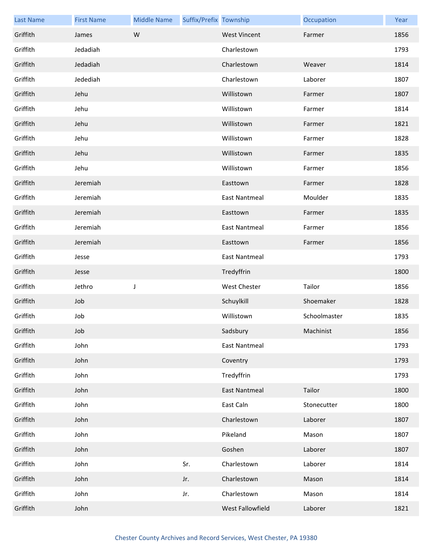| <b>Last Name</b> | <b>First Name</b> | <b>Middle Name</b> | Suffix/Prefix Township |                      | Occupation   | Year |
|------------------|-------------------|--------------------|------------------------|----------------------|--------------|------|
| Griffith         | James             | W                  |                        | <b>West Vincent</b>  | Farmer       | 1856 |
| Griffith         | Jedadiah          |                    |                        | Charlestown          |              | 1793 |
| Griffith         | Jedadiah          |                    |                        | Charlestown          | Weaver       | 1814 |
| Griffith         | Jedediah          |                    |                        | Charlestown          | Laborer      | 1807 |
| Griffith         | Jehu              |                    |                        | Willistown           | Farmer       | 1807 |
| Griffith         | Jehu              |                    |                        | Willistown           | Farmer       | 1814 |
| Griffith         | Jehu              |                    |                        | Willistown           | Farmer       | 1821 |
| Griffith         | Jehu              |                    |                        | Willistown           | Farmer       | 1828 |
| Griffith         | Jehu              |                    |                        | Willistown           | Farmer       | 1835 |
| Griffith         | Jehu              |                    |                        | Willistown           | Farmer       | 1856 |
| Griffith         | Jeremiah          |                    |                        | Easttown             | Farmer       | 1828 |
| Griffith         | Jeremiah          |                    |                        | East Nantmeal        | Moulder      | 1835 |
| Griffith         | Jeremiah          |                    |                        | Easttown             | Farmer       | 1835 |
| Griffith         | Jeremiah          |                    |                        | East Nantmeal        | Farmer       | 1856 |
| Griffith         | Jeremiah          |                    |                        | Easttown             | Farmer       | 1856 |
| Griffith         | Jesse             |                    |                        | <b>East Nantmeal</b> |              | 1793 |
| Griffith         | Jesse             |                    |                        | Tredyffrin           |              | 1800 |
| Griffith         | Jethro            | J                  |                        | West Chester         | Tailor       | 1856 |
| Griffith         | Job               |                    |                        | Schuylkill           | Shoemaker    | 1828 |
| Griffith         | Job               |                    |                        | Willistown           | Schoolmaster | 1835 |
| Griffith         | Job               |                    |                        | Sadsbury             | Machinist    | 1856 |
| Griffith         | John              |                    |                        | <b>East Nantmeal</b> |              | 1793 |
| Griffith         | John              |                    |                        | Coventry             |              | 1793 |
| Griffith         | John              |                    |                        | Tredyffrin           |              | 1793 |
| Griffith         | John              |                    |                        | <b>East Nantmeal</b> | Tailor       | 1800 |
| Griffith         | John              |                    |                        | East Caln            | Stonecutter  | 1800 |
| Griffith         | John              |                    |                        | Charlestown          | Laborer      | 1807 |
| Griffith         | John              |                    |                        | Pikeland             | Mason        | 1807 |
| Griffith         | John              |                    |                        | Goshen               | Laborer      | 1807 |
| Griffith         | John              |                    | Sr.                    | Charlestown          | Laborer      | 1814 |
| Griffith         | John              |                    | Jr.                    | Charlestown          | Mason        | 1814 |
| Griffith         | John              |                    | Jr.                    | Charlestown          | Mason        | 1814 |
| Griffith         | John              |                    |                        | West Fallowfield     | Laborer      | 1821 |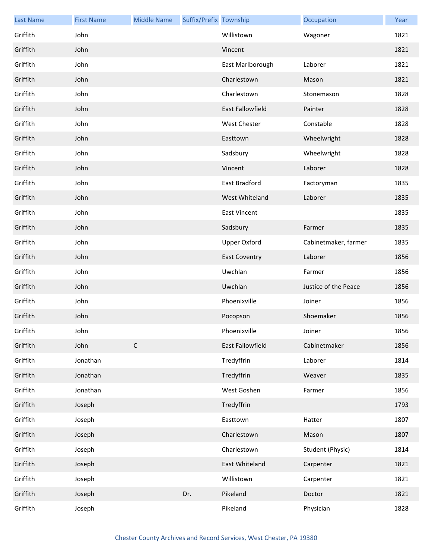| <b>Last Name</b> | <b>First Name</b> | <b>Middle Name</b> | Suffix/Prefix Township |                         | Occupation           | Year |
|------------------|-------------------|--------------------|------------------------|-------------------------|----------------------|------|
| Griffith         | John              |                    |                        | Willistown              | Wagoner              | 1821 |
| Griffith         | John              |                    |                        | Vincent                 |                      | 1821 |
| Griffith         | John              |                    |                        | East Marlborough        | Laborer              | 1821 |
| Griffith         | John              |                    |                        | Charlestown             | Mason                | 1821 |
| Griffith         | John              |                    |                        | Charlestown             | Stonemason           | 1828 |
| Griffith         | John              |                    |                        | <b>East Fallowfield</b> | Painter              | 1828 |
| Griffith         | John              |                    |                        | West Chester            | Constable            | 1828 |
| Griffith         | John              |                    |                        | Easttown                | Wheelwright          | 1828 |
| Griffith         | John              |                    |                        | Sadsbury                | Wheelwright          | 1828 |
| Griffith         | John              |                    |                        | Vincent                 | Laborer              | 1828 |
| Griffith         | John              |                    |                        | East Bradford           | Factoryman           | 1835 |
| Griffith         | John              |                    |                        | West Whiteland          | Laborer              | 1835 |
| Griffith         | John              |                    |                        | <b>East Vincent</b>     |                      | 1835 |
| Griffith         | John              |                    |                        | Sadsbury                | Farmer               | 1835 |
| Griffith         | John              |                    |                        | <b>Upper Oxford</b>     | Cabinetmaker, farmer | 1835 |
| Griffith         | John              |                    |                        | <b>East Coventry</b>    | Laborer              | 1856 |
| Griffith         | John              |                    |                        | Uwchlan                 | Farmer               | 1856 |
| Griffith         | John              |                    |                        | Uwchlan                 | Justice of the Peace | 1856 |
| Griffith         | John              |                    |                        | Phoenixville            | Joiner               | 1856 |
| Griffith         | John              |                    |                        | Pocopson                | Shoemaker            | 1856 |
| Griffith         | John              |                    |                        | Phoenixville            | Joiner               | 1856 |
| Griffith         | John              | $\mathsf C$        |                        | East Fallowfield        | Cabinetmaker         | 1856 |
| Griffith         | Jonathan          |                    |                        | Tredyffrin              | Laborer              | 1814 |
| Griffith         | Jonathan          |                    |                        | Tredyffrin              | Weaver               | 1835 |
| Griffith         | Jonathan          |                    |                        | West Goshen             | Farmer               | 1856 |
| Griffith         | Joseph            |                    |                        | Tredyffrin              |                      | 1793 |
| Griffith         | Joseph            |                    |                        | Easttown                | Hatter               | 1807 |
| Griffith         | Joseph            |                    |                        | Charlestown             | Mason                | 1807 |
| Griffith         | Joseph            |                    |                        | Charlestown             | Student (Physic)     | 1814 |
| Griffith         | Joseph            |                    |                        | East Whiteland          | Carpenter            | 1821 |
| Griffith         | Joseph            |                    |                        | Willistown              | Carpenter            | 1821 |
| Griffith         | Joseph            |                    | Dr.                    | Pikeland                | Doctor               | 1821 |
| Griffith         | Joseph            |                    |                        | Pikeland                | Physician            | 1828 |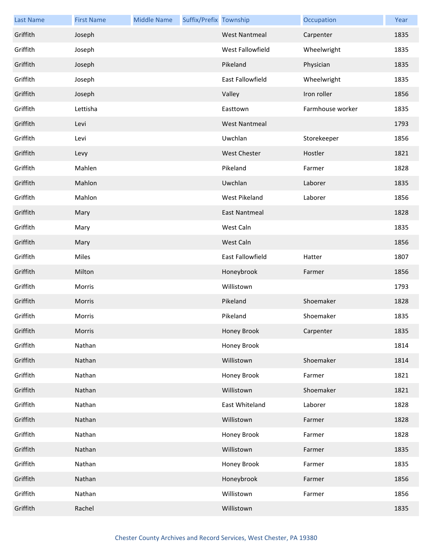| <b>Last Name</b> | <b>First Name</b> | <b>Middle Name</b> | Suffix/Prefix Township |                      | Occupation       | Year |
|------------------|-------------------|--------------------|------------------------|----------------------|------------------|------|
| Griffith         | Joseph            |                    |                        | <b>West Nantmeal</b> | Carpenter        | 1835 |
| Griffith         | Joseph            |                    |                        | West Fallowfield     | Wheelwright      | 1835 |
| Griffith         | Joseph            |                    |                        | Pikeland             | Physician        | 1835 |
| Griffith         | Joseph            |                    |                        | East Fallowfield     | Wheelwright      | 1835 |
| Griffith         | Joseph            |                    |                        | Valley               | Iron roller      | 1856 |
| Griffith         | Lettisha          |                    |                        | Easttown             | Farmhouse worker | 1835 |
| Griffith         | Levi              |                    |                        | <b>West Nantmeal</b> |                  | 1793 |
| Griffith         | Levi              |                    |                        | Uwchlan              | Storekeeper      | 1856 |
| Griffith         | Levy              |                    |                        | <b>West Chester</b>  | Hostler          | 1821 |
| Griffith         | Mahlen            |                    |                        | Pikeland             | Farmer           | 1828 |
| Griffith         | Mahlon            |                    |                        | Uwchlan              | Laborer          | 1835 |
| Griffith         | Mahlon            |                    |                        | West Pikeland        | Laborer          | 1856 |
| Griffith         | Mary              |                    |                        | <b>East Nantmeal</b> |                  | 1828 |
| Griffith         | Mary              |                    |                        | West Caln            |                  | 1835 |
| Griffith         | Mary              |                    |                        | West Caln            |                  | 1856 |
| Griffith         | Miles             |                    |                        | East Fallowfield     | Hatter           | 1807 |
| Griffith         | Milton            |                    |                        | Honeybrook           | Farmer           | 1856 |
| Griffith         | Morris            |                    |                        | Willistown           |                  | 1793 |
| Griffith         | Morris            |                    |                        | Pikeland             | Shoemaker        | 1828 |
| Griffith         | Morris            |                    |                        | Pikeland             | Shoemaker        | 1835 |
| Griffith         | Morris            |                    |                        | Honey Brook          | Carpenter        | 1835 |
| Griffith         | Nathan            |                    |                        | Honey Brook          |                  | 1814 |
| Griffith         | Nathan            |                    |                        | Willistown           | Shoemaker        | 1814 |
| Griffith         | Nathan            |                    |                        | Honey Brook          | Farmer           | 1821 |
| Griffith         | Nathan            |                    |                        | Willistown           | Shoemaker        | 1821 |
| Griffith         | Nathan            |                    |                        | East Whiteland       | Laborer          | 1828 |
| Griffith         | Nathan            |                    |                        | Willistown           | Farmer           | 1828 |
| Griffith         | Nathan            |                    |                        | Honey Brook          | Farmer           | 1828 |
| Griffith         | Nathan            |                    |                        | Willistown           | Farmer           | 1835 |
| Griffith         | Nathan            |                    |                        | Honey Brook          | Farmer           | 1835 |
| Griffith         | Nathan            |                    |                        | Honeybrook           | Farmer           | 1856 |
| Griffith         | Nathan            |                    |                        | Willistown           | Farmer           | 1856 |
| Griffith         | Rachel            |                    |                        | Willistown           |                  | 1835 |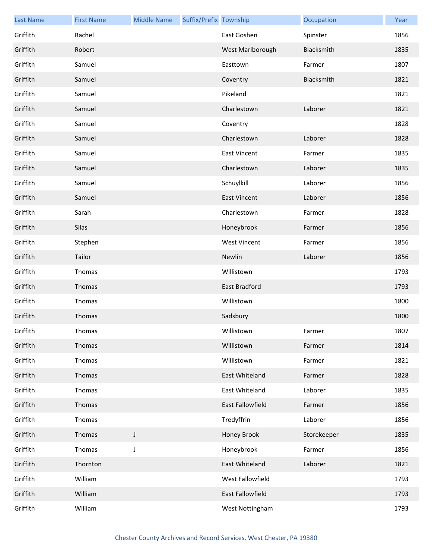| <b>Last Name</b> | <b>First Name</b> | <b>Middle Name</b> | Suffix/Prefix Township |                     | Occupation  | Year |
|------------------|-------------------|--------------------|------------------------|---------------------|-------------|------|
| Griffith         | Rachel            |                    |                        | East Goshen         | Spinster    | 1856 |
| Griffith         | Robert            |                    |                        | West Marlborough    | Blacksmith  | 1835 |
| Griffith         | Samuel            |                    |                        | Easttown            | Farmer      | 1807 |
| Griffith         | Samuel            |                    |                        | Coventry            | Blacksmith  | 1821 |
| Griffith         | Samuel            |                    |                        | Pikeland            |             | 1821 |
| Griffith         | Samuel            |                    |                        | Charlestown         | Laborer     | 1821 |
| Griffith         | Samuel            |                    |                        | Coventry            |             | 1828 |
| Griffith         | Samuel            |                    |                        | Charlestown         | Laborer     | 1828 |
| Griffith         | Samuel            |                    |                        | <b>East Vincent</b> | Farmer      | 1835 |
| Griffith         | Samuel            |                    |                        | Charlestown         | Laborer     | 1835 |
| Griffith         | Samuel            |                    |                        | Schuylkill          | Laborer     | 1856 |
| Griffith         | Samuel            |                    |                        | <b>East Vincent</b> | Laborer     | 1856 |
| Griffith         | Sarah             |                    |                        | Charlestown         | Farmer      | 1828 |
| Griffith         | Silas             |                    |                        | Honeybrook          | Farmer      | 1856 |
| Griffith         | Stephen           |                    |                        | <b>West Vincent</b> | Farmer      | 1856 |
| Griffith         | Tailor            |                    |                        | Newlin              | Laborer     | 1856 |
| Griffith         | Thomas            |                    |                        | Willistown          |             | 1793 |
| Griffith         | Thomas            |                    |                        | East Bradford       |             | 1793 |
| Griffith         | Thomas            |                    |                        | Willistown          |             | 1800 |
| Griffith         | Thomas            |                    |                        | Sadsbury            |             | 1800 |
| Griffith         | Thomas            |                    |                        | Willistown          | Farmer      | 1807 |
| Griffith         | Thomas            |                    |                        | Willistown          | Farmer      | 1814 |
| Griffith         | Thomas            |                    |                        | Willistown          | Farmer      | 1821 |
| Griffith         | Thomas            |                    |                        | East Whiteland      | Farmer      | 1828 |
| Griffith         | Thomas            |                    |                        | East Whiteland      | Laborer     | 1835 |
| Griffith         | Thomas            |                    |                        | East Fallowfield    | Farmer      | 1856 |
| Griffith         | Thomas            |                    |                        | Tredyffrin          | Laborer     | 1856 |
| Griffith         | Thomas            | $\mathsf J$        |                        | Honey Brook         | Storekeeper | 1835 |
| Griffith         | Thomas            | J                  |                        | Honeybrook          | Farmer      | 1856 |
| Griffith         | Thornton          |                    |                        | East Whiteland      | Laborer     | 1821 |
| Griffith         | William           |                    |                        | West Fallowfield    |             | 1793 |
| Griffith         | William           |                    |                        | East Fallowfield    |             | 1793 |
| Griffith         | William           |                    |                        | West Nottingham     |             | 1793 |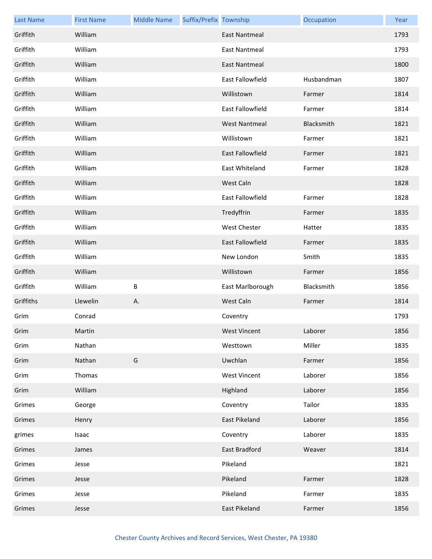| <b>Last Name</b> | <b>First Name</b> | <b>Middle Name</b> | Suffix/Prefix Township |                         | Occupation | Year |
|------------------|-------------------|--------------------|------------------------|-------------------------|------------|------|
| Griffith         | William           |                    |                        | <b>East Nantmeal</b>    |            | 1793 |
| Griffith         | William           |                    |                        | East Nantmeal           |            | 1793 |
| Griffith         | William           |                    |                        | <b>East Nantmeal</b>    |            | 1800 |
| Griffith         | William           |                    |                        | East Fallowfield        | Husbandman | 1807 |
| Griffith         | William           |                    |                        | Willistown              | Farmer     | 1814 |
| Griffith         | William           |                    |                        | East Fallowfield        | Farmer     | 1814 |
| Griffith         | William           |                    |                        | <b>West Nantmeal</b>    | Blacksmith | 1821 |
| Griffith         | William           |                    |                        | Willistown              | Farmer     | 1821 |
| Griffith         | William           |                    |                        | <b>East Fallowfield</b> | Farmer     | 1821 |
| Griffith         | William           |                    |                        | East Whiteland          | Farmer     | 1828 |
| Griffith         | William           |                    |                        | West Caln               |            | 1828 |
| Griffith         | William           |                    |                        | East Fallowfield        | Farmer     | 1828 |
| Griffith         | William           |                    |                        | Tredyffrin              | Farmer     | 1835 |
| Griffith         | William           |                    |                        | West Chester            | Hatter     | 1835 |
| Griffith         | William           |                    |                        | East Fallowfield        | Farmer     | 1835 |
| Griffith         | William           |                    |                        | New London              | Smith      | 1835 |
| Griffith         | William           |                    |                        | Willistown              | Farmer     | 1856 |
| Griffith         | William           | B                  |                        | East Marlborough        | Blacksmith | 1856 |
| Griffiths        | Llewelin          | А.                 |                        | West Caln               | Farmer     | 1814 |
| Grim             | Conrad            |                    |                        | Coventry                |            | 1793 |
| Grim             | Martin            |                    |                        | <b>West Vincent</b>     | Laborer    | 1856 |
| Grim             | Nathan            |                    |                        | Westtown                | Miller     | 1835 |
| Grim             | Nathan            | G                  |                        | Uwchlan                 | Farmer     | 1856 |
| Grim             | Thomas            |                    |                        | <b>West Vincent</b>     | Laborer    | 1856 |
| Grim             | William           |                    |                        | Highland                | Laborer    | 1856 |
| Grimes           | George            |                    |                        | Coventry                | Tailor     | 1835 |
| Grimes           | Henry             |                    |                        | <b>East Pikeland</b>    | Laborer    | 1856 |
| grimes           | Isaac             |                    |                        | Coventry                | Laborer    | 1835 |
| Grimes           | James             |                    |                        | East Bradford           | Weaver     | 1814 |
| Grimes           | Jesse             |                    |                        | Pikeland                |            | 1821 |
| Grimes           | Jesse             |                    |                        | Pikeland                | Farmer     | 1828 |
| Grimes           | Jesse             |                    |                        | Pikeland                | Farmer     | 1835 |
| Grimes           | Jesse             |                    |                        | East Pikeland           | Farmer     | 1856 |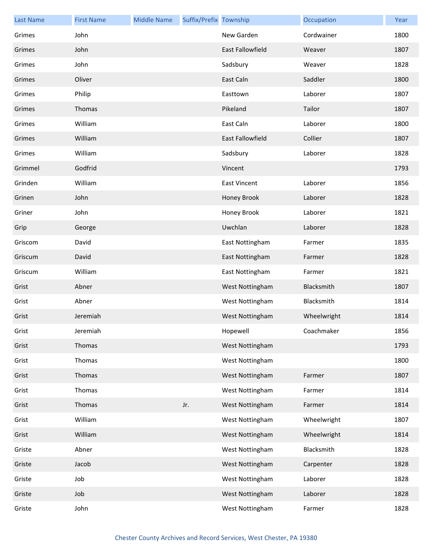| <b>Last Name</b> | <b>First Name</b> | <b>Middle Name</b> | Suffix/Prefix Township |                         | Occupation  | Year |
|------------------|-------------------|--------------------|------------------------|-------------------------|-------------|------|
| Grimes           | John              |                    |                        | New Garden              | Cordwainer  | 1800 |
| Grimes           | John              |                    |                        | <b>East Fallowfield</b> | Weaver      | 1807 |
| Grimes           | John              |                    |                        | Sadsbury                | Weaver      | 1828 |
| Grimes           | Oliver            |                    |                        | East Caln               | Saddler     | 1800 |
| Grimes           | Philip            |                    |                        | Easttown                | Laborer     | 1807 |
| Grimes           | Thomas            |                    |                        | Pikeland                | Tailor      | 1807 |
| Grimes           | William           |                    |                        | East Caln               | Laborer     | 1800 |
| Grimes           | William           |                    |                        | East Fallowfield        | Collier     | 1807 |
| Grimes           | William           |                    |                        | Sadsbury                | Laborer     | 1828 |
| Grimmel          | Godfrid           |                    |                        | Vincent                 |             | 1793 |
| Grinden          | William           |                    |                        | <b>East Vincent</b>     | Laborer     | 1856 |
| Grinen           | John              |                    |                        | Honey Brook             | Laborer     | 1828 |
| Griner           | John              |                    |                        | Honey Brook             | Laborer     | 1821 |
| Grip             | George            |                    |                        | Uwchlan                 | Laborer     | 1828 |
| Griscom          | David             |                    |                        | East Nottingham         | Farmer      | 1835 |
| Griscum          | David             |                    |                        | East Nottingham         | Farmer      | 1828 |
| Griscum          | William           |                    |                        | East Nottingham         | Farmer      | 1821 |
| Grist            | Abner             |                    |                        | West Nottingham         | Blacksmith  | 1807 |
| Grist            | Abner             |                    |                        | West Nottingham         | Blacksmith  | 1814 |
| Grist            | Jeremiah          |                    |                        | West Nottingham         | Wheelwright | 1814 |
| Grist            | Jeremiah          |                    |                        | Hopewell                | Coachmaker  | 1856 |
| Grist            | Thomas            |                    |                        | West Nottingham         |             | 1793 |
| Grist            | Thomas            |                    |                        | West Nottingham         |             | 1800 |
| Grist            | Thomas            |                    |                        | West Nottingham         | Farmer      | 1807 |
| Grist            | Thomas            |                    |                        | West Nottingham         | Farmer      | 1814 |
| Grist            | Thomas            |                    | Jr.                    | West Nottingham         | Farmer      | 1814 |
| Grist            | William           |                    |                        | West Nottingham         | Wheelwright | 1807 |
| Grist            | William           |                    |                        | West Nottingham         | Wheelwright | 1814 |
| Griste           | Abner             |                    |                        | West Nottingham         | Blacksmith  | 1828 |
| Griste           | Jacob             |                    |                        | West Nottingham         | Carpenter   | 1828 |
| Griste           | Job               |                    |                        | West Nottingham         | Laborer     | 1828 |
| Griste           | Job               |                    |                        | West Nottingham         | Laborer     | 1828 |
| Griste           | John              |                    |                        | West Nottingham         | Farmer      | 1828 |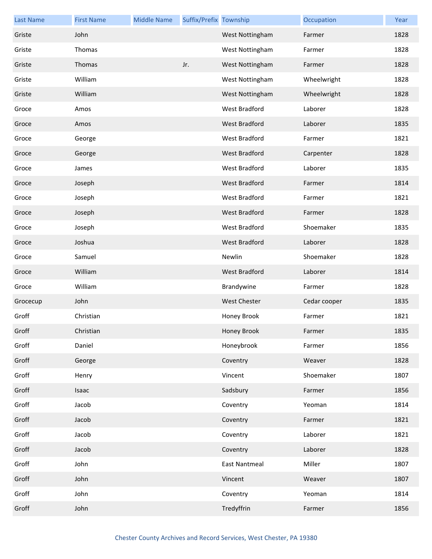| <b>Last Name</b> | <b>First Name</b> | <b>Middle Name</b> | Suffix/Prefix Township |                      | Occupation   | Year |
|------------------|-------------------|--------------------|------------------------|----------------------|--------------|------|
| Griste           | John              |                    |                        | West Nottingham      | Farmer       | 1828 |
| Griste           | Thomas            |                    |                        | West Nottingham      | Farmer       | 1828 |
| Griste           | Thomas            |                    | Jr.                    | West Nottingham      | Farmer       | 1828 |
| Griste           | William           |                    |                        | West Nottingham      | Wheelwright  | 1828 |
| Griste           | William           |                    |                        | West Nottingham      | Wheelwright  | 1828 |
| Groce            | Amos              |                    |                        | West Bradford        | Laborer      | 1828 |
| Groce            | Amos              |                    |                        | <b>West Bradford</b> | Laborer      | 1835 |
| Groce            | George            |                    |                        | West Bradford        | Farmer       | 1821 |
| Groce            | George            |                    |                        | West Bradford        | Carpenter    | 1828 |
| Groce            | James             |                    |                        | <b>West Bradford</b> | Laborer      | 1835 |
| Groce            | Joseph            |                    |                        | <b>West Bradford</b> | Farmer       | 1814 |
| Groce            | Joseph            |                    |                        | West Bradford        | Farmer       | 1821 |
| Groce            | Joseph            |                    |                        | <b>West Bradford</b> | Farmer       | 1828 |
| Groce            | Joseph            |                    |                        | West Bradford        | Shoemaker    | 1835 |
| Groce            | Joshua            |                    |                        | <b>West Bradford</b> | Laborer      | 1828 |
| Groce            | Samuel            |                    |                        | Newlin               | Shoemaker    | 1828 |
| Groce            | William           |                    |                        | West Bradford        | Laborer      | 1814 |
| Groce            | William           |                    |                        | Brandywine           | Farmer       | 1828 |
| Grocecup         | John              |                    |                        | <b>West Chester</b>  | Cedar cooper | 1835 |
| Groff            | Christian         |                    |                        | Honey Brook          | Farmer       | 1821 |
| Groff            | Christian         |                    |                        | Honey Brook          | Farmer       | 1835 |
| Groff            | Daniel            |                    |                        | Honeybrook           | Farmer       | 1856 |
| Groff            | George            |                    |                        | Coventry             | Weaver       | 1828 |
| Groff            | Henry             |                    |                        | Vincent              | Shoemaker    | 1807 |
| Groff            | Isaac             |                    |                        | Sadsbury             | Farmer       | 1856 |
| Groff            | Jacob             |                    |                        | Coventry             | Yeoman       | 1814 |
| Groff            | Jacob             |                    |                        | Coventry             | Farmer       | 1821 |
| Groff            | Jacob             |                    |                        | Coventry             | Laborer      | 1821 |
| Groff            | Jacob             |                    |                        | Coventry             | Laborer      | 1828 |
| Groff            | John              |                    |                        | <b>East Nantmeal</b> | Miller       | 1807 |
| Groff            | John              |                    |                        | Vincent              | Weaver       | 1807 |
| Groff            | John              |                    |                        | Coventry             | Yeoman       | 1814 |
| Groff            | John              |                    |                        | Tredyffrin           | Farmer       | 1856 |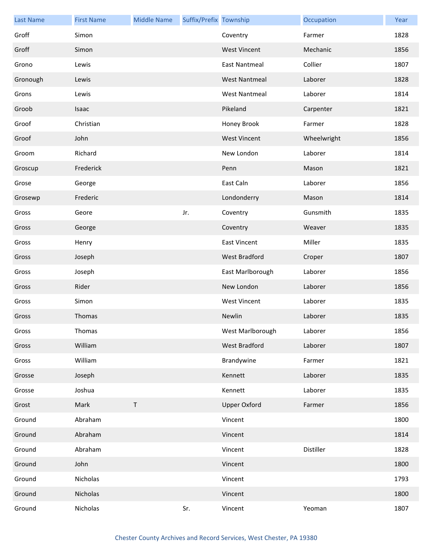| <b>Last Name</b> | <b>First Name</b> | <b>Middle Name</b> | Suffix/Prefix Township |                      | Occupation  | Year |
|------------------|-------------------|--------------------|------------------------|----------------------|-------------|------|
| Groff            | Simon             |                    |                        | Coventry             | Farmer      | 1828 |
| Groff            | Simon             |                    |                        | <b>West Vincent</b>  | Mechanic    | 1856 |
| Grono            | Lewis             |                    |                        | <b>East Nantmeal</b> | Collier     | 1807 |
| Gronough         | Lewis             |                    |                        | <b>West Nantmeal</b> | Laborer     | 1828 |
| Grons            | Lewis             |                    |                        | <b>West Nantmeal</b> | Laborer     | 1814 |
| Groob            | Isaac             |                    |                        | Pikeland             | Carpenter   | 1821 |
| Groof            | Christian         |                    |                        | Honey Brook          | Farmer      | 1828 |
| Groof            | John              |                    |                        | <b>West Vincent</b>  | Wheelwright | 1856 |
| Groom            | Richard           |                    |                        | New London           | Laborer     | 1814 |
| Groscup          | Frederick         |                    |                        | Penn                 | Mason       | 1821 |
| Grose            | George            |                    |                        | East Caln            | Laborer     | 1856 |
| Grosewp          | Frederic          |                    |                        | Londonderry          | Mason       | 1814 |
| Gross            | Geore             |                    | Jr.                    | Coventry             | Gunsmith    | 1835 |
| Gross            | George            |                    |                        | Coventry             | Weaver      | 1835 |
| Gross            | Henry             |                    |                        | <b>East Vincent</b>  | Miller      | 1835 |
| Gross            | Joseph            |                    |                        | West Bradford        | Croper      | 1807 |
| Gross            | Joseph            |                    |                        | East Marlborough     | Laborer     | 1856 |
| Gross            | Rider             |                    |                        | New London           | Laborer     | 1856 |
| Gross            | Simon             |                    |                        | <b>West Vincent</b>  | Laborer     | 1835 |
| Gross            | Thomas            |                    |                        | Newlin               | Laborer     | 1835 |
| Gross            | Thomas            |                    |                        | West Marlborough     | Laborer     | 1856 |
| Gross            | William           |                    |                        | West Bradford        | Laborer     | 1807 |
| Gross            | William           |                    |                        | Brandywine           | Farmer      | 1821 |
| Grosse           | Joseph            |                    |                        | Kennett              | Laborer     | 1835 |
| Grosse           | Joshua            |                    |                        | Kennett              | Laborer     | 1835 |
| Grost            | Mark              | $\sf T$            |                        | <b>Upper Oxford</b>  | Farmer      | 1856 |
| Ground           | Abraham           |                    |                        | Vincent              |             | 1800 |
| Ground           | Abraham           |                    |                        | Vincent              |             | 1814 |
| Ground           | Abraham           |                    |                        | Vincent              | Distiller   | 1828 |
| Ground           | John              |                    |                        | Vincent              |             | 1800 |
| Ground           | Nicholas          |                    |                        | Vincent              |             | 1793 |
| Ground           | Nicholas          |                    |                        | Vincent              |             | 1800 |
| Ground           | Nicholas          |                    | Sr.                    | Vincent              | Yeoman      | 1807 |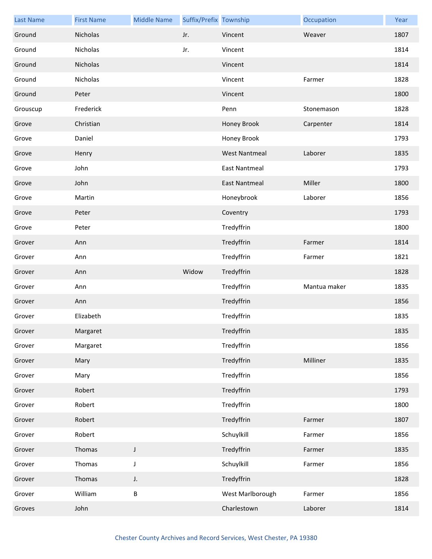| <b>Last Name</b> | <b>First Name</b> | <b>Middle Name</b> | Suffix/Prefix Township |                      | Occupation   | Year |
|------------------|-------------------|--------------------|------------------------|----------------------|--------------|------|
| Ground           | Nicholas          |                    | Jr.                    | Vincent              | Weaver       | 1807 |
| Ground           | Nicholas          |                    | Jr.                    | Vincent              |              | 1814 |
| Ground           | Nicholas          |                    |                        | Vincent              |              | 1814 |
| Ground           | Nicholas          |                    |                        | Vincent              | Farmer       | 1828 |
| Ground           | Peter             |                    |                        | Vincent              |              | 1800 |
| Grouscup         | Frederick         |                    |                        | Penn                 | Stonemason   | 1828 |
| Grove            | Christian         |                    |                        | Honey Brook          | Carpenter    | 1814 |
| Grove            | Daniel            |                    |                        | Honey Brook          |              | 1793 |
| Grove            | Henry             |                    |                        | <b>West Nantmeal</b> | Laborer      | 1835 |
| Grove            | John              |                    |                        | <b>East Nantmeal</b> |              | 1793 |
| Grove            | John              |                    |                        | <b>East Nantmeal</b> | Miller       | 1800 |
| Grove            | Martin            |                    |                        | Honeybrook           | Laborer      | 1856 |
| Grove            | Peter             |                    |                        | Coventry             |              | 1793 |
| Grove            | Peter             |                    |                        | Tredyffrin           |              | 1800 |
| Grover           | Ann               |                    |                        | Tredyffrin           | Farmer       | 1814 |
| Grover           | Ann               |                    |                        | Tredyffrin           | Farmer       | 1821 |
| Grover           | Ann               |                    | Widow                  | Tredyffrin           |              | 1828 |
| Grover           | Ann               |                    |                        | Tredyffrin           | Mantua maker | 1835 |
| Grover           | Ann               |                    |                        | Tredyffrin           |              | 1856 |
| Grover           | Elizabeth         |                    |                        | Tredyffrin           |              | 1835 |
| Grover           | Margaret          |                    |                        | Tredyffrin           |              | 1835 |
| Grover           | Margaret          |                    |                        | Tredyffrin           |              | 1856 |
| Grover           | Mary              |                    |                        | Tredyffrin           | Milliner     | 1835 |
| Grover           | Mary              |                    |                        | Tredyffrin           |              | 1856 |
| Grover           | Robert            |                    |                        | Tredyffrin           |              | 1793 |
| Grover           | Robert            |                    |                        | Tredyffrin           |              | 1800 |
| Grover           | Robert            |                    |                        | Tredyffrin           | Farmer       | 1807 |
| Grover           | Robert            |                    |                        | Schuylkill           | Farmer       | 1856 |
| Grover           | Thomas            | J                  |                        | Tredyffrin           | Farmer       | 1835 |
| Grover           | Thomas            | $\mathsf J$        |                        | Schuylkill           | Farmer       | 1856 |
| Grover           | Thomas            | J.                 |                        | Tredyffrin           |              | 1828 |
| Grover           | William           | $\sf B$            |                        | West Marlborough     | Farmer       | 1856 |
| Groves           | John              |                    |                        | Charlestown          | Laborer      | 1814 |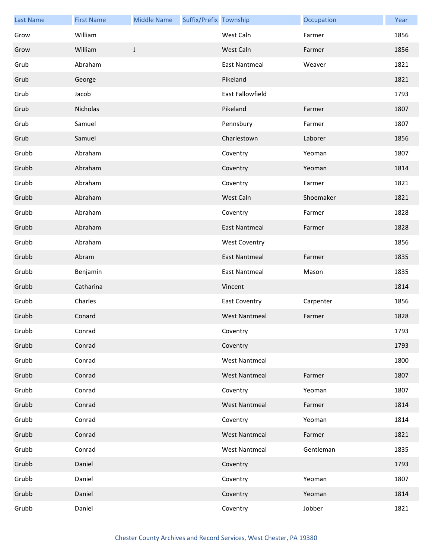| <b>Last Name</b> | <b>First Name</b> | <b>Middle Name</b> | Suffix/Prefix Township |                      | Occupation | Year |
|------------------|-------------------|--------------------|------------------------|----------------------|------------|------|
| Grow             | William           |                    |                        | West Caln            | Farmer     | 1856 |
| Grow             | William           | J                  |                        | West Caln            | Farmer     | 1856 |
| Grub             | Abraham           |                    |                        | <b>East Nantmeal</b> | Weaver     | 1821 |
| Grub             | George            |                    |                        | Pikeland             |            | 1821 |
| Grub             | Jacob             |                    |                        | East Fallowfield     |            | 1793 |
| Grub             | Nicholas          |                    |                        | Pikeland             | Farmer     | 1807 |
| Grub             | Samuel            |                    |                        | Pennsbury            | Farmer     | 1807 |
| Grub             | Samuel            |                    |                        | Charlestown          | Laborer    | 1856 |
| Grubb            | Abraham           |                    |                        | Coventry             | Yeoman     | 1807 |
| Grubb            | Abraham           |                    |                        | Coventry             | Yeoman     | 1814 |
| Grubb            | Abraham           |                    |                        | Coventry             | Farmer     | 1821 |
| Grubb            | Abraham           |                    |                        | West Caln            | Shoemaker  | 1821 |
| Grubb            | Abraham           |                    |                        | Coventry             | Farmer     | 1828 |
| Grubb            | Abraham           |                    |                        | <b>East Nantmeal</b> | Farmer     | 1828 |
| Grubb            | Abraham           |                    |                        | <b>West Coventry</b> |            | 1856 |
| Grubb            | Abram             |                    |                        | <b>East Nantmeal</b> | Farmer     | 1835 |
| Grubb            | Benjamin          |                    |                        | <b>East Nantmeal</b> | Mason      | 1835 |
| Grubb            | Catharina         |                    |                        | Vincent              |            | 1814 |
| Grubb            | Charles           |                    |                        | <b>East Coventry</b> | Carpenter  | 1856 |
| Grubb            | Conard            |                    |                        | <b>West Nantmeal</b> | Farmer     | 1828 |
| Grubb            | Conrad            |                    |                        | Coventry             |            | 1793 |
| Grubb            | Conrad            |                    |                        | Coventry             |            | 1793 |
| Grubb            | Conrad            |                    |                        | <b>West Nantmeal</b> |            | 1800 |
| Grubb            | Conrad            |                    |                        | <b>West Nantmeal</b> | Farmer     | 1807 |
| Grubb            | Conrad            |                    |                        | Coventry             | Yeoman     | 1807 |
| Grubb            | Conrad            |                    |                        | <b>West Nantmeal</b> | Farmer     | 1814 |
| Grubb            | Conrad            |                    |                        | Coventry             | Yeoman     | 1814 |
| Grubb            | Conrad            |                    |                        | <b>West Nantmeal</b> | Farmer     | 1821 |
| Grubb            | Conrad            |                    |                        | <b>West Nantmeal</b> | Gentleman  | 1835 |
| Grubb            | Daniel            |                    |                        | Coventry             |            | 1793 |
| Grubb            | Daniel            |                    |                        | Coventry             | Yeoman     | 1807 |
| Grubb            | Daniel            |                    |                        | Coventry             | Yeoman     | 1814 |
| Grubb            | Daniel            |                    |                        | Coventry             | Jobber     | 1821 |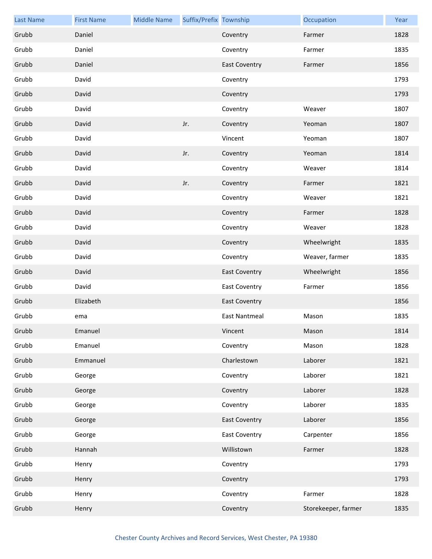| <b>Last Name</b> | <b>First Name</b> | <b>Middle Name</b> | Suffix/Prefix Township |                      | Occupation          | Year |
|------------------|-------------------|--------------------|------------------------|----------------------|---------------------|------|
| Grubb            | Daniel            |                    |                        | Coventry             | Farmer              | 1828 |
| Grubb            | Daniel            |                    |                        | Coventry             | Farmer              | 1835 |
| Grubb            | Daniel            |                    |                        | <b>East Coventry</b> | Farmer              | 1856 |
| Grubb            | David             |                    |                        | Coventry             |                     | 1793 |
| Grubb            | David             |                    |                        | Coventry             |                     | 1793 |
| Grubb            | David             |                    |                        | Coventry             | Weaver              | 1807 |
| Grubb            | David             |                    | Jr.                    | Coventry             | Yeoman              | 1807 |
| Grubb            | David             |                    |                        | Vincent              | Yeoman              | 1807 |
| Grubb            | David             |                    | Jr.                    | Coventry             | Yeoman              | 1814 |
| Grubb            | David             |                    |                        | Coventry             | Weaver              | 1814 |
| Grubb            | David             |                    | Jr.                    | Coventry             | Farmer              | 1821 |
| Grubb            | David             |                    |                        | Coventry             | Weaver              | 1821 |
| Grubb            | David             |                    |                        | Coventry             | Farmer              | 1828 |
| Grubb            | David             |                    |                        | Coventry             | Weaver              | 1828 |
| Grubb            | David             |                    |                        | Coventry             | Wheelwright         | 1835 |
| Grubb            | David             |                    |                        | Coventry             | Weaver, farmer      | 1835 |
| Grubb            | David             |                    |                        | <b>East Coventry</b> | Wheelwright         | 1856 |
| Grubb            | David             |                    |                        | <b>East Coventry</b> | Farmer              | 1856 |
| Grubb            | Elizabeth         |                    |                        | <b>East Coventry</b> |                     | 1856 |
| Grubb            | ema               |                    |                        | <b>East Nantmeal</b> | Mason               | 1835 |
| Grubb            | Emanuel           |                    |                        | Vincent              | Mason               | 1814 |
| Grubb            | Emanuel           |                    |                        | Coventry             | Mason               | 1828 |
| Grubb            | Emmanuel          |                    |                        | Charlestown          | Laborer             | 1821 |
| Grubb            | George            |                    |                        | Coventry             | Laborer             | 1821 |
| Grubb            | George            |                    |                        | Coventry             | Laborer             | 1828 |
| Grubb            | George            |                    |                        | Coventry             | Laborer             | 1835 |
| Grubb            | George            |                    |                        | <b>East Coventry</b> | Laborer             | 1856 |
| Grubb            | George            |                    |                        | <b>East Coventry</b> | Carpenter           | 1856 |
| Grubb            | Hannah            |                    |                        | Willistown           | Farmer              | 1828 |
| Grubb            | Henry             |                    |                        | Coventry             |                     | 1793 |
| Grubb            | Henry             |                    |                        | Coventry             |                     | 1793 |
| Grubb            | Henry             |                    |                        | Coventry             | Farmer              | 1828 |
| Grubb            | Henry             |                    |                        | Coventry             | Storekeeper, farmer | 1835 |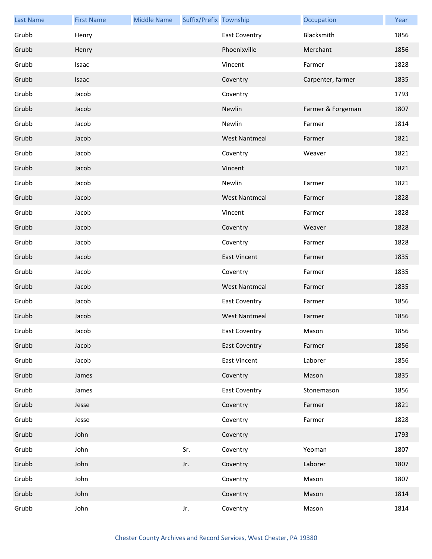| <b>Last Name</b> | <b>First Name</b> | <b>Middle Name</b> | Suffix/Prefix Township |                      | Occupation        | Year |
|------------------|-------------------|--------------------|------------------------|----------------------|-------------------|------|
| Grubb            | Henry             |                    |                        | <b>East Coventry</b> | Blacksmith        | 1856 |
| Grubb            | Henry             |                    |                        | Phoenixville         | Merchant          | 1856 |
| Grubb            | Isaac             |                    |                        | Vincent              | Farmer            | 1828 |
| Grubb            | Isaac             |                    |                        | Coventry             | Carpenter, farmer | 1835 |
| Grubb            | Jacob             |                    |                        | Coventry             |                   | 1793 |
| Grubb            | Jacob             |                    |                        | Newlin               | Farmer & Forgeman | 1807 |
| Grubb            | Jacob             |                    |                        | Newlin               | Farmer            | 1814 |
| Grubb            | Jacob             |                    |                        | <b>West Nantmeal</b> | Farmer            | 1821 |
| Grubb            | Jacob             |                    |                        | Coventry             | Weaver            | 1821 |
| Grubb            | Jacob             |                    |                        | Vincent              |                   | 1821 |
| Grubb            | Jacob             |                    |                        | Newlin               | Farmer            | 1821 |
| Grubb            | Jacob             |                    |                        | <b>West Nantmeal</b> | Farmer            | 1828 |
| Grubb            | Jacob             |                    |                        | Vincent              | Farmer            | 1828 |
| Grubb            | Jacob             |                    |                        | Coventry             | Weaver            | 1828 |
| Grubb            | Jacob             |                    |                        | Coventry             | Farmer            | 1828 |
| Grubb            | Jacob             |                    |                        | <b>East Vincent</b>  | Farmer            | 1835 |
| Grubb            | Jacob             |                    |                        | Coventry             | Farmer            | 1835 |
| Grubb            | Jacob             |                    |                        | <b>West Nantmeal</b> | Farmer            | 1835 |
| Grubb            | Jacob             |                    |                        | <b>East Coventry</b> | Farmer            | 1856 |
| Grubb            | Jacob             |                    |                        | <b>West Nantmeal</b> | Farmer            | 1856 |
| Grubb            | Jacob             |                    |                        | East Coventry        | Mason             | 1856 |
| Grubb            | Jacob             |                    |                        | <b>East Coventry</b> | Farmer            | 1856 |
| Grubb            | Jacob             |                    |                        | East Vincent         | Laborer           | 1856 |
| Grubb            | James             |                    |                        | Coventry             | Mason             | 1835 |
| Grubb            | James             |                    |                        | <b>East Coventry</b> | Stonemason        | 1856 |
| Grubb            | Jesse             |                    |                        | Coventry             | Farmer            | 1821 |
| Grubb            | Jesse             |                    |                        | Coventry             | Farmer            | 1828 |
| Grubb            | John              |                    |                        | Coventry             |                   | 1793 |
| Grubb            | John              |                    | Sr.                    | Coventry             | Yeoman            | 1807 |
| Grubb            | John              |                    | Jr.                    | Coventry             | Laborer           | 1807 |
| Grubb            | John              |                    |                        | Coventry             | Mason             | 1807 |
| Grubb            | John              |                    |                        | Coventry             | Mason             | 1814 |
| Grubb            | John              |                    | Jr.                    | Coventry             | Mason             | 1814 |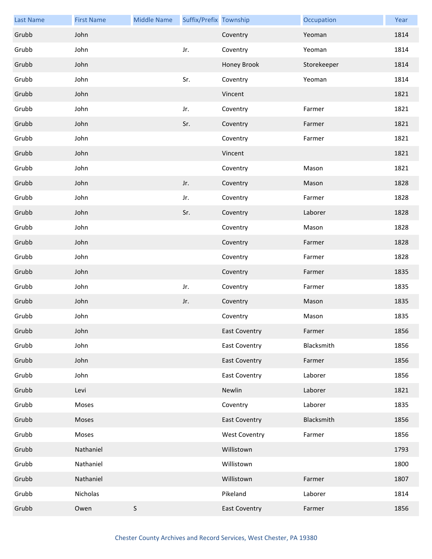| <b>Last Name</b> | <b>First Name</b> | <b>Middle Name</b> | Suffix/Prefix Township |                      | Occupation  | Year |
|------------------|-------------------|--------------------|------------------------|----------------------|-------------|------|
| Grubb            | John              |                    |                        | Coventry             | Yeoman      | 1814 |
| Grubb            | John              |                    | Jr.                    | Coventry             | Yeoman      | 1814 |
| Grubb            | John              |                    |                        | Honey Brook          | Storekeeper | 1814 |
| Grubb            | John              |                    | Sr.                    | Coventry             | Yeoman      | 1814 |
| Grubb            | John              |                    |                        | Vincent              |             | 1821 |
| Grubb            | John              |                    | Jr.                    | Coventry             | Farmer      | 1821 |
| Grubb            | John              |                    | Sr.                    | Coventry             | Farmer      | 1821 |
| Grubb            | John              |                    |                        | Coventry             | Farmer      | 1821 |
| Grubb            | John              |                    |                        | Vincent              |             | 1821 |
| Grubb            | John              |                    |                        | Coventry             | Mason       | 1821 |
| Grubb            | John              |                    | Jr.                    | Coventry             | Mason       | 1828 |
| Grubb            | John              |                    | Jr.                    | Coventry             | Farmer      | 1828 |
| Grubb            | John              |                    | Sr.                    | Coventry             | Laborer     | 1828 |
| Grubb            | John              |                    |                        | Coventry             | Mason       | 1828 |
| Grubb            | John              |                    |                        | Coventry             | Farmer      | 1828 |
| Grubb            | John              |                    |                        | Coventry             | Farmer      | 1828 |
| Grubb            | John              |                    |                        | Coventry             | Farmer      | 1835 |
| Grubb            | John              |                    | Jr.                    | Coventry             | Farmer      | 1835 |
| Grubb            | John              |                    | Jr.                    | Coventry             | Mason       | 1835 |
| Grubb            | John              |                    |                        | Coventry             | Mason       | 1835 |
| Grubb            | John              |                    |                        | <b>East Coventry</b> | Farmer      | 1856 |
| Grubb            | John              |                    |                        | <b>East Coventry</b> | Blacksmith  | 1856 |
| Grubb            | John              |                    |                        | <b>East Coventry</b> | Farmer      | 1856 |
| Grubb            | John              |                    |                        | <b>East Coventry</b> | Laborer     | 1856 |
| Grubb            | Levi              |                    |                        | Newlin               | Laborer     | 1821 |
| Grubb            | Moses             |                    |                        | Coventry             | Laborer     | 1835 |
| Grubb            | Moses             |                    |                        | <b>East Coventry</b> | Blacksmith  | 1856 |
| Grubb            | Moses             |                    |                        | <b>West Coventry</b> | Farmer      | 1856 |
| Grubb            | Nathaniel         |                    |                        | Willistown           |             | 1793 |
| Grubb            | Nathaniel         |                    |                        | Willistown           |             | 1800 |
| Grubb            | Nathaniel         |                    |                        | Willistown           | Farmer      | 1807 |
| Grubb            | Nicholas          |                    |                        | Pikeland             | Laborer     | 1814 |
| Grubb            | Owen              | S                  |                        | <b>East Coventry</b> | Farmer      | 1856 |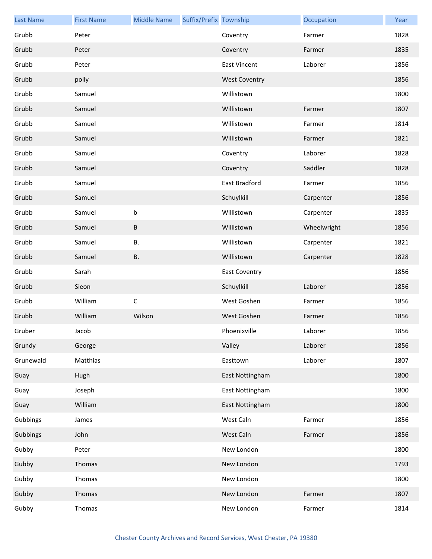| <b>Last Name</b> | <b>First Name</b> | <b>Middle Name</b> | Suffix/Prefix Township |                      | Occupation  | Year |
|------------------|-------------------|--------------------|------------------------|----------------------|-------------|------|
| Grubb            | Peter             |                    |                        | Coventry             | Farmer      | 1828 |
| Grubb            | Peter             |                    |                        | Coventry             | Farmer      | 1835 |
| Grubb            | Peter             |                    |                        | <b>East Vincent</b>  | Laborer     | 1856 |
| Grubb            | polly             |                    |                        | <b>West Coventry</b> |             | 1856 |
| Grubb            | Samuel            |                    |                        | Willistown           |             | 1800 |
| Grubb            | Samuel            |                    |                        | Willistown           | Farmer      | 1807 |
| Grubb            | Samuel            |                    |                        | Willistown           | Farmer      | 1814 |
| Grubb            | Samuel            |                    |                        | Willistown           | Farmer      | 1821 |
| Grubb            | Samuel            |                    |                        | Coventry             | Laborer     | 1828 |
| Grubb            | Samuel            |                    |                        | Coventry             | Saddler     | 1828 |
| Grubb            | Samuel            |                    |                        | East Bradford        | Farmer      | 1856 |
| Grubb            | Samuel            |                    |                        | Schuylkill           | Carpenter   | 1856 |
| Grubb            | Samuel            | $\sf b$            |                        | Willistown           | Carpenter   | 1835 |
| Grubb            | Samuel            | B                  |                        | Willistown           | Wheelwright | 1856 |
| Grubb            | Samuel            | В.                 |                        | Willistown           | Carpenter   | 1821 |
| Grubb            | Samuel            | <b>B.</b>          |                        | Willistown           | Carpenter   | 1828 |
| Grubb            | Sarah             |                    |                        | <b>East Coventry</b> |             | 1856 |
| Grubb            | Sieon             |                    |                        | Schuylkill           | Laborer     | 1856 |
| Grubb            | William           | $\mathsf C$        |                        | West Goshen          | Farmer      | 1856 |
| Grubb            | William           | Wilson             |                        | West Goshen          | Farmer      | 1856 |
| Gruber           | Jacob             |                    |                        | Phoenixville         | Laborer     | 1856 |
| Grundy           | George            |                    |                        | Valley               | Laborer     | 1856 |
| Grunewald        | Matthias          |                    |                        | Easttown             | Laborer     | 1807 |
| Guay             | Hugh              |                    |                        | East Nottingham      |             | 1800 |
| Guay             | Joseph            |                    |                        | East Nottingham      |             | 1800 |
| Guay             | William           |                    |                        | East Nottingham      |             | 1800 |
| Gubbings         | James             |                    |                        | West Caln            | Farmer      | 1856 |
| Gubbings         | John              |                    |                        | West Caln            | Farmer      | 1856 |
| Gubby            | Peter             |                    |                        | New London           |             | 1800 |
| Gubby            | Thomas            |                    |                        | New London           |             | 1793 |
| Gubby            | Thomas            |                    |                        | New London           |             | 1800 |
| Gubby            | Thomas            |                    |                        | New London           | Farmer      | 1807 |
| Gubby            | Thomas            |                    |                        | New London           | Farmer      | 1814 |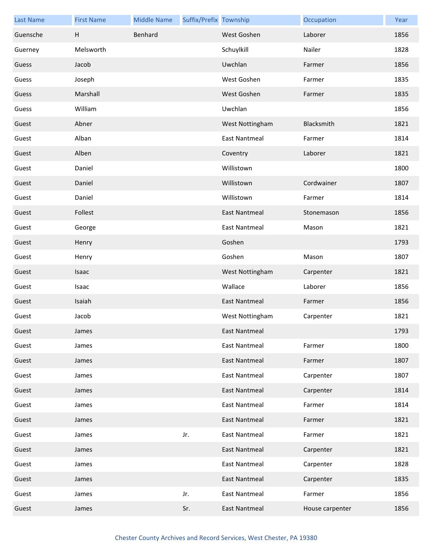| <b>Last Name</b> | <b>First Name</b> | <b>Middle Name</b> | Suffix/Prefix Township |                      | Occupation      | Year |
|------------------|-------------------|--------------------|------------------------|----------------------|-----------------|------|
| Guensche         | H                 | Benhard            |                        | West Goshen          | Laborer         | 1856 |
| Guerney          | Melsworth         |                    |                        | Schuylkill           | Nailer          | 1828 |
| Guess            | Jacob             |                    |                        | Uwchlan              | Farmer          | 1856 |
| Guess            | Joseph            |                    |                        | West Goshen          | Farmer          | 1835 |
| Guess            | Marshall          |                    |                        | West Goshen          | Farmer          | 1835 |
| Guess            | William           |                    |                        | Uwchlan              |                 | 1856 |
| Guest            | Abner             |                    |                        | West Nottingham      | Blacksmith      | 1821 |
| Guest            | Alban             |                    |                        | <b>East Nantmeal</b> | Farmer          | 1814 |
| Guest            | Alben             |                    |                        | Coventry             | Laborer         | 1821 |
| Guest            | Daniel            |                    |                        | Willistown           |                 | 1800 |
| Guest            | Daniel            |                    |                        | Willistown           | Cordwainer      | 1807 |
| Guest            | Daniel            |                    |                        | Willistown           | Farmer          | 1814 |
| Guest            | Follest           |                    |                        | East Nantmeal        | Stonemason      | 1856 |
| Guest            | George            |                    |                        | <b>East Nantmeal</b> | Mason           | 1821 |
| Guest            | Henry             |                    |                        | Goshen               |                 | 1793 |
| Guest            | Henry             |                    |                        | Goshen               | Mason           | 1807 |
| Guest            | <b>Isaac</b>      |                    |                        | West Nottingham      | Carpenter       | 1821 |
| Guest            | Isaac             |                    |                        | Wallace              | Laborer         | 1856 |
| Guest            | Isaiah            |                    |                        | <b>East Nantmeal</b> | Farmer          | 1856 |
| Guest            | Jacob             |                    |                        | West Nottingham      | Carpenter       | 1821 |
| Guest            | James             |                    |                        | East Nantmeal        |                 | 1793 |
| Guest            | James             |                    |                        | <b>East Nantmeal</b> | Farmer          | 1800 |
| Guest            | James             |                    |                        | <b>East Nantmeal</b> | Farmer          | 1807 |
| Guest            | James             |                    |                        | <b>East Nantmeal</b> | Carpenter       | 1807 |
| Guest            | James             |                    |                        | <b>East Nantmeal</b> | Carpenter       | 1814 |
| Guest            | James             |                    |                        | <b>East Nantmeal</b> | Farmer          | 1814 |
| Guest            | James             |                    |                        | <b>East Nantmeal</b> | Farmer          | 1821 |
| Guest            | James             |                    | Jr.                    | <b>East Nantmeal</b> | Farmer          | 1821 |
| Guest            | James             |                    |                        | <b>East Nantmeal</b> | Carpenter       | 1821 |
| Guest            | James             |                    |                        | <b>East Nantmeal</b> | Carpenter       | 1828 |
| Guest            | James             |                    |                        | <b>East Nantmeal</b> | Carpenter       | 1835 |
| Guest            | James             |                    | Jr.                    | <b>East Nantmeal</b> | Farmer          | 1856 |
| Guest            | James             |                    | Sr.                    | <b>East Nantmeal</b> | House carpenter | 1856 |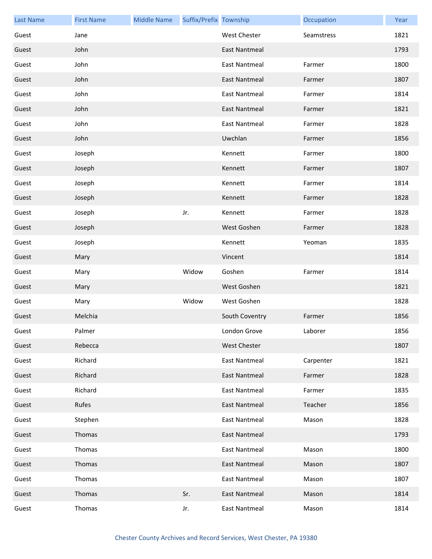| <b>Last Name</b> | <b>First Name</b> | <b>Middle Name</b> | Suffix/Prefix Township |                      | Occupation | Year |
|------------------|-------------------|--------------------|------------------------|----------------------|------------|------|
| Guest            | Jane              |                    |                        | West Chester         | Seamstress | 1821 |
| Guest            | John              |                    |                        | <b>East Nantmeal</b> |            | 1793 |
| Guest            | John              |                    |                        | <b>East Nantmeal</b> | Farmer     | 1800 |
| Guest            | John              |                    |                        | East Nantmeal        | Farmer     | 1807 |
| Guest            | John              |                    |                        | <b>East Nantmeal</b> | Farmer     | 1814 |
| Guest            | John              |                    |                        | <b>East Nantmeal</b> | Farmer     | 1821 |
| Guest            | John              |                    |                        | <b>East Nantmeal</b> | Farmer     | 1828 |
| Guest            | John              |                    |                        | Uwchlan              | Farmer     | 1856 |
| Guest            | Joseph            |                    |                        | Kennett              | Farmer     | 1800 |
| Guest            | Joseph            |                    |                        | Kennett              | Farmer     | 1807 |
| Guest            | Joseph            |                    |                        | Kennett              | Farmer     | 1814 |
| Guest            | Joseph            |                    |                        | Kennett              | Farmer     | 1828 |
| Guest            | Joseph            |                    | Jr.                    | Kennett              | Farmer     | 1828 |
| Guest            | Joseph            |                    |                        | West Goshen          | Farmer     | 1828 |
| Guest            | Joseph            |                    |                        | Kennett              | Yeoman     | 1835 |
| Guest            | Mary              |                    |                        | Vincent              |            | 1814 |
| Guest            | Mary              |                    | Widow                  | Goshen               | Farmer     | 1814 |
| Guest            | Mary              |                    |                        | West Goshen          |            | 1821 |
| Guest            | Mary              |                    | Widow                  | West Goshen          |            | 1828 |
| Guest            | Melchia           |                    |                        | South Coventry       | Farmer     | 1856 |
| Guest            | Palmer            |                    |                        | London Grove         | Laborer    | 1856 |
| Guest            | Rebecca           |                    |                        | <b>West Chester</b>  |            | 1807 |
| Guest            | Richard           |                    |                        | East Nantmeal        | Carpenter  | 1821 |
| Guest            | Richard           |                    |                        | <b>East Nantmeal</b> | Farmer     | 1828 |
| Guest            | Richard           |                    |                        | <b>East Nantmeal</b> | Farmer     | 1835 |
| Guest            | Rufes             |                    |                        | <b>East Nantmeal</b> | Teacher    | 1856 |
| Guest            | Stephen           |                    |                        | East Nantmeal        | Mason      | 1828 |
| Guest            | Thomas            |                    |                        | <b>East Nantmeal</b> |            | 1793 |
| Guest            | Thomas            |                    |                        | <b>East Nantmeal</b> | Mason      | 1800 |
| Guest            | Thomas            |                    |                        | <b>East Nantmeal</b> | Mason      | 1807 |
| Guest            | Thomas            |                    |                        | East Nantmeal        | Mason      | 1807 |
| Guest            | Thomas            |                    | Sr.                    | East Nantmeal        | Mason      | 1814 |
| Guest            | Thomas            |                    | Jr.                    | <b>East Nantmeal</b> | Mason      | 1814 |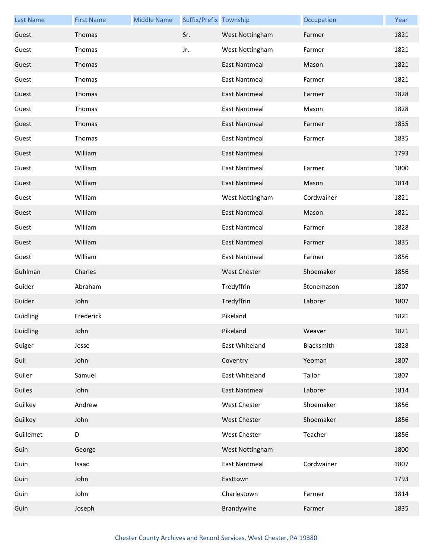| <b>Last Name</b> | <b>First Name</b> | <b>Middle Name</b> | Suffix/Prefix Township |                      | Occupation | Year |
|------------------|-------------------|--------------------|------------------------|----------------------|------------|------|
| Guest            | Thomas            |                    | Sr.                    | West Nottingham      | Farmer     | 1821 |
| Guest            | Thomas            |                    | Jr.                    | West Nottingham      | Farmer     | 1821 |
| Guest            | Thomas            |                    |                        | <b>East Nantmeal</b> | Mason      | 1821 |
| Guest            | Thomas            |                    |                        | <b>East Nantmeal</b> | Farmer     | 1821 |
| Guest            | Thomas            |                    |                        | East Nantmeal        | Farmer     | 1828 |
| Guest            | Thomas            |                    |                        | <b>East Nantmeal</b> | Mason      | 1828 |
| Guest            | Thomas            |                    |                        | <b>East Nantmeal</b> | Farmer     | 1835 |
| Guest            | Thomas            |                    |                        | <b>East Nantmeal</b> | Farmer     | 1835 |
| Guest            | William           |                    |                        | East Nantmeal        |            | 1793 |
| Guest            | William           |                    |                        | <b>East Nantmeal</b> | Farmer     | 1800 |
| Guest            | William           |                    |                        | <b>East Nantmeal</b> | Mason      | 1814 |
| Guest            | William           |                    |                        | West Nottingham      | Cordwainer | 1821 |
| Guest            | William           |                    |                        | <b>East Nantmeal</b> | Mason      | 1821 |
| Guest            | William           |                    |                        | <b>East Nantmeal</b> | Farmer     | 1828 |
| Guest            | William           |                    |                        | <b>East Nantmeal</b> | Farmer     | 1835 |
| Guest            | William           |                    |                        | <b>East Nantmeal</b> | Farmer     | 1856 |
| Guhlman          | Charles           |                    |                        | <b>West Chester</b>  | Shoemaker  | 1856 |
| Guider           | Abraham           |                    |                        | Tredyffrin           | Stonemason | 1807 |
| Guider           | John              |                    |                        | Tredyffrin           | Laborer    | 1807 |
| Guidling         | Frederick         |                    |                        | Pikeland             |            | 1821 |
| Guidling         | John              |                    |                        | Pikeland             | Weaver     | 1821 |
| Guiger           | Jesse             |                    |                        | East Whiteland       | Blacksmith | 1828 |
| Guil             | John              |                    |                        | Coventry             | Yeoman     | 1807 |
| Guiler           | Samuel            |                    |                        | East Whiteland       | Tailor     | 1807 |
| Guiles           | John              |                    |                        | <b>East Nantmeal</b> | Laborer    | 1814 |
| Guilkey          | Andrew            |                    |                        | <b>West Chester</b>  | Shoemaker  | 1856 |
| Guilkey          | John              |                    |                        | <b>West Chester</b>  | Shoemaker  | 1856 |
| Guillemet        | D                 |                    |                        | West Chester         | Teacher    | 1856 |
| Guin             | George            |                    |                        | West Nottingham      |            | 1800 |
| Guin             | Isaac             |                    |                        | <b>East Nantmeal</b> | Cordwainer | 1807 |
| Guin             | John              |                    |                        | Easttown             |            | 1793 |
| Guin             | John              |                    |                        | Charlestown          | Farmer     | 1814 |
| Guin             | Joseph            |                    |                        | Brandywine           | Farmer     | 1835 |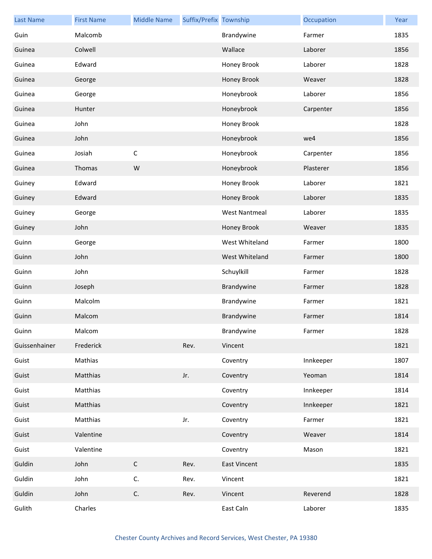| <b>Last Name</b> | <b>First Name</b> | <b>Middle Name</b> | Suffix/Prefix Township |                      | Occupation | Year |
|------------------|-------------------|--------------------|------------------------|----------------------|------------|------|
| Guin             | Malcomb           |                    |                        | Brandywine           | Farmer     | 1835 |
| Guinea           | Colwell           |                    |                        | Wallace              | Laborer    | 1856 |
| Guinea           | Edward            |                    |                        | Honey Brook          | Laborer    | 1828 |
| Guinea           | George            |                    |                        | Honey Brook          | Weaver     | 1828 |
| Guinea           | George            |                    |                        | Honeybrook           | Laborer    | 1856 |
| Guinea           | Hunter            |                    |                        | Honeybrook           | Carpenter  | 1856 |
| Guinea           | John              |                    |                        | Honey Brook          |            | 1828 |
| Guinea           | John              |                    |                        | Honeybrook           | we4        | 1856 |
| Guinea           | Josiah            | $\mathsf C$        |                        | Honeybrook           | Carpenter  | 1856 |
| Guinea           | Thomas            | W                  |                        | Honeybrook           | Plasterer  | 1856 |
| Guiney           | Edward            |                    |                        | Honey Brook          | Laborer    | 1821 |
| Guiney           | Edward            |                    |                        | Honey Brook          | Laborer    | 1835 |
| Guiney           | George            |                    |                        | <b>West Nantmeal</b> | Laborer    | 1835 |
| Guiney           | John              |                    |                        | Honey Brook          | Weaver     | 1835 |
| Guinn            | George            |                    |                        | West Whiteland       | Farmer     | 1800 |
| Guinn            | John              |                    |                        | West Whiteland       | Farmer     | 1800 |
| Guinn            | John              |                    |                        | Schuylkill           | Farmer     | 1828 |
| Guinn            | Joseph            |                    |                        | Brandywine           | Farmer     | 1828 |
| Guinn            | Malcolm           |                    |                        | Brandywine           | Farmer     | 1821 |
| Guinn            | Malcom            |                    |                        | Brandywine           | Farmer     | 1814 |
| Guinn            | Malcom            |                    |                        | Brandywine           | Farmer     | 1828 |
| Guissenhainer    | Frederick         |                    | Rev.                   | Vincent              |            | 1821 |
| Guist            | Mathias           |                    |                        | Coventry             | Innkeeper  | 1807 |
| Guist            | Matthias          |                    | Jr.                    | Coventry             | Yeoman     | 1814 |
| Guist            | Matthias          |                    |                        | Coventry             | Innkeeper  | 1814 |
| Guist            | Matthias          |                    |                        | Coventry             | Innkeeper  | 1821 |
| Guist            | Matthias          |                    | Jr.                    | Coventry             | Farmer     | 1821 |
| Guist            | Valentine         |                    |                        | Coventry             | Weaver     | 1814 |
| Guist            | Valentine         |                    |                        | Coventry             | Mason      | 1821 |
| Guldin           | John              | $\mathsf C$        | Rev.                   | <b>East Vincent</b>  |            | 1835 |
| Guldin           | John              | C.                 | Rev.                   | Vincent              |            | 1821 |
| Guldin           | John              | $\mathsf{C}.$      | Rev.                   | Vincent              | Reverend   | 1828 |
| Gulith           | Charles           |                    |                        | East Caln            | Laborer    | 1835 |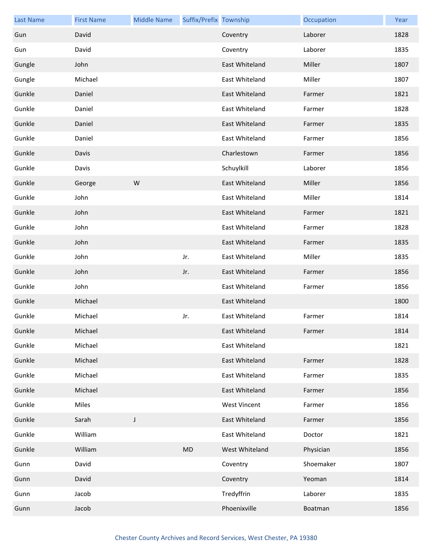| <b>Last Name</b> | <b>First Name</b> | <b>Middle Name</b> | Suffix/Prefix Township |                     | Occupation | Year |
|------------------|-------------------|--------------------|------------------------|---------------------|------------|------|
| Gun              | David             |                    |                        | Coventry            | Laborer    | 1828 |
| Gun              | David             |                    |                        | Coventry            | Laborer    | 1835 |
| Gungle           | John              |                    |                        | East Whiteland      | Miller     | 1807 |
| Gungle           | Michael           |                    |                        | East Whiteland      | Miller     | 1807 |
| Gunkle           | Daniel            |                    |                        | East Whiteland      | Farmer     | 1821 |
| Gunkle           | Daniel            |                    |                        | East Whiteland      | Farmer     | 1828 |
| Gunkle           | Daniel            |                    |                        | East Whiteland      | Farmer     | 1835 |
| Gunkle           | Daniel            |                    |                        | East Whiteland      | Farmer     | 1856 |
| Gunkle           | Davis             |                    |                        | Charlestown         | Farmer     | 1856 |
| Gunkle           | Davis             |                    |                        | Schuylkill          | Laborer    | 1856 |
| Gunkle           | George            | W                  |                        | East Whiteland      | Miller     | 1856 |
| Gunkle           | John              |                    |                        | East Whiteland      | Miller     | 1814 |
| Gunkle           | John              |                    |                        | East Whiteland      | Farmer     | 1821 |
| Gunkle           | John              |                    |                        | East Whiteland      | Farmer     | 1828 |
| Gunkle           | John              |                    |                        | East Whiteland      | Farmer     | 1835 |
| Gunkle           | John              |                    | Jr.                    | East Whiteland      | Miller     | 1835 |
| Gunkle           | John              |                    | Jr.                    | East Whiteland      | Farmer     | 1856 |
| Gunkle           | John              |                    |                        | East Whiteland      | Farmer     | 1856 |
| Gunkle           | Michael           |                    |                        | East Whiteland      |            | 1800 |
| Gunkle           | Michael           |                    | Jr.                    | East Whiteland      | Farmer     | 1814 |
| Gunkle           | Michael           |                    |                        | East Whiteland      | Farmer     | 1814 |
| Gunkle           | Michael           |                    |                        | East Whiteland      |            | 1821 |
| Gunkle           | Michael           |                    |                        | East Whiteland      | Farmer     | 1828 |
| Gunkle           | Michael           |                    |                        | East Whiteland      | Farmer     | 1835 |
| Gunkle           | Michael           |                    |                        | East Whiteland      | Farmer     | 1856 |
| Gunkle           | Miles             |                    |                        | <b>West Vincent</b> | Farmer     | 1856 |
| Gunkle           | Sarah             | J                  |                        | East Whiteland      | Farmer     | 1856 |
| Gunkle           | William           |                    |                        | East Whiteland      | Doctor     | 1821 |
| Gunkle           | William           |                    | MD                     | West Whiteland      | Physician  | 1856 |
| Gunn             | David             |                    |                        | Coventry            | Shoemaker  | 1807 |
| Gunn             | David             |                    |                        | Coventry            | Yeoman     | 1814 |
| Gunn             | Jacob             |                    |                        | Tredyffrin          | Laborer    | 1835 |
| Gunn             | Jacob             |                    |                        | Phoenixville        | Boatman    | 1856 |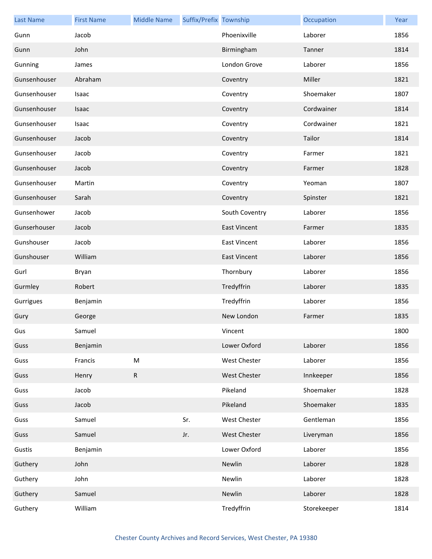| <b>Last Name</b> | <b>First Name</b> | <b>Middle Name</b> | Suffix/Prefix Township |                     | Occupation  | Year |
|------------------|-------------------|--------------------|------------------------|---------------------|-------------|------|
| Gunn             | Jacob             |                    |                        | Phoenixville        | Laborer     | 1856 |
| Gunn             | John              |                    |                        | Birmingham          | Tanner      | 1814 |
| Gunning          | James             |                    |                        | London Grove        | Laborer     | 1856 |
| Gunsenhouser     | Abraham           |                    |                        | Coventry            | Miller      | 1821 |
| Gunsenhouser     | Isaac             |                    |                        | Coventry            | Shoemaker   | 1807 |
| Gunsenhouser     | Isaac             |                    |                        | Coventry            | Cordwainer  | 1814 |
| Gunsenhouser     | Isaac             |                    |                        | Coventry            | Cordwainer  | 1821 |
| Gunsenhouser     | Jacob             |                    |                        | Coventry            | Tailor      | 1814 |
| Gunsenhouser     | Jacob             |                    |                        | Coventry            | Farmer      | 1821 |
| Gunsenhouser     | Jacob             |                    |                        | Coventry            | Farmer      | 1828 |
| Gunsenhouser     | Martin            |                    |                        | Coventry            | Yeoman      | 1807 |
| Gunsenhouser     | Sarah             |                    |                        | Coventry            | Spinster    | 1821 |
| Gunsenhower      | Jacob             |                    |                        | South Coventry      | Laborer     | 1856 |
| Gunserhouser     | Jacob             |                    |                        | <b>East Vincent</b> | Farmer      | 1835 |
| Gunshouser       | Jacob             |                    |                        | <b>East Vincent</b> | Laborer     | 1856 |
| Gunshouser       | William           |                    |                        | <b>East Vincent</b> | Laborer     | 1856 |
| Gurl             | Bryan             |                    |                        | Thornbury           | Laborer     | 1856 |
| Gurmley          | Robert            |                    |                        | Tredyffrin          | Laborer     | 1835 |
| Gurrigues        | Benjamin          |                    |                        | Tredyffrin          | Laborer     | 1856 |
| Gury             | George            |                    |                        | New London          | Farmer      | 1835 |
| Gus              | Samuel            |                    |                        | Vincent             |             | 1800 |
| Guss             | Benjamin          |                    |                        | Lower Oxford        | Laborer     | 1856 |
| Guss             | Francis           | ${\sf M}$          |                        | West Chester        | Laborer     | 1856 |
| Guss             | Henry             | ${\sf R}$          |                        | <b>West Chester</b> | Innkeeper   | 1856 |
| Guss             | Jacob             |                    |                        | Pikeland            | Shoemaker   | 1828 |
| Guss             | Jacob             |                    |                        | Pikeland            | Shoemaker   | 1835 |
| Guss             | Samuel            |                    | Sr.                    | West Chester        | Gentleman   | 1856 |
| Guss             | Samuel            |                    | Jr.                    | <b>West Chester</b> | Liveryman   | 1856 |
| Gustis           | Benjamin          |                    |                        | Lower Oxford        | Laborer     | 1856 |
| Guthery          | John              |                    |                        | Newlin              | Laborer     | 1828 |
| Guthery          | John              |                    |                        | Newlin              | Laborer     | 1828 |
| Guthery          | Samuel            |                    |                        | Newlin              | Laborer     | 1828 |
| Guthery          | William           |                    |                        | Tredyffrin          | Storekeeper | 1814 |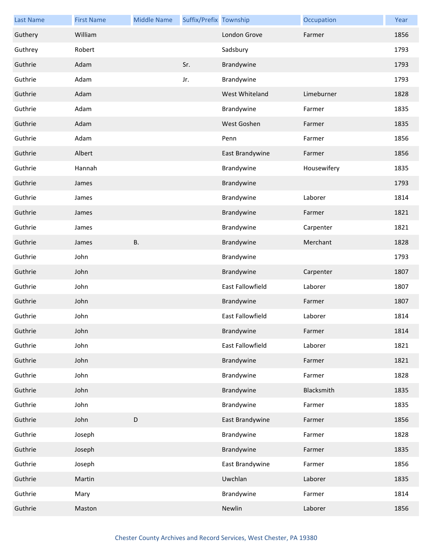| <b>Last Name</b> | <b>First Name</b> | <b>Middle Name</b> | Suffix/Prefix Township |                  | Occupation  | Year |
|------------------|-------------------|--------------------|------------------------|------------------|-------------|------|
| Guthery          | William           |                    |                        | London Grove     | Farmer      | 1856 |
| Guthrey          | Robert            |                    |                        | Sadsbury         |             | 1793 |
| Guthrie          | Adam              |                    | Sr.                    | Brandywine       |             | 1793 |
| Guthrie          | Adam              |                    | Jr.                    | Brandywine       |             | 1793 |
| Guthrie          | Adam              |                    |                        | West Whiteland   | Limeburner  | 1828 |
| Guthrie          | Adam              |                    |                        | Brandywine       | Farmer      | 1835 |
| Guthrie          | Adam              |                    |                        | West Goshen      | Farmer      | 1835 |
| Guthrie          | Adam              |                    |                        | Penn             | Farmer      | 1856 |
| Guthrie          | Albert            |                    |                        | East Brandywine  | Farmer      | 1856 |
| Guthrie          | Hannah            |                    |                        | Brandywine       | Housewifery | 1835 |
| Guthrie          | James             |                    |                        | Brandywine       |             | 1793 |
| Guthrie          | James             |                    |                        | Brandywine       | Laborer     | 1814 |
| Guthrie          | James             |                    |                        | Brandywine       | Farmer      | 1821 |
| Guthrie          | James             |                    |                        | Brandywine       | Carpenter   | 1821 |
| Guthrie          | James             | <b>B.</b>          |                        | Brandywine       | Merchant    | 1828 |
| Guthrie          | John              |                    |                        | Brandywine       |             | 1793 |
| Guthrie          | John              |                    |                        | Brandywine       | Carpenter   | 1807 |
| Guthrie          | John              |                    |                        | East Fallowfield | Laborer     | 1807 |
| Guthrie          | John              |                    |                        | Brandywine       | Farmer      | 1807 |
| Guthrie          | John              |                    |                        | East Fallowfield | Laborer     | 1814 |
| Guthrie          | John              |                    |                        | Brandywine       | Farmer      | 1814 |
| Guthrie          | John              |                    |                        | East Fallowfield | Laborer     | 1821 |
| Guthrie          | John              |                    |                        | Brandywine       | Farmer      | 1821 |
| Guthrie          | John              |                    |                        | Brandywine       | Farmer      | 1828 |
| Guthrie          | John              |                    |                        | Brandywine       | Blacksmith  | 1835 |
| Guthrie          | John              |                    |                        | Brandywine       | Farmer      | 1835 |
| Guthrie          | John              | $\mathsf D$        |                        | East Brandywine  | Farmer      | 1856 |
| Guthrie          | Joseph            |                    |                        | Brandywine       | Farmer      | 1828 |
| Guthrie          | Joseph            |                    |                        | Brandywine       | Farmer      | 1835 |
| Guthrie          | Joseph            |                    |                        | East Brandywine  | Farmer      | 1856 |
| Guthrie          | Martin            |                    |                        | Uwchlan          | Laborer     | 1835 |
| Guthrie          | Mary              |                    |                        | Brandywine       | Farmer      | 1814 |
| Guthrie          | Maston            |                    |                        | Newlin           | Laborer     | 1856 |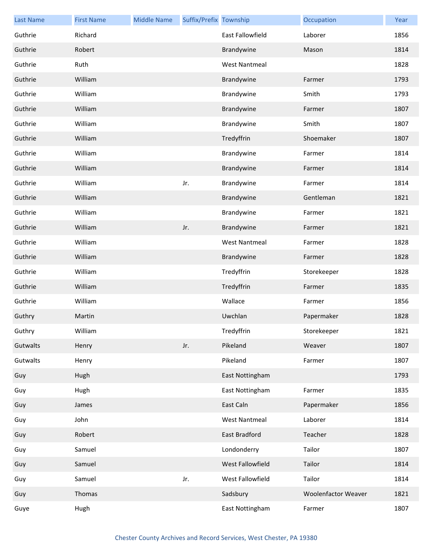| <b>Last Name</b> | <b>First Name</b> | <b>Middle Name</b> | Suffix/Prefix Township |                      | Occupation          | Year |
|------------------|-------------------|--------------------|------------------------|----------------------|---------------------|------|
| Guthrie          | Richard           |                    |                        | East Fallowfield     | Laborer             | 1856 |
| Guthrie          | Robert            |                    |                        | Brandywine           | Mason               | 1814 |
| Guthrie          | Ruth              |                    |                        | <b>West Nantmeal</b> |                     | 1828 |
| Guthrie          | William           |                    |                        | Brandywine           | Farmer              | 1793 |
| Guthrie          | William           |                    |                        | Brandywine           | Smith               | 1793 |
| Guthrie          | William           |                    |                        | Brandywine           | Farmer              | 1807 |
| Guthrie          | William           |                    |                        | Brandywine           | Smith               | 1807 |
| Guthrie          | William           |                    |                        | Tredyffrin           | Shoemaker           | 1807 |
| Guthrie          | William           |                    |                        | Brandywine           | Farmer              | 1814 |
| Guthrie          | William           |                    |                        | Brandywine           | Farmer              | 1814 |
| Guthrie          | William           |                    | Jr.                    | Brandywine           | Farmer              | 1814 |
| Guthrie          | William           |                    |                        | Brandywine           | Gentleman           | 1821 |
| Guthrie          | William           |                    |                        | Brandywine           | Farmer              | 1821 |
| Guthrie          | William           |                    | Jr.                    | Brandywine           | Farmer              | 1821 |
| Guthrie          | William           |                    |                        | <b>West Nantmeal</b> | Farmer              | 1828 |
| Guthrie          | William           |                    |                        | Brandywine           | Farmer              | 1828 |
| Guthrie          | William           |                    |                        | Tredyffrin           | Storekeeper         | 1828 |
| Guthrie          | William           |                    |                        | Tredyffrin           | Farmer              | 1835 |
| Guthrie          | William           |                    |                        | Wallace              | Farmer              | 1856 |
| Guthry           | Martin            |                    |                        | Uwchlan              | Papermaker          | 1828 |
| Guthry           | William           |                    |                        | Tredyffrin           | Storekeeper         | 1821 |
| Gutwalts         | Henry             |                    | Jr.                    | Pikeland             | Weaver              | 1807 |
| Gutwalts         | Henry             |                    |                        | Pikeland             | Farmer              | 1807 |
| Guy              | Hugh              |                    |                        | East Nottingham      |                     | 1793 |
| Guy              | Hugh              |                    |                        | East Nottingham      | Farmer              | 1835 |
| Guy              | James             |                    |                        | East Caln            | Papermaker          | 1856 |
| Guy              | John              |                    |                        | <b>West Nantmeal</b> | Laborer             | 1814 |
| Guy              | Robert            |                    |                        | <b>East Bradford</b> | Teacher             | 1828 |
| Guy              | Samuel            |                    |                        | Londonderry          | Tailor              | 1807 |
| Guy              | Samuel            |                    |                        | West Fallowfield     | Tailor              | 1814 |
| Guy              | Samuel            |                    | Jr.                    | West Fallowfield     | Tailor              | 1814 |
| Guy              | Thomas            |                    |                        | Sadsbury             | Woolenfactor Weaver | 1821 |
| Guye             | Hugh              |                    |                        | East Nottingham      | Farmer              | 1807 |